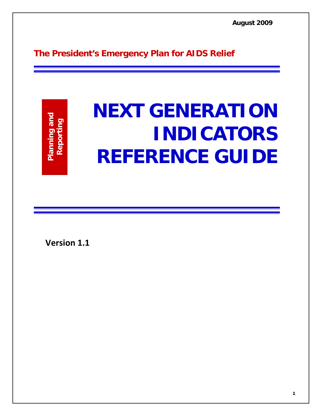**The President's Emergency Plan for AIDS Relief** 

# **NEXT GENERATION INDICATORS REFERENCE GUIDE**

**Planning and Reporting<br>
Reporting<br>
Version 1.1** 

**portin**

**g**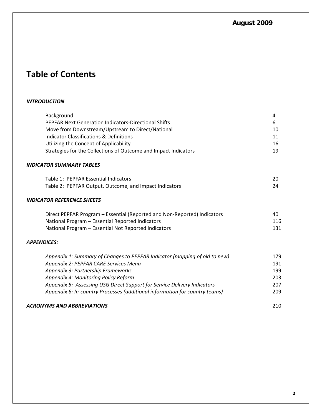## **Table of Contents**

#### *INTRODUCTION*

| Background                                                                  | 4   |
|-----------------------------------------------------------------------------|-----|
| <b>PEPFAR Next Generation Indicators-Directional Shifts</b>                 | 6   |
| Move from Downstream/Upstream to Direct/National                            | 10  |
| <b>Indicator Classifications &amp; Definitions</b>                          | 11  |
| Utilizing the Concept of Applicability                                      | 16  |
| Strategies for the Collections of Outcome and Impact Indicators             | 19  |
| <b>INDICATOR SUMMARY TABLES</b>                                             |     |
| Table 1: PEPFAR Essential Indicators                                        | 20  |
| Table 2: PEPFAR Output, Outcome, and Impact Indicators                      | 24  |
| <b>INDICATOR REFERENCE SHEETS</b>                                           |     |
| Direct PEPFAR Program – Essential (Reported and Non-Reported) Indicators    | 40  |
| National Program - Essential Reported Indicators                            | 116 |
| National Program - Essential Not Reported Indicators                        | 131 |
| <b>APPENDICES:</b>                                                          |     |
| Appendix 1: Summary of Changes to PEPFAR Indicator (mapping of old to new)  | 179 |
| Appendix 2: PEPFAR CARE Services Menu                                       | 191 |
| Appendix 3: Partnership Frameworks                                          | 199 |
| Appendix 4: Monitoring Policy Reform                                        | 203 |
| Appendix 5: Assessing USG Direct Support for Service Delivery Indicators    | 207 |
| Appendix 6: In-country Processes (additional information for country teams) | 209 |
| <b>ACRONYMS AND ABBREVIATIONS</b>                                           | 210 |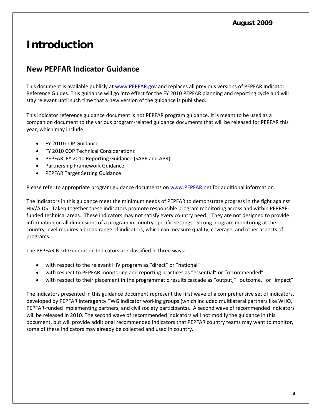## **Introduction**

### **New PEPFAR Indicator Guidance**

This document is available publicly at www.PEPFAR.gov and replaces all previous versions of PEPFAR Indicator Reference Guides. This guidance will go into effect for the FY 2010 PEPFAR planning and reporting cycle and will stay relevant until such time that a new version of the guidance is published.

This indicator reference guidance document is not PEPFAR program guidance. It is meant to be used as a companion document to the various program‐related guidance documents that will be released for PEPFAR this year, which may include:

- FY 2010 COP Guidance
- FY 2010 COP Technical Considerations
- PEPFAR FY 2010 Reporting Guidance (SAPR and APR)
- Partnership Framework Guidance
- PEPFAR Target Setting Guidance

Please refer to appropriate program guidance documents on www.PEPFAR.net for additional information.

The indicators in this guidance meet the minimum needs of PEPFAR to demonstrate progress in the fight against HIV/AIDS. Taken together these indicators promote responsible program monitoring across and within PEPFAR‐ funded technical areas. These indicators may not satisfy every country need. They are not designed to provide information on all dimensions of a program in country‐specific settings. Strong program monitoring at the country‐level requires a broad range of indicators, which can measure quality, coverage, and other aspects of programs.

The PEPFAR Next Generation Indicators are classified in three ways:

- with respect to the relevant HIV program as "direct" or "national"
- with respect to PEPFAR monitoring and reporting practices as "essential" or "recommended"
- with respect to their placement in the programmatic results cascade as "output," "outcome," or "impact"

The indicators presented in this guidance document represent the first wave of a comprehensive set of indicators, developed by PEPFAR interagency TWG indicator working groups (which included multilateral partners like WHO, PEPFAR‐funded implementing partners, and civil society participants). A second wave of recommended indicators will be released in 2010. The second wave of recommended indicators will not modify the guidance in this document, but will provide additional recommended indicators that PEPFAR country teams may want to monitor, some of these indicators may already be collected and used in country.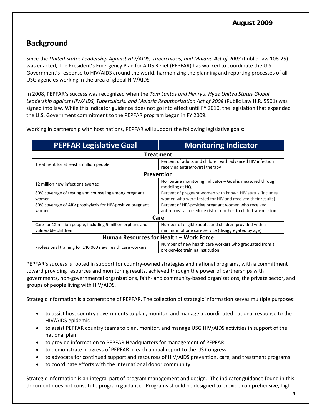## **Background**

Since the *United States Leadership Against HIV/AIDS, Tuberculosis, and Malaria Act of 2003* (Public Law 108‐25) was enacted, The President's Emergency Plan for AIDS Relief (PEPFAR) has worked to coordinate the U.S. Government's response to HIV/AIDS around the world, harmonizing the planning and reporting processes of all USG agencies working in the area of global HIV/AIDS.

In 2008, PEPFAR's success was recognized when the *Tom Lantos and Henry J. Hyde United States Global Leadership against HIV/AIDS, Tuberculosis, and Malaria Reauthorization Act of 2008* (Public Law H.R. 5501) was signed into law. While this indicator guidance does not go into effect until FY 2010, the legislation that expanded the U.S. Government commitment to the PEPFAR program began in FY 2009.

Working in partnership with host nations, PEPFAR will support the following legislative goals:

| <b>PEPFAR Legislative Goal</b>                                                     | <b>Monitoring Indicator</b>                                                                                            |  |  |  |  |  |  |  |  |
|------------------------------------------------------------------------------------|------------------------------------------------------------------------------------------------------------------------|--|--|--|--|--|--|--|--|
| <b>Treatment</b>                                                                   |                                                                                                                        |  |  |  |  |  |  |  |  |
| Treatment for at least 3 million people                                            | Percent of adults and children with advanced HIV infection<br>receiving antiretroviral therapy                         |  |  |  |  |  |  |  |  |
|                                                                                    | <b>Prevention</b>                                                                                                      |  |  |  |  |  |  |  |  |
| 12 million new infections averted                                                  | No routine monitoring indicator $-$ Goal is measured through<br>modeling at HQ.                                        |  |  |  |  |  |  |  |  |
| 80% coverage of testing and counseling among pregnant<br>women                     | Percent of pregnant women with known HIV status (includes<br>women who were tested for HIV and received their results) |  |  |  |  |  |  |  |  |
| 80% coverage of ARV prophylaxis for HIV-positive pregnant<br>women                 | Percent of HIV-positive pregnant women who received<br>antiretroviral to reduce risk of mother-to-child-transmission   |  |  |  |  |  |  |  |  |
|                                                                                    | Care                                                                                                                   |  |  |  |  |  |  |  |  |
| Care for 12 million people, including 5 million orphans and<br>vulnerable children | Number of eligible adults and children provided with a<br>minimum of one care service (disaggregated by age)           |  |  |  |  |  |  |  |  |
|                                                                                    | Human Resources for Health - Work Force                                                                                |  |  |  |  |  |  |  |  |
| Professional training for 140,000 new health care workers                          | Number of new health care workers who graduated from a<br>pre-service training institution                             |  |  |  |  |  |  |  |  |

PEPFAR's success is rooted in support for country‐owned strategies and national programs, with a commitment toward providing resources and monitoring results, achieved through the power of partnerships with governments, non‐governmental organizations, faith‐ and community‐based organizations, the private sector, and groups of people living with HIV/AIDS.

Strategic information is a cornerstone of PEPFAR. The collection of strategic information serves multiple purposes:

- to assist host country governments to plan, monitor, and manage a coordinated national response to the HIV/AIDS epidemic
- to assist PEPFAR country teams to plan, monitor, and manage USG HIV/AIDS activities in support of the national plan
- to provide information to PEPFAR Headquarters for management of PEPFAR
- to demonstrate progress of PEPFAR in each annual report to the US Congress
- to advocate for continued support and resources of HIV/AIDS prevention, care, and treatment programs
- to coordinate efforts with the international donor community

Strategic Information is an integral part of program management and design. The indicator guidance found in this document does not constitute program guidance. Programs should be designed to provide comprehensive, high‐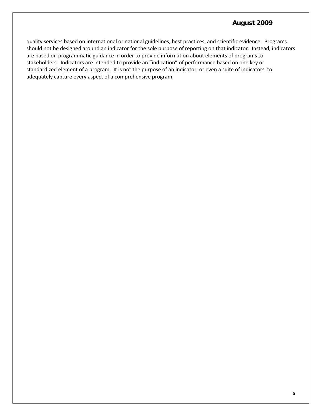quality services based on international or national guidelines, best practices, and scientific evidence. Programs should not be designed around an indicator for the sole purpose of reporting on that indicator. Instead, indicators are based on programmatic guidance in order to provide information about elements of programs to stakeholders. Indicators are intended to provide an "indication" of performance based on one key or standardized element of a program. It is not the purpose of an indicator, or even a suite of indicators, to adequately capture every aspect of a comprehensive program.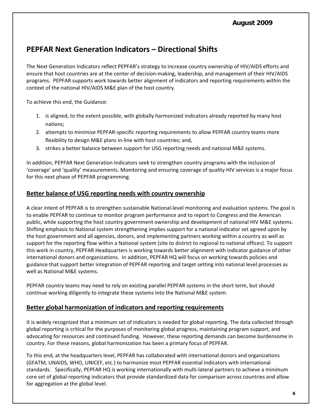### **PEPFAR Next Generation Indicators – Directional Shifts**

The Next Generation Indicators reflect PEPFAR's strategy to increase country ownership of HIV/AIDS efforts and ensure that host countries are at the center of decision‐making, leadership, and management of their HIV/AIDS programs. PEPFAR supports work towards better alignment of indicators and reporting requirements within the context of the national HIV/AIDS M&E plan of the host country.

To achieve this end, the Guidance:

- 1. is aligned, to the extent possible, with globally harmonized indicators already reported by many host nations;
- 2. attempts to minimize PEPFAR‐specific reporting requirements to allow PEPFAR country teams more flexibility to design M&E plans in-line with host countries; and,
- 3. strikes a better balance between support for USG reporting needs and national M&E systems.

In addition, PEPFAR Next Generation Indicators seek to strengthen country programs with the inclusion of 'coverage' and 'quality' measurements. Monitoring and ensuring coverage of quality HIV services is a major focus for this next phase of PEPFAR programming.

#### **Better balance of USG reporting needs with country ownership**

A clear intent of PEPFAR is to strengthen sustainable National‐level monitoring and evaluation systems. The goal is to enable PEPFAR to continue to monitor program performance and to report to Congress and the American public, while supporting the host country government ownership and development of national HIV M&E systems. Shifting emphasis to National system strengthening implies support for a national indicator set agreed upon by the host government and all agencies, donors, and implementing partners working within a country as well as support for the reporting flow within a National system (site to district to regional to national offices). To support this work in country, PEPFAR Headquarters is working towards better alignment with indicator guidance of other international donors and organizations. In addition, PEPFAR HQ will focus on working towards policies and guidance that support better integration of PEPFAR reporting and target setting into national level processes as well as National M&E systems.

PEPFAR country teams may need to rely on existing parallel PEPFAR systems in the short term, but should continue working diligently to integrate these systems into the National M&E system.

#### **Better global harmonization of indicators and reporting requirements**

It is widely recognized that a minimum set of indicators is needed for global reporting. The data collected through global reporting is critical for the purposes of monitoring global progress, maintaining program support, and advocating for resources and continued funding. However, these reporting demands can become burdensome in country. For these reasons, global harmonization has been a primary focus of PEPFAR.

To this end, at the headquarters level, PEPFAR has collaborated with international donors and organizations (GFATM, UNAIDS, WHO, UNICEF, etc.) to harmonize most PEPFAR essential indicators with international standards. Specifically, PEPFAR HQ is working internationally with multi-lateral partners to achieve a minimum core set of global reporting indicators that provide standardized data for comparison across countries and allow for aggregation at the global level.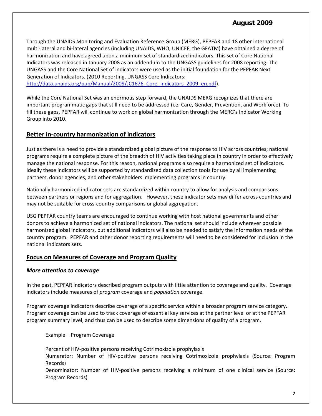Through the UNAIDS Monitoring and Evaluation Reference Group (MERG), PEPFAR and 18 other international multi‐lateral and bi‐lateral agencies (including UNAIDS, WHO, UNICEF, the GFATM) have obtained a degree of harmonization and have agreed upon a minimum set of standardized indicators. This set of Core National Indicators was released in January 2008 as an addendum to the UNGASS guidelines for 2008 reporting. The UNGASS and the Core National Set of indicators were used as the initial foundation for the PEPFAR Next Generation of Indicators. (2010 Reporting, UNGASS Core Indicators:

http://data.unaids.org/pub/Manual/2009/JC1676 Core Indicators 2009 en.pdf).

While the Core National Set was an enormous step forward, the UNAIDS MERG recognizes that there are important programmatic gaps that still need to be addressed (i.e. Care, Gender, Prevention, and Workforce). To fill these gaps, PEPFAR will continue to work on global harmonization through the MERG's Indicator Working Group into 2010.

#### **Better in‐country harmonization of indicators**

Just as there is a need to provide a standardized global picture of the response to HIV across countries; national programs require a complete picture of the breadth of HIV activities taking place in country in order to effectively manage the national response. For this reason, national programs also require a harmonized set of indicators. Ideally these indicators will be supported by standardized data collection tools for use by all implementing partners, donor agencies, and other stakeholders implementing programs in country.

Nationally harmonized indicator sets are standardized within country to allow for analysis and comparisons between partners or regions and for aggregation. However, these indicator sets may differ across countries and may not be suitable for cross‐country comparisons or global aggregation.

USG PEPFAR country teams are encouraged to continue working with host national governments and other donors to achieve a harmonized set of national indicators. The national set should include wherever possible harmonized global indicators, but additional indicators will also be needed to satisfy the information needs of the country program. PEPFAR and other donor reporting requirements will need to be considered for inclusion in the national indicators sets.

#### **Focus on Measures of Coverage and Program Quality**

#### *More attention to coverage*

In the past, PEPFAR indicators described program outputs with little attention to coverage and quality.Coverage indicators include measures of *program* coverage and *population* coverage.

Program coverage indicators describe coverage of a specific service within a broader program service category. Program coverage can be used to track coverage of essential key services at the partner level or at the PEPFAR program summary level, and thus can be used to describe some dimensions of quality of a program.

Example – Program Coverage

Percent of HIV‐positive persons receiving Cotrimoxizole prophylaxis

Numerator: Number of HIV‐positive persons receiving Cotrimoxizole prophylaxis (Source: Program Records)

Denominator: Number of HIV‐positive persons receiving a minimum of one clinical service (Source: Program Records)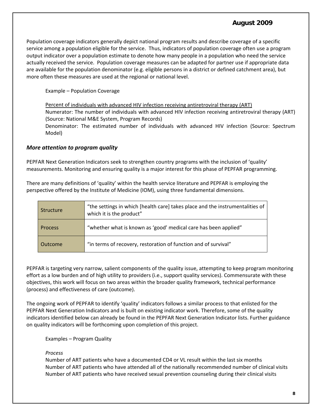Population coverage indicators generally depict national program results and describe coverage of a specific service among a population eligible for the service. Thus, indicators of population coverage often use a program output indicator over a population estimate to denote how many people in a population who need the service actually received the service. Population coverage measures can be adapted for partner use if appropriate data are available for the population denominator (e.g. eligible persons in a district or defined catchment area), but more often these measures are used at the regional or national level.

Example – Population Coverage

Percent of individuals with advanced HIV infection receiving antiretroviral therapy (ART) Numerator: The number of individuals with advanced HIV infection receiving antiretroviral therapy (ART) (Source: National M&E System, Program Records)

Denominator: The estimated number of individuals with advanced HIV infection (Source: Spectrum Model)

#### *More attention to program quality*

PEPFAR Next Generation Indicators seek to strengthen country programs with the inclusion of 'quality' measurements. Monitoring and ensuring quality is a major interest for this phase of PEPFAR programming.

There are many definitions of 'quality' within the health service literature and PEPFAR is employing the perspective offered by the Institute of Medicine (IOM), using three fundamental dimensions.

| Structure      | "the settings in which [health care] takes place and the instrumentalities of<br>which it is the product" |
|----------------|-----------------------------------------------------------------------------------------------------------|
| <b>Process</b> | "whether what is known as 'good' medical care has been applied"                                           |
| Outcome        | "in terms of recovery, restoration of function and of survival"                                           |

PEPFAR is targeting very narrow, salient components of the quality issue, attempting to keep program monitoring effort as a low burden and of high utility to providers (i.e., support quality services). Commensurate with these objectives, this work will focus on two areas within the broader quality framework, technical performance (process) and effectiveness of care (outcome).

The ongoing work of PEPFAR to identify 'quality' indicators follows a similar process to that enlisted for the PEPFAR Next Generation Indicators and is built on existing indicator work. Therefore, some of the quality indicators identified below can already be found in the PEPFAR Next Generation Indicator lists. Further guidance on quality indicators will be forthcoming upon completion of this project.

Examples – Program Quality

#### *Process*

Number of ART patients who have a documented CD4 or VL result within the last six months Number of ART patients who have attended all of the nationally recommended number of clinical visits Number of ART patients who have received sexual prevention counseling during their clinical visits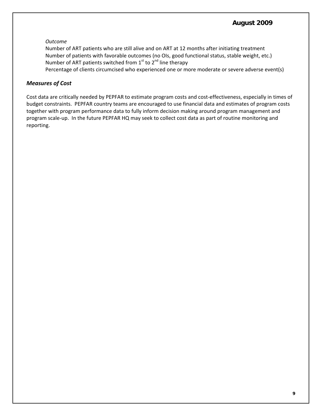#### *Outcome*

Number of ART patients who are still alive and on ART at 12 months after initiating treatment Number of patients with favorable outcomes (no OIs, good functional status, stable weight, etc.) Number of ART patients switched from  $1<sup>st</sup>$  to  $2<sup>nd</sup>$  line therapy

Percentage of clients circumcised who experienced one or more moderate or severe adverse event(s)

#### *Measures of Cost*

Cost data are critically needed by PEPFAR to estimate program costs and cost-effectiveness, especially in times of budget constraints. PEPFAR country teams are encouraged to use financial data and estimates of program costs together with program performance data to fully inform decision making around program management and program scale‐up. In the future PEPFAR HQ may seek to collect cost data as part of routine monitoring and reporting.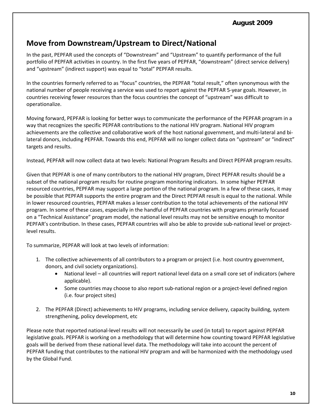### **Move from Downstream/Upstream to Direct/National**

In the past, PEPFAR used the concepts of "Downstream" and "Upstream" to quantify performance of the full portfolio of PEPFAR activities in country. In the first five years of PEPFAR, "downstream" (direct service delivery) and "upstream" (indirect support) was equal to "total" PEPFAR results.

In the countries formerly referred to as "focus" countries, the PEPFAR "total result," often synonymous with the national number of people receiving a service was used to report against the PEPFAR 5‐year goals. However, in countries receiving fewer resources than the focus countries the concept of "upstream" was difficult to operationalize.

Moving forward, PEPFAR is looking for better ways to communicate the performance of the PEPFAR program in a way that recognizes the specific PEPFAR contributions to the national HIV program. National HIV program achievements are the collective and collaborative work of the host national government, and multi-lateral and bilateral donors, including PEPFAR. Towards this end, PEPFAR will no longer collect data on "upstream" or "indirect" targets and results.

Instead, PEPFAR will now collect data at two levels: National Program Results and Direct PEPFAR program results.

Given that PEPFAR is one of many contributors to the national HIV program, Direct PEPFAR results should be a subset of the national program results for routine program monitoring indicators. In some higher PEPFAR resourced countries, PEPFAR may support a large portion of the national program. In a few of these cases, it may be possible that PEPFAR supports the entire program and the Direct PEPFAR result is equal to the national. While in lower resourced countries, PEPFAR makes a lesser contribution to the total achievements of the national HIV program. In some of these cases, especially in the handful of PEPFAR countries with programs primarily focused on a "Technical Assistance" program model, the national level results may not be sensitive enough to monitor PEPFAR's contribution. In these cases, PEPFAR countries will also be able to provide sub‐national level or project‐ level results.

To summarize, PEPFAR will look at two levels of information:

- 1. The collective achievements of all contributors to a program or project (i.e. host country government, donors, and civil society organizations).
	- National level all countries will report national level data on a small core set of indicators (where applicable).
	- Some countries may choose to also report sub-national region or a project-level defined region (i.e. four project sites)
- 2. The PEPFAR (Direct) achievements to HIV programs, including service delivery, capacity building, system strengthening, policy development, etc

Please note that reported national‐level results will not necessarily be used (in total) to report against PEPFAR legislative goals. PEPFAR is working on a methodology that will determine how counting toward PEPFAR legislative goals will be derived from these national level data. The methodology will take into account the percent of PEPFAR funding that contributes to the national HIV program and will be harmonized with the methodology used by the Global Fund.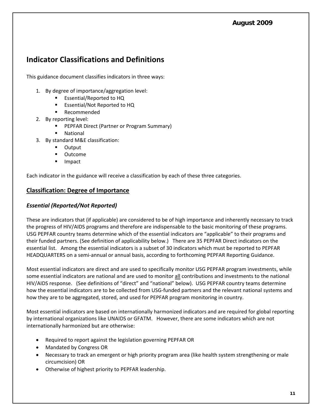### **Indicator Classifications and Definitions**

This guidance document classifies indicators in three ways:

- 1. By degree of importance/aggregation level:
	- **Essential/Reported to HQ**
	- **Essential/Not Reported to HQ**
	- **Recommended**
- 2. By reporting level:
	- PEPFAR Direct (Partner or Program Summary)
	- National
- 3. By standard M&E classification:
	- **-** Output
	- **-** Outcome
	- Impact

Each indicator in the guidance will receive a classification by each of these three categories.

#### **Classification: Degree of Importance**

#### *Essential (Reported/Not Reported)*

These are indicators that (if applicable) are considered to be of high importance and inherently necessary to track the progress of HIV/AIDS programs and therefore are indispensable to the basic monitoring of these programs. USG PEPFAR country teams determine which of the essential indicators are "applicable" to their programs and their funded partners. (See definition of applicability below.) There are 35 PEPFAR Direct indicators on the essential list. Among the essential indicators is a subset of 30 indicators which must be reported to PEPFAR HEADQUARTERS on a semi‐annual or annual basis, according to forthcoming PEPFAR Reporting Guidance.

Most essential indicators are direct and are used to specifically monitor USG PEPFAR program investments, while some essential indicators are national and are used to monitor all contributions and investments to the national HIV/AIDS response. (See definitions of "direct" and "national" below). USG PEPFAR country teams determine how the essential indicators are to be collected from USG-funded partners and the relevant national systems and how they are to be aggregated, stored, and used for PEPFAR program monitoring in country.

Most essential indicators are based on internationally harmonized indicators and are required for global reporting by international organizations like UNAIDS or GFATM. However, there are some indicators which are not internationally harmonized but are otherwise:

- Required to report against the legislation governing PEPFAR OR
- Mandated by Congress OR
- Necessary to track an emergent or high priority program area (like health system strengthening or male circumcision) OR
- Otherwise of highest priority to PEPFAR leadership.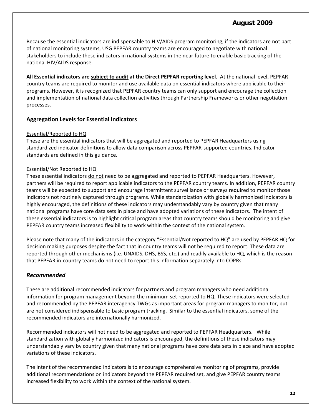Because the essential indicators are indispensable to HIV/AIDS program monitoring, if the indicators are not part of national monitoring systems, USG PEPFAR country teams are encouraged to negotiate with national stakeholders to include these indicators in national systems in the near future to enable basic tracking of the national HIV/AIDS response.

**All Essential indicators are subject to audit at the Direct PEPFAR reporting level.** At the national level, PEPFAR country teams are required to monitor and use available data on essential indicators where applicable to their programs. However, it is recognized that PEPFAR country teams can only support and encourage the collection and implementation of national data collection activities through Partnership Frameworks or other negotiation processes.

#### **Aggregation Levels for Essential Indicators**

#### Essential/Reported to HQ

These are the essential indicators that will be aggregated and reported to PEPFAR Headquarters using standardized indicator definitions to allow data comparison across PEPFAR‐supported countries. Indicator standards are defined in this guidance.

#### Essential/Not Reported to HQ

These essential indicators do not need to be aggregated and reported to PEPFAR Headquarters. However, partners will be required to report applicable indicators to the PEPFAR country teams. In addition, PEPFAR country teams will be expected to support and encourage intermittent surveillance or surveys required to monitor those indicators not routinely captured through programs. While standardization with globally harmonized indicators is highly encouraged, the definitions of these indicators may understandably vary by country given that many national programs have core data sets in place and have adopted variations of these indicators. The intent of these essential indicators is to highlight critical program areas that country teams should be monitoring and give PEPFAR country teams increased flexibility to work within the context of the national system.

Please note that many of the indicators in the category "Essential/Not reported to HQ" are used by PEPFAR HQ for decision making purposes despite the fact that in country teams will not be required to report. These data are reported through other mechanisms (i.e. UNAIDS, DHS, BSS, etc.) and readily available to HQ, which is the reason that PEPFAR in‐country teams do not need to report this information separately into COPRs.

#### *Recommended*

These are additional recommended indicators for partners and program managers who need additional information for program management beyond the minimum set reported to HQ. These indicators were selected and recommended by the PEPFAR interagency TWGs as important areas for program managers to monitor, but are not considered indispensable to basic program tracking. Similar to the essential indicators, some of the recommended indicators are internationally harmonized.

Recommended indicators will not need to be aggregated and reported to PEPFAR Headquarters. While standardization with globally harmonized indicators is encouraged, the definitions of these indicators may understandably vary by country given that many national programs have core data sets in place and have adopted variations of these indicators.

The intent of the recommended indicators is to encourage comprehensive monitoring of programs, provide additional recommendations on indicators beyond the PEPFAR required set, and give PEPFAR country teams increased flexibility to work within the context of the national system.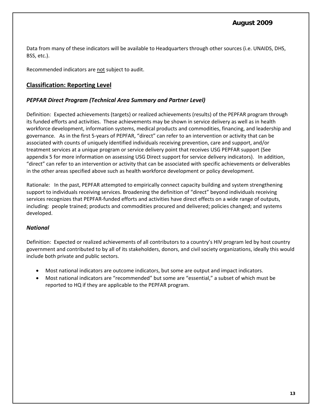Data from many of these indicators will be available to Headquarters through other sources (i.e. UNAIDS, DHS, BSS, etc.).

Recommended indicators are not subject to audit.

#### **Classification: Reporting Level**

#### *PEPFAR Direct Program (Technical Area Summary and Partner Level)*

Definition: Expected achievements (targets) or realized achievements (results) of the PEPFAR program through its funded efforts and activities. These achievements may be shown in service delivery as well as in health workforce development, information systems, medical products and commodities, financing, and leadership and governance. As in the first 5‐years of PEPFAR, "direct" can refer to an intervention or activity that can be associated with counts of uniquely identified individuals receiving prevention, care and support, and/or treatment services at a unique program or service delivery point that receives USG PEPFAR support (See appendix 5 for more information on assessing USG Direct support for service delivery indicators). In addition, "direct" can refer to an intervention or activity that can be associated with specific achievements or deliverables in the other areas specified above such as health workforce development or policy development.

Rationale: In the past, PEPFAR attempted to empirically connect capacity building and system strengthening support to individuals receiving services. Broadening the definition of "direct" beyond individuals receiving services recognizes that PEPFAR‐funded efforts and activities have direct effects on a wide range of outputs, including: people trained; products and commodities procured and delivered; policies changed; and systems developed.

#### *National*

Definition: Expected or realized achievements of all contributors to a country's HIV program led by host country government and contributed to by all of its stakeholders, donors, and civil society organizations, ideally this would include both private and public sectors.

- Most national indicators are outcome indicators, but some are output and impact indicators.
- Most national indicators are "recommended" but some are "essential," a subset of which must be reported to HQ if they are applicable to the PEPFAR program.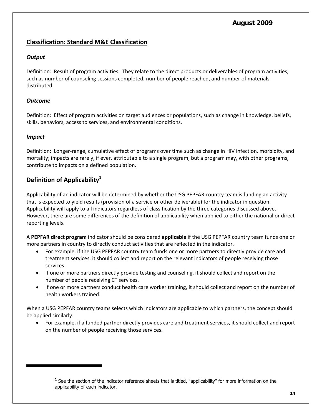#### **Classification: Standard M&E Classification**

#### *Output*

Definition: Result of program activities. They relate to the direct products or deliverables of program activities, such as number of counseling sessions completed, number of people reached, and number of materials distributed.

#### *Outcome*

Definition: Effect of program activities on target audiences or populations, such as change in knowledge, beliefs, skills, behaviors, access to services, and environmental conditions.

#### *Impact*

Definition: Longer-range, cumulative effect of programs over time such as change in HIV infection, morbidity, and mortality; impacts are rarely, if ever, attributable to a single program, but a program may, with other programs, contribute to impacts on a defined population.

#### **Definition of Applicability**<sup>1</sup>

Applicability of an indicator will be determined by whether the USG PEPFAR country team is funding an activity that is expected to yield results (provision of a service or other deliverable) for the indicator in question. Applicability will apply to all indicators regardless of classification by the three categories discussed above. However, there are some differences of the definition of applicability when applied to either the national or direct reporting levels.

A **PEPFAR direct program** indicator should be considered **applicable** if the USG PEPFAR country team funds one or more partners in country to directly conduct activities that are reflected in the indicator.

- For example, if the USG PEPFAR country team funds one or more partners to directly provide care and treatment services, it should collect and report on the relevant indicators of people receiving those services.
- If one or more partners directly provide testing and counseling, it should collect and report on the number of people receiving CT services.
- If one or more partners conduct health care worker training, it should collect and report on the number of health workers trained.

When a USG PEPFAR country teams selects which indicators are applicable to which partners, the concept should be applied similarly.

• For example, if a funded partner directly provides care and treatment services, it should collect and report on the number of people receiving those services.

 **<sup>1</sup>** See the section of the indicator reference sheets that is titled, "applicability" for more information on the applicability of each indicator.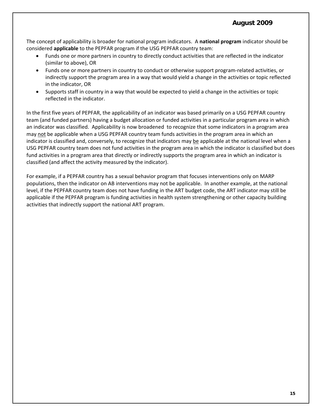The concept of applicability is broader for national program indicators. A **national program** indicator should be considered **applicable** to the PEPFAR program if the USG PEPFAR country team:

- Funds one or more partners in country to directly conduct activities that are reflected in the indicator (similar to above), OR
- Funds one or more partners in country to conduct or otherwise support program‐related activities, or indirectly support the program area in a way that would yield a change in the activities or topic reflected in the indicator, OR
- Supports staff in country in a way that would be expected to yield a change in the activities or topic reflected in the indicator.

In the first five years of PEPFAR, the applicability of an indicator was based primarily on a USG PEPFAR country team (and funded partners) having a budget allocation or funded activities in a particular program area in which an indicator was classified. Applicability is now broadened to recognize that some indicators in a program area may not be applicable when a USG PEPFAR country team funds activities in the program area in which an indicator is classified and, conversely, to recognize that indicators may be applicable at the national level when a USG PEPFAR country team does not fund activities in the program area in which the indicator is classified but does fund activities in a program area that directly or indirectly supports the program area in which an indicator is classified (and affect the activity measured by the indicator).

For example, if a PEPFAR country has a sexual behavior program that focuses interventions only on MARP populations, then the indicator on AB interventions may not be applicable. In another example, at the national level, if the PEPFAR country team does not have funding in the ART budget code, the ART indicator may still be applicable if the PEPFAR program is funding activities in health system strengthening or other capacity building activities that indirectly support the national ART program.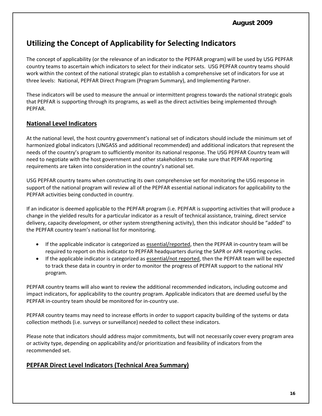## **Utilizing the Concept of Applicability for Selecting Indicators**

The concept of applicability (or the relevance of an indicator to the PEPFAR program) will be used by USG PEPFAR country teams to ascertain which indicators to select for their indicator sets. USG PEPFAR country teams should work within the context of the national strategic plan to establish a comprehensive set of indicators for use at three levels: National, PEPFAR Direct Program (Program Summary), and Implementing Partner.

These indicators will be used to measure the annual or intermittent progress towards the national strategic goals that PEPFAR is supporting through its programs, as well as the direct activities being implemented through PEPFAR.

#### **National Level Indicators**

At the national level, the host country government's national set of indicators should include the minimum set of harmonized global indicators (UNGASS and additional recommended) and additional indicators that represent the needs of the country's program to sufficiently monitor its national response. The USG PEPFAR Country team will need to negotiate with the host government and other stakeholders to make sure that PEPFAR reporting requirements are taken into consideration in the country's national set.

USG PEPFAR country teams when constructing its own comprehensive set for monitoring the USG response in support of the national program will review all of the PEPFAR essential national indicators for applicability to the PEPFAR activities being conducted in country.

If an indicator is deemed applicable to the PEPFAR program (i.e. PEPFAR is supporting activities that will produce a change in the yielded results for a particular indicator as a result of technical assistance, training, direct service delivery, capacity development, or other system strengthening activity), then this indicator should be "added" to the PEPFAR country team's national list for monitoring.

- If the applicable indicator is categorized as essential/reported, then the PEPFAR in-country team will be required to report on this indicator to PEPFAR headquarters during the SAPR or APR reporting cycles.
- If the applicable indicator is categorized as essential/not reported, then the PEPFAR team will be expected to track these data in country in order to monitor the progress of PEPFAR support to the national HIV program.

PEPFAR country teams will also want to review the additional recommended indicators, including outcome and impact indicators, for applicability to the country program. Applicable indicators that are deemed useful by the PEPFAR in‐country team should be monitored for in‐country use.

PEPFAR country teams may need to increase efforts in order to support capacity building of the systems or data collection methods (i.e. surveys or surveillance) needed to collect these indicators.

Please note that indicators should address major commitments, but will not necessarily cover every program area or activity type, depending on applicability and/or prioritization and feasibility of indicators from the recommended set.

#### **PEPFAR Direct Level Indicators (Technical Area Summary)**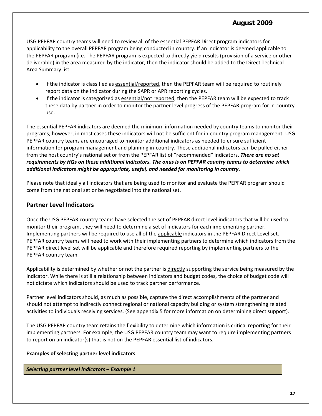USG PEPFAR country teams will need to review all of the essential PEPFAR Direct program indicators for applicability to the overall PEPFAR program being conducted in country. If an indicator is deemed applicable to the PEPFAR program (i.e. The PEPFAR program is expected to directly yield results (provision of a service or other deliverable) in the area measured by the indicator, then the indicator should be added to the Direct Technical Area Summary list.

- If the indicator is classified as essential/reported, then the PEPFAR team will be required to routinely report data on the indicator during the SAPR or APR reporting cycles.
- If the indicator is categorized as essential/not reported, then the PEPFAR team will be expected to track these data by partner in order to monitor the partner level progress of the PEPFAR program for in‐country use.

The essential PEPFAR indicators are deemed the minimum information needed by country teams to monitor their programs; however, in most cases these indicators will not be sufficient for in‐country program management. USG PEPFAR country teams are encouraged to monitor additional indicators as needed to ensure sufficient information for program management and planning in‐country. These additional indicators can be pulled either from the host country's national set or from the PEPFAR list of "recommended" indicators. *There are no set* requirements by HQs on these additional indicators. The onus is on PEPFAR country teams to determine which *additional indicators might be appropriate, useful, and needed for monitoring in country.*

Please note that ideally all indicators that are being used to monitor and evaluate the PEPFAR program should come from the national set or be negotiated into the national set.

#### **Partner Level Indicators**

Once the USG PEPFAR country teams have selected the set of PEPFAR direct level indicators that will be used to monitor their program, they will need to determine a set of indicators for each implementing partner. Implementing partners will be required to use all of the applicable indicators in the PEPFAR Direct Level set. PEPFAR country teams will need to work with their implementing partners to determine which indicators from the PEPFAR direct level set will be applicable and therefore required reporting by implementing partners to the PEPFAR country team.

Applicability is determined by whether or not the partner is directly supporting the service being measured by the indicator. While there is still a relationship between indicators and budget codes, the choice of budget code will not dictate which indicators should be used to track partner performance.

Partner level indicators should, as much as possible, capture the direct accomplishments of the partner and should not attempt to indirectly connect regional or national capacity building or system strengthening related activities to individuals receiving services. (See appendix 5 for more information on determining direct support).

The USG PEPFAR country team retains the flexibility to determine which information is critical reporting for their implementing partners. For example, the USG PEPFAR country team may want to require implementing partners to report on an indicator(s) that is not on the PEPFAR essential list of indicators.

#### **Examples of selecting partner level indicators**

*Selecting partner level indicators – Example 1*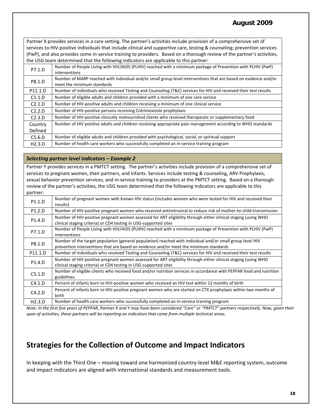Partner X provides services in a care setting. The partner's activities include provision of a comprehensive set of services to HIV‐positive individuals that include clinical and supportive care, testing & counseling; prevention services (PwP), and also provides some in‐service training to providers. Based on a thorough review of the partner's activities, the USG team determined that the following indicators are applicable to this partner: P7.1.D Number of People Living with HIV/AIDS (PLHIV) reached with a minimum package of Prevention with PLHIV (PwP) interventions P8.1.D Number of MARP reached with individual and/or small group level interventions that are based on evidence and/or meet the minimum standards P11.1.D Number of individuals who received Testing and Counseling (T&C) services for HIV and received their test results C1.1.D Number of eligible adults and children provided with a minimum of one care service C2.1.D Number of HIV-positive adults and children receiving a minimum of one clinical service C2.2.D Number of HIV‐positive persons receiving Cotrimoxizole prophylaxis C2.3.D Number of HIV-positive clinically malnourished clients who received therapeutic or supplementary food **Country** Defined Number of HIV positive adults and children receiving appropriate pain management according to WHO standards C5.6.D Number of eligible adults and children provided with psychological, social, or spiritual support H2.3.D Number of health care workers who successfully completed an in-service training program

#### *Selecting partner level indicators – Example 2*

Partner Y provides services in a PMTCT setting. The partner's activities include provision of a comprehensive set of services to pregnant women, their partners, and infants. Services include testing & counseling, ARV Prophylaxis, sexual behavior prevention services, and in-service training to providers at the PMTCT setting. Based on a thorough review of the partner's activities, the USG team determined that the following indicators are applicable to this partner:

| P1.1.D              | Number of pregnant women with known HIV status (includes women who were tested for HIV and received their<br>results)                                                                              |
|---------------------|----------------------------------------------------------------------------------------------------------------------------------------------------------------------------------------------------|
| P1.2.D              | Number of HIV-positive pregnant women who received antiretroviral to reduce risk of mother-to-child-transmission                                                                                   |
| P1.4.D              | Number of HIV-positive pregnant women assessed for ART eligibility through either clinical staging (using WHO<br>clinical staging criteria) or CD4 testing in USG-supported sites                  |
| P7.1.D              | Number of People Living with HIV/AIDS (PLHIV) reached with a minimum package of Prevention with PLHIV (PwP)<br>interventions                                                                       |
| P8.1.D              | Number of the target population (general population) reached with individual and/or small group level HIV<br>prevention interventions that are based on evidence and/or meet the minimum standards |
| P11.1.D             | Number of individuals who received Testing and Counseling (T&C) services for HIV and received their test results                                                                                   |
| P <sub>1.4</sub> .D | Number of HIV-positive pregnant women assessed for ART eligibility through either clinical staging (using WHO<br>clinical staging criteria) or CD4 testing in USG-supported sites                  |
| C5.1.D              | Number of eligible clients who received food and/or nutrition services in accordance with PEPFAR food and nutrition<br>guidelines.                                                                 |
| C4.1.D              | Percent of infants born to HIV-positive women who received an HIV test within 12 months of birth                                                                                                   |
| C4.2.D              | Percent of infants born to HIV-positive pregnant women who are started on CTX prophylaxis within two months of<br>birth                                                                            |
| H2.3.D              | Number of health care workers who successfully completed an in-service training program                                                                                                            |

Note: In the first five years of PEPFAR, Partner X and Y may have been considered "Care" or "PMTCT" partners respectively. Now, given their *span of activities, these partners will be reporting on indicators that come from multiple technical areas.*

### **Strategies for the Collection of Outcome and Impact Indicators**

In keeping with the Third One – moving toward one harmonized country‐level M&E reporting system, outcome and impact indicators are aligned with international standards and measurement tools.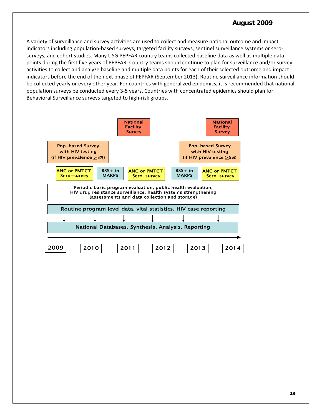A variety of surveillance and survey activities are used to collect and measure national outcome and impact indicators including population-based surveys, targeted facility surveys, sentinel surveillance systems or serosurveys, and cohort studies. Many USG PEPFAR country teams collected baseline data as well as multiple data points during the first five years of PEPFAR. Country teams should continue to plan for surveillance and/or survey activities to collect and analyze baseline and multiple data points for each of their selected outcome and impact indicators before the end of the next phase of PEPFAR (September 2013). Routine surveillance information should be collected yearly or every other year. For countries with generalized epidemics, it is recommended that national population surveys be conducted every 3‐5 years. Countries with concentrated epidemics should plan for Behavioral Surveillance surveys targeted to high‐risk groups.

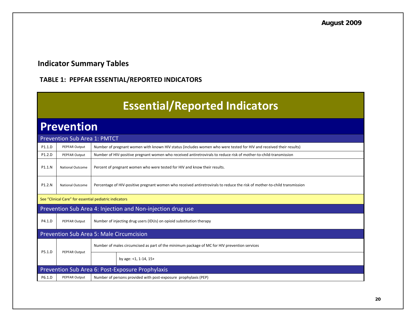#### **Indicator Summary Tables**

**TABLE 1: PEPFAR ESSENTIAL/REPORTED INDICATORS**

## **Essential/Reported Indicators**

## **Prevention**

|        | <b>Prevention Sub Area 1: PMTCT</b> |                                                                                                                           |  |  |  |  |  |  |  |
|--------|-------------------------------------|---------------------------------------------------------------------------------------------------------------------------|--|--|--|--|--|--|--|
| P1.1.D | PEPFAR Output                       | Number of pregnant women with known HIV status (includes women who were tested for HIV and received their results)        |  |  |  |  |  |  |  |
| P1.2.D | PEPFAR Output                       | Number of HIV-positive pregnant women who received antiretrovirals to reduce risk of mother-to-child-transmission         |  |  |  |  |  |  |  |
| P1.1.N | <b>National Outcome</b>             | Percent of pregnant women who were tested for HIV and know their results.                                                 |  |  |  |  |  |  |  |
| P1.2.N | <b>National Outcome</b>             | Percentage of HIV-positive pregnant women who received antiretrovirals to reduce the risk of mother-to-child transmission |  |  |  |  |  |  |  |
|        |                                     | See "Clinical Care" for essential pediatric indicators                                                                    |  |  |  |  |  |  |  |
|        |                                     | Prevention Sub Area 4: Injection and Non-injection drug use                                                               |  |  |  |  |  |  |  |
| P4.1.D | PEPFAR Output                       | Number of injecting drug users (IDUs) on opioid substitution therapy                                                      |  |  |  |  |  |  |  |
|        |                                     | Prevention Sub Area 5: Male Circumcision                                                                                  |  |  |  |  |  |  |  |
| P5.1.D | PEPFAR Output                       | Number of males circumcised as part of the minimum package of MC for HIV prevention services                              |  |  |  |  |  |  |  |
|        |                                     | by age: <1, 1-14, 15+                                                                                                     |  |  |  |  |  |  |  |
|        |                                     | Prevention Sub Area 6: Post-Exposure Prophylaxis                                                                          |  |  |  |  |  |  |  |
| P6.1.D | <b>PEPFAR Output</b>                | Number of persons provided with post-exposure prophylaxis (PEP)                                                           |  |  |  |  |  |  |  |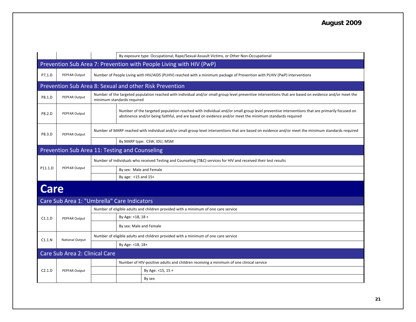|                                                                     |                                                         | By exposure type: Occupational, Rape/Sexual Assault Victims, or Other Non-Occupational                                                                                                                                                              |  |  |  |  |  |  |  |  |
|---------------------------------------------------------------------|---------------------------------------------------------|-----------------------------------------------------------------------------------------------------------------------------------------------------------------------------------------------------------------------------------------------------|--|--|--|--|--|--|--|--|
| Prevention Sub Area 7: Prevention with People Living with HIV (PwP) |                                                         |                                                                                                                                                                                                                                                     |  |  |  |  |  |  |  |  |
| P7.1.D                                                              | PEPFAR Output                                           | Number of People Living with HIV/AIDS (PLHIV) reached with a minimum package of Prevention with PLHIV (PwP) interventions                                                                                                                           |  |  |  |  |  |  |  |  |
|                                                                     | Prevention Sub Area 8: Sexual and other Risk Prevention |                                                                                                                                                                                                                                                     |  |  |  |  |  |  |  |  |
| P8.1.D                                                              | PEPFAR Output                                           | Number of the targeted population reached with individual and/or small group level preventive interventions that are based on evidence and/or meet the<br>minimum standards required                                                                |  |  |  |  |  |  |  |  |
| P8.2.D                                                              | PEPFAR Output                                           | Number of the targeted population reached with individual and/or small group level preventive interventions that are primarily focused on<br>abstinence and/or being faithful, and are based on evidence and/or meet the minimum standards required |  |  |  |  |  |  |  |  |
| P8.3.D                                                              | PEPFAR Output                                           | Number of MARP reached with individual and/or small group level interventions that are based on evidence and/or meet the minimum standards required                                                                                                 |  |  |  |  |  |  |  |  |
|                                                                     |                                                         | By MARP type: CSW, IDU, MSM                                                                                                                                                                                                                         |  |  |  |  |  |  |  |  |
|                                                                     |                                                         | Prevention Sub Area 11: Testing and Counseling                                                                                                                                                                                                      |  |  |  |  |  |  |  |  |
|                                                                     |                                                         | Number of individuals who received Testing and Counseling (T&C) services for HIV and received their test results                                                                                                                                    |  |  |  |  |  |  |  |  |
| P11.1.D                                                             | PEPFAR Output                                           | By sex: Male and Female                                                                                                                                                                                                                             |  |  |  |  |  |  |  |  |
|                                                                     |                                                         | By age: $<$ 15 and 15+                                                                                                                                                                                                                              |  |  |  |  |  |  |  |  |
| <b>Care</b>                                                         |                                                         |                                                                                                                                                                                                                                                     |  |  |  |  |  |  |  |  |
|                                                                     |                                                         | Care Sub Area 1: "Umbrella" Care Indicators                                                                                                                                                                                                         |  |  |  |  |  |  |  |  |
|                                                                     |                                                         | Number of eligible adults and children provided with a minimum of one care service                                                                                                                                                                  |  |  |  |  |  |  |  |  |
| C1.1.D                                                              | PEPFAR Output                                           | By Age: <18, 18 +                                                                                                                                                                                                                                   |  |  |  |  |  |  |  |  |
|                                                                     |                                                         | By sex: Male and Female                                                                                                                                                                                                                             |  |  |  |  |  |  |  |  |
| C1.1N                                                               | <b>National Output</b>                                  | Number of eligible adults and children provided with a minimum of one care service                                                                                                                                                                  |  |  |  |  |  |  |  |  |
|                                                                     |                                                         | By Age: <18, 18+                                                                                                                                                                                                                                    |  |  |  |  |  |  |  |  |
|                                                                     | Care Sub Area 2: Clinical Care                          |                                                                                                                                                                                                                                                     |  |  |  |  |  |  |  |  |
|                                                                     |                                                         | Number of HIV-positive adults and children receiving a minimum of one clinical service                                                                                                                                                              |  |  |  |  |  |  |  |  |
| C2.1.D                                                              | PEPFAR Output                                           | By Age: <15, 15 +                                                                                                                                                                                                                                   |  |  |  |  |  |  |  |  |
|                                                                     |                                                         | By sex                                                                                                                                                                                                                                              |  |  |  |  |  |  |  |  |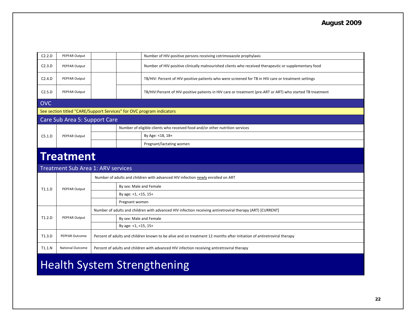| C2.2.D                               | PEPFAR Output                                                                                                          | Number of HIV-positive persons receiving cotrimoxazole prophylaxis                                                     |  |  |  |  |  |
|--------------------------------------|------------------------------------------------------------------------------------------------------------------------|------------------------------------------------------------------------------------------------------------------------|--|--|--|--|--|
| C2.3.D                               | PEPFAR Output                                                                                                          | Number of HIV-positive clinically malnourished clients who received therapeutic or supplementary food                  |  |  |  |  |  |
| C2.4.D                               | PEPFAR Output                                                                                                          | TB/HIV: Percent of HIV-positive patients who were screened for TB in HIV care or treatment settings                    |  |  |  |  |  |
| C2.5.D                               | PEPFAR Output                                                                                                          | TB/HIV:Percent of HIV-positive patients in HIV care or treatment (pre-ART or ART) who started TB treatment             |  |  |  |  |  |
| <b>OVC</b>                           |                                                                                                                        |                                                                                                                        |  |  |  |  |  |
|                                      |                                                                                                                        | See section titled "CARE/Support Services" for OVC program indicators                                                  |  |  |  |  |  |
|                                      | Care Sub Area 5: Support Care                                                                                          |                                                                                                                        |  |  |  |  |  |
|                                      |                                                                                                                        | Number of eligible clients who received food and/or other nutrition services                                           |  |  |  |  |  |
| C5.1.D                               | PEPFAR Output                                                                                                          | By Age: <18, 18+                                                                                                       |  |  |  |  |  |
|                                      |                                                                                                                        | Pregnant/lactating women                                                                                               |  |  |  |  |  |
|                                      | <b>Treatment</b>                                                                                                       |                                                                                                                        |  |  |  |  |  |
|                                      |                                                                                                                        | <b>Treatment Sub Area 1: ARV services</b>                                                                              |  |  |  |  |  |
|                                      |                                                                                                                        | Number of adults and children with advanced HIV infection newly enrolled on ART                                        |  |  |  |  |  |
| T1.1.D                               | PEPFAR Output                                                                                                          | By sex: Male and Female                                                                                                |  |  |  |  |  |
|                                      |                                                                                                                        | By age: <1, <15, 15+                                                                                                   |  |  |  |  |  |
|                                      |                                                                                                                        | Pregnant women                                                                                                         |  |  |  |  |  |
|                                      |                                                                                                                        | Number of adults and children with advanced HIV infection receiving antiretroviral therapy (ART) [CURRENT]             |  |  |  |  |  |
| T1.2.D                               | PEPFAR Output                                                                                                          | By sex: Male and Female                                                                                                |  |  |  |  |  |
|                                      |                                                                                                                        | By age: <1, <15, 15+                                                                                                   |  |  |  |  |  |
| T1.3.D                               | PEPFAR Outcome                                                                                                         | Percent of adults and children known to be alive and on treatment 12 months after initiation of antiretroviral therapy |  |  |  |  |  |
| T1.1. N                              | Percent of adults and children with advanced HIV infection receiving antiretroviral therapy<br><b>National Outcome</b> |                                                                                                                        |  |  |  |  |  |
| $\textsf{Rank}$ Custom Ctronathoning |                                                                                                                        |                                                                                                                        |  |  |  |  |  |

## Health System Strengthening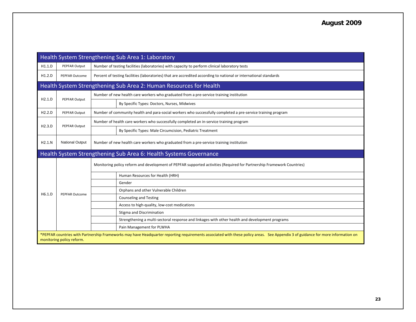|         |                           | Health System Strengthening Sub Area 1: Laboratory                                                                                                                               |  |  |  |  |  |  |  |
|---------|---------------------------|----------------------------------------------------------------------------------------------------------------------------------------------------------------------------------|--|--|--|--|--|--|--|
| H1.1.D  | PEPFAR Output             | Number of testing facilities (laboratories) with capacity to perform clinical laboratory tests                                                                                   |  |  |  |  |  |  |  |
| H1.2.D  | PEPFAR Outcome            | Percent of testing facilities (laboratories) that are accredited according to national or international standards                                                                |  |  |  |  |  |  |  |
|         |                           | Health System Strengthening Sub Area 2: Human Resources for Health                                                                                                               |  |  |  |  |  |  |  |
| H2.1.D  | PEPFAR Output             | Number of new health care workers who graduated from a pre-service training institution                                                                                          |  |  |  |  |  |  |  |
|         |                           | By Specific Types: Doctors, Nurses, Midwives                                                                                                                                     |  |  |  |  |  |  |  |
| H2.2.D  | PEPFAR Output             | Number of community health and para-social workers who successfully completed a pre-service training program                                                                     |  |  |  |  |  |  |  |
|         |                           | Number of health care workers who successfully completed an in-service training program                                                                                          |  |  |  |  |  |  |  |
| H2.3.D  | PEPFAR Output             | By Specific Types: Male Circumcision, Pediatric Treatment                                                                                                                        |  |  |  |  |  |  |  |
| H2.1. N | <b>National Output</b>    | Number of new health care workers who graduated from a pre-service training institution                                                                                          |  |  |  |  |  |  |  |
|         |                           | Health System Strengthening Sub Area 6: Health Systems Governance                                                                                                                |  |  |  |  |  |  |  |
|         |                           | Monitoring policy reform and development of PEPFAR supported activities (Required for Partnership Framework Countries)                                                           |  |  |  |  |  |  |  |
|         |                           | Human Resources for Health (HRH)                                                                                                                                                 |  |  |  |  |  |  |  |
|         |                           | Gender                                                                                                                                                                           |  |  |  |  |  |  |  |
| H6.1.D  |                           | Orphans and other Vulnerable Children                                                                                                                                            |  |  |  |  |  |  |  |
|         | PEPFAR Outcome            | Counseling and Testing                                                                                                                                                           |  |  |  |  |  |  |  |
|         |                           | Access to high-quality, low-cost medications                                                                                                                                     |  |  |  |  |  |  |  |
|         |                           | <b>Stigma and Discrimination</b>                                                                                                                                                 |  |  |  |  |  |  |  |
|         |                           | Strengthening a multi-sectoral response and linkages with other health and development programs                                                                                  |  |  |  |  |  |  |  |
|         |                           | Pain Management for PLWHA                                                                                                                                                        |  |  |  |  |  |  |  |
|         | monitoring policy reform. | *PEPFAR countries with Partnership Frameworks may have Headquarter reporting requirements associated with these policy areas. See Appendix 3 of guidance for more information on |  |  |  |  |  |  |  |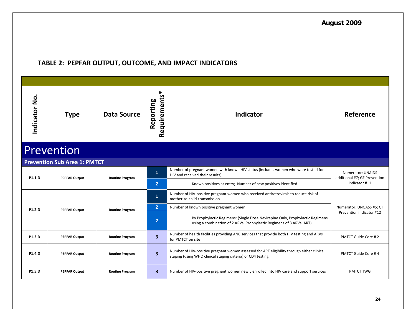#### **TABLE 2: PEPFAR OUTPUT, OUTCOME, AND IMPACT INDICATORS**

| Indicator No. | <b>Type</b>                         | <b>Data Source</b>     | ∗<br>Requirements<br>Reporting | Indicator                                                                                                                                                  | Reference                                         |  |
|---------------|-------------------------------------|------------------------|--------------------------------|------------------------------------------------------------------------------------------------------------------------------------------------------------|---------------------------------------------------|--|
|               | Prevention                          |                        |                                |                                                                                                                                                            |                                                   |  |
|               | <b>Prevention Sub Area 1: PMTCT</b> |                        |                                |                                                                                                                                                            |                                                   |  |
| P1.1.D        | <b>PEPFAR Output</b>                | <b>Routine Program</b> | $\mathbf{1}$                   | Number of pregnant women with known HIV status (includes women who were tested for<br>HIV and received their results)                                      | Numerator: UNAIDS<br>additional #7; GF Prevention |  |
|               |                                     |                        | $\overline{2}$                 | Known positives at entry; Number of new positives identified                                                                                               | indicator #11                                     |  |
|               | <b>PEPFAR Output</b>                | <b>Routine Program</b> | 1                              | Number of HIV-positive pregnant women who received antiretrovirals to reduce risk of<br>mother-to-child-transmission                                       |                                                   |  |
| P1.2.D        |                                     |                        | $\overline{2}$                 | Number of known positive pregnant women                                                                                                                    | Numerator: UNGASS #5; GF                          |  |
|               |                                     |                        | $\overline{2}$                 | By Prophylactic Regimens: (Single Dose Nevirapine Only, Prophylactic Regimens<br>using a combination of 2 ARVs; Prophylactic Regimens of 3 ARVs; ART)      | Prevention indicator #12                          |  |
| P1.3.D        | <b>PEPFAR Output</b>                | <b>Routine Program</b> | $\overline{\mathbf{3}}$        | Number of health facilities providing ANC services that provide both HIV testing and ARVs<br>for PMTCT on site                                             | PMTCT Guide Core #2                               |  |
| <b>P1.4.D</b> | <b>PEPFAR Output</b>                | <b>Routine Program</b> | $\overline{\mathbf{3}}$        | Number of HIV-positive pregnant women assessed for ART eligibility through either clinical<br>staging (using WHO clinical staging criteria) or CD4 testing | PMTCT Guide Core #4                               |  |
| P1.5.D        | <b>PEPFAR Output</b>                | <b>Routine Program</b> | $\overline{\mathbf{3}}$        | Number of HIV-positive pregnant women newly enrolled into HIV care and support services                                                                    | <b>PMTCT TWG</b>                                  |  |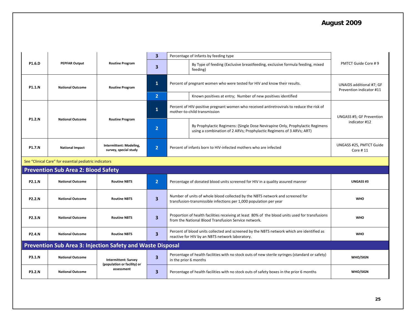|                                            |                                                        |                                                                   | 3                       | Percentage of Infants by feeding type                                                                                                                   |                                                      |
|--------------------------------------------|--------------------------------------------------------|-------------------------------------------------------------------|-------------------------|---------------------------------------------------------------------------------------------------------------------------------------------------------|------------------------------------------------------|
| P1.6.D                                     | <b>PEPFAR Output</b>                                   | <b>Routine Program</b>                                            | $\overline{\mathbf{3}}$ | By Type of feeding (Exclusive breastfeeding, exclusive formula feeding, mixed<br>feeding)                                                               | PMTCT Guide Core #9                                  |
| <b>P1.1.N</b>                              | <b>National Outcome</b>                                | <b>Routine Program</b>                                            | 1                       | Percent of pregnant women who were tested for HIV and know their results.                                                                               | UNAIDS additional #7; GF<br>Prevention indicator #11 |
|                                            |                                                        |                                                                   | $\overline{2}$          | Known positives at entry; Number of new positives identified                                                                                            |                                                      |
| <b>P1.2.N</b><br><b>National Outcome</b>   |                                                        |                                                                   | $\mathbf{1}$            | Percent of HIV-positive pregnant women who received antiretrovirals to reduce the risk of<br>mother-to-child transmission                               | UNGASS #5; GF Prevention                             |
|                                            |                                                        | <b>Routine Program</b>                                            | $\overline{2}$          | By Prophylactic Regimens: (Single Dose Nevirapine Only, Prophylactic Regimens<br>using a combination of 2 ARVs; Prophylactic Regimens of 3 ARVs; ART)   | indicator #12                                        |
| <b>P1.7.N</b>                              | <b>National Impact</b>                                 | Intermittent: Modeling,<br>survey, special study                  | $\overline{2}$          | Percent of infants born to HIV-infected mothers who are infected                                                                                        | UNGASS #25, PMTCT Guide<br>Core #11                  |
|                                            | See "Clinical Care" for essential pediatric indicators |                                                                   |                         |                                                                                                                                                         |                                                      |
| <b>Prevention Sub Area 2: Blood Safety</b> |                                                        |                                                                   |                         |                                                                                                                                                         |                                                      |
|                                            |                                                        |                                                                   |                         |                                                                                                                                                         |                                                      |
| <b>P2.1.N</b>                              | <b>National Outcome</b>                                | <b>Routine NBTS</b>                                               | $\overline{2}$          | Percentage of donated blood units screened for HIV in a quality assured manner                                                                          | <b>UNGASS#3</b>                                      |
| <b>P2.2.N</b>                              | <b>National Outcome</b>                                | <b>Routine NBTS</b>                                               | 3                       | Number of units of whole blood collected by the NBTS network and screened for<br>transfusion-transmissible infections per 1,000 population per year     | <b>WHO</b>                                           |
| P2.3.N                                     | <b>National Outcome</b>                                | <b>Routine NBTS</b>                                               | 3                       | Proportion of health facilities receiving at least 80% of the blood units used for transfusions<br>from the National Blood Transfusion Service network. | <b>WHO</b>                                           |
| <b>P2.4.N</b>                              | <b>National Outcome</b>                                | <b>Routine NBTS</b>                                               | 3                       | Percent of blood units collected and screened by the NBTS network which are identified as<br>reactive for HIV by an NBTS network laboratory.            | <b>WHO</b>                                           |
|                                            |                                                        | <b>Prevention Sub Area 3: Injection Safety and Waste Disposal</b> |                         |                                                                                                                                                         |                                                      |
| P3.1.N                                     | <b>National Outcome</b>                                | <b>Intermittent: Survey</b><br>(population or facility) or        | 3                       | Percentage of health facilities with no stock outs of new sterile syringes (standard or safety)<br>in the prior 6 months                                | <b>WHO/SIGN</b>                                      |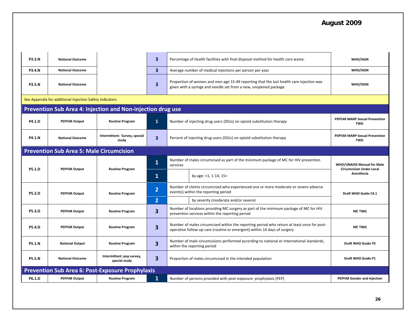| P3.3.N        | <b>National Outcome</b>                                 |                                                             | 3                       | Percentage of health facilities with final disposal method for health care waste.                                                                                      | WHO/SIGN                                                             |  |  |
|---------------|---------------------------------------------------------|-------------------------------------------------------------|-------------------------|------------------------------------------------------------------------------------------------------------------------------------------------------------------------|----------------------------------------------------------------------|--|--|
| <b>P3.4.N</b> | <b>National Outcome</b>                                 |                                                             | 3                       | Average number of medical injections per person per year                                                                                                               | <b>WHO/SIGN</b>                                                      |  |  |
| P3.5.N        | <b>National Outcome</b>                                 |                                                             | $\overline{\mathbf{3}}$ | Proportion of women and men age 15-49 reporting that the last health care injection was<br>given with a syringe and needle set from a new, unopened package            | <b>WHO/SIGN</b>                                                      |  |  |
|               | See Appendix for additional Injection Safety Indicators |                                                             |                         |                                                                                                                                                                        |                                                                      |  |  |
|               |                                                         | Prevention Sub Area 4: Injection and Non-injection drug use |                         |                                                                                                                                                                        |                                                                      |  |  |
| P4.1.D        | <b>PEPFAR Output</b>                                    | <b>Routine Program</b>                                      | $\mathbf{1}$            | Number of injecting drug users (IDUs) on opioid substitution therapy                                                                                                   | PEPFAR MARP Sexual Prevention<br><b>TWG</b>                          |  |  |
| <b>P4.1.N</b> | <b>National Outcome</b>                                 | Intermittent: Survey, special<br>study                      | 3                       | Percent of injecting drug users (IDUs) on opioid substitution therapy                                                                                                  | <b>PEPFAR MARP Sexual Prevention</b><br><b>TWG</b>                   |  |  |
|               | <b>Prevention Sub Area 5: Male Circumcision</b>         |                                                             |                         |                                                                                                                                                                        |                                                                      |  |  |
| P5.1.D        |                                                         | <b>Routine Program</b>                                      | $\mathbf{1}$            | Number of males circumcised as part of the minimum package of MC for HIV prevention<br>services                                                                        | <b>WHO/UNAIDS Manual for Male</b><br><b>Circumcision Under Local</b> |  |  |
|               | <b>PEPFAR Output</b>                                    |                                                             | $\mathbf{1}$            | by age: $<$ 1, 1-14, 15+                                                                                                                                               | Anesthesia                                                           |  |  |
| <b>P5.2.D</b> | <b>PEPFAR Output</b>                                    | <b>Routine Program</b>                                      | $\overline{2}$          | Number of clients circumcised who experienced one or more moderate or severe adverse<br>event(s) within the reporting period                                           | Draft WHO Guide C4.1                                                 |  |  |
|               |                                                         |                                                             | $\overline{2}$          | by severity (moderate and/or severe)                                                                                                                                   |                                                                      |  |  |
| P5.3.D        | <b>PEPFAR Output</b>                                    | <b>Routine Program</b>                                      | 3                       | Number of locations providing MC surgery as part of the minimum package of MC for HIV<br>prevention services within the reporting period                               | <b>MC TWG</b>                                                        |  |  |
| P5.4.D        | <b>PEPFAR Output</b>                                    | <b>Routine Program</b>                                      | 3                       | Number of males circumcised within the reporting period who return at least once for post-<br>operative follow-up care (routine or emergent) within 14 days of surgery | <b>MC TWG</b>                                                        |  |  |
| P5.1.N        | <b>National Output</b>                                  | <b>Routine Program</b>                                      | 3                       | Number of male circumcisions performed according to national or international standards,<br>within the reporting period                                                | Draft WHO Guide P2                                                   |  |  |
| <b>P5.5.N</b> | <b>National Outcome</b>                                 | Intermittent: pop survey,<br>special study                  | 3                       | Proportion of males circumcised in the intended population                                                                                                             | Draft WHO Guide P1                                                   |  |  |
|               |                                                         | <b>Prevention Sub Area 6: Post-Exposure Prophylaxis</b>     |                         |                                                                                                                                                                        |                                                                      |  |  |
| P6.1.D        | <b>PEPFAR Output</b>                                    | <b>Routine Program</b>                                      | 1                       | Number of persons provided with post-exposure prophylaxis (PEP)                                                                                                        | PEPFAR Gender and Injection                                          |  |  |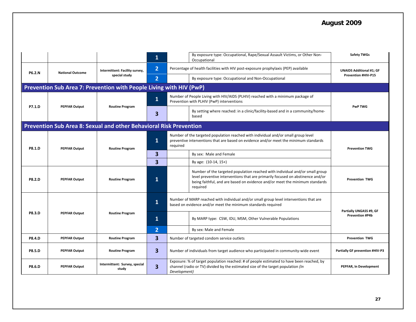|                                                                     |                         |                                                                    | 1                       |                                                                                     | By exposure type: Occupational, Rape/Sexual Assault Victims, or Other Non-<br>Occupational                                                                                                                                                                | <b>Safety TWGs</b>              |  |
|---------------------------------------------------------------------|-------------------------|--------------------------------------------------------------------|-------------------------|-------------------------------------------------------------------------------------|-----------------------------------------------------------------------------------------------------------------------------------------------------------------------------------------------------------------------------------------------------------|---------------------------------|--|
| <b>P6.2.N</b>                                                       | <b>National Outcome</b> | Intermittent: Facility survey,                                     | $\overline{2}$          |                                                                                     | Percentage of health facilities with HIV post-exposure prophylaxis (PEP) available                                                                                                                                                                        | <b>UNAIDS Additional #1; GF</b> |  |
|                                                                     |                         | special study                                                      | $\overline{2}$          |                                                                                     | By exposure type: Occupational and Non-Occupational                                                                                                                                                                                                       | <b>Prevention #HIV-P15</b>      |  |
| Prevention Sub Area 7: Prevention with People Living with HIV (PwP) |                         |                                                                    |                         |                                                                                     |                                                                                                                                                                                                                                                           |                                 |  |
|                                                                     |                         |                                                                    | $\overline{1}$          |                                                                                     | Number of People Living with HIV/AIDS (PLHIV) reached with a minimum package of<br>Prevention with PLHIV (PwP) interventions                                                                                                                              |                                 |  |
| P7.1.D                                                              | <b>PEPFAR Output</b>    | <b>Routine Program</b>                                             | $\overline{\mathbf{3}}$ |                                                                                     | By setting where reached: in a clinic/facility-based and in a community/home-<br>based                                                                                                                                                                    | <b>PwP TWG</b>                  |  |
|                                                                     |                         | Prevention Sub Area 8: Sexual and other Behavioral Risk Prevention |                         |                                                                                     |                                                                                                                                                                                                                                                           |                                 |  |
| P8.1.D                                                              | <b>PEPFAR Output</b>    | <b>Routine Program</b>                                             | $\overline{\mathbf{1}}$ | required                                                                            | Number of the targeted population reached with individual and/or small group level<br>preventive interventions that are based on evidence and/or meet the minimum standards                                                                               | <b>Prevention TWG</b>           |  |
|                                                                     |                         |                                                                    | 3                       |                                                                                     | By sex: Male and Female                                                                                                                                                                                                                                   |                                 |  |
|                                                                     |                         |                                                                    | 3                       |                                                                                     | By age: (10-14, 15+)                                                                                                                                                                                                                                      |                                 |  |
| P8.2.D                                                              | <b>PEPFAR Output</b>    | <b>Routine Program</b>                                             | 1                       |                                                                                     | Number of the targeted population reached with individual and/or small group<br>level preventive interventions that are primarily focused on abstinence and/or<br>being faithful, and are based on evidence and/or meet the minimum standards<br>required | <b>Prevention TWG</b>           |  |
|                                                                     |                         |                                                                    | 1                       |                                                                                     | Number of MARP reached with individual and/or small group level interventions that are<br>based on evidence and/or meet the minimum standards required                                                                                                    | Partially UNGASS #9, GF         |  |
| P8.3.D                                                              | <b>PEPFAR Output</b>    | <b>Routine Program</b>                                             | 1                       |                                                                                     | By MARP type: CSW, IDU, MSM, Other Vulnerable Populations                                                                                                                                                                                                 | <b>Prevention #P4b</b>          |  |
|                                                                     |                         |                                                                    | $\overline{2}$          |                                                                                     | By sex: Male and Female                                                                                                                                                                                                                                   |                                 |  |
| <b>P8.4.D</b>                                                       | <b>PEPFAR Output</b>    | <b>Routine Program</b>                                             | 3                       |                                                                                     | Number of targeted condom service outlets                                                                                                                                                                                                                 | <b>Prevention TWG</b>           |  |
| P8.5.D                                                              | <b>PEPFAR Output</b>    | <b>Routine Program</b>                                             | $\overline{\mathbf{3}}$ | Number of individuals from target audience who participated in community-wide event |                                                                                                                                                                                                                                                           | Partially GF prevention #HIV-P3 |  |
| P8.6.D                                                              | <b>PEPFAR Output</b>    | Intermittent: Survey, special<br>study                             | 3                       | Development)                                                                        | Exposure: % of target population reached: # of people estimated to have been reached, by<br>channel (radio or TV) divided by the estimated size of the target population (In                                                                              | PEPFAR, In Development          |  |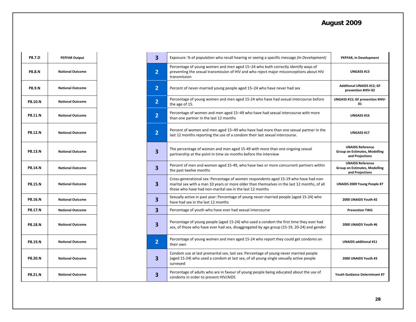| P8.7.D  | <b>PEPFAR Output</b>    |
|---------|-------------------------|
| P8.8.N  | <b>National Outcome</b> |
| P8.9.N  | <b>National Outcome</b> |
| P8.10.N | <b>National Outcome</b> |
| P8.11.N | <b>National Outcome</b> |
| P8.12.N | <b>National Outcome</b> |
| P8.13.N | <b>National Outcome</b> |
| P8.14.N | <b>National Outcome</b> |
| P8.15.N | <b>National Outcome</b> |
| P8.16.N | <b>National Outcome</b> |
| P8.17.N | <b>National Outcome</b> |
| P8.18.N | <b>National Outcome</b> |
| P8.19.N | <b>National Outcome</b> |
| P8.20.N | <b>National Outcome</b> |
| P8.21.N | <b>National Outcome</b> |

| 3              | Exposure: % of population who recall hearing or seeing a specific message (In Development)                                                                                                                                                      | PEPFAR, In Development                                                             |
|----------------|-------------------------------------------------------------------------------------------------------------------------------------------------------------------------------------------------------------------------------------------------|------------------------------------------------------------------------------------|
| $\overline{2}$ | Percentage of young women and men aged 15-24 who both correctly identify ways of<br>preventing the sexual transmission of HIV and who reject major misconceptions about HIV<br>transmission                                                     | <b>UNGASS #13</b>                                                                  |
| $\overline{2}$ | Percent of never-married young people aged 15-24 who have never had sex                                                                                                                                                                         | Additional UNAIDS #12; GF<br>prevention #HIV-02                                    |
| $\overline{2}$ | Percentage of young women and men aged 15-24 who have had sexual intercourse before<br>the age of 15.                                                                                                                                           | UNGASS #15; GF prevention #HIV-<br>01                                              |
| 2              | Percentage of women and men aged 15-49 who have had sexual intercourse with more<br>than one partner in the last 12 months                                                                                                                      | UNGASS #16                                                                         |
| 2              | Percent of women and men aged 15-49 who have had more than one sexual partner in the<br>last 12 months reporting the use of a condom their last sexual intercourse.                                                                             | UNGASS #17                                                                         |
| 3              | The percentage of women and men aged 15-49 with more than one ongoing sexual<br>partnership at the point in time six months before the interview                                                                                                | <b>UNAIDS Reference</b><br><b>Group on Estimates, Modelling</b><br>and Projections |
| 3              | Percent of men and women aged 15-49, who have two or more concurrent partners within<br>the past twelve months                                                                                                                                  | <b>UNAIDS Reference</b><br><b>Group on Estimates, Modelling</b><br>and Projections |
| 3              | Cross-generational sex: Percentage of women respondents aged 15-19 who have had non-<br>marital sex with a man 10 years or more older than themselves in the last 12 months, of all<br>those who have had non-marital sex in the last 12 months | UNAIDS 2000 Young People #7                                                        |
| 3              | Sexually active in past year: Percentage of young never married people (aged 15-24) who<br>have had sex in the last 12 months                                                                                                                   | 2000 UNAIDS Youth #2                                                               |
| 3              | Percentage of youth who have ever had sexual intercourse                                                                                                                                                                                        | <b>Prevention TWG</b>                                                              |
| 3              | Percentage of young people (aged 15-24) who used a condom the first time they ever had<br>sex, of those who have ever had sex, disaggregated by age group (15-19, 20-24) and gender                                                             | 2000 UNAIDS Youth #6                                                               |
| 2              | Percentage of young women and men aged 15-24 who report they could get condoms on<br>their own                                                                                                                                                  | <b>UNAIDS additional #11</b>                                                       |
| 3              | Condom use at last premarital sex, last sex: Percentage of young never married people<br>(aged 15-24) who used a condom at last sex, of all young single sexually active people<br>surveyed                                                     | 2000 UNAIDS Youth #3                                                               |
| 3              | Percentage of adults who are in favour of young people being educated about the use of<br>condoms in order to prevent HIV/AIDS                                                                                                                  | Youth Guidance Determinant #7                                                      |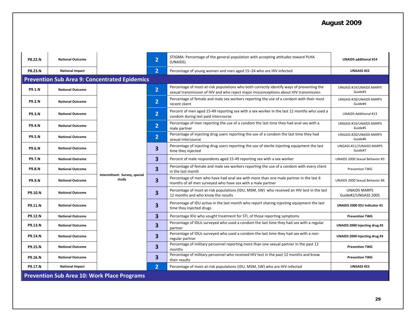| P8.22.N                                              | <b>National Outcome</b> |                                        | $\overline{2}$ | STIGMA: Percentage of the general population with accepting attitudes toward PLHA<br>(UNAIDS)                                                                                      | <b>UNAIDS additional #14</b>                                                                           |                       |  |  |
|------------------------------------------------------|-------------------------|----------------------------------------|----------------|------------------------------------------------------------------------------------------------------------------------------------------------------------------------------------|--------------------------------------------------------------------------------------------------------|-----------------------|--|--|
| P8.23.N                                              | <b>National Impact</b>  |                                        | $\overline{2}$ | Percentage of young women and men aged 15-24 who are HIV infected                                                                                                                  | <b>UNGASS #22</b>                                                                                      |                       |  |  |
| <b>Prevention Sub Area 9: Concentrated Epidemics</b> |                         |                                        |                |                                                                                                                                                                                    |                                                                                                        |                       |  |  |
| P9.1.N                                               | <b>National Outcome</b> |                                        | $\overline{2}$ | Percentage of most-at-risk populations who both correctly identify ways of preventing the<br>sexual transmission of HIV and who reject major misconceptions about HIV transmission | UNGASS #14/UNAIDS MARPS<br>Guide#3                                                                     |                       |  |  |
| P9.2.N                                               | <b>National Outcome</b> |                                        | $\overline{2}$ | Percentage of female and male sex workers reporting the use of a condom with their most<br>recent client                                                                           | UNGASS #18/UNAIDS MARPS<br>Guide#4                                                                     |                       |  |  |
| P9.3.N                                               | <b>National Outcome</b> |                                        | $\overline{2}$ | Percent of men aged 15-49 reporting sex with a sex worker in the last 12 months who used a<br>condom during last paid intercourse                                                  | <b>UNAIDS Additional #13</b>                                                                           |                       |  |  |
| P9.4.N                                               | <b>National Outcome</b> |                                        | $\overline{2}$ | Percentage of men reporting the use of a condom the last time they had anal sex with a<br>male partner                                                                             | UNGASS #19/UNAIDS MARPS<br>Guide#5                                                                     |                       |  |  |
| P9.5.N                                               | <b>National Outcome</b> |                                        | $\overline{2}$ | Percentage of injecting drug users reporting the use of a condom the last time they had<br>sexual intercourse                                                                      | UNGASS #20/UNAIDS MARPS<br>Guide#6                                                                     |                       |  |  |
| P9.6.N                                               | <b>National Outcome</b> |                                        | 3              | Percentage of injecting drug users reporting the use of sterile injecting equipment the last<br>time they injected                                                                 | UNGASS #21//UNAIDS MARPS<br>Guide#7                                                                    |                       |  |  |
| P9.7.N                                               | <b>National Outcome</b> |                                        | 3              | Percent of male respondents aged 15-49 reporting sex with a sex worker                                                                                                             | UNAIDS 2000 Sexual Behavior #3                                                                         |                       |  |  |
| P9.8.N                                               | <b>National Outcome</b> |                                        | 3              | Percentage of female and male sex workers reporting the use of a condom with every client<br>in the last month                                                                     | Prevention TWG                                                                                         |                       |  |  |
| P9.9.N                                               | <b>National Outcome</b> | Intermittent: Survey, special<br>study | 3              | Percentage of men who have had anal sex with more than one male partner in the last 6<br>months of all men surveyed who have sex with a male partner                               | UNAIDS 2000 Sexual Behavior #6                                                                         |                       |  |  |
| P9.10.N                                              | <b>National Outcome</b> |                                        | 3              | Percentage of most-at-risk populations (IDU, MSM, SW) who received an HIV test in the last<br>12 months and who know the results                                                   | <b>UNAIDS MARPS</b><br>Guide#2/UNGASS 2005                                                             |                       |  |  |
| P9.11.N                                              | <b>National Outcome</b> |                                        | 3              | Percentage of IDU active in the last month who report sharing injecting equipment the last<br>time they injected drugs                                                             | UNAIDS 2000 IDU Indicator #1                                                                           |                       |  |  |
| P9.12.N                                              | <b>National Outcome</b> |                                        | 3              | Percentage IDU who sought treatment for STI, of those reporting symptoms                                                                                                           | <b>Prevention TWG</b>                                                                                  |                       |  |  |
| P9.13.N                                              | <b>National Outcome</b> |                                        | 3              | Percentage of IDUs surveyed who used a condom the last time they had sex with a regular<br>partner                                                                                 | UNAIDS 2000 Injecting drug #3                                                                          |                       |  |  |
| P9.14.N                                              | <b>National Outcome</b> |                                        | 3              | Percentage of IDUs surveyed who used a condom the last time they had sex with a non-<br>regular partner                                                                            | UNAIDS 2000 Injecting drug #3                                                                          |                       |  |  |
| P9.15.N                                              | <b>National Outcome</b> |                                        | 3              | Percentage of military personnel reporting more than one sexual partner in the past 12<br>months                                                                                   | <b>Prevention TWG</b>                                                                                  |                       |  |  |
| P9.16.N                                              | <b>National Outcome</b> |                                        |                | 3                                                                                                                                                                                  | Percentage of military personnel who received HIV test in the past 12 months and know<br>their results | <b>Prevention TWG</b> |  |  |
| P9.17.N                                              | <b>National Impact</b>  |                                        | $\overline{2}$ | Percentage of most-at-risk populations (IDU, MSM, SW) who are HIV-infected                                                                                                         | UNGASS #23                                                                                             |                       |  |  |
| <b>Prevention Sub Area 10: Work Place Programs</b>   |                         |                                        |                |                                                                                                                                                                                    |                                                                                                        |                       |  |  |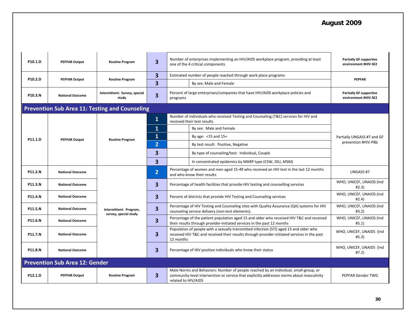| P10.1.D | <b>PEPFAR Output</b>                  | <b>Routine Program</b>                                | 3                       |                     | Number of enterprises implementing an HIV/AIDS workplace program, providing at least<br>one of the 4 critical components                                                              | <b>Partially GF supportive</b><br>environment #HIV-SE2 |
|---------|---------------------------------------|-------------------------------------------------------|-------------------------|---------------------|---------------------------------------------------------------------------------------------------------------------------------------------------------------------------------------|--------------------------------------------------------|
| P10.2.D | <b>PEPFAR Output</b>                  | <b>Routine Program</b>                                | 3                       |                     | Estimated number of people reached through work place programs                                                                                                                        | <b>PEPFAR</b>                                          |
|         |                                       |                                                       | 3                       |                     | By sex: Male and Female                                                                                                                                                               |                                                        |
| P10.3.N | <b>National Outcome</b>               | Intermittent: Survey, special<br>study                | 3                       | programs            | Percent of large enterprises/companies that have HIV/AIDS workplace policies and                                                                                                      | <b>Partially GF supportive</b><br>environment #HIV-SE2 |
|         |                                       | <b>Prevention Sub Area 11: Testing and Counseling</b> |                         |                     |                                                                                                                                                                                       |                                                        |
|         |                                       |                                                       | $\mathbf{1}$            |                     | Number of individuals who received Testing and Counseling (T&C) services for HIV and<br>received their test results                                                                   |                                                        |
|         |                                       |                                                       | $\mathbf{1}$            |                     | By sex: Male and Female                                                                                                                                                               |                                                        |
| P11.1.D | <b>PEPFAR Output</b>                  | <b>Routine Program</b>                                | 1                       |                     | By age: <15 and 15+                                                                                                                                                                   | Partially UNGASS #7 and GF                             |
|         |                                       |                                                       | $\overline{2}$          |                     | By test result: Positive, Negative                                                                                                                                                    | prevention #HIV-P8b                                    |
|         |                                       |                                                       | 3                       |                     | By type of counseling/test: Individual, Couple                                                                                                                                        |                                                        |
|         |                                       |                                                       | 3                       |                     | In concentrated epidemics by MARP type (CSW, IDU, MSM)                                                                                                                                |                                                        |
| P11.2.N | <b>National Outcome</b>               |                                                       | $\overline{2}$          |                     | Percentage of women and men aged 15-49 who received an HIV test in the last 12 months<br>and who know their results                                                                   | UNGASS #7                                              |
| P11.3.N | <b>National Outcome</b>               |                                                       | $\bf{3}$                |                     | Percentage of health facilities that provide HIV testing and counselling services                                                                                                     | WHO, UNICEF, UNAIDS (Ind<br>#2.3)                      |
| P11.4.N | <b>National Outcome</b>               |                                                       | $\overline{\mathbf{3}}$ |                     | Percent of districts that provide HIV Testing and Counseling services                                                                                                                 | WHO, UNICEF, UNAIDS (Ind<br>#2.4)                      |
| P11.5.N | <b>National Outcome</b>               | Intermittent: Program,<br>survey, special study       | 3                       |                     | Percentage of HIV Testing and Counseling sites with Quality Assurance (QA) systems for HIV<br>counseling service delivery (non-test elements).                                        | WHO, UNICEF, UNAIDS (Ind<br>#3.2)                      |
| P11.6.N | <b>National Outcome</b>               |                                                       | 3                       |                     | Percentage of the patient population aged 15 and older who received HIV T&C and received<br>their results through provider-initiated services in the past 12 months                   | WHO, UNICEF, UNAIDS (Ind<br>#5.1)                      |
| P11.7.N | <b>National Outcome</b>               |                                                       | 3                       | 12 months           | Population of people with a sexually transmitted infection (STI) aged 15 and older who<br>received HIV T&C and received their results through provider-initiated services in the past | WHO, UNICEF, UNAIDS (Ind<br>#5.3)                      |
| P11.8.N | <b>National Outcome</b>               |                                                       | 3                       |                     | Percentage of HIV positive individuals who know their status                                                                                                                          | WHO, UNICEF, UNAIDS (Ind<br>#7.2)                      |
|         | <b>Prevention Sub Area 12: Gender</b> |                                                       |                         |                     |                                                                                                                                                                                       |                                                        |
| P12.1.D | <b>PEPFAR Output</b>                  | <b>Routine Program</b>                                | 3                       | related to HIV/AIDS | Male Norms and Behaviors: Number of people reached by an individual, small-group, or<br>community-level intervention or service that explicitly addresses norms about masculinity     | PEPFAR Gender TWG                                      |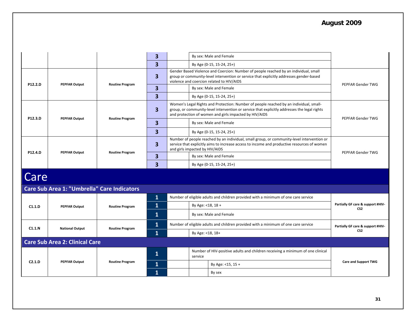|         |                                                    |                        | $\overline{\mathbf{3}}$ |                         |                                                                                                                                                                                                                             | By sex: Male and Female                                                                                                                                                                                                                          |                                                      |
|---------|----------------------------------------------------|------------------------|-------------------------|-------------------------|-----------------------------------------------------------------------------------------------------------------------------------------------------------------------------------------------------------------------------|--------------------------------------------------------------------------------------------------------------------------------------------------------------------------------------------------------------------------------------------------|------------------------------------------------------|
|         |                                                    |                        | $\overline{\mathbf{3}}$ |                         |                                                                                                                                                                                                                             | By Age (0-15, 15-24, 25+)                                                                                                                                                                                                                        |                                                      |
|         |                                                    |                        | $\overline{\mathbf{3}}$ |                         |                                                                                                                                                                                                                             | Gender Based Violence and Coercion: Number of people reached by an individual, small<br>group or community-level intervention or service that explicitly addresses gender-based<br>violence and coercion related to HIV/AIDS                     |                                                      |
| P12.2.D | <b>PEPFAR Output</b>                               | <b>Routine Program</b> | $\overline{\mathbf{3}}$ |                         |                                                                                                                                                                                                                             | By sex: Male and Female                                                                                                                                                                                                                          | PEPFAR Gender TWG                                    |
|         |                                                    |                        | $\overline{\mathbf{3}}$ |                         |                                                                                                                                                                                                                             | By Age (0-15, 15-24, 25+)                                                                                                                                                                                                                        |                                                      |
| P12.3.D | <b>PEPFAR Output</b>                               | <b>Routine Program</b> | $\overline{\mathbf{3}}$ |                         |                                                                                                                                                                                                                             | Women's Legal Rights and Protection: Number of people reached by an individual, small-<br>group, or community-level intervention or service that explicitly addresses the legal rights<br>and protection of women and girls impacted by HIV/AIDS |                                                      |
|         |                                                    |                        | $\overline{\mathbf{3}}$ |                         |                                                                                                                                                                                                                             | By sex: Male and Female                                                                                                                                                                                                                          | PEPFAR Gender TWG                                    |
|         |                                                    |                        | $\overline{\mathbf{3}}$ |                         |                                                                                                                                                                                                                             | By Age (0-15, 15-24, 25+)                                                                                                                                                                                                                        |                                                      |
|         |                                                    | <b>Routine Program</b> | $\overline{\mathbf{3}}$ |                         | Number of people reached by an individual, small group, or community-level intervention or<br>service that explicitly aims to increase access to income and productive resources of women<br>and girls impacted by HIV/AIDS | PEPFAR Gender TWG                                                                                                                                                                                                                                |                                                      |
| P12.4.D | <b>PEPFAR Output</b>                               |                        | $\overline{\mathbf{3}}$ |                         |                                                                                                                                                                                                                             | By sex: Male and Female                                                                                                                                                                                                                          |                                                      |
|         |                                                    |                        | $\overline{\mathbf{3}}$ |                         |                                                                                                                                                                                                                             | By Age (0-15, 15-24, 25+)                                                                                                                                                                                                                        |                                                      |
| Care    |                                                    |                        |                         |                         |                                                                                                                                                                                                                             |                                                                                                                                                                                                                                                  |                                                      |
|         | <b>Care Sub Area 1: "Umbrella" Care Indicators</b> |                        |                         |                         |                                                                                                                                                                                                                             |                                                                                                                                                                                                                                                  |                                                      |
|         |                                                    |                        | $\mathbf{1}$            |                         |                                                                                                                                                                                                                             | Number of eligible adults and children provided with a minimum of one care service                                                                                                                                                               |                                                      |
| C1.1.D  | <b>PEPFAR Output</b>                               | <b>Routine Program</b> | $\overline{\mathbf{1}}$ |                         | By Age: <18, 18 +                                                                                                                                                                                                           |                                                                                                                                                                                                                                                  | Partially GF care & support #HIV-<br>CS <sub>2</sub> |
|         |                                                    |                        | $\mathbf{1}$            | By sex: Male and Female |                                                                                                                                                                                                                             |                                                                                                                                                                                                                                                  |                                                      |
| C1.1. N | <b>National Output</b>                             | <b>Routine Program</b> | $\overline{\mathbf{1}}$ |                         |                                                                                                                                                                                                                             | Number of eligible adults and children provided with a minimum of one care service                                                                                                                                                               | Partially GF care & support #HIV-                    |
|         |                                                    |                        | $\overline{\mathbf{1}}$ |                         | By Age: <18, 18+                                                                                                                                                                                                            |                                                                                                                                                                                                                                                  | CS <sub>2</sub>                                      |
|         | <b>Care Sub Area 2: Clinical Care</b>              |                        |                         |                         |                                                                                                                                                                                                                             |                                                                                                                                                                                                                                                  |                                                      |
|         |                                                    |                        | $\overline{\mathbf{1}}$ |                         | service                                                                                                                                                                                                                     | Number of HIV-positive adults and children receiving a minimum of one clinical                                                                                                                                                                   |                                                      |
| C2.1.D  | <b>PEPFAR Output</b>                               | <b>Routine Program</b> | 1                       |                         |                                                                                                                                                                                                                             | By Age: <15, 15 +                                                                                                                                                                                                                                | <b>Care and Support TWG</b>                          |

By sex

**1**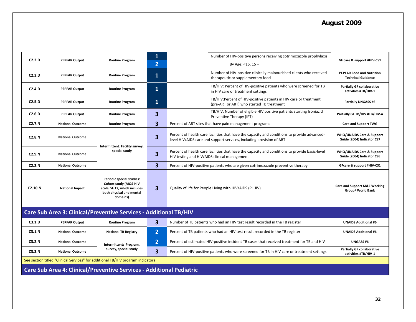| C2.2.D  | <b>PEPFAR Output</b><br><b>Routine Program</b>                              | $\mathbf{1}$                                                                                                               |                         |                                                                                                                                                                      |                                                                                                                                                | Number of HIV-positive persons receiving cotrimoxazole prophylaxis | GF care & support #HIV-CS1                                                                                     |                                                               |  |  |
|---------|-----------------------------------------------------------------------------|----------------------------------------------------------------------------------------------------------------------------|-------------------------|----------------------------------------------------------------------------------------------------------------------------------------------------------------------|------------------------------------------------------------------------------------------------------------------------------------------------|--------------------------------------------------------------------|----------------------------------------------------------------------------------------------------------------|---------------------------------------------------------------|--|--|
|         |                                                                             |                                                                                                                            | $\overline{2}$          |                                                                                                                                                                      |                                                                                                                                                |                                                                    | By Age: <15, 15 +                                                                                              |                                                               |  |  |
| C2.3.D  | <b>PEPFAR Output</b>                                                        | <b>Routine Program</b>                                                                                                     | 1                       |                                                                                                                                                                      |                                                                                                                                                |                                                                    | Number of HIV-positive clinically malnourished clients who received<br>therapeutic or supplementary food       | <b>PEPFAR Food and Nutrition</b><br><b>Technical Guidance</b> |  |  |
| C2.4.D  | <b>PEPFAR Output</b>                                                        | <b>Routine Program</b>                                                                                                     | $\overline{1}$          |                                                                                                                                                                      |                                                                                                                                                |                                                                    | TB/HIV: Percent of HIV-positive patients who were screened for TB<br>in HIV care or treatment settings         | <b>Partially GF collaborative</b><br>activities #TB/HIV-1     |  |  |
| C2.5.D  | <b>PEPFAR Output</b>                                                        | <b>Routine Program</b>                                                                                                     | $\mathbf{1}$            |                                                                                                                                                                      |                                                                                                                                                |                                                                    | TB/HIV: Percent of HIV-positive patients in HIV care or treatment<br>(pre-ART or ART) who started TB treatment | <b>Partially UNGASS #6</b>                                    |  |  |
| C2.6.D  | <b>PEPFAR Output</b>                                                        | <b>Routine Program</b>                                                                                                     | 3                       |                                                                                                                                                                      |                                                                                                                                                |                                                                    | TB/HIV: Number of eligible HIV positive patients starting Isoniazid<br>Preventive Therapy (IPT)                | Partially GF TB/HIV #TB/HIV-4                                 |  |  |
| C2.7.N  | <b>National Outcome</b>                                                     | <b>Routine Program</b>                                                                                                     | $\overline{\mathbf{3}}$ |                                                                                                                                                                      |                                                                                                                                                |                                                                    | Percent of ART sites that have pain management programs                                                        | Care and Support TWG                                          |  |  |
| C2.8.N  | <b>National Outcome</b>                                                     | Intermittent: Facility survey,                                                                                             | 3                       | Percent of health care facilities that have the capacity and conditions to provide advanced-<br>level HIV/AIDS care and support services, including provision of ART |                                                                                                                                                |                                                                    | <b>WHO/UNAIDS Care &amp; Support</b><br>Guide (2004) Indicator CS7                                             |                                                               |  |  |
| C2.9.N  | <b>National Outcome</b>                                                     | special study                                                                                                              | 3                       |                                                                                                                                                                      | Percent of health care facilities that have the capacity and conditions to provide basic-level<br>HIV testing and HIV/AIDS clinical management | <b>WHO/UNAIDS Care &amp; Support</b><br>Guide (2004) Indicator CS6 |                                                                                                                |                                                               |  |  |
| C2.2.N  | <b>National Outcome</b>                                                     |                                                                                                                            | 3                       |                                                                                                                                                                      |                                                                                                                                                |                                                                    | Percent of HIV-positive patients who are given cotrimoxazole preventive therapy                                | GFcare & support #HIV-CS1                                     |  |  |
| C2.10.N | <b>National Impact</b>                                                      | Periodic special studies:<br>Cohort study (MOS-HIV<br>scale, SF 12, which includes<br>both physical and mental<br>domains) | 3                       |                                                                                                                                                                      | Quality of life for People Living with HIV/AIDS (PLHIV)                                                                                        | <b>Care and Support M&amp;E Working</b><br>Group/ World Bank       |                                                                                                                |                                                               |  |  |
|         | Care Sub Area 3: Clinical/Preventive Services - Additional TB/HIV           |                                                                                                                            |                         |                                                                                                                                                                      |                                                                                                                                                |                                                                    |                                                                                                                |                                                               |  |  |
| C3.1.D  | <b>PEPFAR Output</b>                                                        | <b>Routine Program</b>                                                                                                     | 3                       |                                                                                                                                                                      |                                                                                                                                                |                                                                    | Number of TB patients who had an HIV test result recorded in the TB register                                   | <b>UNAIDS Additional #6</b>                                   |  |  |
| C3.1. N | <b>National Outcome</b>                                                     | <b>National TB Registry</b>                                                                                                | $\overline{2}$          |                                                                                                                                                                      |                                                                                                                                                |                                                                    | Percent of TB patients who had an HIV test result recorded in the TB register                                  | <b>UNAIDS Additional #6</b>                                   |  |  |
| C3.2.N  | <b>National Outcome</b>                                                     | Intermittent: Program,                                                                                                     | $\overline{2}$          |                                                                                                                                                                      |                                                                                                                                                |                                                                    | Percent of estimated HIV-positive incident TB cases that received treatment for TB and HIV                     | <b>UNGASS#6</b>                                               |  |  |
| C3.3.N  | <b>National Outcome</b>                                                     | survey, special study                                                                                                      | $\overline{\mathbf{3}}$ |                                                                                                                                                                      |                                                                                                                                                |                                                                    | Percent of HIV-positive patients who were screened for TB in HIV care or treatment settings                    | <b>Partially GF collaborative</b><br>activities #TB/HIV-1     |  |  |
|         |                                                                             | See section titled "Clinical Services" for additional TB/HIV program indicators                                            |                         |                                                                                                                                                                      |                                                                                                                                                |                                                                    |                                                                                                                |                                                               |  |  |
|         | <b>Care Sub Area 4: Clinical/Preventive Services - Additional Pediatric</b> |                                                                                                                            |                         |                                                                                                                                                                      |                                                                                                                                                |                                                                    |                                                                                                                |                                                               |  |  |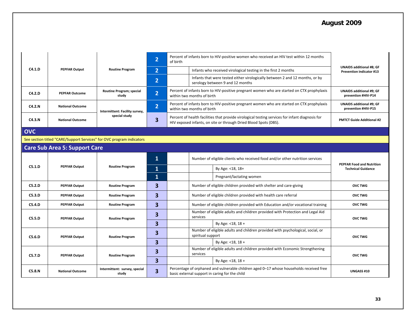| C4.1.D<br><b>PEPFAR Output</b> |                                                                       | $\overline{2}$                         | Percent of infants born to HIV-positive women who received an HIV test within 12 months<br>of birth |                                                                                                                                                                     |                                                        |  |  |  |  |  |
|--------------------------------|-----------------------------------------------------------------------|----------------------------------------|-----------------------------------------------------------------------------------------------------|---------------------------------------------------------------------------------------------------------------------------------------------------------------------|--------------------------------------------------------|--|--|--|--|--|
|                                | <b>Routine Program</b>                                                | $\overline{2}$                         | Infants who received virological testing in the first 2 months                                      | <b>UNAIDS additional #8; GF</b><br>Prevention indicator #13                                                                                                         |                                                        |  |  |  |  |  |
|                                |                                                                       |                                        | $\overline{2}$                                                                                      | Infants that were tested either virologically between 2 and 12 months, or by<br>serology between 9 and 12 months                                                    |                                                        |  |  |  |  |  |
| C4.2.D                         | <b>PEPFAR Outcome</b>                                                 | Routine Program; special<br>study      | $\overline{2}$                                                                                      | Percent of infants born to HIV-positive pregnant women who are started on CTX prophylaxis<br>within two months of birth                                             | <b>UNAIDS additional #9; GF</b><br>prevention #HIV-P14 |  |  |  |  |  |
| C4.2.N                         | <b>National Outcome</b>                                               | Intermittent: Facility survey,         | $\overline{2}$                                                                                      | Percent of infants born to HIV-positive pregnant women who are started on CTX prophylaxis<br>within two months of birth                                             | <b>UNAIDS additional #9; GF</b><br>prevention #HIV-P15 |  |  |  |  |  |
| C4.3.N                         | <b>National Outcome</b>                                               | special study                          | $\overline{\mathbf{3}}$                                                                             | Percent of health facilities that provide virological testing services for infant diagnosis for<br>HIV exposed infants, on site or through Dried Blood Spots (DBS). | <b>PMTCT Guide Additional #2</b>                       |  |  |  |  |  |
| <b>OVC</b>                     |                                                                       |                                        |                                                                                                     |                                                                                                                                                                     |                                                        |  |  |  |  |  |
|                                | See section titled "CARE/Support Services" for OVC program indicators |                                        |                                                                                                     |                                                                                                                                                                     |                                                        |  |  |  |  |  |
|                                | <b>Care Sub Area 5: Support Care</b>                                  |                                        |                                                                                                     |                                                                                                                                                                     |                                                        |  |  |  |  |  |
|                                |                                                                       | <b>Routine Program</b>                 | $\mathbf{1}$                                                                                        | Number of eligible clients who received food and/or other nutrition services                                                                                        | <b>PEPFAR Food and Nutrition</b>                       |  |  |  |  |  |
| C5.1.D                         | <b>PEPFAR Output</b>                                                  |                                        | $\mathbf{1}$                                                                                        | By Age: <18, 18+                                                                                                                                                    | <b>Technical Guidance</b>                              |  |  |  |  |  |
|                                |                                                                       |                                        | $\mathbf 1$                                                                                         | Pregnant/lactating women                                                                                                                                            |                                                        |  |  |  |  |  |
| C5.2.D                         | <b>PEPFAR Output</b>                                                  | <b>Routine Program</b>                 | $\overline{\mathbf{3}}$                                                                             | Number of eligible children provided with shelter and care-giving                                                                                                   | <b>OVC TWG</b>                                         |  |  |  |  |  |
| C5.3.D                         | <b>PEPFAR Output</b>                                                  | <b>Routine Program</b>                 | $\overline{\mathbf{3}}$                                                                             | Number of eligible children provided with health care referral                                                                                                      | <b>OVC TWG</b>                                         |  |  |  |  |  |
| C5.4.D                         | <b>PEPFAR Output</b>                                                  | <b>Routine Program</b>                 | $\overline{\mathbf{3}}$                                                                             | Number of eligible children provided with Education and/or vocational training                                                                                      | <b>OVC TWG</b>                                         |  |  |  |  |  |
| C5.5.D                         | <b>PEPFAR Output</b>                                                  | <b>Routine Program</b>                 | $\overline{\mathbf{3}}$                                                                             | Number of eligible adults and children provided with Protection and Legal Aid<br>services                                                                           | <b>OVC TWG</b>                                         |  |  |  |  |  |
|                                |                                                                       |                                        | $\overline{\mathbf{3}}$                                                                             | By Age: <18, 18 +                                                                                                                                                   |                                                        |  |  |  |  |  |
| C5.6.D                         | <b>PEPFAR Output</b>                                                  | <b>Routine Program</b>                 | $\overline{\mathbf{3}}$                                                                             | Number of eligible adults and children provided with psychological, social, or<br>spiritual support                                                                 | <b>OVC TWG</b>                                         |  |  |  |  |  |
|                                |                                                                       |                                        | $\overline{\mathbf{3}}$                                                                             | By Age: <18, 18 +                                                                                                                                                   |                                                        |  |  |  |  |  |
| C5.7.D                         | <b>PEPFAR Output</b>                                                  | <b>Routine Program</b>                 | $\overline{\mathbf{3}}$                                                                             | Number of eligible adults and children provided with Economic Strengthening<br>services                                                                             | <b>OVC TWG</b>                                         |  |  |  |  |  |
|                                |                                                                       |                                        | $\overline{\mathbf{3}}$                                                                             | By Age: <18, 18 +                                                                                                                                                   |                                                        |  |  |  |  |  |
| C5.8.N                         | <b>National Outcome</b>                                               | Intermittent: survey, special<br>study | $\overline{\mathbf{3}}$                                                                             | Percentage of orphaned and vulnerable children aged 0-17 whose households received free<br>basic external support in caring for the child                           | UNGASS #10                                             |  |  |  |  |  |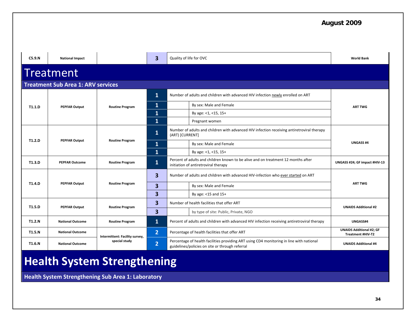| C5.9. N                                   | <b>National Impact</b>  |                                | $\overline{\mathbf{3}}$                         | Quality of life for OVC                                                                                                                     | <b>World Bank</b>                                           |  |  |  |  |
|-------------------------------------------|-------------------------|--------------------------------|-------------------------------------------------|---------------------------------------------------------------------------------------------------------------------------------------------|-------------------------------------------------------------|--|--|--|--|
| Treatment                                 |                         |                                |                                                 |                                                                                                                                             |                                                             |  |  |  |  |
| <b>Treatment Sub Area 1: ARV services</b> |                         |                                |                                                 |                                                                                                                                             |                                                             |  |  |  |  |
|                                           |                         |                                | $\mathbf{1}$                                    | Number of adults and children with advanced HIV infection newly enrolled on ART                                                             |                                                             |  |  |  |  |
| T1.1.D<br><b>PEPFAR Output</b>            | <b>Routine Program</b>  | $\mathbf{1}$                   | By sex: Male and Female                         | <b>ART TWG</b>                                                                                                                              |                                                             |  |  |  |  |
|                                           |                         |                                | $\mathbf 1$                                     | By age: <1, <15, 15+                                                                                                                        |                                                             |  |  |  |  |
|                                           |                         |                                | $\mathbf{1}$                                    | Pregnant women                                                                                                                              |                                                             |  |  |  |  |
|                                           |                         |                                | $\mathbf{1}$                                    | Number of adults and children with advanced HIV infection receiving antiretroviral therapy<br>(ART) [CURRENT]                               | <b>UNGASS#4</b>                                             |  |  |  |  |
| T1.2.D<br><b>PEPFAR Output</b>            | <b>Routine Program</b>  | $\mathbf{1}$                   | By sex: Male and Female                         |                                                                                                                                             |                                                             |  |  |  |  |
|                                           |                         |                                | $\mathbf{1}$                                    | By age: <1, <15, 15+                                                                                                                        |                                                             |  |  |  |  |
| T1.3.D                                    | <b>PEPFAR Outcome</b>   | <b>Routine Program</b>         | $\mathbf{1}$                                    | Percent of adults and children known to be alive and on treatment 12 months after<br>initiation of antiretroviral therapy                   | UNGASS #24; GF impact #HIV-13                               |  |  |  |  |
|                                           |                         |                                | $\overline{\mathbf{3}}$                         | Number of adults and children with advanced HIV-infection who ever started on ART                                                           |                                                             |  |  |  |  |
| T1.4.D<br><b>PEPFAR Output</b>            | <b>Routine Program</b>  | 3                              | By sex: Male and Female                         | <b>ART TWG</b>                                                                                                                              |                                                             |  |  |  |  |
|                                           |                         |                                | 3                                               | By age: <15 and 15+                                                                                                                         |                                                             |  |  |  |  |
| T1.5.D                                    | <b>PEPFAR Output</b>    | <b>Routine Program</b>         | 3<br>Number of health facilities that offer ART |                                                                                                                                             | <b>UNAIDS Additional #2</b>                                 |  |  |  |  |
|                                           |                         |                                | 3                                               | by type of site: Public, Private, NGO                                                                                                       |                                                             |  |  |  |  |
| T1.2.N                                    | <b>National Outcome</b> | <b>Routine Program</b>         | $\mathbf{1}$                                    | Percent of adults and children with advanced HIV infection receiving antiretroviral therapy                                                 | UNGASS#4                                                    |  |  |  |  |
| T1.5.N                                    | <b>National Outcome</b> | Intermittent: Facility survey, | $\overline{2}$                                  | Percentage of health facilities that offer ART                                                                                              | <b>UNAIDS Additional #2; GF</b><br><b>Treatment #HIV-T2</b> |  |  |  |  |
| T1.6.N                                    | <b>National Outcome</b> | special study                  | $\overline{2}$                                  | Percentage of health facilities providing ART using CD4 monitoring in line with national<br>guidelines/policies on site or through referral | <b>UNAIDS Additional #4</b>                                 |  |  |  |  |
|                                           |                         |                                |                                                 |                                                                                                                                             |                                                             |  |  |  |  |

## **Health System Strengthening**

**Health System Strengthening Sub Area 1: Laboratory**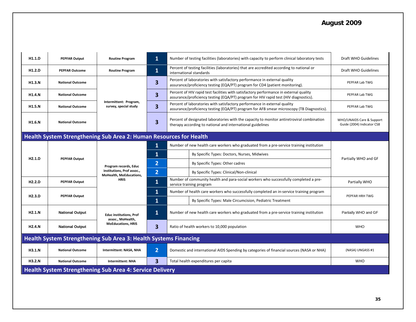| H1.1.D                                                             | <b>PEPFAR Output</b>                                     | <b>Routine Program</b>                                               | 1                               | Number of testing facilities (laboratories) with capacity to perform clinical laboratory tests                                                                                 | Draft WHO Guidelines                                    |  |  |  |  |
|--------------------------------------------------------------------|----------------------------------------------------------|----------------------------------------------------------------------|---------------------------------|--------------------------------------------------------------------------------------------------------------------------------------------------------------------------------|---------------------------------------------------------|--|--|--|--|
| H1.2.D                                                             | <b>PEPFAR Outcome</b>                                    | <b>Routine Program</b>                                               | $\mathbf{1}$                    | Percent of testing facilities (laboratories) that are accredited according to national or<br>international standards                                                           | Draft WHO Guidelines                                    |  |  |  |  |
| H1.3.N                                                             | <b>National Outcome</b>                                  |                                                                      | 3                               | Percent of laboratories with satisfactory performance in external quality<br>assurance/proficiency testing (EQA/PT) program for CD4 (patient monitoring).                      | PEPFAR Lab TWG                                          |  |  |  |  |
| H1.4.N                                                             | <b>National Outcome</b>                                  |                                                                      | $\overline{\mathbf{3}}$         | Percent of HIV rapid test facilities with satisfactory performance in external quality<br>assurance/proficiency testing (EQA/PT) program for HIV rapid test (HIV diagnostics). | PEPFAR Lab TWG                                          |  |  |  |  |
| H1.5.N                                                             | <b>National Outcome</b>                                  | Intermittent: Program,<br>survey, special study                      | $\overline{\mathbf{3}}$         | Percent of laboratories with satisfactory performance in external quality<br>assurance/proficiency testing (EQA/PT) program for AFB smear microscopy (TB Diagnostics).         | PEPFAR Lab TWG                                          |  |  |  |  |
| H1.6.N                                                             | <b>National Outcome</b>                                  |                                                                      | 3                               | Percent of designated laboratories with the capacity to monitor antiretroviral combination<br>therapy according to national and international guidelines                       | WHO/UNAIDS Care & Support<br>Guide (2004) Indicator CS8 |  |  |  |  |
| Health System Strengthening Sub Area 2: Human Resources for Health |                                                          |                                                                      |                                 |                                                                                                                                                                                |                                                         |  |  |  |  |
|                                                                    |                                                          |                                                                      | $\mathbf{1}$                    | Number of new health care workers who graduated from a pre-service training institution                                                                                        |                                                         |  |  |  |  |
|                                                                    |                                                          |                                                                      | $\mathbf{1}$                    | By Specific Types: Doctors, Nurses, Midwives                                                                                                                                   | Partially WHO and GF                                    |  |  |  |  |
| H2.1.D<br><b>PEPFAR Output</b>                                     | Program records, Educ                                    | $\overline{2}$                                                       | By Specific Types: Other cadres |                                                                                                                                                                                |                                                         |  |  |  |  |
|                                                                    |                                                          | institutions, Prof assoc.,<br>MoHealth, MoEducations,<br><b>HRIS</b> |                                 | $\overline{2}$                                                                                                                                                                 | By Specific Types: Clinical/Non-clinical                |  |  |  |  |
| H2.2.D                                                             | <b>PEPFAR Output</b>                                     |                                                                      | $\overline{\mathbf{1}}$         | Number of community health and para-social workers who successfully completed a pre-<br>service training program                                                               | Partially WHO                                           |  |  |  |  |
| H2.3.D                                                             | <b>PEPFAR Output</b>                                     | 1                                                                    |                                 | Number of health care workers who successfully completed an in-service training program                                                                                        | PEPFAR HRH TWG                                          |  |  |  |  |
|                                                                    |                                                          |                                                                      | 1                               | By Specific Types: Male Circumcision, Pediatric Treatment                                                                                                                      |                                                         |  |  |  |  |
| H2.1.N                                                             | <b>National Output</b>                                   | <b>Educ institutions, Prof</b><br>assoc., MoHealth,                  | 1                               | Number of new health care workers who graduated from a pre-service training institution                                                                                        | Partially WHO and GF                                    |  |  |  |  |
| <b>H2.4.N</b>                                                      | <b>National Output</b>                                   | <b>MoEducations, HRIS</b>                                            | 3                               | Ratio of health workers to 10,000 population                                                                                                                                   | <b>WHO</b>                                              |  |  |  |  |
| Health System Strengthening Sub Area 3: Health Systems Financing   |                                                          |                                                                      |                                 |                                                                                                                                                                                |                                                         |  |  |  |  |
| H3.1.N                                                             | <b>National Outcome</b>                                  | Intermittent: NASA, NHA                                              | $\overline{2}$                  | Domestic and international AIDS Spending by categories of financial sources (NASA or NHA)                                                                                      | (NASA) UNGASS #1                                        |  |  |  |  |
| H3.2.N                                                             | <b>National Outcome</b>                                  | <b>Intermittent: NHA</b>                                             | 3                               | Total health expenditures per capita                                                                                                                                           | <b>WHO</b>                                              |  |  |  |  |
|                                                                    | Health System Strengthening Sub Area 4: Service Delivery |                                                                      |                                 |                                                                                                                                                                                |                                                         |  |  |  |  |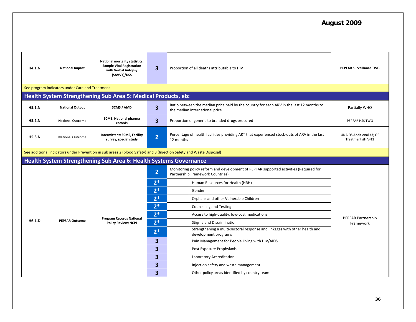| H4.1. N       | <b>National Impact</b>                                        | National mortality statistics,<br><b>Sample Vital Registration</b><br>with Verbal Autopsy<br>(SAVVY)/DSS | 3                       | Proportion of all deaths attributable to HIV                                                                               | <b>PEPFAR Surveillance TWG</b>                |  |  |  |  |
|---------------|---------------------------------------------------------------|----------------------------------------------------------------------------------------------------------|-------------------------|----------------------------------------------------------------------------------------------------------------------------|-----------------------------------------------|--|--|--|--|
|               | See program indicators under Care and Treatment               |                                                                                                          |                         |                                                                                                                            |                                               |  |  |  |  |
|               | Health System Strengthening Sub Area 5: Medical Products, etc |                                                                                                          |                         |                                                                                                                            |                                               |  |  |  |  |
| <b>H5.1.N</b> | <b>National Output</b>                                        | SCMS / AMD                                                                                               | 3                       | Ratio between the median price paid by the country for each ARV in the last 12 months to<br>the median international price | Partially WHO                                 |  |  |  |  |
| <b>H5.2.N</b> | <b>National Outcome</b>                                       | <b>SCMS, National pharma</b><br>records                                                                  | $\overline{\mathbf{3}}$ | Proportion of generic to branded drugs procured                                                                            | PEPFAR HSS TWG                                |  |  |  |  |
| <b>H5.3.N</b> | <b>National Outcome</b>                                       | Intermittent: SCMS, Facility<br>survey, special study                                                    | $\overline{2}$          | Percentage of health facilities providing ART that experienced stock-outs of ARV in the last<br>12 months                  | UNAIDS Additional #3; GF<br>Treatment #HIV-T3 |  |  |  |  |
|               |                                                               |                                                                                                          |                         | See additional indicators under Prevention in sub areas 2 (blood Safety) and 3 (Injection Safety and Waste Disposal)       |                                               |  |  |  |  |
|               |                                                               | Health System Strengthening Sub Area 6: Health Systems Governance                                        |                         |                                                                                                                            |                                               |  |  |  |  |
|               |                                                               |                                                                                                          | $\overline{2}$          | Monitoring policy reform and development of PEPFAR supported activities (Required for<br>Partnership Framework Countries)  |                                               |  |  |  |  |
|               |                                                               |                                                                                                          | $2*$                    | Human Resources for Health (HRH)                                                                                           |                                               |  |  |  |  |
|               |                                                               |                                                                                                          | $2*$                    | Gender                                                                                                                     |                                               |  |  |  |  |
|               |                                                               |                                                                                                          | $2*$                    | Orphans and other Vulnerable Children                                                                                      |                                               |  |  |  |  |
|               |                                                               |                                                                                                          | $2*$                    | <b>Counseling and Testing</b>                                                                                              |                                               |  |  |  |  |
|               |                                                               | <b>Program Records National</b>                                                                          | $2*$                    | Access to high-quality, low-cost medications                                                                               | PEPFAR Partnership                            |  |  |  |  |
| H6.1.D        | <b>PEPFAR Outcome</b>                                         | <b>Policy Review; NCPI</b>                                                                               | $2*$                    | <b>Stigma and Discrimination</b>                                                                                           | Framework                                     |  |  |  |  |
|               |                                                               |                                                                                                          | $2*$                    | Strengthening a multi-sectoral response and linkages with other health and<br>development programs                         |                                               |  |  |  |  |
|               |                                                               |                                                                                                          | 3                       | Pain Management for People Living with HIV/AIDS                                                                            |                                               |  |  |  |  |
|               |                                                               |                                                                                                          | 3                       | Post Exposure Prophylaxis                                                                                                  |                                               |  |  |  |  |
|               |                                                               |                                                                                                          | 3                       | Laboratory Accreditation                                                                                                   |                                               |  |  |  |  |
|               |                                                               |                                                                                                          | 3                       | Injection safety and waste management                                                                                      |                                               |  |  |  |  |
|               |                                                               |                                                                                                          | 3                       | Other policy areas identified by country team                                                                              |                                               |  |  |  |  |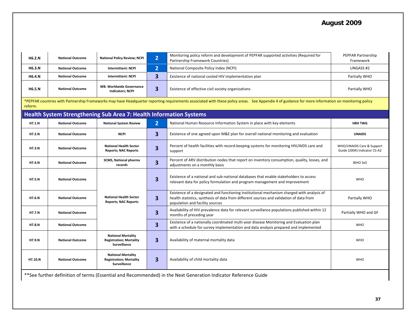| H6.2.N        | <b>National Outcome</b> | <b>National Policy Review; NCPI</b>                                                | $\overline{2}$          | Monitoring policy reform and development of PEPFAR supported activities (Required for<br>Partnership Framework Countries)                                                                                                | PEPFAR Partnership<br>Framework                           |
|---------------|-------------------------|------------------------------------------------------------------------------------|-------------------------|--------------------------------------------------------------------------------------------------------------------------------------------------------------------------------------------------------------------------|-----------------------------------------------------------|
| H6.3.N        | <b>National Outcome</b> | <b>Intermittent: NCPI</b>                                                          | $\overline{2}$          | National Composite Policy Index (NCPI)                                                                                                                                                                                   | UNGASS #2                                                 |
| <b>H6.4.N</b> | <b>National Outcome</b> | <b>Intermittent: NCPI</b>                                                          | 3                       | Existence of national costed HIV implementation plan                                                                                                                                                                     | Partially WHO                                             |
| <b>H6.5.N</b> | <b>National Outcome</b> | <b>WB: Worldwide Governance</b><br><b>Indicators; NCPI</b>                         | 3                       | Existence of effective civil society organizations                                                                                                                                                                       | Partially WHO                                             |
| reform.       |                         |                                                                                    |                         | *PEPFAR countries with Partnership Frameworks may have Headquarter reporting requirements associated with these policy areas. See Appendix 4 of guidance for more information on monitoring policy                       |                                                           |
|               |                         | Health System Strengthening Sub Area 7: Health Information Systems                 |                         |                                                                                                                                                                                                                          |                                                           |
| H7.1.N        | <b>National Outcome</b> | <b>National System Review</b>                                                      | $\overline{2}$          | National Human Resource Information System in place with key elements                                                                                                                                                    | <b>HRH TWG</b>                                            |
| H7.2.N        | <b>National Outcome</b> | <b>NCPI</b>                                                                        | 3                       | Existence of one agreed upon M&E plan for overall national monitoring and evaluation                                                                                                                                     | <b>UNAIDS</b>                                             |
| <b>H7.3.N</b> | <b>National Outcome</b> | <b>National Health Sector</b><br><b>Reports; NAC Reports</b>                       | 3                       | Percent of health facilities with record-keeping systems for monitoring HIV/AIDS care and<br>support                                                                                                                     | WHO/UNAIDS Care & Support<br>Guide (2004) Indicator CS-A2 |
| <b>H7.4.N</b> | <b>National Outcome</b> | <b>SCMS, National pharma</b><br>records                                            | 3                       | Percent of ARV distribution nodes that report on inventory consumption, quality, losses, and<br>adjustments on a monthly basis                                                                                           | WHO 3x5                                                   |
| <b>H7.5.N</b> | <b>National Outcome</b> |                                                                                    | 3                       | Existence of a national and sub-national databases that enable stakeholders to access<br>relevant data for policy formulation and program management and improvement                                                     | <b>WHO</b>                                                |
| H7.6.N        | <b>National Outcome</b> | <b>National Health Sector</b><br><b>Reports; NAC Reports</b>                       | 3                       | Existence of a designated and functioning institutional mechanism charged with analysis of<br>health statistics, synthesis of data from different sources and validation of data from<br>population and facility sources | Partially WHO                                             |
| <b>H7.7.N</b> | <b>National Outcome</b> |                                                                                    | 3                       | Availability of HIV prevalence data for relevant surveillance populations published within 12<br>months of preceding year                                                                                                | Partially WHO and GF                                      |
| <b>H7.8.N</b> | <b>National Outcome</b> |                                                                                    | $\overline{\mathbf{3}}$ | Existence of a nationally coordinated multi-year disease Monitoring and Evaluation plan<br>with a schedule for survey implementation and data analysis prepared and implemented                                          | <b>WHO</b>                                                |
| H7.9.N        | <b>National Outcome</b> | <b>National Mortality</b><br><b>Registration; Mortality</b><br><b>Surveillance</b> | $\overline{\mathbf{3}}$ | Availability of maternal mortality data                                                                                                                                                                                  | <b>WHO</b>                                                |
| H7.10.N       | <b>National Outcome</b> | <b>National Mortality</b><br><b>Registration; Mortality</b><br>Surveillance        | 3                       | Availability of child mortality data                                                                                                                                                                                     | <b>WHO</b>                                                |

\*\*See further definition of terms (Essential and Recommended) in the Next Generation Indicator Reference Guide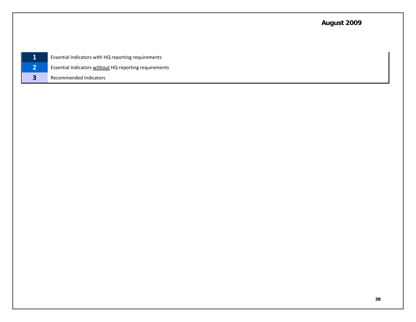|  | Essential Indicators with HQ reporting requirements |
|--|-----------------------------------------------------|
|--|-----------------------------------------------------|

**3**Recommended Indicators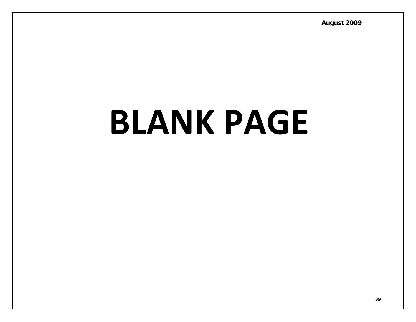# **BLANK PAGE**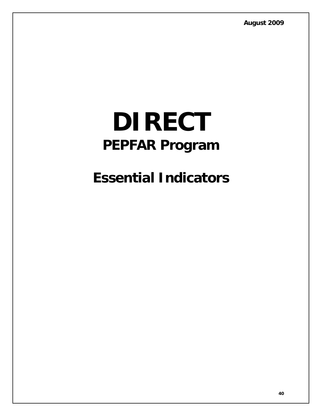## **DIRECT PEPFAR Program**

## **Essential Indicators**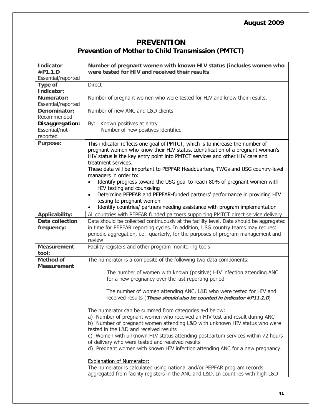## **PREVENTION Prevention of Mother to Child Transmission (PMTCT)**

| <b>Indicator</b>                         | Number of pregnant women with known HIV status (includes women who                                                                                                                                                                                                                                                                                                                                                                                                                                                                                                                                                                                                                                                    |  |  |  |
|------------------------------------------|-----------------------------------------------------------------------------------------------------------------------------------------------------------------------------------------------------------------------------------------------------------------------------------------------------------------------------------------------------------------------------------------------------------------------------------------------------------------------------------------------------------------------------------------------------------------------------------------------------------------------------------------------------------------------------------------------------------------------|--|--|--|
| #P1.1.D                                  | were tested for HIV and received their results                                                                                                                                                                                                                                                                                                                                                                                                                                                                                                                                                                                                                                                                        |  |  |  |
| Essential/reported                       |                                                                                                                                                                                                                                                                                                                                                                                                                                                                                                                                                                                                                                                                                                                       |  |  |  |
| Type of                                  | <b>Direct</b>                                                                                                                                                                                                                                                                                                                                                                                                                                                                                                                                                                                                                                                                                                         |  |  |  |
| Indicator:                               |                                                                                                                                                                                                                                                                                                                                                                                                                                                                                                                                                                                                                                                                                                                       |  |  |  |
| Numerator:                               | Number of pregnant women who were tested for HIV and know their results.                                                                                                                                                                                                                                                                                                                                                                                                                                                                                                                                                                                                                                              |  |  |  |
| Essential/reported                       |                                                                                                                                                                                                                                                                                                                                                                                                                                                                                                                                                                                                                                                                                                                       |  |  |  |
| Denominator:                             | Number of new ANC and L&D clients                                                                                                                                                                                                                                                                                                                                                                                                                                                                                                                                                                                                                                                                                     |  |  |  |
| Recommended                              |                                                                                                                                                                                                                                                                                                                                                                                                                                                                                                                                                                                                                                                                                                                       |  |  |  |
| Disaggregation:                          | By: Known positives at entry                                                                                                                                                                                                                                                                                                                                                                                                                                                                                                                                                                                                                                                                                          |  |  |  |
| Essential/not                            | Number of new positives identified                                                                                                                                                                                                                                                                                                                                                                                                                                                                                                                                                                                                                                                                                    |  |  |  |
| reported                                 |                                                                                                                                                                                                                                                                                                                                                                                                                                                                                                                                                                                                                                                                                                                       |  |  |  |
| Purpose:                                 | This indicator reflects one goal of PMTCT, which is to increase the number of<br>pregnant women who know their HIV status. Identification of a pregnant woman's<br>HIV status is the key entry point into PMTCT services and other HIV care and<br>treatment services.<br>These data will be important to PEPFAR Headquarters, TWGs and USG country-level<br>managers in order to:<br>Identify progress toward the USG goal to reach 80% of pregnant women with<br>$\bullet$<br>HIV testing and counseling<br>Determine PEPFAR and PEPFAR-funded partners' performance in providing HIV<br>$\bullet$<br>testing to pregnant women<br>Identify countries/ partners needing assistance with program implementation<br>٠ |  |  |  |
|                                          |                                                                                                                                                                                                                                                                                                                                                                                                                                                                                                                                                                                                                                                                                                                       |  |  |  |
| Applicability:<br><b>Data collection</b> | All countries with PEPFAR funded partners supporting PMTCT direct service delivery<br>Data should be collected continuously at the facility level. Data should be aggregated                                                                                                                                                                                                                                                                                                                                                                                                                                                                                                                                          |  |  |  |
| frequency:                               | in time for PEPFAR reporting cycles. In addition, USG country teams may request<br>periodic aggregation, i.e. quarterly, for the purposes of program management and<br>review                                                                                                                                                                                                                                                                                                                                                                                                                                                                                                                                         |  |  |  |
| <b>Measurement</b><br>tool:              | Facility registers and other program monitoring tools                                                                                                                                                                                                                                                                                                                                                                                                                                                                                                                                                                                                                                                                 |  |  |  |
| <b>Method of</b><br><b>Measurement</b>   | The numerator is a composite of the following two data components:                                                                                                                                                                                                                                                                                                                                                                                                                                                                                                                                                                                                                                                    |  |  |  |
|                                          | The number of women with known (positive) HIV infection attending ANC<br>for a new pregnancy over the last reporting period                                                                                                                                                                                                                                                                                                                                                                                                                                                                                                                                                                                           |  |  |  |
|                                          | The number of women attending ANC, L&D who were tested for HIV and<br>received results ( <i>These should also be counted in indicator <math>\#P11.1.D</math></i> )                                                                                                                                                                                                                                                                                                                                                                                                                                                                                                                                                    |  |  |  |
|                                          | The numerator can be summed from categories a-d below:<br>a) Number of pregnant women who received an HIV test and result during ANC<br>b) Number of pregnant women attending L&D with unknown HIV status who were<br>tested in the L&D and received results<br>c) Women with unknown HIV status attending postpartum services within 72 hours<br>of delivery who were tested and received results<br>d) Pregnant women with known HIV infection attending ANC for a new pregnancy.                                                                                                                                                                                                                                   |  |  |  |
|                                          | <b>Explanation of Numerator:</b><br>The numerator is calculated using national and/or PEPFAR program records<br>aggregated from facility registers in the ANC and L&D. In countries with high L&D                                                                                                                                                                                                                                                                                                                                                                                                                                                                                                                     |  |  |  |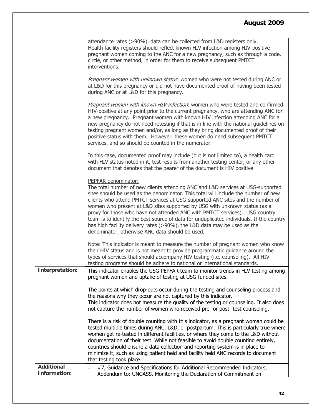|                                          | attendance rates (>90%), data can be collected from L&D registers only.<br>Health facility registers should reflect known HIV infection among HIV-positive<br>pregnant women coming to the ANC for a new pregnancy, such as through a code,<br>circle, or other method, in order for them to receive subsequent PMTCT<br>interventions.                                                                                                                                                                                                                                                                                                                               |
|------------------------------------------|-----------------------------------------------------------------------------------------------------------------------------------------------------------------------------------------------------------------------------------------------------------------------------------------------------------------------------------------------------------------------------------------------------------------------------------------------------------------------------------------------------------------------------------------------------------------------------------------------------------------------------------------------------------------------|
|                                          | Pregnant women with unknown status: women who were not tested during ANC or<br>at L&D for this pregnancy or did not have documented proof of having been tested<br>during ANC or at L&D for this pregnancy.                                                                                                                                                                                                                                                                                                                                                                                                                                                           |
|                                          | Pregnant women with known HIV-infection: women who were tested and confirmed<br>HIV-positive at any point prior to the current pregnancy, who are attending ANC for<br>a new pregnancy. Pregnant women with known HIV infection attending ANC for a<br>new pregnancy do not need retesting if that is in line with the national guidelines on<br>testing pregnant women and/or, as long as they bring documented proof of their<br>positive status with them. However, these women do need subsequent PMTCT<br>services, and so should be counted in the numerator.                                                                                                   |
|                                          | In this case, documented proof may include (but is not limited to), a health card<br>with HIV status noted in it, test results from another testing center, or any other<br>document that denotes that the bearer of the document is HIV positive.                                                                                                                                                                                                                                                                                                                                                                                                                    |
|                                          | PEPFAR denominator:<br>The total number of new clients attending ANC and L&D services at USG-supported<br>sites should be used as the denominator. This total will include the number of new<br>clients who attend PMTCT services at USG-supported ANC sites and the number of<br>women who present at L&D sites supported by USG with unknown status (as a<br>proxy for those who have not attended ANC with PMTCT services). USG country<br>team is to identify the best source of data for unduplicated individuals. If the country<br>has high facility delivery rates (>90%), the L&D data may be used as the<br>denominator, otherwise ANC data should be used. |
|                                          | Note: This indicator is meant to measure the number of pregnant women who know<br>their HIV status and is not meant to provide programmatic guidance around the<br>types of services that should accompany HIV testing (i.e. counseling). All HIV<br>testing programs should be adhere to national or international standards.                                                                                                                                                                                                                                                                                                                                        |
| Interpretation:                          | This indicator enables the USG PEPFAR team to monitor trends in HIV testing among<br>pregnant women and uptake of testing at USG-funded sites.                                                                                                                                                                                                                                                                                                                                                                                                                                                                                                                        |
|                                          | The points at which drop-outs occur during the testing and counseling process and<br>the reasons why they occur are not captured by this indicator.<br>This indicator does not measure the quality of the testing or counseling. It also does<br>not capture the number of women who received pre- or post- test counseling.                                                                                                                                                                                                                                                                                                                                          |
|                                          | There is a risk of double counting with this indicator, as a pregnant woman could be<br>tested multiple times during ANC, L&D, or postpartum. This is particularly true where<br>women get re-tested in different facilities, or where they come to the L&D without<br>documentation of their test. While not feasible to avoid double counting entirely,<br>countries should ensure a data collection and reporting system is in place to<br>minimize it, such as using patient held and facility held ANC records to document<br>that testing took place.                                                                                                           |
| <b>Additional</b><br><b>Information:</b> | #7, Guidance and Specifications for Additional Recommended Indicators,<br>Addendum to: UNGASS. Monitoring the Declaration of Commitment on                                                                                                                                                                                                                                                                                                                                                                                                                                                                                                                            |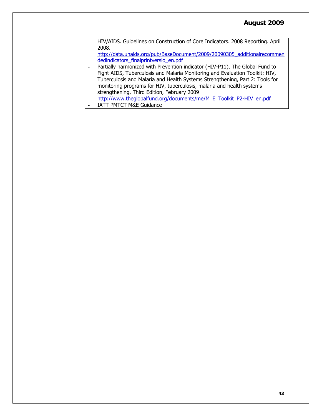| HIV/AIDS. Guidelines on Construction of Core Indicators. 2008 Reporting. April |
|--------------------------------------------------------------------------------|
| 2008.                                                                          |
| http://data.unaids.org/pub/BaseDocument/2009/20090305 additionalrecommen       |
| dedindicators finalprintversio en.pdf                                          |
| Partially harmonized with Prevention indicator (HIV-P11), The Global Fund to   |
| Fight AIDS, Tuberculosis and Malaria Monitoring and Evaluation Toolkit: HIV,   |
| Tuberculosis and Malaria and Health Systems Strengthening, Part 2: Tools for   |
| monitoring programs for HIV, tuberculosis, malaria and health systems          |
| strengthening, Third Edition, February 2009                                    |
| http://www.theglobalfund.org/documents/me/M E Toolkit P2-HIV en.pdf            |
| <b>IATT PMTCT M&amp;E Guidance</b>                                             |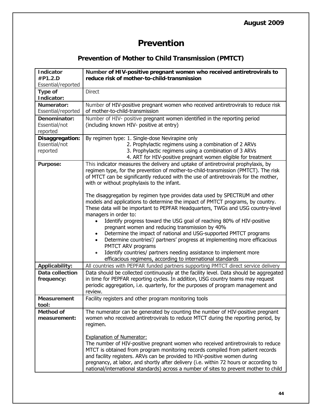## **Prevention**

## **Prevention of Mother to Child Transmission (PMTCT)**

| <b>Indicator</b><br>#P1.2.D<br>Essential/reported | Number of HIV-positive pregnant women who received antiretrovirals to<br>reduce risk of mother-to-child-transmission                                                                                                                                                                                                                                                                                                                                                  |  |
|---------------------------------------------------|-----------------------------------------------------------------------------------------------------------------------------------------------------------------------------------------------------------------------------------------------------------------------------------------------------------------------------------------------------------------------------------------------------------------------------------------------------------------------|--|
| Type of<br>Indicator:                             | <b>Direct</b>                                                                                                                                                                                                                                                                                                                                                                                                                                                         |  |
| <b>Numerator:</b><br>Essential/reported           | Number of HIV-positive pregnant women who received antiretrovirals to reduce risk<br>of mother-to-child-transmission                                                                                                                                                                                                                                                                                                                                                  |  |
| Denominator:<br>Essential/not<br>reported         | Number of HIV- positive pregnant women identified in the reporting period<br>(including known HIV- positive at entry)                                                                                                                                                                                                                                                                                                                                                 |  |
| Disaggregation:<br>Essential/not<br>reported      | By regimen type: 1. Single-dose Nevirapine only<br>2. Prophylactic regimens using a combination of 2 ARVs<br>3. Prophylactic regimens using a combination of 3 ARVs<br>4. ART for HIV-positive pregnant women eligible for treatment                                                                                                                                                                                                                                  |  |
| <b>Purpose:</b>                                   | This indicator measures the delivery and uptake of antiretroviral prophylaxis, by<br>regimen type, for the prevention of mother-to-child-transmission (PMTCT). The risk<br>of MTCT can be significantly reduced with the use of antiretrovirals for the mother,<br>with or without prophylaxis to the infant.                                                                                                                                                         |  |
|                                                   | The disaggregation by regimen type provides data used by SPECTRUM and other<br>models and applications to determine the impact of PMTCT programs, by country.<br>These data will be important to PEPFAR Headquarters, TWGs and USG country-level<br>managers in order to:<br>Identify progress toward the USG goal of reaching 80% of HIV-positive                                                                                                                    |  |
|                                                   | pregnant women and reducing transmission by 40%<br>Determine the impact of national and USG-supported PMTCT programs<br>Determine countries'/ partners' progress at implementing more efficacious<br>$\bullet$<br>PMTCT ARV programs<br>Identify countries/ partners needing assistance to implement more<br>$\bullet$<br>efficacious regimens, according to international standards                                                                                  |  |
| Applicability:                                    | All countries with PEPFAR funded partners supporting PMTCT direct service delivery                                                                                                                                                                                                                                                                                                                                                                                    |  |
| <b>Data collection</b><br>frequency:              | Data should be collected continuously at the facility level. Data should be aggregated<br>in time for PEPFAR reporting cycles. In addition, USG country teams may request<br>periodic aggregation, i.e. quarterly, for the purposes of program management and<br>review.                                                                                                                                                                                              |  |
| <b>Measurement</b><br>tool:                       | Facility registers and other program monitoring tools                                                                                                                                                                                                                                                                                                                                                                                                                 |  |
| <b>Method of</b><br>measurement:                  | The numerator can be generated by counting the number of HIV-positive pregnant<br>women who received antiretrovirals to reduce MTCT during the reporting period, by<br>regimen.                                                                                                                                                                                                                                                                                       |  |
|                                                   | <b>Explanation of Numerator:</b><br>The number of HIV-positive pregnant women who received antiretrovirals to reduce<br>MTCT is obtained from program monitoring records compiled from patient records<br>and facility registers. ARVs can be provided to HIV-positive women during<br>pregnancy, at labor, and shortly after delivery (i.e. within 72 hours or according to<br>national/international standards) across a number of sites to prevent mother to child |  |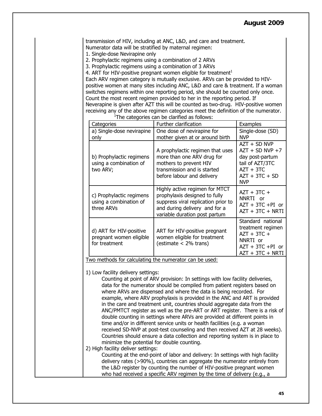transmission of HIV, including at ANC, L&D, and care and treatment. Numerator data will be stratified by maternal regimen:

1. Single-dose Nevirapine only

2. Prophylactic regimens using a combination of 2 ARVs

3. Prophylactic regimens using a combination of 3 ARVs

4. ART for HIV-positive pregnant women eligible for treatment<sup>1</sup>

Each ARV regimen category is mutually exclusive. ARVs can be provided to HIVpositive women at many sites including ANC, L&D and care & treatment. If a woman switches regimens within one reporting period, she should be counted only once. Count the most recent regimen provided to her in the reporting period. If Neverapine is given after AZT this will be counted as two-drug. HIV-positive women receiving any of the above regimen categories meet the definition of the numerator. 1

| The categories can be clarified as follows:                                                                                                                              |                                                                                                                            |  |  |
|--------------------------------------------------------------------------------------------------------------------------------------------------------------------------|----------------------------------------------------------------------------------------------------------------------------|--|--|
| Further clarification                                                                                                                                                    | Examples                                                                                                                   |  |  |
| One dose of nevirapine for<br>mother given at or around birth                                                                                                            | Single-dose (SD)<br><b>NVP</b>                                                                                             |  |  |
| A prophylactic regimen that uses<br>more than one ARV drug for<br>mothers to prevent HIV<br>transmission and is started<br>before labour and delivery                    | $AZT + SD NVP$<br>$AZT + SD NVP +7$<br>day post-partum<br>tail of AZT/3TC<br>$AZT + 3TC$<br>$AZT + 3TC + SD$<br><b>NVP</b> |  |  |
| Highly active regimen for MTCT<br>prophylaxis designed to fully<br>suppress viral replication prior to<br>and during delivery and for a<br>variable duration post partum | $AZT + 3TC +$<br>NNRTI or<br>$AZT + 3TC + PI$ or<br>$AZT + 3TC + NRTI$                                                     |  |  |
| ART for HIV-positive pregnant<br>women eligible for treatment<br>(estimate < 2% trans)                                                                                   | Standard national<br>treatment regimen<br>$AZT + 3TC +$<br>NNRTI or<br>$AZT + 3TC + PI$ or<br>$AZT + 3TC + NRTI$           |  |  |
|                                                                                                                                                                          | a) Single-dose nevirapine<br>Tuo mathada far calculating the numerator can he used.                                        |  |  |

Two methods for calculating the numerator can be used:

1) Low facility delivery settings:

Counting at point of ARV provision: In settings with low facility deliveries, data for the numerator should be compiled from patient registers based on where ARVs are dispensed and where the data is being recorded. For example, where ARV prophylaxis is provided in the ANC and ART is provided in the care and treatment unit, countries should aggregate data from the ANC/PMTCT register as well as the pre-ART or ART register. There is a risk of double counting in settings where ARVs are provided at different points in time and/or in different service units or health facilities (e.g. a woman received SD-NVP at post-test counseling and then received AZT at 28 weeks). Countries should ensure a data collection and reporting system is in place to minimize the potential for double counting.

2) High facility deliver settings:

Counting at the end-point of labor and delivery: In settings with high facility delivery rates (>90%), countries can aggregate the numerator entirely from the L&D register by counting the number of HIV-positive pregnant women who had received a specific ARV regimen by the time of delivery (e.g., a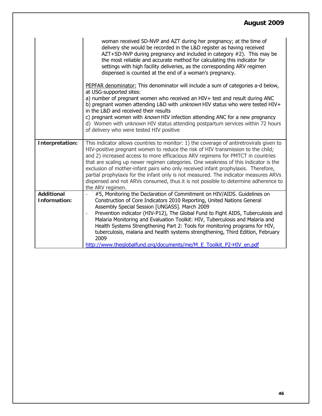|                                   | woman received SD-NVP and AZT during her pregnancy; at the time of<br>delivery she would be recorded in the L&D register as having received<br>$AZT+SD-NVP$ during pregnancy and included in category $#2$ ). This may be<br>the most reliable and accurate method for calculating this indicator for<br>settings with high facility deliveries, as the corresponding ARV regimen<br>dispensed is counted at the end of a woman's pregnancy.                                                                                                                                                                                                 |  |  |
|-----------------------------------|----------------------------------------------------------------------------------------------------------------------------------------------------------------------------------------------------------------------------------------------------------------------------------------------------------------------------------------------------------------------------------------------------------------------------------------------------------------------------------------------------------------------------------------------------------------------------------------------------------------------------------------------|--|--|
|                                   | PEPFAR denominator: This denominator will include a sum of categories a-d below,<br>at USG-supported sites:<br>a) number of pregnant women who received an HIV+ test and result during ANC<br>b) pregnant women attending L&D with <i>unknown</i> HIV status who were tested HIV+<br>in the L&D and received their results<br>c) pregnant women with <i>known</i> HIV infection attending ANC for a new pregnancy<br>d) Women with unknown HIV status attending postpartum services within 72 hours<br>of delivery who were tested HIV positive                                                                                              |  |  |
| Interpretation:                   | This indicator allows countries to monitor: 1) the coverage of antiretrovirals given to<br>HIV-positive pregnant women to reduce the risk of HIV transmission to the child;<br>and 2) increased access to more efficacious ARV regimens for PMTCT in countries<br>that are scaling up newer regimen categories. One weakness of this indicator is the<br>exclusion of mother-infant pairs who only received infant prophylaxis. Therefore,<br>partial prophylaxis for the infant only is not measured. The indicator measures ARVs<br>dispensed and not ARVs consumed, thus it is not possible to determine adherence to<br>the ARV regimen. |  |  |
| <b>Additional</b><br>Information: | #5, Monitoring the Declaration of Commitment on HIV/AIDS. Guidelines on<br>Construction of Core Indicators 2010 Reporting, United Nations General<br>Assembly Special Session [UNGASS]. March 2009<br>Prevention indicator (HIV-P12), The Global Fund to Fight AIDS, Tuberculosis and<br>$\overline{\phantom{a}}$<br>Malaria Monitoring and Evaluation Toolkit: HIV, Tuberculosis and Malaria and<br>Health Systems Strengthening Part 2: Tools for monitoring programs for HIV,<br>tuberculosis, malaria and health systems strengthening, Third Edition, February                                                                          |  |  |
|                                   | 2009<br>http://www.theglobalfund.org/documents/me/M E Toolkit P2-HIV en.pdf                                                                                                                                                                                                                                                                                                                                                                                                                                                                                                                                                                  |  |  |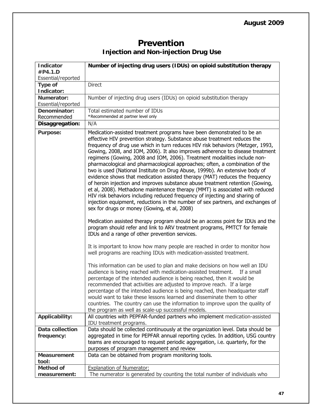## **Prevention Injection and Non-injection Drug Use**

| Indicator              | Number of injecting drug users (IDUs) on opioid substitution therapy                                                                                                                                                                                                                                                                                                                                                                                                                                                                                                                                                                                                                                                                                                                                                                                                                                                                                                                                                                                                                                                                                                                                                                                                                                                                                                                                                                                                                  |
|------------------------|---------------------------------------------------------------------------------------------------------------------------------------------------------------------------------------------------------------------------------------------------------------------------------------------------------------------------------------------------------------------------------------------------------------------------------------------------------------------------------------------------------------------------------------------------------------------------------------------------------------------------------------------------------------------------------------------------------------------------------------------------------------------------------------------------------------------------------------------------------------------------------------------------------------------------------------------------------------------------------------------------------------------------------------------------------------------------------------------------------------------------------------------------------------------------------------------------------------------------------------------------------------------------------------------------------------------------------------------------------------------------------------------------------------------------------------------------------------------------------------|
| #P4.1.D                |                                                                                                                                                                                                                                                                                                                                                                                                                                                                                                                                                                                                                                                                                                                                                                                                                                                                                                                                                                                                                                                                                                                                                                                                                                                                                                                                                                                                                                                                                       |
| Essential/reported     |                                                                                                                                                                                                                                                                                                                                                                                                                                                                                                                                                                                                                                                                                                                                                                                                                                                                                                                                                                                                                                                                                                                                                                                                                                                                                                                                                                                                                                                                                       |
| Type of<br>Indicator:  | <b>Direct</b>                                                                                                                                                                                                                                                                                                                                                                                                                                                                                                                                                                                                                                                                                                                                                                                                                                                                                                                                                                                                                                                                                                                                                                                                                                                                                                                                                                                                                                                                         |
| Numerator:             | Number of injecting drug users (IDUs) on opioid substitution therapy                                                                                                                                                                                                                                                                                                                                                                                                                                                                                                                                                                                                                                                                                                                                                                                                                                                                                                                                                                                                                                                                                                                                                                                                                                                                                                                                                                                                                  |
| Essential/reported     |                                                                                                                                                                                                                                                                                                                                                                                                                                                                                                                                                                                                                                                                                                                                                                                                                                                                                                                                                                                                                                                                                                                                                                                                                                                                                                                                                                                                                                                                                       |
| Denominator:           | Total estimated number of IDUs                                                                                                                                                                                                                                                                                                                                                                                                                                                                                                                                                                                                                                                                                                                                                                                                                                                                                                                                                                                                                                                                                                                                                                                                                                                                                                                                                                                                                                                        |
| Recommended            | *Recommended at partner level only                                                                                                                                                                                                                                                                                                                                                                                                                                                                                                                                                                                                                                                                                                                                                                                                                                                                                                                                                                                                                                                                                                                                                                                                                                                                                                                                                                                                                                                    |
| Disaggregation:        | N/A                                                                                                                                                                                                                                                                                                                                                                                                                                                                                                                                                                                                                                                                                                                                                                                                                                                                                                                                                                                                                                                                                                                                                                                                                                                                                                                                                                                                                                                                                   |
| Purpose:               | Medication-assisted treatment programs have been demonstrated to be an<br>effective HIV prevention strategy. Substance abuse treatment reduces the<br>frequency of drug use which in turn reduces HIV risk behaviors (Metzger, 1993,<br>Gowing, 2008, and IOM, 2006). It also improves adherence to disease treatment<br>regimens (Gowing, 2008 and IOM, 2006). Treatment modalities include non-<br>pharmacological and pharmacological approaches; often, a combination of the<br>two is used (National Institute on Drug Abuse, 1999b). An extensive body of<br>evidence shows that medication assisted therapy (MAT) reduces the frequency<br>of heroin injection and improves substance abuse treatment retention (Gowing,<br>et al, 2008). Methadone maintenance therapy (MMT) is associated with reduced<br>HIV risk behaviors including reduced frequency of injecting and sharing of<br>injection equipment, reductions in the number of sex partners, and exchanges of<br>sex for drugs or money (Gowing, et al, 2008)<br>Medication assisted therapy program should be an access point for IDUs and the<br>program should refer and link to ARV treatment programs, PMTCT for female<br>IDUs and a range of other prevention services.<br>It is important to know how many people are reached in order to monitor how<br>well programs are reaching IDUs with medication-assisted treatment.<br>This information can be used to plan and make decisions on how well an IDU |
|                        | audience is being reached with medication-assisted treatment.<br>If a small<br>percentage of the intended audience is being reached, then it would be<br>recommended that activities are adjusted to improve reach. If a large<br>percentage of the intended audience is being reached, then headquarter staff<br>would want to take these lessons learned and disseminate them to other<br>countries. The country can use the information to improve upon the quality of<br>the program as well as scale-up successful models.                                                                                                                                                                                                                                                                                                                                                                                                                                                                                                                                                                                                                                                                                                                                                                                                                                                                                                                                                       |
| Applicability:         | All countries with PEPFAR-funded partners who implement medication-assisted<br>IDU treatment programs.                                                                                                                                                                                                                                                                                                                                                                                                                                                                                                                                                                                                                                                                                                                                                                                                                                                                                                                                                                                                                                                                                                                                                                                                                                                                                                                                                                                |
| <b>Data collection</b> | Data should be collected continuously at the organization level. Data should be                                                                                                                                                                                                                                                                                                                                                                                                                                                                                                                                                                                                                                                                                                                                                                                                                                                                                                                                                                                                                                                                                                                                                                                                                                                                                                                                                                                                       |
| frequency:             | aggregated in time for PEPFAR annual reporting cycles. In addition, USG country                                                                                                                                                                                                                                                                                                                                                                                                                                                                                                                                                                                                                                                                                                                                                                                                                                                                                                                                                                                                                                                                                                                                                                                                                                                                                                                                                                                                       |
|                        | teams are encouraged to request periodic aggregation, i.e. quarterly, for the                                                                                                                                                                                                                                                                                                                                                                                                                                                                                                                                                                                                                                                                                                                                                                                                                                                                                                                                                                                                                                                                                                                                                                                                                                                                                                                                                                                                         |
|                        | purposes of program management and review                                                                                                                                                                                                                                                                                                                                                                                                                                                                                                                                                                                                                                                                                                                                                                                                                                                                                                                                                                                                                                                                                                                                                                                                                                                                                                                                                                                                                                             |
| <b>Measurement</b>     | Data can be obtained from program monitoring tools.                                                                                                                                                                                                                                                                                                                                                                                                                                                                                                                                                                                                                                                                                                                                                                                                                                                                                                                                                                                                                                                                                                                                                                                                                                                                                                                                                                                                                                   |
| tool:                  |                                                                                                                                                                                                                                                                                                                                                                                                                                                                                                                                                                                                                                                                                                                                                                                                                                                                                                                                                                                                                                                                                                                                                                                                                                                                                                                                                                                                                                                                                       |
| <b>Method of</b>       | <b>Explanation of Numerator:</b>                                                                                                                                                                                                                                                                                                                                                                                                                                                                                                                                                                                                                                                                                                                                                                                                                                                                                                                                                                                                                                                                                                                                                                                                                                                                                                                                                                                                                                                      |
| measurement:           | The numerator is generated by counting the total number of individuals who                                                                                                                                                                                                                                                                                                                                                                                                                                                                                                                                                                                                                                                                                                                                                                                                                                                                                                                                                                                                                                                                                                                                                                                                                                                                                                                                                                                                            |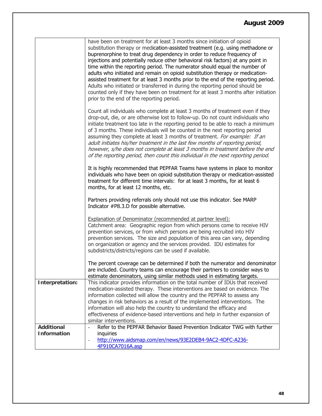|                    | have been on treatment for at least 3 months since initiation of opioid<br>substitution therapy or medication-assisted treatment (e.g. using methadone or<br>buprenorphine to treat drug dependency in order to reduce frequency of<br>injections and potentially reduce other behavioral risk factors) at any point in<br>time within the reporting period. The numerator should equal the number of<br>adults who initiated and remain on opioid substitution therapy or medication-<br>assisted treatment for at least 3 months prior to the end of the reporting period.<br>Adults who initiated or transferred in during the reporting period should be<br>counted only if they have been on treatment for at least 3 months after initiation<br>prior to the end of the reporting period. |
|--------------------|-------------------------------------------------------------------------------------------------------------------------------------------------------------------------------------------------------------------------------------------------------------------------------------------------------------------------------------------------------------------------------------------------------------------------------------------------------------------------------------------------------------------------------------------------------------------------------------------------------------------------------------------------------------------------------------------------------------------------------------------------------------------------------------------------|
|                    | Count all individuals who complete at least 3 months of treatment even if they<br>drop-out, die, or are otherwise lost to follow-up. Do not count individuals who<br>initiate treatment too late in the reporting period to be able to reach a minimum<br>of 3 months. These individuals will be counted in the next reporting period<br>assuming they complete at least 3 months of treatment. For example: If an<br>adult initiates his/her treatment in the last few months of reporting period,<br>however, s/he does not complete at least 3 months in treatment before the end<br>of the reporting period, then count this individual in the next reporting period.                                                                                                                       |
|                    | It is highly recommended that PEPFAR Teams have systems in place to monitor<br>individuals who have been on opioid substitution therapy or medication-assisted<br>treatment for different time intervals: for at least 3 months, for at least 6<br>months, for at least 12 months, etc.                                                                                                                                                                                                                                                                                                                                                                                                                                                                                                         |
|                    | Partners providing referrals only should not use this indicator. See MARP<br>Indicator #P8.3.D for possible alternative.                                                                                                                                                                                                                                                                                                                                                                                                                                                                                                                                                                                                                                                                        |
|                    | <b>Explanation of Denominator (recommended at partner level):</b><br>Catchment area: Geographic region from which persons come to receive HIV<br>prevention services, or from which persons are being recruited into HIV<br>prevention services. The size and population of this area can vary, depending<br>on organization or agency and the services provided. IDU estimates for<br>subdistricts/districts/regions can be used if available.                                                                                                                                                                                                                                                                                                                                                 |
|                    | The percent coverage can be determined if both the numerator and denominator<br>are included. Country teams can encourage their partners to consider ways to<br>estimate denominators, using similar methods used in estimating targets.                                                                                                                                                                                                                                                                                                                                                                                                                                                                                                                                                        |
| Interpretation:    | This indicator provides information on the total number of IDUs that received<br>medication-assisted therapy. These interventions are based on evidence. The<br>information collected will allow the country and the PEPFAR to assess any<br>changes in risk behaviors as a result of the implemented interventions. The<br>information will also help the country to understand the efficacy and<br>effectiveness of evidence-based interventions and help in further expansion of<br>similar interventions.                                                                                                                                                                                                                                                                                   |
| <b>Additional</b>  | Refer to the PEPFAR Behavior Based Prevention Indicator TWG with further<br>$\overline{\phantom{a}}$                                                                                                                                                                                                                                                                                                                                                                                                                                                                                                                                                                                                                                                                                            |
| <b>Information</b> | inquiries                                                                                                                                                                                                                                                                                                                                                                                                                                                                                                                                                                                                                                                                                                                                                                                       |
|                    | http://www.aidsmap.com/en/news/93E2DEB4-9AC2-4DFC-A236-<br>$\overline{\phantom{a}}$<br>4F910CA7016A.asp                                                                                                                                                                                                                                                                                                                                                                                                                                                                                                                                                                                                                                                                                         |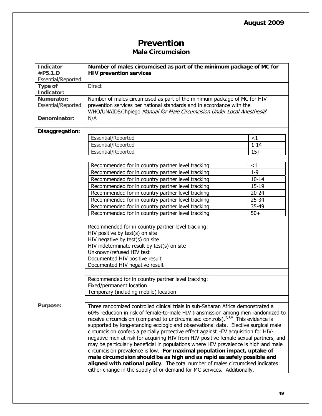## **Prevention**

## **Male Circumcision**

| <b>Indicator</b>              | Number of males circumcised as part of the minimum package of MC for                                                                                                      |           |  |  |
|-------------------------------|---------------------------------------------------------------------------------------------------------------------------------------------------------------------------|-----------|--|--|
| #P5.1.D<br>Essential/Reported | <b>HIV prevention services</b>                                                                                                                                            |           |  |  |
| Type of                       | <b>Direct</b>                                                                                                                                                             |           |  |  |
| Indicator:                    |                                                                                                                                                                           |           |  |  |
| Numerator:                    | Number of males circumcised as part of the minimum package of MC for HIV                                                                                                  |           |  |  |
| Essential/Reported            | prevention services per national standards and in accordance with the                                                                                                     |           |  |  |
|                               | WHO/UNAIDS/Jhpiego Manual for Male Circumcision Under Local Anesthesia <sup>1</sup>                                                                                       |           |  |  |
| Denominator:                  | N/A                                                                                                                                                                       |           |  |  |
| Disaggregation:               |                                                                                                                                                                           |           |  |  |
|                               | Essential/Reported                                                                                                                                                        | $<$ 1     |  |  |
|                               | Essential/Reported                                                                                                                                                        | $1 - 14$  |  |  |
|                               | Essential/Reported                                                                                                                                                        | $15+$     |  |  |
|                               |                                                                                                                                                                           |           |  |  |
|                               | Recommended for in country partner level tracking                                                                                                                         | <1        |  |  |
|                               | Recommended for in country partner level tracking                                                                                                                         | $1 - 9$   |  |  |
|                               | Recommended for in country partner level tracking                                                                                                                         | $10 - 14$ |  |  |
|                               | Recommended for in country partner level tracking                                                                                                                         | $15 - 19$ |  |  |
|                               | Recommended for in country partner level tracking                                                                                                                         | $20 - 24$ |  |  |
|                               | Recommended for in country partner level tracking                                                                                                                         | $25 - 34$ |  |  |
|                               | Recommended for in country partner level tracking                                                                                                                         | 35-49     |  |  |
|                               | Recommended for in country partner level tracking                                                                                                                         | $50+$     |  |  |
|                               |                                                                                                                                                                           |           |  |  |
|                               | Recommended for in country partner level tracking:                                                                                                                        |           |  |  |
|                               | HIV positive by test(s) on site                                                                                                                                           |           |  |  |
|                               | HIV negative by test(s) on site                                                                                                                                           |           |  |  |
|                               | HIV indeterminate result by test(s) on site                                                                                                                               |           |  |  |
|                               | Unknown/refused HIV test                                                                                                                                                  |           |  |  |
|                               | Documented HIV positive result                                                                                                                                            |           |  |  |
|                               | Documented HIV negative result                                                                                                                                            |           |  |  |
|                               |                                                                                                                                                                           |           |  |  |
|                               | Recommended for in country partner level tracking:                                                                                                                        |           |  |  |
|                               | Fixed/permanent location                                                                                                                                                  |           |  |  |
|                               | Temporary (including mobile) location                                                                                                                                     |           |  |  |
|                               |                                                                                                                                                                           |           |  |  |
| <b>Purpose:</b>               | Three randomized controlled clinical trials in sub-Saharan Africa demonstrated a                                                                                          |           |  |  |
|                               | 60% reduction in risk of female-to-male HIV transmission among men randomized to                                                                                          |           |  |  |
|                               | receive circumcision (compared to uncircumcised controls). $2,3,4$ This evidence is                                                                                       |           |  |  |
|                               | supported by long-standing ecologic and observational data. Elective surgical male<br>circumcision confers a partially protective effect against HIV acquisition for HIV- |           |  |  |
|                               | negative men at risk for acquiring HIV from HIV-positive female sexual partners, and                                                                                      |           |  |  |
|                               | may be particularly beneficial in populations where HIV prevalence is high and male                                                                                       |           |  |  |
|                               | circumcision prevalence is low. For maximal population impact, uptake of                                                                                                  |           |  |  |
|                               | male circumcision should be as high and as rapid as safely possible and                                                                                                   |           |  |  |
|                               | aligned with national policy. The total number of males circumcised indicates                                                                                             |           |  |  |
|                               | either change in the supply of or demand for MC services. Additionally,                                                                                                   |           |  |  |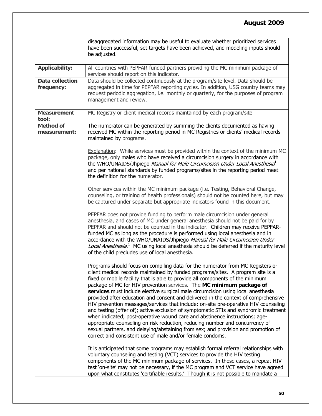|                                      | disaggregated information may be useful to evaluate whether prioritized services<br>have been successful, set targets have been achieved, and modeling inputs should<br>be adjusted.                                                                                                                                                                                                                                                                                                                                                                                                                                                                                                                                                                                                                                                                                                                                                                                                                  |
|--------------------------------------|-------------------------------------------------------------------------------------------------------------------------------------------------------------------------------------------------------------------------------------------------------------------------------------------------------------------------------------------------------------------------------------------------------------------------------------------------------------------------------------------------------------------------------------------------------------------------------------------------------------------------------------------------------------------------------------------------------------------------------------------------------------------------------------------------------------------------------------------------------------------------------------------------------------------------------------------------------------------------------------------------------|
| Applicability:                       | All countries with PEPFAR-funded partners providing the MC minimum package of<br>services should report on this indicator.                                                                                                                                                                                                                                                                                                                                                                                                                                                                                                                                                                                                                                                                                                                                                                                                                                                                            |
| <b>Data collection</b><br>frequency: | Data should be collected continuously at the program/site level. Data should be<br>aggregated in time for PEPFAR reporting cycles. In addition, USG country teams may<br>request periodic aggregation, i.e. monthly or quarterly, for the purposes of program<br>management and review.                                                                                                                                                                                                                                                                                                                                                                                                                                                                                                                                                                                                                                                                                                               |
| <b>Measurement</b><br>tool:          | MC Registry or client medical records maintained by each program/site                                                                                                                                                                                                                                                                                                                                                                                                                                                                                                                                                                                                                                                                                                                                                                                                                                                                                                                                 |
| <b>Method of</b><br>measurement:     | The numerator can be generated by summing the clients documented as having<br>received MC within the reporting period in MC Registries or clients' medical records<br>maintained by programs.                                                                                                                                                                                                                                                                                                                                                                                                                                                                                                                                                                                                                                                                                                                                                                                                         |
|                                      | Explanation: While services must be provided within the context of the minimum MC<br>package, only males who have received a circumcision surgery in accordance with<br>the WHO/UNAIDS/Jhpiego Manual for Male Circumcision Under Local Anesthesia <sup>1</sup><br>and per national standards by funded programs/sites in the reporting period meet<br>the definition for the numerator.                                                                                                                                                                                                                                                                                                                                                                                                                                                                                                                                                                                                              |
|                                      | Other services within the MC minimum package (i.e. Testing, Behavioral Change,<br>counseling, or training of health professionals) should not be counted here, but may<br>be captured under separate but appropriate indicators found in this document.                                                                                                                                                                                                                                                                                                                                                                                                                                                                                                                                                                                                                                                                                                                                               |
|                                      | PEPFAR does not provide funding to perform male circumcision under general<br>anesthesia, and cases of MC under general anesthesia should not be paid for by<br>PEPFAR and should not be counted in the indicator. Children may receive PEPFAR-<br>funded MC as long as the procedure is performed using local anesthesia and in<br>accordance with the WHO/UNAIDS/Jhpiego Manual for Male Circumcision Under<br>Local Anesthesia. <sup>1</sup> MC using local anesthesia should be deferred if the maturity level<br>of the child precludes use of local anesthesia.                                                                                                                                                                                                                                                                                                                                                                                                                                 |
|                                      | Programs should focus on compiling data for the numerator from MC Registers or<br>client medical records maintained by funded programs/sites. A program site is a<br>fixed or mobile facility that is able to provide all components of the minimum<br>package of MC for HIV prevention services. The MC minimum package of<br>services must include elective surgical male circumcision using local anesthesia<br>provided after education and consent and delivered in the context of comprehensive<br>HIV prevention messages/services that include: on-site pre-operative HIV counseling<br>and testing (offer of); active exclusion of symptomatic STIs and syndromic treatment<br>when indicated; post-operative wound care and abstinence instructions; age-<br>appropriate counseling on risk reduction, reducing number and concurrency of<br>sexual partners, and delaying/abstaining from sex; and provision and promotion of<br>correct and consistent use of male and/or female condoms. |
|                                      | It is anticipated that some programs may establish formal referral relationships with<br>voluntary counseling and testing (VCT) services to provide the HIV testing<br>components of the MC minimum package of services. In these cases, a repeat HIV<br>test 'on-site' may not be necessary, if the MC program and VCT service have agreed<br>upon what constitutes 'certifiable results.' Though it is not possible to mandate a                                                                                                                                                                                                                                                                                                                                                                                                                                                                                                                                                                    |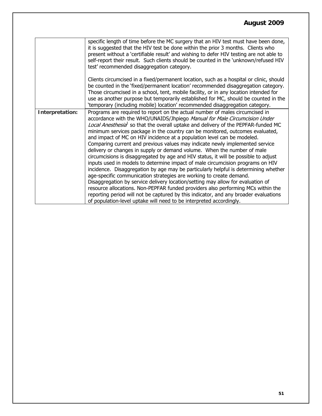|                 | specific length of time before the MC surgery that an HIV test must have been done,<br>it is suggested that the HIV test be done within the prior 3 months. Clients who<br>present without a 'certifiable result' and wishing to defer HIV testing are not able to<br>self-report their result. Such clients should be counted in the 'unknown/refused HIV<br>test' recommended disaggregation category.                                                                                                                                                                                                                                                                                                                                                                                                                                                                                                                                                                                                                                                                                                                                                                                                                                                       |
|-----------------|----------------------------------------------------------------------------------------------------------------------------------------------------------------------------------------------------------------------------------------------------------------------------------------------------------------------------------------------------------------------------------------------------------------------------------------------------------------------------------------------------------------------------------------------------------------------------------------------------------------------------------------------------------------------------------------------------------------------------------------------------------------------------------------------------------------------------------------------------------------------------------------------------------------------------------------------------------------------------------------------------------------------------------------------------------------------------------------------------------------------------------------------------------------------------------------------------------------------------------------------------------------|
|                 | Clients circumcised in a fixed/permanent location, such as a hospital or clinic, should<br>be counted in the 'fixed/permanent location' recommended disaggregation category.<br>Those circumcised in a school, tent, mobile facility, or in any location intended for<br>use as another purpose but temporarily established for MC, should be counted in the<br>'temporary (including mobile) location' recommended disaggregation category.                                                                                                                                                                                                                                                                                                                                                                                                                                                                                                                                                                                                                                                                                                                                                                                                                   |
| Interpretation: | Programs are required to report on the actual number of males circumcised in<br>accordance with the WHO/UNAIDS/Jhpiego Manual for Male Circumcision Under<br>Local Anesthesia <sup>1</sup> so that the overall uptake and delivery of the PEPFAR-funded MC<br>minimum services package in the country can be monitored, outcomes evaluated,<br>and impact of MC on HIV incidence at a population level can be modeled.<br>Comparing current and previous values may indicate newly implemented service<br>delivery or changes in supply or demand volume. When the number of male<br>circumcisions is disaggregated by age and HIV status, it will be possible to adjust<br>inputs used in models to determine impact of male circumcision programs on HIV<br>incidence. Disaggregation by age may be particularly helpful is determining whether<br>age-specific communication strategies are working to create demand.<br>Disaggregation by service delivery location/setting may allow for evaluation of<br>resource allocations. Non-PEPFAR funded providers also performing MCs within the<br>reporting period will not be captured by this indicator, and any broader evaluations<br>of population-level uptake will need to be interpreted accordingly. |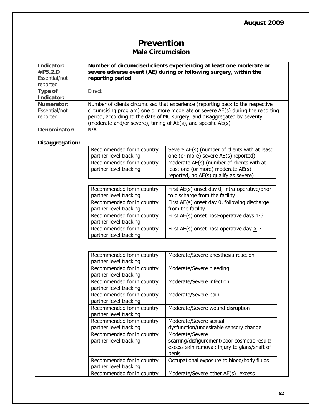## **Prevention**

### **Male Circumcision**

| Indicator:      |                                                               | Number of circumcised clients experiencing at least one moderate or             |
|-----------------|---------------------------------------------------------------|---------------------------------------------------------------------------------|
| #P5.2.D         |                                                               | severe adverse event (AE) during or following surgery, within the               |
| Essential/not   | reporting period                                              |                                                                                 |
| reported        |                                                               |                                                                                 |
| Type of         | <b>Direct</b>                                                 |                                                                                 |
| Indicator:      |                                                               |                                                                                 |
| Numerator:      |                                                               | Number of clients circumcised that experience (reporting back to the respective |
| Essential/not   |                                                               | circumcising program) one or more moderate or severe AE(s) during the reporting |
| reported        |                                                               | period, according to the date of MC surgery, and disaggregated by severity      |
|                 | (moderate and/or severe), timing of AE(s), and specific AE(s) |                                                                                 |
| Denominator:    | N/A                                                           |                                                                                 |
| Disaggregation: |                                                               |                                                                                 |
|                 | Recommended for in country                                    | Severe AE(s) (number of clients with at least                                   |
|                 | partner level tracking                                        | one (or more) severe AE(s) reported)                                            |
|                 | Recommended for in country                                    | Moderate AE(s) (number of clients with at                                       |
|                 | partner level tracking                                        | least one (or more) moderate AE(s)                                              |
|                 |                                                               | reported, no AE(s) qualify as severe)                                           |
|                 |                                                               |                                                                                 |
|                 | Recommended for in country                                    | First AE(s) onset day 0, intra-operative/prior                                  |
|                 | partner level tracking                                        | to discharge from the facility                                                  |
|                 | Recommended for in country                                    | First AE(s) onset day 0, following discharge                                    |
|                 | partner level tracking                                        | from the facility                                                               |
|                 | Recommended for in country                                    | First AE(s) onset post-operative days 1-6                                       |
|                 | partner level tracking                                        |                                                                                 |
|                 | Recommended for in country                                    | First AE(s) onset post-operative day $\geq$ 7                                   |
|                 | partner level tracking                                        |                                                                                 |
|                 |                                                               |                                                                                 |
|                 | Recommended for in country                                    | Moderate/Severe anesthesia reaction                                             |
|                 | partner level tracking                                        |                                                                                 |
|                 | Recommended for in country                                    | Moderate/Severe bleeding                                                        |
|                 | partner level tracking                                        |                                                                                 |
|                 | Recommended for in country                                    | Moderate/Severe infection                                                       |
|                 | partner level tracking                                        |                                                                                 |
|                 | Recommended for in country                                    | Moderate/Severe pain                                                            |
|                 | partner level tracking                                        |                                                                                 |
|                 | Recommended for in country                                    | Moderate/Severe wound disruption                                                |
|                 | partner level tracking                                        |                                                                                 |
|                 | Recommended for in country                                    | Moderate/Severe sexual                                                          |
|                 | partner level tracking                                        | dysfunction/undesirable sensory change                                          |
|                 | Recommended for in country                                    | Moderate/Severe                                                                 |
|                 | partner level tracking                                        | scarring/disfigurement/poor cosmetic result;                                    |
|                 |                                                               | excess skin removal; injury to glans/shaft of                                   |
|                 |                                                               | penis                                                                           |
|                 | Recommended for in country                                    | Occupational exposure to blood/body fluids                                      |
|                 | partner level tracking                                        |                                                                                 |
|                 | Recommended for in country                                    | Moderate/Severe other AE(s): excess                                             |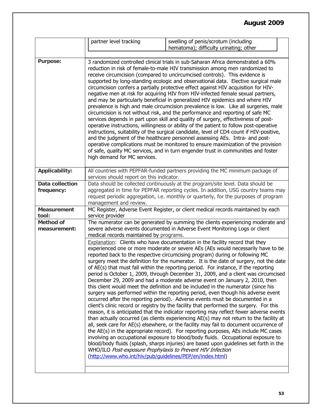|                                      | partner level tracking                                                                                                                                                                                                                                                                                                                                                                                                                                                                                                                                                                                                                                                                                                                                                                                                                                                                                                                                                                                                                                                                                                                                                                                                                                                                                                                             | swelling of penis/scrotum (including<br>hematoma); difficulty urinating; other                                                                                                                                                                                                                                                                                                                                                                                                                                                                                                                                                                                                                                                                                                                                                                                                                                                                                                                                                                                                                                                                                                                                                                                                                                                                                                                                                                                                                                         |
|--------------------------------------|----------------------------------------------------------------------------------------------------------------------------------------------------------------------------------------------------------------------------------------------------------------------------------------------------------------------------------------------------------------------------------------------------------------------------------------------------------------------------------------------------------------------------------------------------------------------------------------------------------------------------------------------------------------------------------------------------------------------------------------------------------------------------------------------------------------------------------------------------------------------------------------------------------------------------------------------------------------------------------------------------------------------------------------------------------------------------------------------------------------------------------------------------------------------------------------------------------------------------------------------------------------------------------------------------------------------------------------------------|------------------------------------------------------------------------------------------------------------------------------------------------------------------------------------------------------------------------------------------------------------------------------------------------------------------------------------------------------------------------------------------------------------------------------------------------------------------------------------------------------------------------------------------------------------------------------------------------------------------------------------------------------------------------------------------------------------------------------------------------------------------------------------------------------------------------------------------------------------------------------------------------------------------------------------------------------------------------------------------------------------------------------------------------------------------------------------------------------------------------------------------------------------------------------------------------------------------------------------------------------------------------------------------------------------------------------------------------------------------------------------------------------------------------------------------------------------------------------------------------------------------------|
| <b>Purpose:</b>                      | 3 randomized controlled clinical trials in sub-Saharan Africa demonstrated a 60%<br>reduction in risk of female-to-male HIV transmission among men randomized to<br>receive circumcision (compared to uncircumcised controls). This evidence is<br>supported by long-standing ecologic and observational data. Elective surgical male<br>circumcision confers a partially protective effect against HIV acquisition for HIV-<br>negative men at risk for acquiring HIV from HIV-infected female sexual partners,<br>and may be particularly beneficial in generalized HIV epidemics and where HIV<br>prevalence is high and male circumcision prevalence is low. Like all surgeries, male<br>circumcision is not without risk, and the performance and reporting of safe MC<br>services depends in part upon skill and quality of surgery, effectiveness of post-<br>operative instructions, willingness or ability of the patient to follow post-operative<br>instructions, suitability of the surgical candidate, level of CD4 count if HIV-positive,<br>and the judgment of the healthcare personnel assessing AEs. Intra- and post-<br>operative complications must be monitored to ensure maximization of the provision<br>of safe, quality MC services, and in turn engender trust in communities and foster<br>high demand for MC services. |                                                                                                                                                                                                                                                                                                                                                                                                                                                                                                                                                                                                                                                                                                                                                                                                                                                                                                                                                                                                                                                                                                                                                                                                                                                                                                                                                                                                                                                                                                                        |
| Applicability:                       | services should report on this indicator.                                                                                                                                                                                                                                                                                                                                                                                                                                                                                                                                                                                                                                                                                                                                                                                                                                                                                                                                                                                                                                                                                                                                                                                                                                                                                                          | All countries with PEPFAR-funded partners providing the MC minimum package of                                                                                                                                                                                                                                                                                                                                                                                                                                                                                                                                                                                                                                                                                                                                                                                                                                                                                                                                                                                                                                                                                                                                                                                                                                                                                                                                                                                                                                          |
| <b>Data collection</b><br>frequency: | management and review.                                                                                                                                                                                                                                                                                                                                                                                                                                                                                                                                                                                                                                                                                                                                                                                                                                                                                                                                                                                                                                                                                                                                                                                                                                                                                                                             | Data should be collected continuously at the program/site level. Data should be<br>aggregated in time for PEPFAR reporting cycles. In addition, USG country teams may<br>request periodic aggregation, i.e. monthly or quarterly, for the purposes of program                                                                                                                                                                                                                                                                                                                                                                                                                                                                                                                                                                                                                                                                                                                                                                                                                                                                                                                                                                                                                                                                                                                                                                                                                                                          |
| <b>Measurement</b><br>tool:          | service provider                                                                                                                                                                                                                                                                                                                                                                                                                                                                                                                                                                                                                                                                                                                                                                                                                                                                                                                                                                                                                                                                                                                                                                                                                                                                                                                                   | MC Register, Adverse Event Register, or client medical records maintained by each                                                                                                                                                                                                                                                                                                                                                                                                                                                                                                                                                                                                                                                                                                                                                                                                                                                                                                                                                                                                                                                                                                                                                                                                                                                                                                                                                                                                                                      |
| <b>Method of</b><br>measurement:     | medical records maintained by programs.                                                                                                                                                                                                                                                                                                                                                                                                                                                                                                                                                                                                                                                                                                                                                                                                                                                                                                                                                                                                                                                                                                                                                                                                                                                                                                            | The numerator can be generated by summing the clients experiencing moderate and<br>severe adverse events documented in Adverse Event Monitoring Logs or client                                                                                                                                                                                                                                                                                                                                                                                                                                                                                                                                                                                                                                                                                                                                                                                                                                                                                                                                                                                                                                                                                                                                                                                                                                                                                                                                                         |
|                                      | WHO/ILO Post-exposure Prophylaxis to Prevent HIV Infection<br>(http://www.who.int/hiv/pub/quidelines/PEP/en/index.html)                                                                                                                                                                                                                                                                                                                                                                                                                                                                                                                                                                                                                                                                                                                                                                                                                                                                                                                                                                                                                                                                                                                                                                                                                            | <b>Explanation:</b> Clients who have documentation in the facility record that they<br>experienced one or more moderate or severe AEs (AEs would necessarily have to be<br>reported back to the respective circumcising program) during or following MC<br>surgery meet the definition for the numerator. It is the date of surgery, not the date<br>of AE(s) that must fall within the reporting period. For instance, if the reporting<br>period is October 1, 2009, through December 31, 2009, and a client was circumcised<br>December 29, 2009 and had a moderate adverse event on January 2, 2010, then<br>this client would meet the definition and be included in the numerator (since his<br>surgery was performed within the reporting period, even though his adverse event<br>occurred after the reporting period). Adverse events must be documented in a<br>client's clinic record or registry by the facility that performed the surgery. For this<br>reason, it is anticipated that the indicator reporting may reflect fewer adverse events<br>than actually occurred (as clients experiencing AE(s) may not return to the facility at<br>all, seek care for AE(s) elsewhere, or the facility may fail to document occurrence of<br>the AE(s) in the appropriate record). For reporting purposes, AEs include MC cases<br>involving an occupational exposure to blood/body fluids. Occupational exposure to<br>blood/body fluids (splash, sharps injuries) are based upon guidelines set forth in the |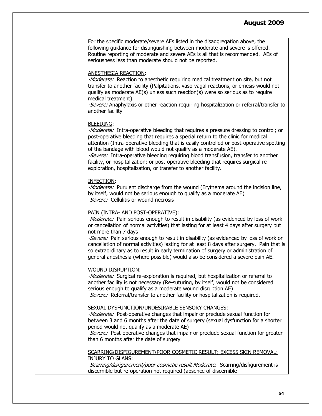For the specific moderate/severe AEs listed in the disaggregation above, the following guidance for distinguishing between moderate and severe is offered. Routine reporting of moderate and severe AEs is all that is recommended. AEs of seriousness less than moderate should not be reported.

#### ANESTHESIA REACTION:

-Moderate: Reaction to anesthetic requiring medical treatment on site, but not transfer to another facility (Palpitations, vaso-vagal reactions, or emesis would not qualify as moderate AE(s) unless such reaction(s) were so serious as to require medical treatment).

-Severe: Anaphylaxis or other reaction requiring hospitalization or referral/transfer to another facility

#### BLEEDING:

-*Moderate:* Intra-operative bleeding that requires a pressure dressing to control; or post-operative bleeding that requires a special return to the clinic for medical attention (Intra-operative bleeding that is easily controlled or post-operative spotting of the bandage with blood would not qualify as a moderate AE).

-Severe: Intra-operative bleeding requiring blood transfusion, transfer to another facility, or hospitalization; or post-operative bleeding that requires surgical reexploration, hospitalization, or transfer to another facility.

#### INFECTION:

-Moderate: Purulent discharge from the wound (Erythema around the incision line, by itself, would not be serious enough to qualify as a moderate AE) -Severe: Cellulitis or wound necrosis

#### PAIN (INTRA- AND POST-OPERATIVE):

-Moderate: Pain serious enough to result in disability (as evidenced by loss of work or cancellation of normal activities) that lasting for at least 4 days after surgery but not more than 7 days

-Severe: Pain serious enough to result in disability (as evidenced by loss of work or cancellation of normal activities) lasting for at least 8 days after surgery. Pain that is so extraordinary as to result in early termination of surgery or administration of general anesthesia (where possible) would also be considered a severe pain AE.

#### WOUND DISRUPTION:

-Moderate: Surgical re-exploration is required, but hospitalization or referral to another facility is not necessary (Re-suturing, by itself, would not be considered serious enough to qualify as a moderate wound disruption AE) -Severe: Referral/transfer to another facility or hospitalization is required.

#### SEXUAL DYSFUNCTION/UNDESIRABLE SENSORY CHANGES:

-Moderate: Post-operative changes that impair or preclude sexual function for between 3 and 6 months after the date of surgery (sexual dysfunction for a shorter period would not qualify as a moderate AE)

-Severe: Post-operative changes that impair or preclude sexual function for greater than 6 months after the date of surgery

#### SCARRING/DISFIGUREMENT/POOR COSMETIC RESULT; EXCESS SKIN REMOVAL; INJURY TO GLANS:

-Scarring/disfigurement/poor cosmetic result Moderate: Scarring/disfigurement is discernible but re-operation not required (absence of discernible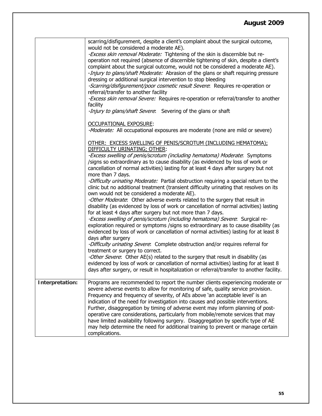|                 | scarring/disfigurement, despite a client's complaint about the surgical outcome,<br>would not be considered a moderate AE).<br>-Excess skin removal Moderate: Tightening of the skin is discernible but re-<br>operation not required (absence of discernible tightening of skin, despite a client's<br>complaint about the surgical outcome, would not be considered a moderate AE).<br>-Injury to glans/shaft Moderate: Abrasion of the glans or shaft requiring pressure<br>dressing or additional surgical intervention to stop bleeding<br>-Scarring/disfigurement/poor cosmetic result Severe: Requires re-operation or<br>referral/transfer to another facility<br>-Excess skin removal Severe: Requires re-operation or referral/transfer to another<br>facility<br>-Injury to glans/shaft Severe: Severing of the glans or shaft                                                                                                                                                                                                                                                                                                                                                                                                                                                                                                                                                                                                                                                                                                      |
|-----------------|------------------------------------------------------------------------------------------------------------------------------------------------------------------------------------------------------------------------------------------------------------------------------------------------------------------------------------------------------------------------------------------------------------------------------------------------------------------------------------------------------------------------------------------------------------------------------------------------------------------------------------------------------------------------------------------------------------------------------------------------------------------------------------------------------------------------------------------------------------------------------------------------------------------------------------------------------------------------------------------------------------------------------------------------------------------------------------------------------------------------------------------------------------------------------------------------------------------------------------------------------------------------------------------------------------------------------------------------------------------------------------------------------------------------------------------------------------------------------------------------------------------------------------------------|
|                 | <b>OCCUPATIONAL EXPOSURE:</b><br>-Moderate: All occupational exposures are moderate (none are mild or severe)                                                                                                                                                                                                                                                                                                                                                                                                                                                                                                                                                                                                                                                                                                                                                                                                                                                                                                                                                                                                                                                                                                                                                                                                                                                                                                                                                                                                                                  |
|                 | OTHER: EXCESS SWELLING OF PENIS/SCROTUM (INCLUDING HEMATOMA);<br>DIFFICULTY URINATING; OTHER:<br>-Excess swelling of penis/scrotum (including hematoma) Moderate: Symptoms<br>/signs so extraordinary as to cause disability (as evidenced by loss of work or<br>cancellation of normal activities) lasting for at least 4 days after surgery but not<br>more than 7 days.<br>-Difficulty urinating Moderate: Partial obstruction requiring a special return to the<br>clinic but no additional treatment (transient difficulty urinating that resolves on its<br>own would not be considered a moderate AE).<br>-Other Moderate: Other adverse events related to the surgery that result in<br>disability (as evidenced by loss of work or cancellation of normal activities) lasting<br>for at least 4 days after surgery but not more than 7 days.<br>-Excess swelling of penis/scrotum (including hematoma) Severe: Surgical re-<br>exploration required or symptoms / signs so extraordinary as to cause disability (as<br>evidenced by loss of work or cancellation of normal activities) lasting for at least 8<br>days after surgery<br>-Difficulty urinating Severe: Complete obstruction and/or requires referral for<br>treatment or surgery to correct.<br>-Other Severe: Other AE(s) related to the surgery that result in disability (as<br>evidenced by loss of work or cancellation of normal activities) lasting for at least 8<br>days after surgery, or result in hospitalization or referral/transfer to another facility. |
| Interpretation: | Programs are recommended to report the number clients experiencing moderate or<br>severe adverse events to allow for monitoring of safe, quality service provision.<br>Frequency and frequency of severity, of AEs above 'an acceptable level' is an<br>indication of the need for investigation into causes and possible interventions.<br>Further, disaggregation by timing of adverse event may inform planning of post-<br>operative care considerations, particularly from mobile/remote services that may<br>have limited availability following surgery. Disaggregation by specific type of AE<br>may help determine the need for additional training to prevent or manage certain<br>complications.                                                                                                                                                                                                                                                                                                                                                                                                                                                                                                                                                                                                                                                                                                                                                                                                                                    |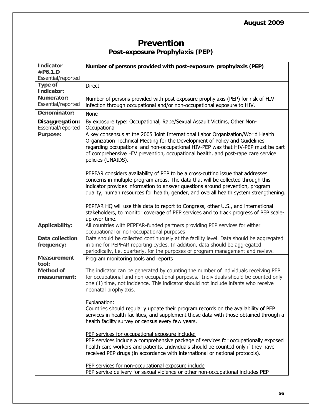## **Prevention Post-exposure Prophylaxis (PEP)**

| <b>Indicator</b>                      | Number of persons provided with post-exposure prophylaxis (PEP)                                                                                                                                                                                                                                                                                               |
|---------------------------------------|---------------------------------------------------------------------------------------------------------------------------------------------------------------------------------------------------------------------------------------------------------------------------------------------------------------------------------------------------------------|
| #P6.1.D<br>Essential/reported         |                                                                                                                                                                                                                                                                                                                                                               |
| Type of                               | <b>Direct</b>                                                                                                                                                                                                                                                                                                                                                 |
| Indicator:                            |                                                                                                                                                                                                                                                                                                                                                               |
| Numerator:                            | Number of persons provided with post-exposure prophylaxis (PEP) for risk of HIV                                                                                                                                                                                                                                                                               |
| Essential/reported                    | infection through occupational and/or non-occupational exposure to HIV.                                                                                                                                                                                                                                                                                       |
| Denominator:                          | None                                                                                                                                                                                                                                                                                                                                                          |
| Disaggregation:<br>Essential/reported | By exposure type: Occupational, Rape/Sexual Assault Victims, Other Non-<br>Occupational                                                                                                                                                                                                                                                                       |
| Purpose:                              | A key consensus at the 2005 Joint International Labor Organization/World Health<br>Organization Technical Meeting for the Development of Policy and Guidelines<br>regarding occupational and non-occupational HIV-PEP was that HIV-PEP must be part<br>of comprehensive HIV prevention, occupational health, and post-rape care service<br>policies (UNAIDS). |
|                                       | PEPFAR considers availability of PEP to be a cross-cutting issue that addresses<br>concerns in multiple program areas. The data that will be collected through this<br>indicator provides information to answer questions around prevention, program<br>quality, human resources for health, gender, and overall health system strengthening.                 |
|                                       | PEPFAR HQ will use this data to report to Congress, other U.S., and international<br>stakeholders, to monitor coverage of PEP services and to track progress of PEP scale-<br>up over time.                                                                                                                                                                   |
| Applicability:                        | All countries with PEPFAR-funded partners providing PEP services for either<br>occupational or non-occupational purposes                                                                                                                                                                                                                                      |
| <b>Data collection</b><br>frequency:  | Data should be collected continuously at the facility level. Data should be aggregated<br>in time for PEPFAR reporting cycles. In addition, data should be aggregated<br>periodically, i.e. quarterly, for the purposes of program management and review.                                                                                                     |
| <b>Measurement</b>                    | Program monitoring tools and reports                                                                                                                                                                                                                                                                                                                          |
| tool:<br><b>Method of</b>             | The indicator can be generated by counting the number of individuals receiving PEP                                                                                                                                                                                                                                                                            |
| measurement:                          | for occupational and non-occupational purposes. Individuals should be counted only<br>one (1) time, not incidence. This indicator should not include infants who receive<br>neonatal prophylaxis.                                                                                                                                                             |
|                                       | Explanation:<br>Countries should regularly update their program records on the availability of PEP<br>services in health facilities, and supplement these data with those obtained through a<br>health facility survey or census every few years.                                                                                                             |
|                                       | PEP services for occupational exposure include:<br>PEP services include a comprehensive package of services for occupationally exposed<br>health care workers and patients. Individuals should be counted only if they have<br>received PEP drugs (in accordance with international or national protocols).                                                   |
|                                       | PEP services for non-occupational exposure include<br>PEP service delivery for sexual violence or other non-occupational includes PEP                                                                                                                                                                                                                         |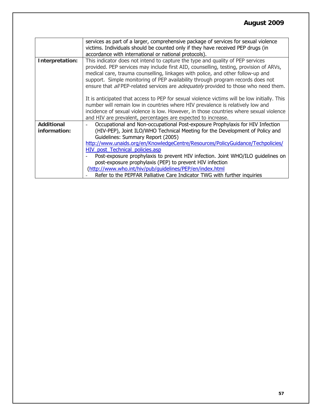|                   | services as part of a larger, comprehensive package of services for sexual violence                                                                                                                                                                                                                                                                                                                                                           |
|-------------------|-----------------------------------------------------------------------------------------------------------------------------------------------------------------------------------------------------------------------------------------------------------------------------------------------------------------------------------------------------------------------------------------------------------------------------------------------|
|                   | victims. Individuals should be counted only if they have received PEP drugs (in                                                                                                                                                                                                                                                                                                                                                               |
|                   | accordance with international or national protocols).                                                                                                                                                                                                                                                                                                                                                                                         |
| Interpretation:   | This indicator does not intend to capture the type and quality of PEP services<br>provided. PEP services may include first AID, counselling, testing, provision of ARVs,<br>medical care, trauma counselling, linkages with police, and other follow-up and<br>support. Simple monitoring of PEP availability through program records does not<br>ensure that all PEP-related services are <i>adequately</i> provided to those who need them. |
|                   | It is anticipated that access to PEP for sexual violence victims will be low initially. This<br>number will remain low in countries where HIV prevalence is relatively low and<br>incidence of sexual violence is low. However, in those countries where sexual violence<br>and HIV are prevalent, percentages are expected to increase.                                                                                                      |
| <b>Additional</b> | Occupational and Non-occupational Post-exposure Prophylaxis for HIV Infection                                                                                                                                                                                                                                                                                                                                                                 |
| information:      | (HIV-PEP), Joint ILO/WHO Technical Meeting for the Development of Policy and                                                                                                                                                                                                                                                                                                                                                                  |
|                   | Guidelines: Summary Report (2005)                                                                                                                                                                                                                                                                                                                                                                                                             |
|                   | http://www.unaids.org/en/KnowledgeCentre/Resources/PolicyGuidance/Techpolicies/                                                                                                                                                                                                                                                                                                                                                               |
|                   | <b>HIV post Technical policies.asp</b>                                                                                                                                                                                                                                                                                                                                                                                                        |
|                   | Post-exposure prophylaxis to prevent HIV infection. Joint WHO/ILO guidelines on                                                                                                                                                                                                                                                                                                                                                               |
|                   | post-exposure prophylaxis (PEP) to prevent HIV infection                                                                                                                                                                                                                                                                                                                                                                                      |
|                   | (http://www.who.int/hiv/pub/guidelines/PEP/en/index.html                                                                                                                                                                                                                                                                                                                                                                                      |
|                   | Refer to the PEPFAR Palliative Care Indicator TWG with further inquiries                                                                                                                                                                                                                                                                                                                                                                      |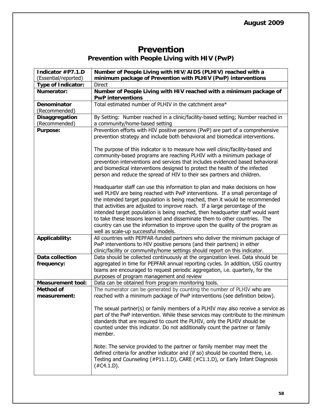## **Prevention Prevention with People Living with HIV (PwP)**

| Indicator #P7.1.D         | Number of People Living with HIV/AIDS (PLHIV) reached with a                                                                                                                                                                                                                                                                                                                                                                                                                                                                                                                                                          |
|---------------------------|-----------------------------------------------------------------------------------------------------------------------------------------------------------------------------------------------------------------------------------------------------------------------------------------------------------------------------------------------------------------------------------------------------------------------------------------------------------------------------------------------------------------------------------------------------------------------------------------------------------------------|
| (Essential/reported)      | minimum package of Prevention with PLHIV (PwP) interventions                                                                                                                                                                                                                                                                                                                                                                                                                                                                                                                                                          |
| <b>Type of Indicator:</b> | <b>Direct</b>                                                                                                                                                                                                                                                                                                                                                                                                                                                                                                                                                                                                         |
| Numerator:                | Number of People Living with HIV reached with a minimum package of                                                                                                                                                                                                                                                                                                                                                                                                                                                                                                                                                    |
|                           | <b>PwP interventions</b>                                                                                                                                                                                                                                                                                                                                                                                                                                                                                                                                                                                              |
| Denominator               | Total estimated number of PLHIV in the catchment area*                                                                                                                                                                                                                                                                                                                                                                                                                                                                                                                                                                |
| (Recommended)             |                                                                                                                                                                                                                                                                                                                                                                                                                                                                                                                                                                                                                       |
| Disaggregation            | By Setting: Number reached in a clinic/facility-based setting; Number reached in                                                                                                                                                                                                                                                                                                                                                                                                                                                                                                                                      |
| (Recommended)             | a community/home-based setting                                                                                                                                                                                                                                                                                                                                                                                                                                                                                                                                                                                        |
| <b>Purpose:</b>           | Prevention efforts with HIV positive persons (PwP) are part of a comprehensive<br>prevention strategy and include both behavioral and biomedical interventions.                                                                                                                                                                                                                                                                                                                                                                                                                                                       |
|                           | The purpose of this indicator is to measure how well clinic/facility-based and<br>community-based programs are reaching PLHIV with a minimum package of<br>prevention interventions and services that includes evidenced based behavioral<br>and biomedical interventions designed to protect the health of the infected<br>person and reduce the spread of HIV to their sex partners and children.                                                                                                                                                                                                                   |
|                           | Headquarter staff can use this information to plan and make decisions on how<br>well PLHIV are being reached with PwP interventions. If a small percentage of<br>the intended target population is being reached, then it would be recommended<br>that activities are adjusted to improve reach. If a large percentage of the<br>intended target population is being reached, then headquarter staff would want<br>to take these lessons learned and disseminate them to other countries. The<br>country can use the information to improve upon the quality of the program as<br>well as scale-up successful models. |
| Applicability:            | All countries with PEPFAR-funded partners who deliver the minimum package of<br>PwP interventions to HIV positive persons (and their partners) in either<br>clinic/facility or community/home settings should report on this indicator.                                                                                                                                                                                                                                                                                                                                                                               |
| Data collection           | Data should be collected continuously at the organization level. Data should be                                                                                                                                                                                                                                                                                                                                                                                                                                                                                                                                       |
| frequency:                | aggregated in time for PEPFAR annual reporting cycles. In addition, USG country<br>teams are encouraged to request periodic aggregation, i.e. quarterly, for the<br>purposes of program management and review                                                                                                                                                                                                                                                                                                                                                                                                         |
| <b>Measurement tool:</b>  | Data can be obtained from program monitoring tools.                                                                                                                                                                                                                                                                                                                                                                                                                                                                                                                                                                   |
| Method of                 | The numerator can be generated by counting the number of PLHIV who are                                                                                                                                                                                                                                                                                                                                                                                                                                                                                                                                                |
| measurement:              | reached with a minimum package of PwP interventions (see definition below).                                                                                                                                                                                                                                                                                                                                                                                                                                                                                                                                           |
|                           | The sexual partner(s) or family members of a PLHIV may also receive a service as<br>part of the PwP intervention. While these services may contribute to the minimum<br>standards that are required to count the PLHIV, only the PLHIV should be<br>counted under this indicator. Do not additionally count the partner or family<br>member.<br>Note: The service provided to the partner or family member may meet the<br>defined criteria for another indicator and (if so) should be counted there, i.e.<br>Testing and Counseling (#P11.1.D), CARE (#C1.1.D), or Early Infant Diagnosis<br>$(\#C4.1.D).$          |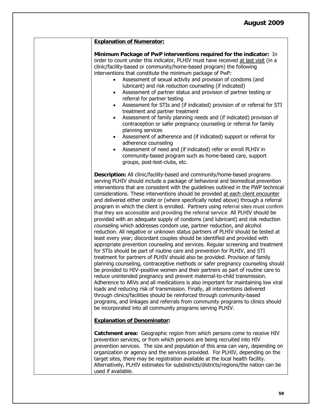#### **Explanation of Numerator:**

**Minimum Package of PwP interventions required for the indicator:** In order to count under this indicator, PLHIV must have received at last visit (in a clinic/facility-based or community/home-based program) the following interventions that constitute the minimum package of PwP:

- Assessment of sexual activity and provision of condoms (and lubricant) and risk reduction counseling (if indicated)
- Assessment of partner status and provision of partner testing or referral for partner testing
- Assessment for STIs and (if indicated) provision of or referral for STI treatment and partner treatment
- Assessment of family planning needs and (if indicated) provision of contraception or safer pregnancy counseling or referral for family planning services
- Assessment of adherence and (if indicated) support or referral for adherence counseling
- Assessment of need and (if indicated) refer or enroll PLHIV in community-based program such as home-based care, support groups, post-test-clubs, etc.

**Description:** All clinic/facility-based and community/home-based programs serving PLHIV should include a package of behavioral and biomedical prevention interventions that are consistent with the guidelines outlined in the PWP technical considerations. These interventions should be provided at each client encounter and delivered either onsite or (where specifically noted above) through a referral program in which the client is enrolled. Partners using referral sites must confirm that they are accessible and providing the referral service. All PLHIV should be provided with an adequate supply of condoms (and lubricant) and risk reduction counseling which addresses condom use, partner reduction, and alcohol reduction. All negative or unknown status partners of PLHIV should be tested at least every year; discordant couples should be identified and provided with appropriate prevention counseling and services. Regular screening and treatment for STIs should be part of routine care and prevention for PLHIV, and STI treatment for partners of PLHIV should also be provided. Provision of family planning counseling, contraceptive methods or safer pregnancy counseling should be provided to HIV–positive women and their partners as part of routine care to reduce unintended pregnancy and prevent maternal-to-child transmission. Adherence to ARVs and all medications is also important for maintaining low viral loads and reducing risk of transmission. Finally, all interventions delivered through clinics/facilities should be reinforced through community-based programs, and linkages and referrals from community programs to clinics should be incorporated into all community programs serving PLHIV.

#### **Explanation of Denominator:**

**Catchment area:** Geographic region from which persons come to receive HIV prevention services, or from which persons are being recruited into HIV prevention services. The size and population of this area can vary, depending on organization or agency and the services provided. For PLHIV, depending on the target sites, there may be registration available at the local health facility. Alternatively, PLHIV estimates for subdistricts/districts/regions/the nation can be used if available.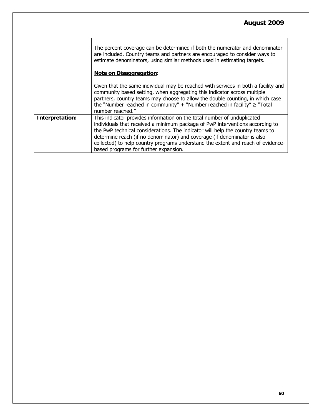|                 | The percent coverage can be determined if both the numerator and denominator<br>are included. Country teams and partners are encouraged to consider ways to<br>estimate denominators, using similar methods used in estimating targets.                                                                                                                                                                                                             |
|-----------------|-----------------------------------------------------------------------------------------------------------------------------------------------------------------------------------------------------------------------------------------------------------------------------------------------------------------------------------------------------------------------------------------------------------------------------------------------------|
|                 | <b>Note on Disaggregation:</b>                                                                                                                                                                                                                                                                                                                                                                                                                      |
|                 | Given that the same individual may be reached with services in both a facility and<br>community based setting, when aggregating this indicator across multiple<br>partners, country teams may choose to allow the double counting, in which case<br>the "Number reached in community" + "Number reached in facility" $\ge$ "Total<br>number reached."                                                                                               |
| Interpretation: | This indicator provides information on the total number of unduplicated<br>individuals that received a minimum package of PwP interventions according to<br>the PwP technical considerations. The indicator will help the country teams to<br>determine reach (if no denominator) and coverage (if denominator is also<br>collected) to help country programs understand the extent and reach of evidence-<br>based programs for further expansion. |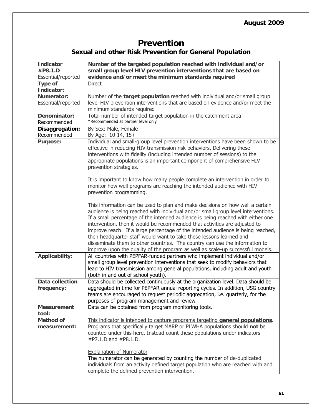## **Prevention**

## **Sexual and other Risk Prevention for General Population**

| <b>Indicator</b><br>#P8.1.D    | Number of the targeted population reached with individual and/or<br>small group level HIV prevention interventions that are based on                                                                                                                                                                                                                                                                                                                                                                                                                                                                                                                           |
|--------------------------------|----------------------------------------------------------------------------------------------------------------------------------------------------------------------------------------------------------------------------------------------------------------------------------------------------------------------------------------------------------------------------------------------------------------------------------------------------------------------------------------------------------------------------------------------------------------------------------------------------------------------------------------------------------------|
| Essential/reported             | evidence and/or meet the minimum standards required                                                                                                                                                                                                                                                                                                                                                                                                                                                                                                                                                                                                            |
| Type of                        | <b>Direct</b>                                                                                                                                                                                                                                                                                                                                                                                                                                                                                                                                                                                                                                                  |
| Indicator:                     |                                                                                                                                                                                                                                                                                                                                                                                                                                                                                                                                                                                                                                                                |
| Numerator:                     | Number of the target population reached with individual and/or small group                                                                                                                                                                                                                                                                                                                                                                                                                                                                                                                                                                                     |
| Essential/reported             | level HIV prevention interventions that are based on evidence and/or meet the                                                                                                                                                                                                                                                                                                                                                                                                                                                                                                                                                                                  |
|                                | minimum standards required                                                                                                                                                                                                                                                                                                                                                                                                                                                                                                                                                                                                                                     |
| Denominator:<br>Recommended    | Total number of intended target population in the catchment area<br>*Recommended at partner level only                                                                                                                                                                                                                                                                                                                                                                                                                                                                                                                                                         |
| Disaggregation:<br>Recommended | By Sex: Male, Female<br>By Age: 10-14, 15+                                                                                                                                                                                                                                                                                                                                                                                                                                                                                                                                                                                                                     |
| <b>Purpose:</b>                | Individual and small-group level prevention interventions have been shown to be<br>effective in reducing HIV transmission risk behaviors. Delivering these<br>interventions with fidelity (including intended number of sessions) to the<br>appropriate populations is an important component of comprehensive HIV<br>prevention strategies.                                                                                                                                                                                                                                                                                                                   |
|                                | It is important to know how many people complete an intervention in order to<br>monitor how well programs are reaching the intended audience with HIV<br>prevention programming.                                                                                                                                                                                                                                                                                                                                                                                                                                                                               |
|                                | This information can be used to plan and make decisions on how well a certain<br>audience is being reached with individual and/or small group level interventions.<br>If a small percentage of the intended audience is being reached with either one<br>intervention, then it would be recommended that activities are adjusted to<br>improve reach. If a large percentage of the intended audience is being reached,<br>then headquarter staff would want to take these lessons learned and<br>disseminate them to other countries. The country can use the information to<br>improve upon the quality of the program as well as scale-up successful models. |
| Applicability:                 | All countries with PEPFAR-funded partners who implement individual and/or<br>small group level prevention interventions that seek to modify behaviors that<br>lead to HIV transmission among general populations, including adult and youth<br>(both in and out of school youth).                                                                                                                                                                                                                                                                                                                                                                              |
| <b>Data collection</b>         | Data should be collected continuously at the organization level. Data should be                                                                                                                                                                                                                                                                                                                                                                                                                                                                                                                                                                                |
| frequency:                     | aggregated in time for PEPFAR annual reporting cycles. In addition, USG country<br>teams are encouraged to request periodic aggregation, i.e. quarterly, for the                                                                                                                                                                                                                                                                                                                                                                                                                                                                                               |
|                                | purposes of program management and review                                                                                                                                                                                                                                                                                                                                                                                                                                                                                                                                                                                                                      |
| <b>Measurement</b>             | Data can be obtained from program monitoring tools.                                                                                                                                                                                                                                                                                                                                                                                                                                                                                                                                                                                                            |
| tool:                          |                                                                                                                                                                                                                                                                                                                                                                                                                                                                                                                                                                                                                                                                |
| <b>Method of</b>               | This indicator is intended to capture programs targeting general populations.                                                                                                                                                                                                                                                                                                                                                                                                                                                                                                                                                                                  |
| measurement:                   | Programs that specifically target MARP or PLWHA populations should not be<br>counted under this here. Instead count these populations under indicators<br>#P7.1.D and #P8.1.D.                                                                                                                                                                                                                                                                                                                                                                                                                                                                                 |
|                                | <b>Explanation of Numerator</b><br>The numerator can be generated by counting the number of de-duplicated                                                                                                                                                                                                                                                                                                                                                                                                                                                                                                                                                      |
|                                | individuals from an activity defined target population who are reached with and<br>complete the defined prevention intervention.                                                                                                                                                                                                                                                                                                                                                                                                                                                                                                                               |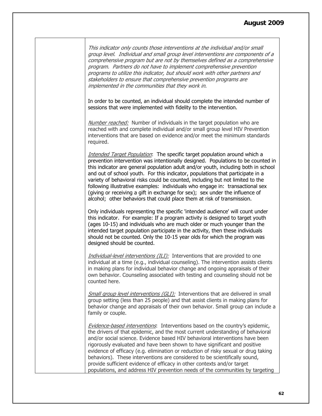This indicator only counts those interventions at the individual and/or small group level. Individual and small group level interventions are components of a comprehensive program but are not by themselves defined as a comprehensive program. Partners do not have to implement comprehensive prevention programs to utilize this indicator, but should work with other partners and stakeholders to ensure that comprehensive prevention programs are implemented in the communities that they work in.

In order to be counted, an individual should complete the intended number of sessions that were implemented with fidelity to the intervention.

Number reached: Number of individuals in the target population who are reached with and complete individual and/or small group level HIV Prevention interventions that are based on evidence and/or meet the minimum standards required.

Intended Target Population: The specific target population around which a prevention intervention was intentionally designed. Populations to be counted in this indicator are general population adult and/or youth, including both in school and out of school youth. For this indicator, populations that participate in a variety of behavioral risks could be counted, including but not limited to the following illustrative examples: individuals who engage in: transactional sex (giving or receiving a gift in exchange for sex); sex under the influence of alcohol; other behaviors that could place them at risk of transmission.

Only individuals representing the specific 'intended audience' will count under this indicator. For example: If a program activity is designed to target youth (ages 10-15) and individuals who are much older or much younger than the intended target population participate in the activity, then these individuals should not be counted. Only the 10-15 year olds for which the program was designed should be counted.

Individual-level interventions (ILI): Interventions that are provided to one individual at a time (e.g., individual counseling). The intervention assists clients in making plans for individual behavior change and ongoing appraisals of their own behavior. Counseling associated with testing and counseling should not be counted here.

Small group level interventions (GLI): Interventions that are delivered in small group setting (less than 25 people) and that assist clients in making plans for behavior change and appraisals of their own behavior. Small group can include a family or couple.

**Evidence-based interventions:** Interventions based on the country's epidemic, the drivers of that epidemic, and the most current understanding of behavioral and/or social science. Evidence based HIV behavioral interventions have been rigorously evaluated and have been shown to have significant and positive evidence of efficacy (e.g. elimination or reduction of risky sexual or drug taking behaviors). These interventions are considered to be scientifically sound, provide sufficient evidence of efficacy in other contexts and/or target populations, and address HIV prevention needs of the communities by targeting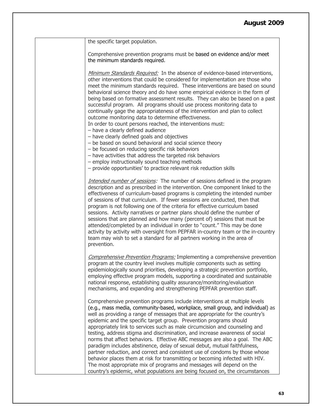the specific target population.

Comprehensive prevention programs must be based on evidence and/or meet the minimum standards required.

Minimum Standards Required: In the absence of evidence-based interventions, other interventions that could be considered for implementation are those who meet the minimum standards required. These interventions are based on sound behavioral science theory and do have some empirical evidence in the form of being based on formative assessment results. They can also be based on a past successful program. All programs should use process monitoring data to continually gage the appropriateness of the intervention and plan to collect outcome monitoring data to determine effectiveness.

In order to count persons reached, the interventions must:

- have a clearly defined audience
- have clearly defined goals and objectives
- be based on sound behavioral and social science theory
- be focused on reducing specific risk behaviors
- have activities that address the targeted risk behaviors
- employ instructionally sound teaching methods
- provide opportunities' to practice relevant risk reduction skills

Intended number of sessions: The number of sessions defined in the program description and as prescribed in the intervention. One component linked to the effectiveness of curriculum-based programs is completing the intended number of sessions of that curriculum. If fewer sessions are conducted, then that program is not following one of the criteria for effective curriculum based sessions. Activity narratives or partner plans should define the number of sessions that are planned and how many (percent of) sessions that must be attended/completed by an individual in order to "count." This may be done activity by activity with oversight from PEPFAR in-country team or the in-country team may wish to set a standard for all partners working in the area of prevention.

Comprehensive Prevention Programs: Implementing a comprehensive prevention program at the country level involves multiple components such as setting epidemiologically sound priorities, developing a strategic prevention portfolio, employing effective program models, supporting a coordinated and sustainable national response, establishing quality assurance/monitoring/evaluation mechanisms, and expanding and strengthening PEPFAR prevention staff.

Comprehensive prevention programs include interventions at multiple levels (e.g., mass media, community-based, workplace, small group, and individual) as well as providing a range of messages that are appropriate for the country's epidemic and the specific target group. Prevention programs should appropriately link to services such as male circumcision and counseling and testing, address stigma and discrimination, and increase awareness of social norms that affect behaviors. Effective ABC messages are also a goal. The ABC paradigm includes abstinence, delay of sexual debut, mutual faithfulness, partner reduction, and correct and consistent use of condoms by those whose behavior places them at risk for transmitting or becoming infected with HIV. The most appropriate mix of programs and messages will depend on the country's epidemic, what populations are being focused on, the circumstances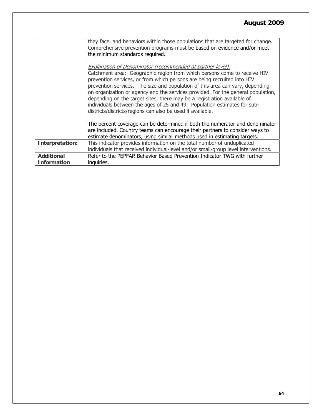|                    | they face, and behaviors within those populations that are targeted for change.<br>Comprehensive prevention programs must be based on evidence and/or meet<br>the minimum standards required.                                                                                                                                                                                                                                                                                                                                                                                                               |
|--------------------|-------------------------------------------------------------------------------------------------------------------------------------------------------------------------------------------------------------------------------------------------------------------------------------------------------------------------------------------------------------------------------------------------------------------------------------------------------------------------------------------------------------------------------------------------------------------------------------------------------------|
|                    | Explanation of Denominator (recommended at partner level):<br>Catchment area: Geographic region from which persons come to receive HIV<br>prevention services, or from which persons are being recruited into HIV<br>prevention services. The size and population of this area can vary, depending<br>on organization or agency and the services provided. For the general population,<br>depending on the target sites, there may be a registration available of<br>individuals between the ages of 25 and 49. Population estimates for sub-<br>districts/districts/regions can also be used if available. |
|                    | The percent coverage can be determined if both the numerator and denominator<br>are included. Country teams can encourage their partners to consider ways to<br>estimate denominators, using similar methods used in estimating targets.                                                                                                                                                                                                                                                                                                                                                                    |
| Interpretation:    | This indicator provides information on the total number of unduplicated                                                                                                                                                                                                                                                                                                                                                                                                                                                                                                                                     |
|                    | individuals that received individual-level and/or small-group level interventions.                                                                                                                                                                                                                                                                                                                                                                                                                                                                                                                          |
| <b>Additional</b>  | Refer to the PEPFAR Behavior Based Prevention Indicator TWG with further                                                                                                                                                                                                                                                                                                                                                                                                                                                                                                                                    |
| <b>Information</b> | inquiries.                                                                                                                                                                                                                                                                                                                                                                                                                                                                                                                                                                                                  |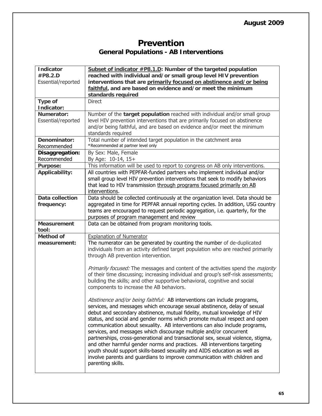## **Prevention General Populations - AB Interventions**

| <b>Indicator</b><br>#P8.2.D<br>Essential/reported | Subset of indicator #P8.1.D: Number of the targeted population<br>reached with individual and/or small group level HIV prevention<br>interventions that are primarily focused on abstinence and/or being                                                                                                                                                                                                                                                                                                                                                                                                                                                                                                                                                                                                         |
|---------------------------------------------------|------------------------------------------------------------------------------------------------------------------------------------------------------------------------------------------------------------------------------------------------------------------------------------------------------------------------------------------------------------------------------------------------------------------------------------------------------------------------------------------------------------------------------------------------------------------------------------------------------------------------------------------------------------------------------------------------------------------------------------------------------------------------------------------------------------------|
|                                                   | faithful, and are based on evidence and/or meet the minimum<br>standards required                                                                                                                                                                                                                                                                                                                                                                                                                                                                                                                                                                                                                                                                                                                                |
| Type of<br>Indicator:                             | <b>Direct</b>                                                                                                                                                                                                                                                                                                                                                                                                                                                                                                                                                                                                                                                                                                                                                                                                    |
| Numerator:<br>Essential/reported                  | Number of the target population reached with individual and/or small group<br>level HIV prevention interventions that are primarily focused on abstinence<br>and/or being faithful, and are based on evidence and/or meet the minimum<br>standards required                                                                                                                                                                                                                                                                                                                                                                                                                                                                                                                                                      |
| Denominator:<br>Recommended                       | Total number of intended target population in the catchment area<br>*Recommended at partner level only                                                                                                                                                                                                                                                                                                                                                                                                                                                                                                                                                                                                                                                                                                           |
| Disaggregation:<br>Recommended                    | By Sex: Male, Female<br>By Age: 10-14, 15+                                                                                                                                                                                                                                                                                                                                                                                                                                                                                                                                                                                                                                                                                                                                                                       |
| <b>Purpose:</b>                                   | This information will be used to report to congress on AB only interventions.                                                                                                                                                                                                                                                                                                                                                                                                                                                                                                                                                                                                                                                                                                                                    |
| Applicability:                                    | All countries with PEPFAR-funded partners who implement individual and/or<br>small group level HIV prevention interventions that seek to modify behaviors<br>that lead to HIV transmission through programs focused primarily on AB<br>interventions.                                                                                                                                                                                                                                                                                                                                                                                                                                                                                                                                                            |
| <b>Data collection</b>                            | Data should be collected continuously at the organization level. Data should be                                                                                                                                                                                                                                                                                                                                                                                                                                                                                                                                                                                                                                                                                                                                  |
| frequency:                                        | aggregated in time for PEPFAR annual reporting cycles. In addition, USG country                                                                                                                                                                                                                                                                                                                                                                                                                                                                                                                                                                                                                                                                                                                                  |
|                                                   | teams are encouraged to request periodic aggregation, i.e. quarterly, for the                                                                                                                                                                                                                                                                                                                                                                                                                                                                                                                                                                                                                                                                                                                                    |
|                                                   | purposes of program management and review                                                                                                                                                                                                                                                                                                                                                                                                                                                                                                                                                                                                                                                                                                                                                                        |
| <b>Measurement</b>                                | Data can be obtained from program monitoring tools.                                                                                                                                                                                                                                                                                                                                                                                                                                                                                                                                                                                                                                                                                                                                                              |
| tool:                                             |                                                                                                                                                                                                                                                                                                                                                                                                                                                                                                                                                                                                                                                                                                                                                                                                                  |
| <b>Method of</b>                                  | <b>Explanation of Numerator</b>                                                                                                                                                                                                                                                                                                                                                                                                                                                                                                                                                                                                                                                                                                                                                                                  |
| measurement:                                      | The numerator can be generated by counting the number of de-duplicated<br>individuals from an activity defined target population who are reached primarily<br>through AB prevention intervention.                                                                                                                                                                                                                                                                                                                                                                                                                                                                                                                                                                                                                |
|                                                   | Primarily focused: The messages and content of the activities spend the majority<br>of their time discussing; increasing individual and group's self-risk assessments;<br>building the skills; and other supportive behavioral, cognitive and social<br>components to increase the AB behaviors.                                                                                                                                                                                                                                                                                                                                                                                                                                                                                                                 |
|                                                   | Abstinence and/or being faithful: AB interventions can include programs,<br>services, and messages which encourage sexual abstinence, delay of sexual<br>debut and secondary abstinence, mutual fidelity, mutual knowledge of HIV<br>status, and social and gender norms which promote mutual respect and open<br>communication about sexuality. AB interventions can also include programs,<br>services, and messages which discourage multiple and/or concurrent<br>partnerships, cross-generational and transactional sex, sexual violence, stigma,<br>and other harmful gender norms and practices. AB interventions targeting<br>youth should support skills-based sexuality and AIDS education as well as<br>involve parents and guardians to improve communication with children and<br>parenting skills. |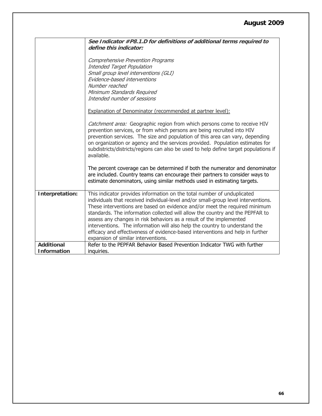|                    | See Indicator #P8.1.D for definitions of additional terms required to<br>define this indicator:                                                                                                                                                                                                                                                                                                                                                                                                                                                                                                             |  |
|--------------------|-------------------------------------------------------------------------------------------------------------------------------------------------------------------------------------------------------------------------------------------------------------------------------------------------------------------------------------------------------------------------------------------------------------------------------------------------------------------------------------------------------------------------------------------------------------------------------------------------------------|--|
|                    | Comprehensive Prevention Programs<br><b>Intended Target Population</b><br>Small group level interventions (GLI)<br>Evidence-based interventions<br>Number reached<br>Minimum Standards Required<br>Intended number of sessions                                                                                                                                                                                                                                                                                                                                                                              |  |
|                    | Explanation of Denominator (recommended at partner level):                                                                                                                                                                                                                                                                                                                                                                                                                                                                                                                                                  |  |
|                    | Catchment area: Geographic region from which persons come to receive HIV<br>prevention services, or from which persons are being recruited into HIV<br>prevention services. The size and population of this area can vary, depending<br>on organization or agency and the services provided. Population estimates for<br>subdistricts/districts/regions can also be used to help define target populations if<br>available.                                                                                                                                                                                 |  |
|                    | The percent coverage can be determined if both the numerator and denominator<br>are included. Country teams can encourage their partners to consider ways to<br>estimate denominators, using similar methods used in estimating targets.                                                                                                                                                                                                                                                                                                                                                                    |  |
| Interpretation:    | This indicator provides information on the total number of unduplicated<br>individuals that received individual-level and/or small-group level interventions.<br>These interventions are based on evidence and/or meet the required minimum<br>standards. The information collected will allow the country and the PEPFAR to<br>assess any changes in risk behaviors as a result of the implemented<br>interventions. The information will also help the country to understand the<br>efficacy and effectiveness of evidence-based interventions and help in further<br>expansion of similar interventions. |  |
| <b>Additional</b>  | Refer to the PEPFAR Behavior Based Prevention Indicator TWG with further                                                                                                                                                                                                                                                                                                                                                                                                                                                                                                                                    |  |
| <b>Information</b> | inquiries.                                                                                                                                                                                                                                                                                                                                                                                                                                                                                                                                                                                                  |  |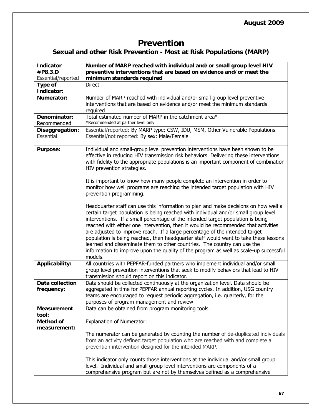## **Prevention**

## **Sexual and other Risk Prevention - Most at Risk Populations (MARP)**

| <b>Indicator</b>              | Number of MARP reached with individual and/or small group level HIV                                                                                                                                                                                                                                                                                                                                                                                                                                                                                                                                                                                                                                        |  |  |
|-------------------------------|------------------------------------------------------------------------------------------------------------------------------------------------------------------------------------------------------------------------------------------------------------------------------------------------------------------------------------------------------------------------------------------------------------------------------------------------------------------------------------------------------------------------------------------------------------------------------------------------------------------------------------------------------------------------------------------------------------|--|--|
| #P8.3.D                       | preventive interventions that are based on evidence and/or meet the                                                                                                                                                                                                                                                                                                                                                                                                                                                                                                                                                                                                                                        |  |  |
| Essential/reported<br>Type of | minimum standards required<br><b>Direct</b>                                                                                                                                                                                                                                                                                                                                                                                                                                                                                                                                                                                                                                                                |  |  |
| Indicator:                    |                                                                                                                                                                                                                                                                                                                                                                                                                                                                                                                                                                                                                                                                                                            |  |  |
| Numerator:                    | Number of MARP reached with individual and/or small group level preventive                                                                                                                                                                                                                                                                                                                                                                                                                                                                                                                                                                                                                                 |  |  |
|                               | interventions that are based on evidence and/or meet the minimum standards                                                                                                                                                                                                                                                                                                                                                                                                                                                                                                                                                                                                                                 |  |  |
|                               | required                                                                                                                                                                                                                                                                                                                                                                                                                                                                                                                                                                                                                                                                                                   |  |  |
| Denominator:                  | Total estimated number of MARP in the catchment area*                                                                                                                                                                                                                                                                                                                                                                                                                                                                                                                                                                                                                                                      |  |  |
| Recommended                   | *Recommended at partner level only                                                                                                                                                                                                                                                                                                                                                                                                                                                                                                                                                                                                                                                                         |  |  |
| Disaggregation:               | Essential/reported: By MARP type: CSW, IDU, MSM, Other Vulnerable Populations                                                                                                                                                                                                                                                                                                                                                                                                                                                                                                                                                                                                                              |  |  |
| Essential                     | Essential/not reported: By sex: Male/Female                                                                                                                                                                                                                                                                                                                                                                                                                                                                                                                                                                                                                                                                |  |  |
| <b>Purpose:</b>               | Individual and small-group level prevention interventions have been shown to be<br>effective in reducing HIV transmission risk behaviors. Delivering these interventions<br>with fidelity to the appropriate populations is an important component of combination<br>HIV prevention strategies.<br>It is important to know how many people complete an intervention in order to<br>monitor how well programs are reaching the intended target population with HIV<br>prevention programming.                                                                                                                                                                                                               |  |  |
|                               | Headquarter staff can use this information to plan and make decisions on how well a<br>certain target population is being reached with individual and/or small group level<br>interventions. If a small percentage of the intended target population is being<br>reached with either one intervention, then it would be recommended that activities<br>are adjusted to improve reach. If a large percentage of the intended target<br>population is being reached, then headquarter staff would want to take these lessons<br>learned and disseminate them to other countries. The country can use the<br>information to improve upon the quality of the program as well as scale-up successful<br>models. |  |  |
| Applicability:                | All countries with PEPFAR-funded partners who implement individual and/or small<br>group level prevention interventions that seek to modify behaviors that lead to HIV<br>transmission should report on this indicator.                                                                                                                                                                                                                                                                                                                                                                                                                                                                                    |  |  |
| Data collection               | Data should be collected continuously at the organization level. Data should be                                                                                                                                                                                                                                                                                                                                                                                                                                                                                                                                                                                                                            |  |  |
| frequency:                    | aggregated in time for PEPFAR annual reporting cycles. In addition, USG country<br>teams are encouraged to request periodic aggregation, i.e. quarterly, for the                                                                                                                                                                                                                                                                                                                                                                                                                                                                                                                                           |  |  |
|                               | purposes of program management and review                                                                                                                                                                                                                                                                                                                                                                                                                                                                                                                                                                                                                                                                  |  |  |
| <b>Measurement</b><br>tool:   | Data can be obtained from program monitoring tools.                                                                                                                                                                                                                                                                                                                                                                                                                                                                                                                                                                                                                                                        |  |  |
| <b>Method of</b>              | <b>Explanation of Numerator:</b>                                                                                                                                                                                                                                                                                                                                                                                                                                                                                                                                                                                                                                                                           |  |  |
| measurement:                  |                                                                                                                                                                                                                                                                                                                                                                                                                                                                                                                                                                                                                                                                                                            |  |  |
|                               | The numerator can be generated by counting the number of de-duplicated individuals<br>from an activity defined target population who are reached with and complete a<br>prevention intervention designed for the intended MARP.                                                                                                                                                                                                                                                                                                                                                                                                                                                                            |  |  |
|                               | This indicator only counts those interventions at the individual and/or small group<br>level. Individual and small group level interventions are components of a<br>comprehensive program but are not by themselves defined as a comprehensive                                                                                                                                                                                                                                                                                                                                                                                                                                                             |  |  |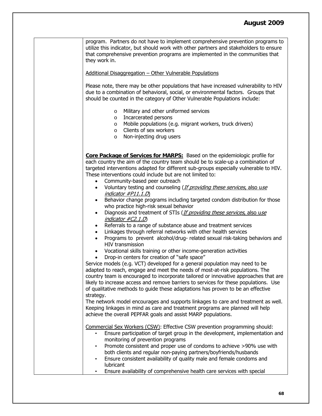| program. Partners do not have to implement comprehensive prevention programs to<br>utilize this indicator, but should work with other partners and stakeholders to ensure<br>that comprehensive prevention programs are implemented in the communities that<br>they work in.                                                                                                                                                   |
|--------------------------------------------------------------------------------------------------------------------------------------------------------------------------------------------------------------------------------------------------------------------------------------------------------------------------------------------------------------------------------------------------------------------------------|
| Additional Disaggregation - Other Vulnerable Populations                                                                                                                                                                                                                                                                                                                                                                       |
| Please note, there may be other populations that have increased vulnerability to HIV<br>due to a combination of behavioral, social, or environmental factors. Groups that<br>should be counted in the category of Other Vulnerable Populations include:                                                                                                                                                                        |
| Military and other uniformed services<br>$\circ$<br>Incarcerated persons<br>$\circ$                                                                                                                                                                                                                                                                                                                                            |
| Mobile populations (e.g. migrant workers, truck drivers)<br>$\circ$<br>Clients of sex workers<br>$\circ$<br>Non-injecting drug users<br>$\circ$                                                                                                                                                                                                                                                                                |
| Core Package of Services for MARPS: Based on the epidemiologic profile for                                                                                                                                                                                                                                                                                                                                                     |
| each country the aim of the country team should be to scale-up a combination of<br>targeted interventions adapted for different sub-groups especially vulnerable to HIV.<br>These interventions could include but are not limited to:<br>Community-based peer outreach<br>$\bullet$                                                                                                                                            |
| Voluntary testing and counseling (If providing these services, also use<br>$\bullet$<br>indicator #P11.1.D)                                                                                                                                                                                                                                                                                                                    |
| Behavior change programs including targeted condom distribution for those<br>$\bullet$<br>who practice high-risk sexual behavior                                                                                                                                                                                                                                                                                               |
| Diagnosis and treatment of STIs (If providing these services, also use<br>$\bullet$<br>indication #C2.1.D)                                                                                                                                                                                                                                                                                                                     |
| Referrals to a range of substance abuse and treatment services<br>$\bullet$<br>Linkages through referral networks with other health services<br>$\bullet$                                                                                                                                                                                                                                                                      |
| Programs to prevent alcohol/drug- related sexual risk-taking behaviors and<br>$\bullet$<br><b>HIV transmission</b>                                                                                                                                                                                                                                                                                                             |
| Vocational skills training or other income-generation activities<br>$\bullet$<br>Drop-in centers for creation of "safe space"                                                                                                                                                                                                                                                                                                  |
| Service models (e.g. VCT) developed for a general population may need to be<br>adapted to reach, engage and meet the needs of most-at-risk populations. The<br>country team is encouraged to incorporate tailored or innovative approaches that are<br>likely to increase access and remove barriers to services for these populations. Use<br>of qualitative methods to guide these adaptations has proven to be an effective |
| strategy.<br>The network model encourages and supports linkages to care and treatment as well.<br>Keeping linkages in mind as care and treatment programs are planned will help<br>achieve the overall PEPFAR goals and assist MARP populations.                                                                                                                                                                               |
| Commercial Sex Workers (CSW): Effective CSW prevention programming should:<br>Ensure participation of target group in the development, implementation and<br>monitoring of prevention programs                                                                                                                                                                                                                                 |
| Promote consistent and proper use of condoms to achieve >90% use with<br>٠<br>both clients and regular non-paying partners/boyfriends/husbands<br>Ensure consistent availability of quality male and female condoms and<br>lubricant                                                                                                                                                                                           |
| Ensure availability of comprehensive health care services with special                                                                                                                                                                                                                                                                                                                                                         |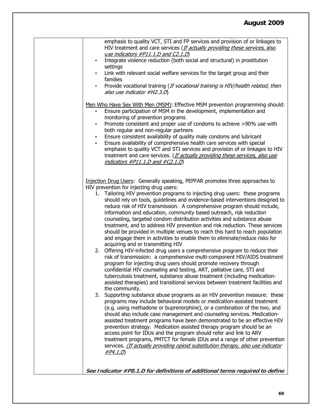| emphasis to quality VCT, STI and FP services and provision of or linkages to<br>HIV treatment and care services ( <i>If actually providing these services</i> , also<br>use indicators #P11.1.D and C2.1.D)<br>Integrate violence reduction (both social and structural) in prostitution<br>$\bullet$<br>settings<br>Link with relevant social welfare services for the target group and their<br>families<br>Provide vocational training (If vocational training is HIV/health related, then<br>$\bullet$<br>also use indicator #H2.3.D)<br>Men Who Have Sex With Men (MSM): Effective MSM prevention programming should:<br>Ensure participation of MSM in the development, implementation and                                                                                                           |
|------------------------------------------------------------------------------------------------------------------------------------------------------------------------------------------------------------------------------------------------------------------------------------------------------------------------------------------------------------------------------------------------------------------------------------------------------------------------------------------------------------------------------------------------------------------------------------------------------------------------------------------------------------------------------------------------------------------------------------------------------------------------------------------------------------|
| monitoring of prevention programs<br>Promote consistent and proper use of condoms to achieve >90% use with<br>$\bullet$<br>both regular and non-regular partners<br>Ensure consistent availability of quality male condoms and lubricant<br>Ensure availability of comprehensive health care services with special<br>emphasis to quality VCT and STI services and provision of or linkages to HIV<br>treatment and care services. (If actually providing these services, also use<br>indicators $#P11.1.D$ and $#C2.1.D$                                                                                                                                                                                                                                                                                  |
| Injection Drug Users: Generally speaking, PEPFAR promotes three approaches to<br>HIV prevention for injecting drug users:<br>1. Tailoring HIV prevention programs to injecting drug users: these programs<br>should rely on tools, guidelines and evidence-based interventions designed to<br>reduce risk of HIV transmission. A comprehensive program should include,<br>information and education, community based outreach, risk reduction<br>counseling, targeted condom distribution activities and substance abuse<br>treatment, and to address HIV prevention and risk reduction. These services<br>should be provided in multiple venues to reach this hard to reach population<br>and engage them in activities to enable them to eliminate/reduce risks for<br>acquiring and or transmitting HIV |
| Offering HIV-infected drug users a comprehensive program to reduce their<br>2.<br>risk of transmission: a comprehensive multi-component HIV/AIDS treatment<br>program for injecting drug users should promote recovery through<br>confidential HIV counseling and testing, ART, palliative care, STI and<br>tuberculosis treatment, substance abuse treatment (including medication-<br>assisted therapies) and transitional services between treatment facilities and<br>the community.                                                                                                                                                                                                                                                                                                                   |
| Supporting substance abuse programs as an HIV prevention measure: these<br>3.<br>programs may include behavioral models or medication-assisted treatment<br>(e.g. using methadone or buprenorphine), or a combination of the two, and<br>should also include case management and counseling services. Medication-<br>assisted treatment programs have been demonstrated to be an effective HIV<br>prevention strategy. Medication assisted therapy program should be an<br>access point for IDUs and the program should refer and link to ARV<br>treatment programs, PMTCT for female IDUs and a range of other prevention<br>services. (If actually providing opioid substitution therapy, also use indicator<br>#P4.1.D)                                                                                 |
| See Indicator #P8.1.D for definitions of additional terms required to define                                                                                                                                                                                                                                                                                                                                                                                                                                                                                                                                                                                                                                                                                                                               |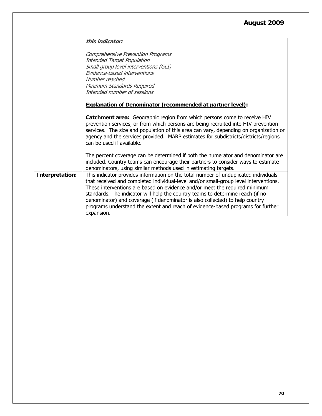|                 | this indicator:                                                                                                                                                                                                                                                                                                                                                                                                                                                                                                              |  |  |  |
|-----------------|------------------------------------------------------------------------------------------------------------------------------------------------------------------------------------------------------------------------------------------------------------------------------------------------------------------------------------------------------------------------------------------------------------------------------------------------------------------------------------------------------------------------------|--|--|--|
|                 | <b>Comprehensive Prevention Programs</b><br>Intended Target Population<br>Small group level interventions (GLI)<br>Evidence-based interventions<br>Number reached<br>Minimum Standards Required<br>Intended number of sessions                                                                                                                                                                                                                                                                                               |  |  |  |
|                 | <b>Explanation of Denominator (recommended at partner level):</b>                                                                                                                                                                                                                                                                                                                                                                                                                                                            |  |  |  |
|                 | Catchment area: Geographic region from which persons come to receive HIV<br>prevention services, or from which persons are being recruited into HIV prevention<br>services. The size and population of this area can vary, depending on organization or<br>agency and the services provided. MARP estimates for subdistricts/districts/regions<br>can be used if available.                                                                                                                                                  |  |  |  |
|                 | The percent coverage can be determined if both the numerator and denominator are<br>included. Country teams can encourage their partners to consider ways to estimate<br>denominators, using similar methods used in estimating targets.                                                                                                                                                                                                                                                                                     |  |  |  |
| Interpretation: | This indicator provides information on the total number of unduplicated individuals<br>that received and completed individual-level and/or small-group level interventions.<br>These interventions are based on evidence and/or meet the required minimum<br>standards. The indicator will help the country teams to determine reach (if no<br>denominator) and coverage (if denominator is also collected) to help country<br>programs understand the extent and reach of evidence-based programs for further<br>expansion. |  |  |  |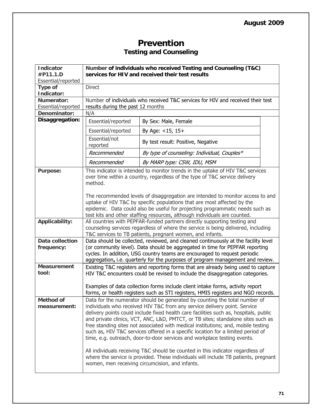## **Prevention**

## **Testing and Counseling**

| <b>Indicator</b>                 | Number of individuals who received Testing and Counseling (T&C)                                                                                                                                                                                                                                                         |                                                                                                                                                                                                                                                                                                                                                                                                                                                                                                                                                                                                                                                                                                                                                                                                                        |  |  |
|----------------------------------|-------------------------------------------------------------------------------------------------------------------------------------------------------------------------------------------------------------------------------------------------------------------------------------------------------------------------|------------------------------------------------------------------------------------------------------------------------------------------------------------------------------------------------------------------------------------------------------------------------------------------------------------------------------------------------------------------------------------------------------------------------------------------------------------------------------------------------------------------------------------------------------------------------------------------------------------------------------------------------------------------------------------------------------------------------------------------------------------------------------------------------------------------------|--|--|
| #P11.1.D                         | services for HIV and received their test results                                                                                                                                                                                                                                                                        |                                                                                                                                                                                                                                                                                                                                                                                                                                                                                                                                                                                                                                                                                                                                                                                                                        |  |  |
| Essential/reported               |                                                                                                                                                                                                                                                                                                                         |                                                                                                                                                                                                                                                                                                                                                                                                                                                                                                                                                                                                                                                                                                                                                                                                                        |  |  |
| <b>Type of</b>                   | <b>Direct</b>                                                                                                                                                                                                                                                                                                           |                                                                                                                                                                                                                                                                                                                                                                                                                                                                                                                                                                                                                                                                                                                                                                                                                        |  |  |
| Indicator:                       |                                                                                                                                                                                                                                                                                                                         |                                                                                                                                                                                                                                                                                                                                                                                                                                                                                                                                                                                                                                                                                                                                                                                                                        |  |  |
| Numerator:                       |                                                                                                                                                                                                                                                                                                                         | Number of individuals who received T&C services for HIV and received their test                                                                                                                                                                                                                                                                                                                                                                                                                                                                                                                                                                                                                                                                                                                                        |  |  |
| Essential/reported               | results during the past 12 months                                                                                                                                                                                                                                                                                       |                                                                                                                                                                                                                                                                                                                                                                                                                                                                                                                                                                                                                                                                                                                                                                                                                        |  |  |
| Denominator:                     | N/A                                                                                                                                                                                                                                                                                                                     |                                                                                                                                                                                                                                                                                                                                                                                                                                                                                                                                                                                                                                                                                                                                                                                                                        |  |  |
| Disaggregation:                  | Essential/reported                                                                                                                                                                                                                                                                                                      | By Sex: Male, Female                                                                                                                                                                                                                                                                                                                                                                                                                                                                                                                                                                                                                                                                                                                                                                                                   |  |  |
|                                  | Essential/reported                                                                                                                                                                                                                                                                                                      | By Age: <15, 15+                                                                                                                                                                                                                                                                                                                                                                                                                                                                                                                                                                                                                                                                                                                                                                                                       |  |  |
|                                  | Essential/not<br>reported                                                                                                                                                                                                                                                                                               | By test result: Positive, Negative                                                                                                                                                                                                                                                                                                                                                                                                                                                                                                                                                                                                                                                                                                                                                                                     |  |  |
|                                  | Recommended                                                                                                                                                                                                                                                                                                             | By type of counseling: Individual, Couples*                                                                                                                                                                                                                                                                                                                                                                                                                                                                                                                                                                                                                                                                                                                                                                            |  |  |
|                                  | Recommended                                                                                                                                                                                                                                                                                                             | By MARP type: CSW, IDU, MSM                                                                                                                                                                                                                                                                                                                                                                                                                                                                                                                                                                                                                                                                                                                                                                                            |  |  |
| <b>Purpose:</b>                  | This indicator is intended to monitor trends in the uptake of HIV T&C services<br>over time within a country, regardless of the type of T&C service delivery<br>method.                                                                                                                                                 |                                                                                                                                                                                                                                                                                                                                                                                                                                                                                                                                                                                                                                                                                                                                                                                                                        |  |  |
|                                  | The recommended levels of disaggregation are intended to monitor access to and<br>uptake of HIV T&C by specific populations that are most affected by the<br>epidemic. Data could also be useful for projecting programmatic needs such as<br>test kits and other staffing resources, although individuals are counted. |                                                                                                                                                                                                                                                                                                                                                                                                                                                                                                                                                                                                                                                                                                                                                                                                                        |  |  |
| Applicability:                   | All countries with PEPFAR-funded partners directly supporting testing and<br>counseling services regardless of where the service is being delivered, including<br>T&C services to TB patients, pregnant women, and infants.                                                                                             |                                                                                                                                                                                                                                                                                                                                                                                                                                                                                                                                                                                                                                                                                                                                                                                                                        |  |  |
| <b>Data collection</b>           | Data should be collected, reviewed, and cleaned continuously at the facility level                                                                                                                                                                                                                                      |                                                                                                                                                                                                                                                                                                                                                                                                                                                                                                                                                                                                                                                                                                                                                                                                                        |  |  |
| frequency:                       | (or community level). Data should be aggregated in time for PEPFAR reporting                                                                                                                                                                                                                                            |                                                                                                                                                                                                                                                                                                                                                                                                                                                                                                                                                                                                                                                                                                                                                                                                                        |  |  |
|                                  | cycles. In addition, USG country teams are encouraged to request periodic                                                                                                                                                                                                                                               |                                                                                                                                                                                                                                                                                                                                                                                                                                                                                                                                                                                                                                                                                                                                                                                                                        |  |  |
|                                  |                                                                                                                                                                                                                                                                                                                         | aggregation, i.e. quarterly for the purposes of program management and review.                                                                                                                                                                                                                                                                                                                                                                                                                                                                                                                                                                                                                                                                                                                                         |  |  |
| <b>Measurement</b>               |                                                                                                                                                                                                                                                                                                                         | Existing T&C registers and reporting forms that are already being used to capture                                                                                                                                                                                                                                                                                                                                                                                                                                                                                                                                                                                                                                                                                                                                      |  |  |
| tool:                            |                                                                                                                                                                                                                                                                                                                         | HIV T&C encounters could be revised to include the disaggregation categories.                                                                                                                                                                                                                                                                                                                                                                                                                                                                                                                                                                                                                                                                                                                                          |  |  |
|                                  |                                                                                                                                                                                                                                                                                                                         | Examples of data collection forms include client intake forms, activity report<br>forms, or health registers such as STI registers, HMIS registers and NGO records.                                                                                                                                                                                                                                                                                                                                                                                                                                                                                                                                                                                                                                                    |  |  |
| <b>Method of</b><br>measurement: |                                                                                                                                                                                                                                                                                                                         | Data for the numerator should be generated by counting the total number of<br>individuals who received HIV T&C from any service delivery point. Service<br>delivery points could include fixed health care facilities such as, hospitals, public<br>and private clinics, VCT, ANC, L&D, PMTCT, or TB sites; standalone sites such as<br>free standing sites not associated with medical institutions; and, mobile testing<br>such as, HIV T&C services offered in a specific location for a limited period of<br>time, e.g. outreach, door-to-door services and workplace testing events.<br>All individuals receiving T&C should be counted in this indicator regardless of<br>where the service is provided. These individuals will include TB patients, pregnant<br>women, men receiving circumcision, and infants. |  |  |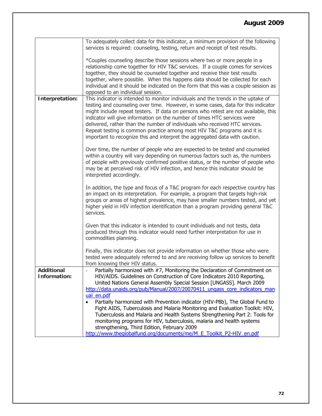|                                   | To adequately collect data for this indicator, a minimum provision of the following<br>services is required: counseling, testing, return and receipt of test results.                                                                                                                                                                                                                                                                                                                                                                                                                |
|-----------------------------------|--------------------------------------------------------------------------------------------------------------------------------------------------------------------------------------------------------------------------------------------------------------------------------------------------------------------------------------------------------------------------------------------------------------------------------------------------------------------------------------------------------------------------------------------------------------------------------------|
|                                   | *Couples counseling describe those sessions where two or more people in a<br>relationship come together for HIV T&C services. If a couple comes for services<br>together, they should be counseled together and receive their test results<br>together, where possible. When this happens data should be collected for each<br>individual and it should be indicated on the form that this was a couple session as<br>opposed to an individual session.                                                                                                                              |
| Interpretation:                   | This indicator is intended to monitor individuals and the trends in the uptake of<br>testing and counseling over time. However, in some cases, data for this indicator<br>might include repeat testers. If data on persons who retest are not available, this<br>indicator will give information on the number of times HTC services were<br>delivered, rather than the number of individuals who received HTC services.<br>Repeat testing is common practice among most HIV T&C programs and it is<br>important to recognize this and interpret the aggregated data with caution.   |
|                                   | Over time, the number of people who are expected to be tested and counseled<br>within a country will vary depending on numerous factors such as, the numbers<br>of people with previously confirmed positive status, or the number of people who<br>may be at perceived risk of HIV infection, and hence this indicator should be<br>interpreted accordingly.                                                                                                                                                                                                                        |
|                                   | In addition, the type and focus of a T&C program for each respective country has<br>an impact on its interpretation. For example, a program that targets high-risk<br>groups or areas of highest prevalence, may have smaller numbers tested, and yet<br>higher yield in HIV infection identification than a program providing general T&C<br>services.                                                                                                                                                                                                                              |
|                                   | Given that this indicator is intended to count individuals and not tests, data<br>produced through this indicator would need further interpretation for use in<br>commodities planning.                                                                                                                                                                                                                                                                                                                                                                                              |
|                                   | Finally, this indicator does not provide information on whether those who were<br>tested were adequately referred to and are receiving follow up services to benefit<br>from knowing their HIV status.                                                                                                                                                                                                                                                                                                                                                                               |
| <b>Additional</b><br>Information: | Partially harmonized with #7, Monitoring the Declaration of Commitment on<br>HIV/AIDS. Guidelines on Construction of Core Indicators 2010 Reporting,<br>United Nations General Assembly Special Session [UNGASS]. March 2009<br>http://data.unaids.org/pub/Manual/2007/20070411 ungass core indicators man<br>ual en.pdf<br>Partially harmonized with Prevention indicator (HIV-P8b), The Global Fund to<br>$\bullet$<br>Fight AIDS, Tuberculosis and Malaria Monitoring and Evaluation Toolkit: HIV,<br>Tuberculosis and Malaria and Health Systems Strengthening Part 2: Tools for |
|                                   | monitoring programs for HIV, tuberculosis, malaria and health systems<br>strengthening, Third Edition, February 2009<br>http://www.theglobalfund.org/documents/me/M E Toolkit P2-HIV en.pdf                                                                                                                                                                                                                                                                                                                                                                                          |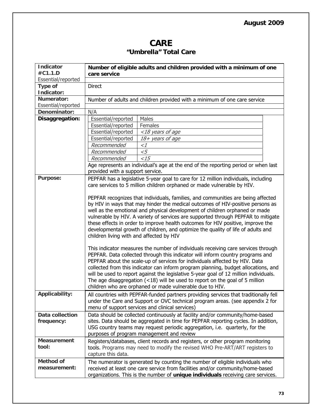### **CARE "Umbrella" Total Care**

| <b>Indicator</b>   | Number of eligible adults and children provided with a minimum of one                                                                                                       |  |
|--------------------|-----------------------------------------------------------------------------------------------------------------------------------------------------------------------------|--|
| #C1.1.D            | care service                                                                                                                                                                |  |
| Essential/reported |                                                                                                                                                                             |  |
| Type of            | <b>Direct</b>                                                                                                                                                               |  |
| Indicator:         |                                                                                                                                                                             |  |
| Numerator:         | Number of adults and children provided with a minimum of one care service                                                                                                   |  |
| Essential/reported |                                                                                                                                                                             |  |
| Denominator:       | N/A                                                                                                                                                                         |  |
| Disaggregation:    | Essential/reported<br>Males                                                                                                                                                 |  |
|                    | Females<br>Essential/reported                                                                                                                                               |  |
|                    | Essential/reported<br><18 years of age                                                                                                                                      |  |
|                    | Essential/reported<br>18+ years of age                                                                                                                                      |  |
|                    | Recommended<br>$\leq$ 1                                                                                                                                                     |  |
|                    | Recommended<br>$<$ 5                                                                                                                                                        |  |
|                    | <15<br>Recommended                                                                                                                                                          |  |
|                    | Age represents an individual's age at the end of the reporting period or when last                                                                                          |  |
|                    | provided with a support service.                                                                                                                                            |  |
| <b>Purpose:</b>    | PEPFAR has a legislative 5-year goal to care for 12 million individuals, including                                                                                          |  |
|                    | care services to 5 million children orphaned or made vulnerable by HIV.                                                                                                     |  |
|                    |                                                                                                                                                                             |  |
|                    | PEPFAR recognizes that individuals, families, and communities are being affected                                                                                            |  |
|                    | by HIV in ways that may hinder the medical outcomes of HIV-positive persons as                                                                                              |  |
|                    | well as the emotional and physical development of children orphaned or made                                                                                                 |  |
|                    | vulnerable by HIV. A variety of services are supported through PEPFAR to mitigate                                                                                           |  |
|                    | these effects in order to improve health outcomes for HIV positive, improve the                                                                                             |  |
|                    | developmental growth of children, and optimize the quality of life of adults and                                                                                            |  |
|                    | children living with and affected by HIV                                                                                                                                    |  |
|                    |                                                                                                                                                                             |  |
|                    | This indicator measures the number of individuals receiving care services through                                                                                           |  |
|                    | PEPFAR. Data collected through this indicator will inform country programs and                                                                                              |  |
|                    | PEPFAR about the scale-up of services for individuals affected by HIV. Data                                                                                                 |  |
|                    | collected from this indicator can inform program planning, budget allocations, and<br>will be used to report against the legislative 5-year goal of 12 million individuals. |  |
|                    | The age disaggregation $\left($ < 18) will be used to report on the goal of 5 million                                                                                       |  |
|                    | children who are orphaned or made vulnerable due to HIV.                                                                                                                    |  |
|                    |                                                                                                                                                                             |  |
| Applicability:     | All countries with PEPFAR-funded partners providing services that traditionally fell                                                                                        |  |
|                    | under the Care and Support or OVC technical program areas. (see appendix 2 for                                                                                              |  |
|                    | menu of support services and clinical services)                                                                                                                             |  |
| Data collection    | Data should be collected continuously at facility and/or community/home-based                                                                                               |  |
| frequency:         | sites. Data should be aggregated in time for PEPFAR reporting cycles. In addition,                                                                                          |  |
|                    | USG country teams may request periodic aggregation, i.e. quarterly, for the                                                                                                 |  |
|                    | purposes of program management and review                                                                                                                                   |  |
| <b>Measurement</b> | Registers/databases, client records and registers, or other program monitoring                                                                                              |  |
| tool:              | tools. Programs may need to modify the revised WHO Pre-ART/ART registers to                                                                                                 |  |
|                    | capture this data.                                                                                                                                                          |  |
| Method of          | The numerator is generated by counting the number of eligible individuals who                                                                                               |  |
| measurement:       | received at least one care service from facilities and/or community/home-based                                                                                              |  |
|                    | organizations. This is the number of unique individuals receiving care services.                                                                                            |  |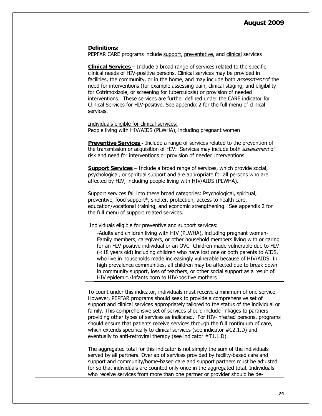| <b>Definitions:</b><br>PEPFAR CARE programs include support, preventative, and clinical services                                                                                                                                                                                                                                                                                                                                                                                                                                                                                                                                                                    |
|---------------------------------------------------------------------------------------------------------------------------------------------------------------------------------------------------------------------------------------------------------------------------------------------------------------------------------------------------------------------------------------------------------------------------------------------------------------------------------------------------------------------------------------------------------------------------------------------------------------------------------------------------------------------|
| Clinical Services - Include a broad range of services related to the specific<br>clinical needs of HIV-positive persons. Clinical services may be provided in<br>facilities, the community, or in the home, and may include both <i>assessment</i> of the<br>need for interventions (for example assessing pain, clinical staging, and eligibility<br>for Cotrimoxizole, or screening for tuberculosis) or provision of needed<br>interventions. These services are further defined under the CARE indicator for<br>Clinical Services for HIV-positive. See appendix 2 for the full menu of clinical<br>services.                                                   |
| Individuals eligible for clinical services:<br>People living with HIV/AIDS (PLWHA), including pregnant women                                                                                                                                                                                                                                                                                                                                                                                                                                                                                                                                                        |
| Preventive Services - Include a range of services related to the prevention of<br>the transmission or acquisition of HIV. Services may include both <i>assessment</i> of<br>risk and need for interventions or provision of needed interventions.                                                                                                                                                                                                                                                                                                                                                                                                                   |
| Support Services - Include a broad range of services, which provide social,<br>psychological, or spiritual support and are appropriate for all persons who are<br>affected by HIV, including people living with HIV/AIDS (PLWHA).                                                                                                                                                                                                                                                                                                                                                                                                                                   |
| Support services fall into these broad categories: Psychological, spiritual,<br>preventive, food support*, shelter, protection, access to health care,<br>education/vocational training, and economic strengthening. See appendix 2 for<br>the full menu of support related services.                                                                                                                                                                                                                                                                                                                                                                               |
| Individuals eligible for preventive and support services:                                                                                                                                                                                                                                                                                                                                                                                                                                                                                                                                                                                                           |
| -Adults and children living with HIV (PLWHA), including pregnant women-<br>Family members, caregivers, or other household members living with or caring<br>for an HIV-positive individual or an OVC -Children made vulnerable due to HIV<br>(<18 years old) including children who have lost one or both parents to AIDS,<br>who live in households made increasingly vulnerable because of HIV/AIDS. In<br>high prevalence communities, all children may be affected due to break down<br>in community support, loss of teachers, or other social support as a result of<br>HIV epidemic.-Infants born to HIV-positive mothers                                     |
| To count under this indicator, individuals must receive a minimum of one service.<br>However, PEPFAR programs should seek to provide a comprehensive set of<br>support and clinical services appropriately tailored to the status of the individual or<br>family. This comprehensive set of services should include linkages to partners<br>providing other types of services as indicated. For HIV-infected persons, programs<br>should ensure that patients receive services through the full continuum of care,<br>which extends specifically to clinical services (see indicator #C2.1.D) and<br>eventually to anti-retroviral therapy (see indicator #T1.1.D). |
| The aggregated total for this indicator is not simply the sum of the individuals<br>served by all partners. Overlap of services provided by facility-based care and<br>support and community/home-based care and support partners must be adjusted<br>for so that individuals are counted only once in the aggregated total. Individuals<br>who receive services from more than one partner or provider should be de-                                                                                                                                                                                                                                               |

Τ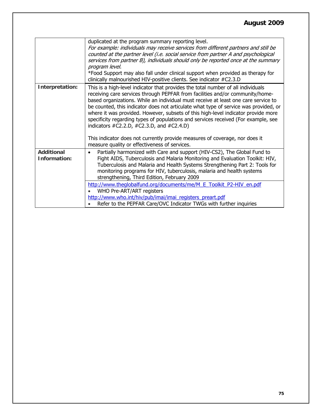|                                   | duplicated at the program summary reporting level.<br>For example: individuals may receive services from different partners and still be<br>counted at the partner level (i.e. social service from partner A and psychological<br>services from partner B), individuals should only be reported once at the summary<br>program level.<br>*Food Support may also fall under clinical support when provided as therapy for<br>clinically malnourished HIV-positive clients. See indicator #C2.3.D                                                                                                                                                                                                                 |
|-----------------------------------|-----------------------------------------------------------------------------------------------------------------------------------------------------------------------------------------------------------------------------------------------------------------------------------------------------------------------------------------------------------------------------------------------------------------------------------------------------------------------------------------------------------------------------------------------------------------------------------------------------------------------------------------------------------------------------------------------------------------|
| Interpretation:                   | This is a high-level indicator that provides the total number of all individuals<br>receiving care services through PEPFAR from facilities and/or community/home-<br>based organizations. While an individual must receive at least one care service to<br>be counted, this indicator does not articulate what type of service was provided, or<br>where it was provided. However, subsets of this high-level indicator provide more<br>specificity regarding types of populations and services received (For example, see<br>indicators $\#C2.2.D.$ $\#C2.3.D.$ and $\#C2.4.D$<br>This indicator does not currently provide measures of coverage, nor does it<br>measure quality or effectiveness of services. |
| <b>Additional</b><br>Information: | Partially harmonized with Care and support (HIV-CS2), The Global Fund to<br>$\bullet$<br>Fight AIDS, Tuberculosis and Malaria Monitoring and Evaluation Toolkit: HIV,<br>Tuberculosis and Malaria and Health Systems Strengthening Part 2: Tools for<br>monitoring programs for HIV, tuberculosis, malaria and health systems<br>strengthening, Third Edition, February 2009<br>http://www.theglobalfund.org/documents/me/M E Toolkit P2-HIV en.pdf<br>WHO Pre-ART/ART registers<br>http://www.who.int/hiv/pub/imai/imai_registers_preart.pdf<br>Refer to the PEPFAR Care/OVC Indicator TWGs with further inquiries                                                                                             |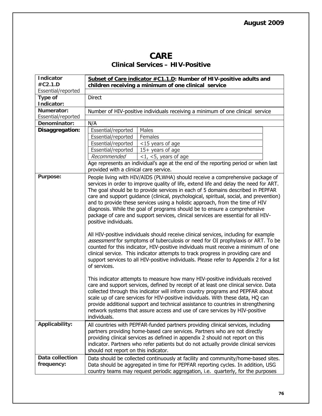### **CARE**

#### **Clinical Services – HIV-Positive**

| <b>Indicator</b>                     | Subset of Care indicator #C1.1.D: Number of HIV-positive adults and                                                                                                                                                                                                                                                                                                                                                                                                                                                                                                                                                                                                                                                                                                                                                                                                                                                                                                                                                                                                                |  |
|--------------------------------------|------------------------------------------------------------------------------------------------------------------------------------------------------------------------------------------------------------------------------------------------------------------------------------------------------------------------------------------------------------------------------------------------------------------------------------------------------------------------------------------------------------------------------------------------------------------------------------------------------------------------------------------------------------------------------------------------------------------------------------------------------------------------------------------------------------------------------------------------------------------------------------------------------------------------------------------------------------------------------------------------------------------------------------------------------------------------------------|--|
| #C2.1.D                              | children receiving a minimum of one clinical service                                                                                                                                                                                                                                                                                                                                                                                                                                                                                                                                                                                                                                                                                                                                                                                                                                                                                                                                                                                                                               |  |
| Essential/reported                   |                                                                                                                                                                                                                                                                                                                                                                                                                                                                                                                                                                                                                                                                                                                                                                                                                                                                                                                                                                                                                                                                                    |  |
| <b>Type of</b>                       | <b>Direct</b>                                                                                                                                                                                                                                                                                                                                                                                                                                                                                                                                                                                                                                                                                                                                                                                                                                                                                                                                                                                                                                                                      |  |
| Indicator:                           |                                                                                                                                                                                                                                                                                                                                                                                                                                                                                                                                                                                                                                                                                                                                                                                                                                                                                                                                                                                                                                                                                    |  |
| Numerator:                           | Number of HIV-positive individuals receiving a minimum of one clinical service                                                                                                                                                                                                                                                                                                                                                                                                                                                                                                                                                                                                                                                                                                                                                                                                                                                                                                                                                                                                     |  |
| Essential/reported                   |                                                                                                                                                                                                                                                                                                                                                                                                                                                                                                                                                                                                                                                                                                                                                                                                                                                                                                                                                                                                                                                                                    |  |
| Denominator:                         | N/A                                                                                                                                                                                                                                                                                                                                                                                                                                                                                                                                                                                                                                                                                                                                                                                                                                                                                                                                                                                                                                                                                |  |
| Disaggregation:                      | Essential/reported<br>Males                                                                                                                                                                                                                                                                                                                                                                                                                                                                                                                                                                                                                                                                                                                                                                                                                                                                                                                                                                                                                                                        |  |
|                                      | Females<br>Essential/reported                                                                                                                                                                                                                                                                                                                                                                                                                                                                                                                                                                                                                                                                                                                                                                                                                                                                                                                                                                                                                                                      |  |
|                                      | Essential/reported<br><15 years of age                                                                                                                                                                                                                                                                                                                                                                                                                                                                                                                                                                                                                                                                                                                                                                                                                                                                                                                                                                                                                                             |  |
|                                      | Essential/reported<br>15+ years of age                                                                                                                                                                                                                                                                                                                                                                                                                                                                                                                                                                                                                                                                                                                                                                                                                                                                                                                                                                                                                                             |  |
|                                      | Recommended<br>$<$ 1, $<$ 5, years of age                                                                                                                                                                                                                                                                                                                                                                                                                                                                                                                                                                                                                                                                                                                                                                                                                                                                                                                                                                                                                                          |  |
|                                      | Age represents an individual's age at the end of the reporting period or when last                                                                                                                                                                                                                                                                                                                                                                                                                                                                                                                                                                                                                                                                                                                                                                                                                                                                                                                                                                                                 |  |
|                                      | provided with a clinical care service.                                                                                                                                                                                                                                                                                                                                                                                                                                                                                                                                                                                                                                                                                                                                                                                                                                                                                                                                                                                                                                             |  |
| <b>Purpose:</b>                      | People living with HIV/AIDS (PLWHA) should receive a comprehensive package of<br>services in order to improve quality of life, extend life and delay the need for ART.<br>The goal should be to provide services in each of 5 domains described in PEPFAR<br>care and support guidance (clinical, psychological, spiritual, social, and prevention)<br>and to provide these services using a holistic approach, from the time of HIV<br>diagnosis. While the goal of programs should be to ensure a comprehensive<br>package of care and support services, clinical services are essential for all HIV-<br>positive individuals.<br>All HIV-positive individuals should receive clinical services, including for example<br>assessment for symptoms of tuberculosis or need for OI prophylaxis or ART. To be<br>counted for this indicator, HIV-positive individuals must receive a minimum of one<br>clinical service. This indicator attempts to track progress in providing care and<br>support services to all HIV-positive individuals. Please refer to Appendix 2 for a list |  |
|                                      | of services.<br>This indicator attempts to measure how many HIV-positive individuals received<br>care and support services, defined by receipt of at least one clinical service. Data<br>collected through this indicator will inform country programs and PEPFAR about<br>scale up of care services for HIV-positive individuals. With these data, HQ can<br>provide additional support and technical assistance to countries in strengthening<br>network systems that assure access and use of care services by HIV-positive<br>individuals.                                                                                                                                                                                                                                                                                                                                                                                                                                                                                                                                     |  |
| Applicability:                       | All countries with PEPFAR-funded partners providing clinical services, including                                                                                                                                                                                                                                                                                                                                                                                                                                                                                                                                                                                                                                                                                                                                                                                                                                                                                                                                                                                                   |  |
|                                      | partners providing home-based care services. Partners who are not directly<br>providing clinical services as defined in appendix 2 should not report on this<br>indicator. Partners who refer patients but do not actually provide clinical services<br>should not report on this indicator.                                                                                                                                                                                                                                                                                                                                                                                                                                                                                                                                                                                                                                                                                                                                                                                       |  |
| <b>Data collection</b><br>frequency: | Data should be collected continuously at facility and community/home-based sites.<br>Data should be aggregated in time for PEPFAR reporting cycles. In addition, USG<br>country teams may request periodic aggregation, i.e. quarterly, for the purposes                                                                                                                                                                                                                                                                                                                                                                                                                                                                                                                                                                                                                                                                                                                                                                                                                           |  |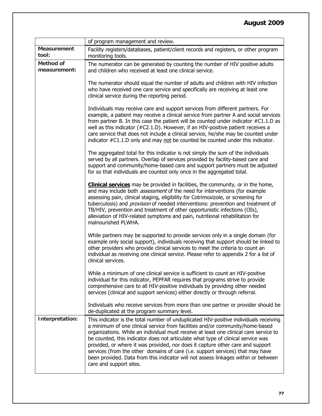|                                  | of program management and review.                                                                                                                                                                                                                                                                                                                                                                                                                                                                                                                                                                                                        |  |
|----------------------------------|------------------------------------------------------------------------------------------------------------------------------------------------------------------------------------------------------------------------------------------------------------------------------------------------------------------------------------------------------------------------------------------------------------------------------------------------------------------------------------------------------------------------------------------------------------------------------------------------------------------------------------------|--|
| <b>Measurement</b><br>tool:      | Facility registers/databases, patient/client records and registers, or other program<br>monitoring tools.                                                                                                                                                                                                                                                                                                                                                                                                                                                                                                                                |  |
| <b>Method of</b><br>measurement: | The numerator can be generated by counting the number of HIV positive adults<br>and children who received at least one clinical service.                                                                                                                                                                                                                                                                                                                                                                                                                                                                                                 |  |
|                                  | The numerator should equal the number of adults and children with HIV infection<br>who have received one care service and specifically are receiving at least one<br>clinical service during the reporting period.                                                                                                                                                                                                                                                                                                                                                                                                                       |  |
|                                  | Individuals may receive care and support services from different partners. For<br>example, a patient may receive a clinical service from partner A and social services<br>from partner B. In this case the patient will be counted under indicator $\#C1.1.D$ as<br>well as this indicator (#C2.1.D). However, if an HIV-positive patient receives a<br>care service that does not include a clinical service, he/she may be counted under<br>indicator #C1.1.D only and may not be counted be counted under this indicator.                                                                                                             |  |
|                                  | The aggregated total for this indicator is not simply the sum of the individuals<br>served by all partners. Overlap of services provided by facility-based care and<br>support and community/home-based care and support partners must be adjusted<br>for so that individuals are counted only once in the aggregated total.                                                                                                                                                                                                                                                                                                             |  |
|                                  | Clinical services may be provided in facilities, the community, or in the home,<br>and may include both <i>assessment</i> of the need for interventions (for example<br>assessing pain, clinical staging, eligibility for Cotrimoxizole, or screening for<br>tuberculosis) and <i>provision</i> of needed interventions: prevention and treatment of<br>TB/HIV, prevention and treatment of other opportunistic infections (OIs),<br>alleviation of HIV-related symptoms and pain, nutritional rehabilitation for<br>malnourished PLWHA.                                                                                                 |  |
|                                  | While partners may be supported to provide services only in a single domain (for<br>example only social support), individuals receiving that support should be linked to<br>other providers who provide clinical services to meet the criteria to count an<br>individual as receiving one clinical service. Please refer to appendix 2 for a list of<br>clinical services.                                                                                                                                                                                                                                                               |  |
|                                  | While a minimum of one clinical service is sufficient to count an HIV-positive<br>individual for this indicator, PEPFAR requires that programs strive to provide<br>comprehensive care to all HIV-positive individuals by providing other needed<br>services (clinical and support services) either directly or through referral.                                                                                                                                                                                                                                                                                                        |  |
|                                  | Individuals who receive services from more than one partner or provider should be<br>de-duplicated at the program summary level.                                                                                                                                                                                                                                                                                                                                                                                                                                                                                                         |  |
| Interpretation:                  | This indicator is the total number of unduplicated HIV-positive individuals receiving<br>a minimum of one clinical service from facilities and/or community/home-based<br>organizations. While an individual must receive at least one clinical care service to<br>be counted, this indicator does not articulate what type of clinical service was<br>provided, or where it was provided, nor does it capture other care and support<br>services (from the other domains of care (i.e. support services) that may have<br>been provided. Data from this indicator will not assess linkages within or between<br>care and support sites. |  |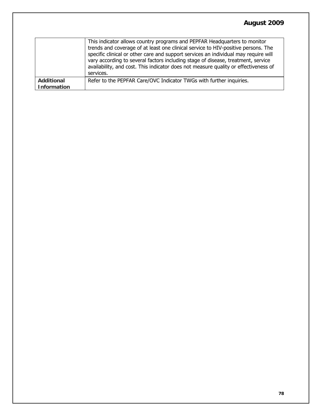|                                         | This indicator allows country programs and PEPFAR Headquarters to monitor<br>trends and coverage of at least one clinical service to HIV-positive persons. The<br>specific clinical or other care and support services an individual may require will<br>vary according to several factors including stage of disease, treatment, service<br>availability, and cost. This indicator does not measure quality or effectiveness of<br>services. |
|-----------------------------------------|-----------------------------------------------------------------------------------------------------------------------------------------------------------------------------------------------------------------------------------------------------------------------------------------------------------------------------------------------------------------------------------------------------------------------------------------------|
| <b>Additional</b><br><b>Information</b> | Refer to the PEPFAR Care/OVC Indicator TWGs with further inquiries.                                                                                                                                                                                                                                                                                                                                                                           |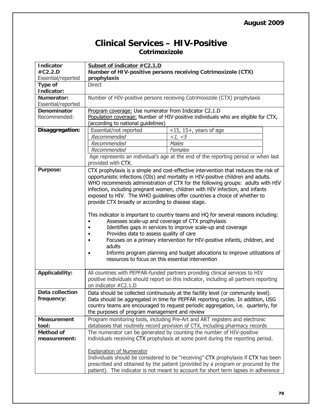### **Clinical Services – HIV-Positive Cotrimoxizole**

| <b>Indicator</b>       | Subset of indicator #C2.1.D                                                                                                                                  |                                                                                                                                                                                                                                                                                                                                                                                                                                                                                                                                                                                                                                                                                                                                                                                                 |
|------------------------|--------------------------------------------------------------------------------------------------------------------------------------------------------------|-------------------------------------------------------------------------------------------------------------------------------------------------------------------------------------------------------------------------------------------------------------------------------------------------------------------------------------------------------------------------------------------------------------------------------------------------------------------------------------------------------------------------------------------------------------------------------------------------------------------------------------------------------------------------------------------------------------------------------------------------------------------------------------------------|
| #C2.2.D                | Number of HIV-positive persons receiving Cotrimoxizole (CTX)                                                                                                 |                                                                                                                                                                                                                                                                                                                                                                                                                                                                                                                                                                                                                                                                                                                                                                                                 |
| Essential/reported     | prophylaxis                                                                                                                                                  |                                                                                                                                                                                                                                                                                                                                                                                                                                                                                                                                                                                                                                                                                                                                                                                                 |
| Type of                | <b>Direct</b>                                                                                                                                                |                                                                                                                                                                                                                                                                                                                                                                                                                                                                                                                                                                                                                                                                                                                                                                                                 |
| Indicator:             |                                                                                                                                                              |                                                                                                                                                                                                                                                                                                                                                                                                                                                                                                                                                                                                                                                                                                                                                                                                 |
| Numerator:             |                                                                                                                                                              | Number of HIV-positive persons receiving Cotrimoxizole (CTX) prophylaxis                                                                                                                                                                                                                                                                                                                                                                                                                                                                                                                                                                                                                                                                                                                        |
| Essential/reported     |                                                                                                                                                              |                                                                                                                                                                                                                                                                                                                                                                                                                                                                                                                                                                                                                                                                                                                                                                                                 |
| Denominator            | Program coverage: Use numerator from Indicator C2.1.D                                                                                                        |                                                                                                                                                                                                                                                                                                                                                                                                                                                                                                                                                                                                                                                                                                                                                                                                 |
| Recommended:           | Population coverage: Number of HIV-positive individuals who are eligible for CTX,<br>according to national guidelines)                                       |                                                                                                                                                                                                                                                                                                                                                                                                                                                                                                                                                                                                                                                                                                                                                                                                 |
| Disaggregation:        | Essential/not reported                                                                                                                                       | $<$ 15, 15+, years of age                                                                                                                                                                                                                                                                                                                                                                                                                                                                                                                                                                                                                                                                                                                                                                       |
|                        | Recommended                                                                                                                                                  | 1, 5                                                                                                                                                                                                                                                                                                                                                                                                                                                                                                                                                                                                                                                                                                                                                                                            |
|                        | Recommended                                                                                                                                                  | Males                                                                                                                                                                                                                                                                                                                                                                                                                                                                                                                                                                                                                                                                                                                                                                                           |
|                        | Recommended                                                                                                                                                  | Females                                                                                                                                                                                                                                                                                                                                                                                                                                                                                                                                                                                                                                                                                                                                                                                         |
|                        |                                                                                                                                                              | Age represents an individual's age at the end of the reporting period or when last                                                                                                                                                                                                                                                                                                                                                                                                                                                                                                                                                                                                                                                                                                              |
|                        | provided with CTX.                                                                                                                                           |                                                                                                                                                                                                                                                                                                                                                                                                                                                                                                                                                                                                                                                                                                                                                                                                 |
| <b>Purpose:</b>        | provide CTX broadly or according to disease stage.<br>Provides data to assess quality of care<br>adults<br>resources to focus on this essential intervention | CTX prophylaxis is a simple and cost-effective intervention that reduces the risk of<br>opportunistic infections (OIs) and mortality in HIV-positive children and adults.<br>WHO recommends administration of CTX for the following groups: adults with HIV<br>infection, including pregnant women, children with HIV infection, and infants<br>exposed to HIV. The WHO guidelines offer countries a choice of whether to<br>This indicator is important to country teams and HQ for several reasons including:<br>Assesses scale-up and coverage of CTX prophylaxis<br>Identifies gaps in services to improve scale-up and coverage<br>Focuses on a primary intervention for HIV-positive infants, children, and<br>Informs program planning and budget allocations to improve utilizations of |
| Applicability:         | on indicator #C2.1.D                                                                                                                                         | All countries with PEPFAR-funded partners providing clinical services to HIV<br>positive individuals should report on this indicator, including all partners reporting                                                                                                                                                                                                                                                                                                                                                                                                                                                                                                                                                                                                                          |
| <b>Data collection</b> |                                                                                                                                                              | Data should be collected continuously at the facility level (or community level).                                                                                                                                                                                                                                                                                                                                                                                                                                                                                                                                                                                                                                                                                                               |
| frequency:             |                                                                                                                                                              | Data should be aggregated in time for PEPFAR reporting cycles. In addition, USG                                                                                                                                                                                                                                                                                                                                                                                                                                                                                                                                                                                                                                                                                                                 |
|                        |                                                                                                                                                              | country teams are encouraged to request periodic aggregation, i.e. quarterly, for                                                                                                                                                                                                                                                                                                                                                                                                                                                                                                                                                                                                                                                                                                               |
|                        | the purposes of program management and review                                                                                                                |                                                                                                                                                                                                                                                                                                                                                                                                                                                                                                                                                                                                                                                                                                                                                                                                 |
| <b>Measurement</b>     |                                                                                                                                                              | Program monitoring tools, including Pre-Art and ART registers and electronic                                                                                                                                                                                                                                                                                                                                                                                                                                                                                                                                                                                                                                                                                                                    |
| tool:                  |                                                                                                                                                              | databases that routinely record provision of CTX, including pharmacy records                                                                                                                                                                                                                                                                                                                                                                                                                                                                                                                                                                                                                                                                                                                    |
| <b>Method of</b>       |                                                                                                                                                              | The numerator can be generated by counting the number of HIV-positive                                                                                                                                                                                                                                                                                                                                                                                                                                                                                                                                                                                                                                                                                                                           |
| measurement:           |                                                                                                                                                              | individuals receiving CTX prophylaxis at some point during the reporting period.                                                                                                                                                                                                                                                                                                                                                                                                                                                                                                                                                                                                                                                                                                                |
|                        | <b>Explanation of Numerator</b>                                                                                                                              | Individuals should be considered to be "receiving" CTX prophylaxis if CTX has been<br>prescribed and obtained by the patient (provided by a program or procured by the                                                                                                                                                                                                                                                                                                                                                                                                                                                                                                                                                                                                                          |
|                        |                                                                                                                                                              | patient). The indicator is not meant to account for short term lapses in adherence                                                                                                                                                                                                                                                                                                                                                                                                                                                                                                                                                                                                                                                                                                              |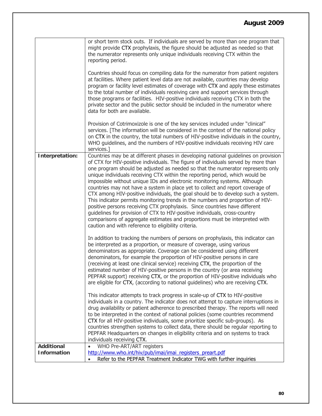|                                         | or short term stock outs. If individuals are served by more than one program that<br>might provide CTX prophylaxis, the figure should be adjusted as needed so that<br>the numerator represents only unique individuals receiving CTX within the<br>reporting period.                                                                                                                                                                                                                                                                                                                                                                                                                                                                                                                                                                                                                                                                                                              |
|-----------------------------------------|------------------------------------------------------------------------------------------------------------------------------------------------------------------------------------------------------------------------------------------------------------------------------------------------------------------------------------------------------------------------------------------------------------------------------------------------------------------------------------------------------------------------------------------------------------------------------------------------------------------------------------------------------------------------------------------------------------------------------------------------------------------------------------------------------------------------------------------------------------------------------------------------------------------------------------------------------------------------------------|
|                                         | Countries should focus on compiling data for the numerator from patient registers<br>at facilities. Where patient level data are not available, countries may develop<br>program or facility level estimates of coverage with CTX and apply these estimates<br>to the total number of individuals receiving care and support services through<br>those programs or facilities. HIV-positive individuals receiving CTX in both the<br>private sector and the public sector should be included in the numerator where<br>data for both are available.                                                                                                                                                                                                                                                                                                                                                                                                                                |
|                                         | Provision of Cotrimoxizole is one of the key services included under "clinical"<br>services. [The information will be considered in the context of the national policy<br>on CTX in the country, the total numbers of HIV-positive individuals in the country,<br>WHO guidelines, and the numbers of HIV-positive individuals receiving HIV care<br>services.]                                                                                                                                                                                                                                                                                                                                                                                                                                                                                                                                                                                                                     |
| Interpretation:                         | Countries may be at different phases in developing national guidelines on provision<br>of CTX for HIV-positive individuals. The figure of individuals served by more than<br>one program should be adjusted as needed so that the numerator represents only<br>unique individuals receiving CTX within the reporting period, which would be<br>impossible without unique IDs and electronic monitoring systems. Although<br>countries may not have a system in place yet to collect and report coverage of<br>CTX among HIV-positive individuals, the goal should be to develop such a system.<br>This indicator permits monitoring trends in the numbers and proportion of HIV-<br>positive persons receiving CTX prophylaxis. Since countries have different<br>guidelines for provision of CTX to HIV-positive individuals, cross-country<br>comparisons of aggregate estimates and proportions must be interpreted with<br>caution and with reference to eligibility criteria. |
|                                         | In addition to tracking the numbers of persons on prophylaxis, this indicator can<br>be interpreted as a proportion, or measure of coverage, using various<br>denominators as appropriate. Coverage can be considered using different<br>denominators, for example the proportion of HIV-positive persons in care<br>(receiving at least one clinical service) receiving CTX, the proportion of the<br>estimated number of HIV-positive persons in the country (or area receiving<br>PEPFAR support) receiving CTX, or the proportion of HIV-positive individuals who<br>are eligible for CTX, (according to national guidelines) who are receiving CTX.                                                                                                                                                                                                                                                                                                                           |
|                                         | This indicator attempts to track progress in scale-up of CTX to HIV-positive<br>individuals in a country. The indicator does not attempt to capture interruptions in<br>drug availability or patient adherence to prescribed therapy. The reports will need<br>to be interpreted in the context of national policies (some countries recommend<br>CTX for all HIV-positive individuals, some prioritize specific sub-groups). As<br>countries strengthen systems to collect data, there should be regular reporting to<br>PEPFAR Headquarters on changes in eligibility criteria and on systems to track<br>individuals receiving CTX.                                                                                                                                                                                                                                                                                                                                             |
| <b>Additional</b><br><b>Information</b> | WHO Pre-ART/ART registers<br>$\bullet$<br>http://www.who.int/hiv/pub/imai/imai_registers_preart.pdf<br>Refer to the PEPFAR Treatment Indicator TWG with further inquiries<br>$\bullet$                                                                                                                                                                                                                                                                                                                                                                                                                                                                                                                                                                                                                                                                                                                                                                                             |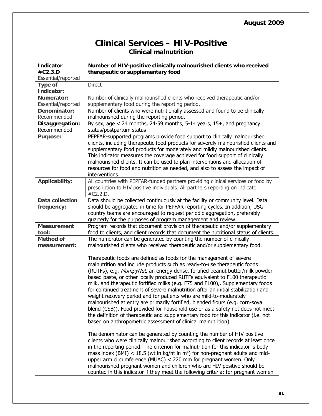### **Clinical Services – HIV-Positive Clinical malnutrition**

| Indicator                            | Number of HIV-positive clinically malnourished clients who received                                                                                                                                                                                                                                                                                                                                                                                                                                                                                                                                                                                                                                                                                                                                                                                                                     |
|--------------------------------------|-----------------------------------------------------------------------------------------------------------------------------------------------------------------------------------------------------------------------------------------------------------------------------------------------------------------------------------------------------------------------------------------------------------------------------------------------------------------------------------------------------------------------------------------------------------------------------------------------------------------------------------------------------------------------------------------------------------------------------------------------------------------------------------------------------------------------------------------------------------------------------------------|
| #C2.3.D<br>Essential/reported        | therapeutic or supplementary food                                                                                                                                                                                                                                                                                                                                                                                                                                                                                                                                                                                                                                                                                                                                                                                                                                                       |
| Type of                              | <b>Direct</b>                                                                                                                                                                                                                                                                                                                                                                                                                                                                                                                                                                                                                                                                                                                                                                                                                                                                           |
| Indicator:                           |                                                                                                                                                                                                                                                                                                                                                                                                                                                                                                                                                                                                                                                                                                                                                                                                                                                                                         |
| Numerator:                           | Number of clinically malnourished clients who received therapeutic and/or                                                                                                                                                                                                                                                                                                                                                                                                                                                                                                                                                                                                                                                                                                                                                                                                               |
| Essential/reported                   | supplementary food during the reporting period.                                                                                                                                                                                                                                                                                                                                                                                                                                                                                                                                                                                                                                                                                                                                                                                                                                         |
| Denominator:                         | Number of clients who were nutritionally assessed and found to be clinically                                                                                                                                                                                                                                                                                                                                                                                                                                                                                                                                                                                                                                                                                                                                                                                                            |
| Recommended                          | malnourished during the reporting period.                                                                                                                                                                                                                                                                                                                                                                                                                                                                                                                                                                                                                                                                                                                                                                                                                                               |
| Disaggregation:<br>Recommended       | By sex, age $<$ 24 months, 24-59 months, 5-14 years, 15+, and pregnancy<br>status/postpartum status                                                                                                                                                                                                                                                                                                                                                                                                                                                                                                                                                                                                                                                                                                                                                                                     |
| Purpose:                             | PEPFAR-supported programs provide food support to clinically malnourished                                                                                                                                                                                                                                                                                                                                                                                                                                                                                                                                                                                                                                                                                                                                                                                                               |
|                                      | clients, including therapeutic food products for severely malnourished clients and<br>supplementary food products for moderately and mildly malnourished clients.<br>This indicator measures the coverage achieved for food support of clinically<br>malnourished clients. It can be used to plan interventions and allocation of<br>resources for food and nutrition as needed, and also to assess the impact of<br>interventions.                                                                                                                                                                                                                                                                                                                                                                                                                                                     |
| Applicability:                       | All countries with PEPFAR-funded partners providing clinical services or food by<br>prescription to HIV positive individuals. All partners reporting on indicator<br>#C2.2.D.                                                                                                                                                                                                                                                                                                                                                                                                                                                                                                                                                                                                                                                                                                           |
| <b>Data collection</b><br>frequency: | Data should be collected continuously at the facility or community level. Data<br>should be aggregated in time for PEPFAR reporting cycles. In addition, USG<br>country teams are encouraged to request periodic aggregation, preferably<br>quarterly for the purposes of program management and review.                                                                                                                                                                                                                                                                                                                                                                                                                                                                                                                                                                                |
| <b>Measurement</b>                   | Program records that document provision of therapeutic and/or supplementary                                                                                                                                                                                                                                                                                                                                                                                                                                                                                                                                                                                                                                                                                                                                                                                                             |
| tool:<br><b>Method of</b>            | food to clients, and client records that document the nutritional status of clients.<br>The numerator can be generated by counting the number of clinically                                                                                                                                                                                                                                                                                                                                                                                                                                                                                                                                                                                                                                                                                                                             |
| measurement:                         | malnourished clients who received therapeutic and/or supplementary food.                                                                                                                                                                                                                                                                                                                                                                                                                                                                                                                                                                                                                                                                                                                                                                                                                |
|                                      | Therapeutic foods are defined as foods for the management of severe<br>malnutrition and include products such as ready-to-use therapeutic foods<br>(RUTFs), e.g. PlumpyNut, an energy dense, fortified peanut butter/milk powder-<br>based paste, or other locally produced RUTFs equivalent to F100 therapeutic<br>milk, and therapeutic fortified milks (e.g. F75 and F100),. Supplementary foods<br>for continued treatment of severe malnutrition after an initial stabilization and<br>weight recovery period and for patients who are mild-to-moderately<br>malnourished at entry are primarily fortified, blended flours (e.g. corn-soya<br>blend (CSB)). Food provided for household use or as a safety net does not meet<br>the definition of therapeutic and supplementary food for this indicator (i.e. not<br>based on anthropometric assessment of clinical malnutrition). |
|                                      | The denominator can be generated by counting the number of HIV positive<br>clients who were clinically malnourished according to client records at least once<br>in the reporting period. The criterion for malnutrition for this indicator is body<br>mass index (BMI) < 18.5 (wt in kg/ht in $m2$ ) for non-pregnant adults and mid-<br>upper arm circumference (MUAC) < 220 mm for pregnant women. Only<br>malnourished pregnant women and children who are HIV positive should be<br>counted in this indicator if they meet the following criteria: for pregnant women                                                                                                                                                                                                                                                                                                              |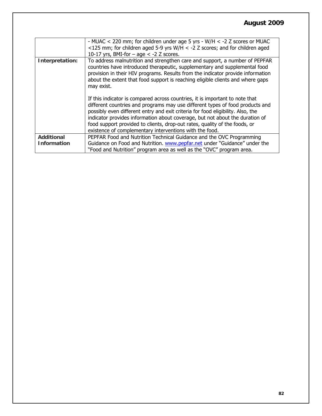|                    | - MUAC < 220 mm; for children under age 5 yrs - W/H < -2 Z scores or MUAC<br><125 mm; for children aged 5-9 yrs W/H < -2 Z scores; and for children aged<br>10-17 yrs, BMI-for $-$ age $<$ -2 Z scores.                                                                                                                                                                                                                                                                   |
|--------------------|---------------------------------------------------------------------------------------------------------------------------------------------------------------------------------------------------------------------------------------------------------------------------------------------------------------------------------------------------------------------------------------------------------------------------------------------------------------------------|
| Interpretation:    | To address malnutrition and strengthen care and support, a number of PEPFAR<br>countries have introduced therapeutic, supplementary and supplemental food<br>provision in their HIV programs. Results from the indicator provide information<br>about the extent that food support is reaching eligible clients and where gaps<br>may exist.                                                                                                                              |
|                    | If this indicator is compared across countries, it is important to note that<br>different countries and programs may use different types of food products and<br>possibly even different entry and exit criteria for food eligibility. Also, the<br>indicator provides information about coverage, but not about the duration of<br>food support provided to clients, drop-out rates, quality of the foods, or<br>existence of complementary interventions with the food. |
| <b>Additional</b>  | PEPFAR Food and Nutrition Technical Guidance and the OVC Programming                                                                                                                                                                                                                                                                                                                                                                                                      |
| <b>Information</b> | Guidance on Food and Nutrition. www.pepfar.net under "Guidance" under the                                                                                                                                                                                                                                                                                                                                                                                                 |
|                    | "Food and Nutrition" program area as well as the "OVC" program area.                                                                                                                                                                                                                                                                                                                                                                                                      |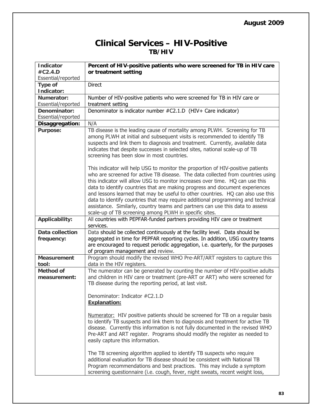# **Clinical Services – HIV-Positive TB/HIV**

| Indicator                            | Percent of HIV-positive patients who were screened for TB in HIV care                                                                                                                                                                                                                                                                                                                                                                                                                                                                                                                                                                                 |
|--------------------------------------|-------------------------------------------------------------------------------------------------------------------------------------------------------------------------------------------------------------------------------------------------------------------------------------------------------------------------------------------------------------------------------------------------------------------------------------------------------------------------------------------------------------------------------------------------------------------------------------------------------------------------------------------------------|
| $\#C2.4.D$                           | or treatment setting                                                                                                                                                                                                                                                                                                                                                                                                                                                                                                                                                                                                                                  |
| Essential/reported                   |                                                                                                                                                                                                                                                                                                                                                                                                                                                                                                                                                                                                                                                       |
| Type of                              | <b>Direct</b>                                                                                                                                                                                                                                                                                                                                                                                                                                                                                                                                                                                                                                         |
| Indicator:                           |                                                                                                                                                                                                                                                                                                                                                                                                                                                                                                                                                                                                                                                       |
| Numerator:                           | Number of HIV-positive patients who were screened for TB in HIV care or                                                                                                                                                                                                                                                                                                                                                                                                                                                                                                                                                                               |
| Essential/reported                   | treatment setting                                                                                                                                                                                                                                                                                                                                                                                                                                                                                                                                                                                                                                     |
| Denominator:                         | Denominator is indicator number #C2.1.D (HIV+ Care indicator)                                                                                                                                                                                                                                                                                                                                                                                                                                                                                                                                                                                         |
| Essential/reported                   |                                                                                                                                                                                                                                                                                                                                                                                                                                                                                                                                                                                                                                                       |
| Disaggregation:                      | N/A                                                                                                                                                                                                                                                                                                                                                                                                                                                                                                                                                                                                                                                   |
| Purpose:                             | TB disease is the leading cause of mortality among PLWH. Screening for TB<br>among PLWH at initial and subsequent visits is recommended to identify TB<br>suspects and link them to diagnosis and treatment. Currently, available data<br>indicates that despite successes in selected sites, national scale-up of TB<br>screening has been slow in most countries.                                                                                                                                                                                                                                                                                   |
|                                      | This indicator will help USG to monitor the proportion of HIV-positive patients<br>who are screened for active TB disease. The data collected from countries using<br>this indicator will allow USG to monitor increases over time. HQ can use this<br>data to identify countries that are making progress and document experiences<br>and lessons learned that may be useful to other countries. HQ can also use this<br>data to identify countries that may require additional programming and technical<br>assistance. Similarly, country teams and partners can use this data to assess<br>scale-up of TB screening among PLWH in specific sites. |
| Applicability:                       | All countries with PEPFAR-funded partners providing HIV care or treatment<br>services.                                                                                                                                                                                                                                                                                                                                                                                                                                                                                                                                                                |
| <b>Data collection</b><br>frequency: | Data should be collected continuously at the facility level. Data should be<br>aggregated in time for PEPFAR reporting cycles. In addition, USG country teams<br>are encouraged to request periodic aggregation, i.e. quarterly, for the purposes<br>of program management and review.                                                                                                                                                                                                                                                                                                                                                                |
| <b>Measurement</b><br>tool:          | Program should modify the revised WHO Pre-ART/ART registers to capture this<br>data in the HIV registers.                                                                                                                                                                                                                                                                                                                                                                                                                                                                                                                                             |
| Method of<br>measurement:            | The numerator can be generated by counting the number of HIV-positive adults<br>and children in HIV care or treatment (pre-ART or ART) who were screened for<br>TB disease during the reporting period, at last visit.                                                                                                                                                                                                                                                                                                                                                                                                                                |
|                                      | Denominator: Indicator #C2.1.D<br><b>Explanation:</b>                                                                                                                                                                                                                                                                                                                                                                                                                                                                                                                                                                                                 |
|                                      | Numerator: HIV positive patients should be screened for TB on a regular basis<br>to identify TB suspects and link them to diagnosis and treatment for active TB<br>disease. Currently this information is not fully documented in the revised WHO<br>Pre-ART and ART register. Programs should modify the register as needed to<br>easily capture this information.                                                                                                                                                                                                                                                                                   |
|                                      | The TB screening algorithm applied to identify TB suspects who require<br>additional evaluation for TB disease should be consistent with National TB<br>Program recommendations and best practices. This may include a symptom<br>screening questionnaire (i.e. cough, fever, night sweats, recent weight loss,                                                                                                                                                                                                                                                                                                                                       |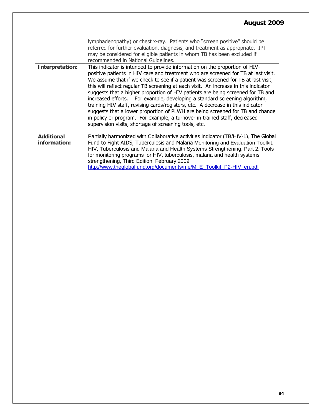|                                   | lymphadenopathy) or chest x-ray. Patients who "screen positive" should be<br>referred for further evaluation, diagnosis, and treatment as appropriate. IPT<br>may be considered for eligible patients in whom TB has been excluded if<br>recommended in National Guidelines.                                                                                                                                                                                                                                                                                                                                                                                                                                                                                                                                             |
|-----------------------------------|--------------------------------------------------------------------------------------------------------------------------------------------------------------------------------------------------------------------------------------------------------------------------------------------------------------------------------------------------------------------------------------------------------------------------------------------------------------------------------------------------------------------------------------------------------------------------------------------------------------------------------------------------------------------------------------------------------------------------------------------------------------------------------------------------------------------------|
| Interpretation:                   | This indicator is intended to provide information on the proportion of HIV-<br>positive patients in HIV care and treatment who are screened for TB at last visit.<br>We assume that if we check to see if a patient was screened for TB at last visit,<br>this will reflect regular TB screening at each visit. An increase in this indicator<br>suggests that a higher proportion of HIV patients are being screened for TB and<br>increased efforts. For example, developing a standard screening algorithm,<br>training HIV staff, revising cards/registers, etc. A decrease in this indicator<br>suggests that a lower proportion of PLWH are being screened for TB and change<br>in policy or program. For example, a turnover in trained staff, decreased<br>supervision visits, shortage of screening tools, etc. |
| <b>Additional</b><br>information: | Partially harmonized with Collaborative activities indicator (TB/HIV-1), The Global<br>Fund to Fight AIDS, Tuberculosis and Malaria Monitoring and Evaluation Toolkit:<br>HIV, Tuberculosis and Malaria and Health Systems Strengthening, Part 2: Tools<br>for monitoring programs for HIV, tuberculosis, malaria and health systems<br>strengthening, Third Edition, February 2009<br>http://www.theglobalfund.org/documents/me/M_E_Toolkit_P2-HIV_en.pdf                                                                                                                                                                                                                                                                                                                                                               |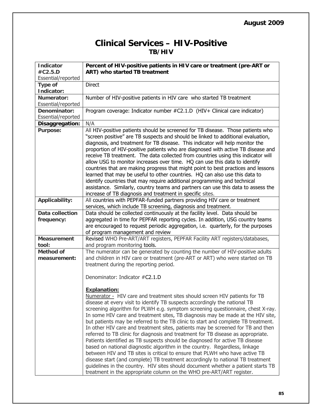# **Clinical Services – HIV-Positive TB/HIV**

| Indicator                            | Percent of HIV-positive patients in HIV care or treatment (pre-ART or                                                                                                                                                                                                                                                                                                                                                                                                                                                                                                                                                                                                                                                                                                                                                                                                                                                                                                                                                                                                                                        |  |
|--------------------------------------|--------------------------------------------------------------------------------------------------------------------------------------------------------------------------------------------------------------------------------------------------------------------------------------------------------------------------------------------------------------------------------------------------------------------------------------------------------------------------------------------------------------------------------------------------------------------------------------------------------------------------------------------------------------------------------------------------------------------------------------------------------------------------------------------------------------------------------------------------------------------------------------------------------------------------------------------------------------------------------------------------------------------------------------------------------------------------------------------------------------|--|
| $\#C2.5.D$                           | ART) who started TB treatment                                                                                                                                                                                                                                                                                                                                                                                                                                                                                                                                                                                                                                                                                                                                                                                                                                                                                                                                                                                                                                                                                |  |
| Essential/reported                   |                                                                                                                                                                                                                                                                                                                                                                                                                                                                                                                                                                                                                                                                                                                                                                                                                                                                                                                                                                                                                                                                                                              |  |
| Type of                              | <b>Direct</b>                                                                                                                                                                                                                                                                                                                                                                                                                                                                                                                                                                                                                                                                                                                                                                                                                                                                                                                                                                                                                                                                                                |  |
| Indicator:<br>Numerator:             |                                                                                                                                                                                                                                                                                                                                                                                                                                                                                                                                                                                                                                                                                                                                                                                                                                                                                                                                                                                                                                                                                                              |  |
| Essential/reported                   | Number of HIV-positive patients in HIV care who started TB treatment                                                                                                                                                                                                                                                                                                                                                                                                                                                                                                                                                                                                                                                                                                                                                                                                                                                                                                                                                                                                                                         |  |
| Denominator:                         | Program coverage: Indicator number #C2.1.D (HIV+ Clinical care indicator)                                                                                                                                                                                                                                                                                                                                                                                                                                                                                                                                                                                                                                                                                                                                                                                                                                                                                                                                                                                                                                    |  |
| Essential/reported                   |                                                                                                                                                                                                                                                                                                                                                                                                                                                                                                                                                                                                                                                                                                                                                                                                                                                                                                                                                                                                                                                                                                              |  |
| Disaggregation:                      | N/A                                                                                                                                                                                                                                                                                                                                                                                                                                                                                                                                                                                                                                                                                                                                                                                                                                                                                                                                                                                                                                                                                                          |  |
| Purpose:                             | All HIV-positive patients should be screened for TB disease. Those patients who<br>"screen positive" are TB suspects and should be linked to additional evaluation,<br>diagnosis, and treatment for TB disease. This indicator will help monitor the<br>proportion of HIV-positive patients who are diagnosed with active TB disease and<br>receive TB treatment. The data collected from countries using this indicator will<br>allow USG to monitor increases over time. HQ can use this data to identify<br>countries that are making progress that might point to best practices and lessons<br>learned that may be useful to other countries. HQ can also use this data to<br>identify countries that may require additional programming and technical<br>assistance. Similarly, country teams and partners can use this data to assess the<br>increase of TB diagnosis and treatment in specific sites.                                                                                                                                                                                                |  |
| Applicability:                       | All countries with PEPFAR-funded partners providing HIV care or treatment<br>services, which include TB screening, diagnosis and treatment.                                                                                                                                                                                                                                                                                                                                                                                                                                                                                                                                                                                                                                                                                                                                                                                                                                                                                                                                                                  |  |
| <b>Data collection</b><br>frequency: | Data should be collected continuously at the facility level. Data should be<br>aggregated in time for PEPFAR reporting cycles. In addition, USG country teams<br>are encouraged to request periodic aggregation, i.e. quarterly, for the purposes<br>of program management and review                                                                                                                                                                                                                                                                                                                                                                                                                                                                                                                                                                                                                                                                                                                                                                                                                        |  |
| <b>Measurement</b><br>tool:          | Revised WHO Pre-ART/ART registers, PEPFAR Facility ART registers/databases,<br>and program monitoring tools.                                                                                                                                                                                                                                                                                                                                                                                                                                                                                                                                                                                                                                                                                                                                                                                                                                                                                                                                                                                                 |  |
| <b>Method of</b><br>measurement:     | The numerator can be generated by counting the number of HIV-positive adults<br>and children in HIV care or treatment (pre-ART or ART) who were started on TB<br>treatment during the reporting period.                                                                                                                                                                                                                                                                                                                                                                                                                                                                                                                                                                                                                                                                                                                                                                                                                                                                                                      |  |
|                                      | Denominator: Indicator #C2.1.D                                                                                                                                                                                                                                                                                                                                                                                                                                                                                                                                                                                                                                                                                                                                                                                                                                                                                                                                                                                                                                                                               |  |
|                                      | <b>Explanation:</b><br>Numerator - HIV care and treatment sites should screen HIV patients for TB<br>disease at every visit to identify TB suspects accordingly the national TB<br>screening algorithm for PLWH e.g. symptom screening questionnaire, chest X-ray.<br>In some HIV care and treatment sites, TB diagnosis may be made at the HIV site,<br>but patients may be referred to the TB clinic to start and complete TB treatment.<br>In other HIV care and treatment sites, patients may be screened for TB and then<br>referred to TB clinic for diagnosis and treatment for TB disease as appropriate.<br>Patients identified as TB suspects should be diagnosed for active TB disease<br>based on national diagnostic algorithm in the country. Regardless, linkage<br>between HIV and TB sites is critical to ensure that PLWH who have active TB<br>disease start (and complete) TB treatment accordingly to national TB treatment<br>guidelines in the country. HIV sites should document whether a patient starts TB<br>treatment in the appropriate column on the WHO pre-ART/ART register. |  |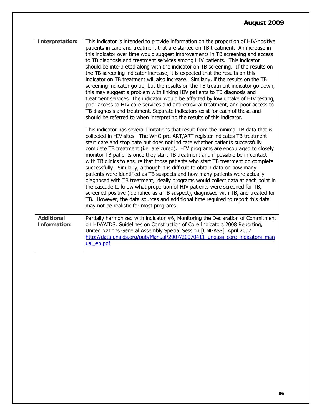| Interpretation:                   | This indicator is intended to provide information on the proportion of HIV-positive<br>patients in care and treatment that are started on TB treatment. An increase in                                                                                                                                                                                                                                                                                                                                                                                                                                                                                                                                                                                                                                                                                                                                                                                                                                                                                         |
|-----------------------------------|----------------------------------------------------------------------------------------------------------------------------------------------------------------------------------------------------------------------------------------------------------------------------------------------------------------------------------------------------------------------------------------------------------------------------------------------------------------------------------------------------------------------------------------------------------------------------------------------------------------------------------------------------------------------------------------------------------------------------------------------------------------------------------------------------------------------------------------------------------------------------------------------------------------------------------------------------------------------------------------------------------------------------------------------------------------|
|                                   | this indicator over time would suggest improvements in TB screening and access                                                                                                                                                                                                                                                                                                                                                                                                                                                                                                                                                                                                                                                                                                                                                                                                                                                                                                                                                                                 |
|                                   | to TB diagnosis and treatment services among HIV patients. This indicator<br>should be interpreted along with the indicator on TB screening. If the results on                                                                                                                                                                                                                                                                                                                                                                                                                                                                                                                                                                                                                                                                                                                                                                                                                                                                                                 |
|                                   | the TB screening indicator increase, it is expected that the results on this<br>indicator on TB treatment will also increase. Similarly, if the results on the TB                                                                                                                                                                                                                                                                                                                                                                                                                                                                                                                                                                                                                                                                                                                                                                                                                                                                                              |
|                                   | screening indicator go up, but the results on the TB treatment indicator go down,                                                                                                                                                                                                                                                                                                                                                                                                                                                                                                                                                                                                                                                                                                                                                                                                                                                                                                                                                                              |
|                                   | this may suggest a problem with linking HIV patients to TB diagnosis and<br>treatment services. The indicator would be affected by low uptake of HIV testing,                                                                                                                                                                                                                                                                                                                                                                                                                                                                                                                                                                                                                                                                                                                                                                                                                                                                                                  |
|                                   | poor access to HIV care services and antiretroviral treatment, and poor access to<br>TB diagnosis and treatment. Separate indicators exist for each of these and                                                                                                                                                                                                                                                                                                                                                                                                                                                                                                                                                                                                                                                                                                                                                                                                                                                                                               |
|                                   | should be referred to when interpreting the results of this indicator.                                                                                                                                                                                                                                                                                                                                                                                                                                                                                                                                                                                                                                                                                                                                                                                                                                                                                                                                                                                         |
|                                   | This indicator has several limitations that result from the minimal TB data that is<br>collected in HIV sites. The WHO pre-ART/ART register indicates TB treatment<br>start date and stop date but does not indicate whether patients successfully<br>complete TB treatment (i.e. are cured). HIV programs are encouraged to closely<br>monitor TB patients once they start TB treatment and if possible be in contact<br>with TB clinics to ensure that those patients who start TB treatment do complete<br>successfully. Similarly, although it is difficult to obtain data on how many<br>patients were identified as TB suspects and how many patients were actually<br>diagnosed with TB treatment, ideally programs would collect data at each point in<br>the cascade to know what proportion of HIV patients were screened for TB,<br>screened positive (identified as a TB suspect), diagnosed with TB, and treated for<br>TB. However, the data sources and additional time required to report this data<br>may not be realistic for most programs. |
| <b>Additional</b><br>Information: | Partially harmonized with indicator #6, Monitoring the Declaration of Commitment<br>on HIV/AIDS. Guidelines on Construction of Core Indicators 2008 Reporting,<br>United Nations General Assembly Special Session [UNGASS]. April 2007<br>http://data.unaids.org/pub/Manual/2007/20070411_ungass_core_indicators_man<br>ual en.pdf                                                                                                                                                                                                                                                                                                                                                                                                                                                                                                                                                                                                                                                                                                                             |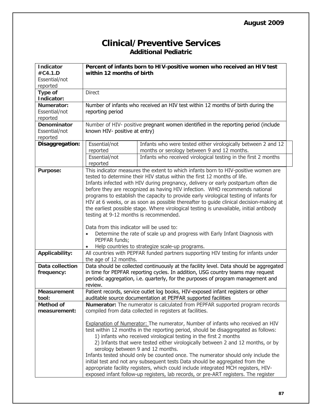### **Clinical/Preventive Services Additional Pediatric**

| <b>Indicator</b><br>$\#C4.1.D$<br>Essential/not | Percent of infants born to HIV-positive women who received an HIV test<br>within 12 months of birth                                                                                                                                                                                                                                                                                                                                                                                                                                                                                                                                                                                                                                                                                                                     |  |  |
|-------------------------------------------------|-------------------------------------------------------------------------------------------------------------------------------------------------------------------------------------------------------------------------------------------------------------------------------------------------------------------------------------------------------------------------------------------------------------------------------------------------------------------------------------------------------------------------------------------------------------------------------------------------------------------------------------------------------------------------------------------------------------------------------------------------------------------------------------------------------------------------|--|--|
| reported<br>Type of                             | <b>Direct</b>                                                                                                                                                                                                                                                                                                                                                                                                                                                                                                                                                                                                                                                                                                                                                                                                           |  |  |
| Indicator:                                      |                                                                                                                                                                                                                                                                                                                                                                                                                                                                                                                                                                                                                                                                                                                                                                                                                         |  |  |
| Numerator:<br>Essential/not<br>reported         | Number of infants who received an HIV test within 12 months of birth during the<br>reporting period                                                                                                                                                                                                                                                                                                                                                                                                                                                                                                                                                                                                                                                                                                                     |  |  |
| Denominator<br>Essential/not<br>reported        | Number of HIV- positive pregnant women identified in the reporting period (include<br>known HIV- positive at entry)                                                                                                                                                                                                                                                                                                                                                                                                                                                                                                                                                                                                                                                                                                     |  |  |
| Disaggregation:                                 | Essential/not<br>Infants who were tested either virologically between 2 and 12<br>months or serology between 9 and 12 months.<br>reported<br>Essential/not<br>Infants who received virological testing in the first 2 months<br>reported                                                                                                                                                                                                                                                                                                                                                                                                                                                                                                                                                                                |  |  |
| <b>Purpose:</b>                                 | This indicator measures the extent to which infants born to HIV-positive women are<br>tested to determine their HIV status within the first 12 months of life.<br>Infants infected with HIV during pregnancy, delivery or early postpartum often die<br>before they are recognized as having HIV infection. WHO recommends national<br>programs to establish the capacity to provide early virological testing of infants for<br>HIV at 6 weeks, or as soon as possible thereafter to guide clinical decision-making at<br>the earliest possible stage. Where virological testing is unavailable, initial antibody<br>testing at 9-12 months is recommended.<br>Data from this indicator will be used to:<br>Determine the rate of scale up and progress with Early Infant Diagnosis with<br>$\bullet$<br>PEPFAR funds; |  |  |
| Applicability:                                  | Help countries to strategize scale-up programs.<br>$\bullet$<br>All countries with PEPFAR funded partners supporting HIV testing for infants under<br>the age of 12 months.                                                                                                                                                                                                                                                                                                                                                                                                                                                                                                                                                                                                                                             |  |  |
| <b>Data collection</b><br>frequency:            | Data should be collected continuously at the facility level. Data should be aggregated<br>in time for PEPFAR reporting cycles. In addition, USG country teams may request<br>periodic aggregation, i.e. quarterly, for the purposes of program management and<br>review.                                                                                                                                                                                                                                                                                                                                                                                                                                                                                                                                                |  |  |
| <b>Measurement</b><br>tool:                     | Patient records, service outlet log books, HIV-exposed infant registers or other<br>auditable source documentation at PEPFAR supported facilities                                                                                                                                                                                                                                                                                                                                                                                                                                                                                                                                                                                                                                                                       |  |  |
| Method of<br>measurement:                       | Numerator: The numerator is calculated from PEPFAR supported program records<br>compiled from data collected in registers at facilities.                                                                                                                                                                                                                                                                                                                                                                                                                                                                                                                                                                                                                                                                                |  |  |
|                                                 | Explanation of Numerator: The numerator, Number of infants who received an HIV<br>test within 12 months in the reporting period, should be disaggregated as follows:<br>1) infants who received virological testing in the first 2 months<br>2) Infants that were tested either virologically between 2 and 12 months, or by<br>serology between 9 and 12 months.<br>Infants tested should only be counted once. The numerator should only include the<br>initial test and not any subsequent tests Data should be aggregated from the<br>appropriate facility registers, which could include integrated MCH registers, HIV-<br>exposed infant follow-up registers, lab records, or pre-ART registers. The register                                                                                                     |  |  |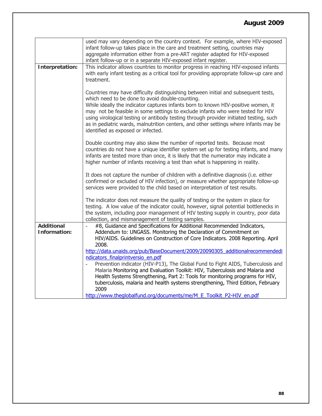|                                   | used may vary depending on the country context. For example, where HIV-exposed<br>infant follow-up takes place in the care and treatment setting, countries may<br>aggregate information either from a pre-ART register adapted for HIV-exposed<br>infant follow-up or in a separate HIV-exposed infant register.                                                                                                                                                                                                                      |
|-----------------------------------|----------------------------------------------------------------------------------------------------------------------------------------------------------------------------------------------------------------------------------------------------------------------------------------------------------------------------------------------------------------------------------------------------------------------------------------------------------------------------------------------------------------------------------------|
| Interpretation:                   | This indicator allows countries to monitor progress in reaching HIV-exposed infants<br>with early infant testing as a critical tool for providing appropriate follow-up care and<br>treatment.                                                                                                                                                                                                                                                                                                                                         |
|                                   | Countries may have difficulty distinguishing between initial and subsequent tests,<br>which need to be done to avoid double-counting.<br>While ideally the indicator captures infants born to known HIV-positive women, it<br>may not be feasible in some settings to exclude infants who were tested for HIV<br>using virological testing or antibody testing through provider initiated testing, such<br>as in pediatric wards, malnutrition centers, and other settings where infants may be<br>identified as exposed or infected.  |
|                                   | Double counting may also skew the number of reported tests. Because most<br>countries do not have a unique identifier system set up for testing infants, and many<br>infants are tested more than once, it is likely that the numerator may indicate a<br>higher number of infants receiving a test than what is happening in reality.                                                                                                                                                                                                 |
|                                   | It does not capture the number of children with a definitive diagnosis (i.e. either<br>confirmed or excluded of HIV infection), or measure whether appropriate follow-up<br>services were provided to the child based on interpretation of test results.                                                                                                                                                                                                                                                                               |
|                                   | The indicator does not measure the quality of testing or the system in place for<br>testing. A low value of the indicator could, however, signal potential bottlenecks in<br>the system, including poor management of HIV testing supply in country, poor data<br>collection, and mismanagement of testing samples.                                                                                                                                                                                                                    |
| <b>Additional</b><br>Information: | #8, Guidance and Specifications for Additional Recommended Indicators,<br>Addendum to: UNGASS. Monitoring the Declaration of Commitment on<br>HIV/AIDS. Guidelines on Construction of Core Indicators. 2008 Reporting. April<br>2008.                                                                                                                                                                                                                                                                                                  |
|                                   | http://data.unaids.org/pub/BaseDocument/2009/20090305 additionalrecommendedi<br>ndicators finalprintversio en.pdf<br>Prevention indicator (HIV-P13), The Global Fund to Fight AIDS, Tuberculosis and<br>Malaria Monitoring and Evaluation Toolkit: HIV, Tuberculosis and Malaria and<br>Health Systems Strengthening, Part 2: Tools for monitoring programs for HIV,<br>tuberculosis, malaria and health systems strengthening, Third Edition, February<br>2009<br>http://www.theglobalfund.org/documents/me/M E Toolkit P2-HIV en.pdf |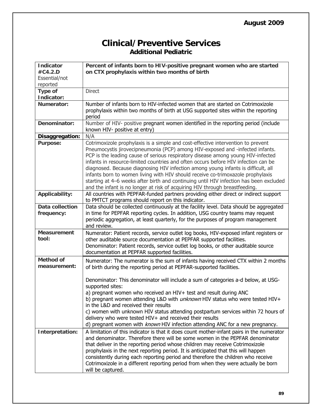### **Clinical/Preventive Services Additional Pediatric**

| <b>Indicator</b>       | Percent of infants born to HIV-positive pregnant women who are started                                                                                                    |  |
|------------------------|---------------------------------------------------------------------------------------------------------------------------------------------------------------------------|--|
| #C4.2.D                | on CTX prophylaxis within two months of birth                                                                                                                             |  |
| Essential/not          |                                                                                                                                                                           |  |
| reported<br>Type of    | <b>Direct</b>                                                                                                                                                             |  |
| Indicator:             |                                                                                                                                                                           |  |
| Numerator:             | Number of infants born to HIV-infected women that are started on Cotrimoxizole                                                                                            |  |
|                        | prophylaxis within two months of birth at USG supported sites within the reporting                                                                                        |  |
|                        | period                                                                                                                                                                    |  |
| Denominator:           | Number of HIV- positive pregnant women identified in the reporting period (include                                                                                        |  |
|                        | known HIV- positive at entry)                                                                                                                                             |  |
| Disaggregation:        | N/A                                                                                                                                                                       |  |
| Purpose:               | Cotrimoxizole prophylaxis is a simple and cost-effective intervention to prevent                                                                                          |  |
|                        | Pneumocystis jirovecipneumonia (PCP) among HIV-exposed and -infected infants.<br>PCP is the leading cause of serious respiratory disease among young HIV-infected         |  |
|                        | infants in resource-limited countries and often occurs before HIV infection can be                                                                                        |  |
|                        | diagnosed. Because diagnosing HIV infection among young infants is difficult, all                                                                                         |  |
|                        | infants born to women living with HIV should receive co-trimoxazole prophylaxis                                                                                           |  |
|                        | starting at 4–6 weeks after birth and continuing until HIV infection has been excluded                                                                                    |  |
|                        | and the infant is no longer at risk of acquiring HIV through breastfeeding.                                                                                               |  |
| Applicability:         | All countries with PEPFAR-funded partners providing either direct or indirect support                                                                                     |  |
| <b>Data collection</b> | to PMTCT programs should report on this indicator.                                                                                                                        |  |
| frequency:             | Data should be collected continuously at the facility level. Data should be aggregated<br>in time for PEPFAR reporting cycles. In addition, USG country teams may request |  |
|                        | periodic aggregation, at least quarterly, for the purposes of program management                                                                                          |  |
|                        | and review.                                                                                                                                                               |  |
| <b>Measurement</b>     | Numerator: Patient records, service outlet log books, HIV-exposed infant registers or                                                                                     |  |
| tool:                  | other auditable source documentation at PEPFAR supported facilities.                                                                                                      |  |
|                        | Denominator: Patient records, service outlet log books, or other auditable source                                                                                         |  |
|                        | documentation at PEPFAR supported facilities.                                                                                                                             |  |
| <b>Method of</b>       | Numerator: The numerator is the sum of infants having received CTX within 2 months                                                                                        |  |
| measurement:           | of birth during the reporting period at PEPFAR-supported facilities.                                                                                                      |  |
|                        |                                                                                                                                                                           |  |
|                        | Denominator: This denominator will include a sum of categories a-d below, at USG-<br>supported sites:                                                                     |  |
|                        | a) pregnant women who received an HIV+ test and result during ANC                                                                                                         |  |
|                        | b) pregnant women attending L&D with <i>unknown</i> HIV status who were tested HIV+                                                                                       |  |
|                        | in the L&D and received their results                                                                                                                                     |  |
|                        | c) women with unknown HIV status attending postpartum services within 72 hours of                                                                                         |  |
|                        | delivery who were tested HIV+ and received their results                                                                                                                  |  |
|                        | d) pregnant women with <i>known</i> HIV infection attending ANC for a new pregnancy.                                                                                      |  |
| Interpretation:        | A limitation of this indicator is that it does count mother-infant pairs in the numerator                                                                                 |  |
|                        | and denominator. Therefore there will be some women in the PEPFAR denominator                                                                                             |  |
|                        | that deliver in the reporting period whose children may receive Cotrimoxizole<br>prophylaxis in the next reporting period. It is anticipated that this will happen        |  |
|                        | consistently during each reporting period and therefore the children who receive                                                                                          |  |
|                        | Cotrimoxizole in a different reporting period from when they were actually be born                                                                                        |  |
|                        | will be captured.                                                                                                                                                         |  |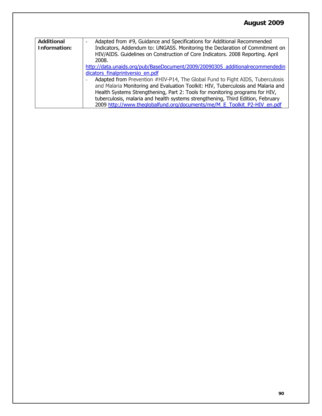| <b>Additional</b> | Adapted from #9, Guidance and Specifications for Additional Recommended          |
|-------------------|----------------------------------------------------------------------------------|
| Information:      | Indicators, Addendum to: UNGASS. Monitoring the Declaration of Commitment on     |
|                   | HIV/AIDS. Guidelines on Construction of Core Indicators. 2008 Reporting. April   |
|                   | 2008.                                                                            |
|                   | http://data.unaids.org/pub/BaseDocument/2009/20090305 additionalrecommendedin    |
|                   | dicators finalprintversio en.pdf                                                 |
|                   | Adapted from Prevention #HIV-P14, The Global Fund to Fight AIDS, Tuberculosis    |
|                   | and Malaria Monitoring and Evaluation Toolkit: HIV, Tuberculosis and Malaria and |
|                   | Health Systems Strengthening, Part 2: Tools for monitoring programs for HIV,     |
|                   | tuberculosis, malaria and health systems strengthening, Third Edition, February  |
|                   | 2009 http://www.theqlobalfund.org/documents/me/M E Toolkit P2-HIV en.pdf         |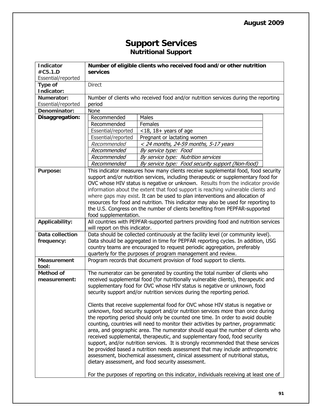### **Support Services Nutritional Support**

| <b>Indicator</b>       | Number of eligible clients who received food and/or other nutrition                                                                                             |                                                                                                                                                                  |  |
|------------------------|-----------------------------------------------------------------------------------------------------------------------------------------------------------------|------------------------------------------------------------------------------------------------------------------------------------------------------------------|--|
| #C5.1.D                | services                                                                                                                                                        |                                                                                                                                                                  |  |
| Essential/reported     |                                                                                                                                                                 |                                                                                                                                                                  |  |
| Type of                | <b>Direct</b>                                                                                                                                                   |                                                                                                                                                                  |  |
| Indicator:             |                                                                                                                                                                 |                                                                                                                                                                  |  |
| Numerator:             | Number of clients who received food and/or nutrition services during the reporting                                                                              |                                                                                                                                                                  |  |
| Essential/reported     | period                                                                                                                                                          |                                                                                                                                                                  |  |
| Denominator:           | None                                                                                                                                                            |                                                                                                                                                                  |  |
| Disaggregation:        | Recommended                                                                                                                                                     | Males                                                                                                                                                            |  |
|                        | Recommended                                                                                                                                                     | Females                                                                                                                                                          |  |
|                        | Essential/reported                                                                                                                                              | $<$ 18, 18+ years of age                                                                                                                                         |  |
|                        | Essential/reported                                                                                                                                              | Pregnant or lactating women                                                                                                                                      |  |
|                        | Recommended                                                                                                                                                     | < 24 months, 24-59 months, 5-17 years                                                                                                                            |  |
|                        | Recommended                                                                                                                                                     | By service type: Food                                                                                                                                            |  |
|                        | Recommended                                                                                                                                                     | By service type: Nutrition services                                                                                                                              |  |
|                        | Recommended                                                                                                                                                     | By service type: Food security support (Non-food)                                                                                                                |  |
| <b>Purpose:</b>        |                                                                                                                                                                 | This indicator measures how many clients receive supplemental food, food security                                                                                |  |
|                        |                                                                                                                                                                 | support and/or nutrition services, including therapeutic or supplementary food for                                                                               |  |
|                        |                                                                                                                                                                 | OVC whose HIV status is negative or unknown. Results from the indicator provide                                                                                  |  |
|                        |                                                                                                                                                                 | information about the extent that food support is reaching vulnerable clients and                                                                                |  |
|                        |                                                                                                                                                                 | where gaps may exist. It can be used to plan interventions and allocation of                                                                                     |  |
|                        |                                                                                                                                                                 | resources for food and nutrition. This indicator may also be used for reporting to                                                                               |  |
|                        |                                                                                                                                                                 | the U.S. Congress on the number of clients benefiting from PEPFAR-supported                                                                                      |  |
|                        | food supplementation.                                                                                                                                           |                                                                                                                                                                  |  |
| Applicability:         | All countries with PEPFAR-supported partners providing food and nutrition services                                                                              |                                                                                                                                                                  |  |
|                        | will report on this indicator.                                                                                                                                  |                                                                                                                                                                  |  |
| <b>Data collection</b> | Data should be collected continuously at the facility level (or community level).                                                                               |                                                                                                                                                                  |  |
| frequency:             | Data should be aggregated in time for PEPFAR reporting cycles. In addition, USG                                                                                 |                                                                                                                                                                  |  |
|                        |                                                                                                                                                                 | country teams are encouraged to request periodic aggregation, preferably                                                                                         |  |
|                        |                                                                                                                                                                 | quarterly for the purposes of program management and review.                                                                                                     |  |
| <b>Measurement</b>     |                                                                                                                                                                 | Program records that document provision of food support to clients.                                                                                              |  |
| tool:                  |                                                                                                                                                                 |                                                                                                                                                                  |  |
| <b>Method of</b>       |                                                                                                                                                                 | The numerator can be generated by counting the total number of clients who                                                                                       |  |
| measurement:           |                                                                                                                                                                 | received supplemental food (for nutritionally vulnerable clients), therapeutic and                                                                               |  |
|                        |                                                                                                                                                                 | supplementary food for OVC whose HIV status is negative or unknown, food                                                                                         |  |
|                        |                                                                                                                                                                 | security support and/or nutrition services during the reporting period.                                                                                          |  |
|                        |                                                                                                                                                                 |                                                                                                                                                                  |  |
|                        |                                                                                                                                                                 | Clients that receive supplemental food for OVC whose HIV status is negative or<br>unknown, food security support and/or nutrition services more than once during |  |
|                        |                                                                                                                                                                 | the reporting period should only be counted one time. In order to avoid double                                                                                   |  |
|                        |                                                                                                                                                                 | counting, countries will need to monitor their activities by partner, programmatic                                                                               |  |
|                        |                                                                                                                                                                 | area, and geographic area. The numerator should equal the number of clients who                                                                                  |  |
|                        |                                                                                                                                                                 |                                                                                                                                                                  |  |
|                        | received supplemental, therapeutic, and supplementary food, food security<br>support, and/or nutrition services. It is strongly recommended that these services |                                                                                                                                                                  |  |
|                        |                                                                                                                                                                 | be provided based a nutrition needs assessment that may include anthropometric                                                                                   |  |
|                        |                                                                                                                                                                 | assessment, biochemical assessment, clinical assessment of nutritional status,                                                                                   |  |
|                        |                                                                                                                                                                 | dietary assessment, and food security assessment.                                                                                                                |  |
|                        |                                                                                                                                                                 |                                                                                                                                                                  |  |
|                        |                                                                                                                                                                 | For the purposes of reporting on this indicator, individuals receiving at least one of                                                                           |  |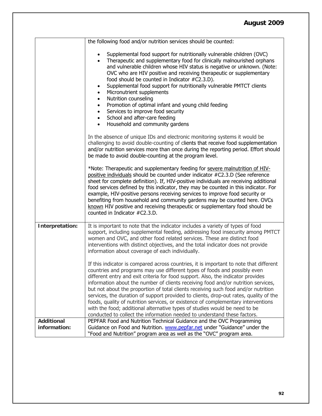|                   | the following food and/or nutrition services should be counted:                                                                                                                                                                                                                                                                                                                                                                                                                                                                                                                                                                                                                                                                                                            |
|-------------------|----------------------------------------------------------------------------------------------------------------------------------------------------------------------------------------------------------------------------------------------------------------------------------------------------------------------------------------------------------------------------------------------------------------------------------------------------------------------------------------------------------------------------------------------------------------------------------------------------------------------------------------------------------------------------------------------------------------------------------------------------------------------------|
|                   | Supplemental food support for nutritionally vulnerable children (OVC)<br>$\bullet$<br>Therapeutic and supplementary food for clinically malnourished orphans<br>$\bullet$<br>and vulnerable children whose HIV status is negative or unknown. (Note:<br>OVC who are HIV positive and receiving therapeutic or supplementary<br>food should be counted in Indicator #C2.3.D).<br>Supplemental food support for nutritionally vulnerable PMTCT clients<br>$\bullet$<br>Micronutrient supplements<br>Nutrition counseling<br>$\bullet$<br>Promotion of optimal infant and young child feeding<br>$\bullet$<br>Services to improve food security<br>$\bullet$<br>School and after-care feeding<br>$\bullet$<br>Household and community gardens                                 |
|                   | In the absence of unique IDs and electronic monitoring systems it would be<br>challenging to avoid double-counting of clients that receive food supplementation<br>and/or nutrition services more than once during the reporting period. Effort should<br>be made to avoid double-counting at the program level.                                                                                                                                                                                                                                                                                                                                                                                                                                                           |
|                   | *Note: Therapeutic and supplementary feeding for severe malnutrition of HIV-<br>positive individuals should be counted under indicator #C2.3.D (See reference<br>sheet for complete definition). If, HIV-positive individuals are receiving additional<br>food services defined by this indicator, they may be counted in this indicator. For<br>example, HIV-positive persons receiving services to improve food security or<br>benefiting from household and community gardens may be counted here. OVCs<br>known HIV positive and receiving therapeutic or supplementary food should be<br>counted in Indicator #C2.3.D.                                                                                                                                                |
| Interpretation:   | It is important to note that the indicator includes a variety of types of food<br>support, including supplemental feeding, addressing food insecurity among PMTCT<br>women and OVC, and other food related services. These are distinct food<br>interventions with distinct objectives, and the total indicator does not provide<br>information about coverage of each individually.                                                                                                                                                                                                                                                                                                                                                                                       |
|                   | If this indicator is compared across countries, it is important to note that different<br>countries and programs may use different types of foods and possibly even<br>different entry and exit criteria for food support. Also, the indicator provides<br>information about the number of clients receiving food and/or nutrition services,<br>but not about the proportion of total clients receiving such food and/or nutrition<br>services, the duration of support provided to clients, drop-out rates, quality of the<br>foods, quality of nutrition services, or existence of complementary interventions<br>with the food; additional alternative types of studies would be need to be<br>conducted to collect the information needed to understand these factors. |
| <b>Additional</b> | PEPFAR Food and Nutrition Technical Guidance and the OVC Programming                                                                                                                                                                                                                                                                                                                                                                                                                                                                                                                                                                                                                                                                                                       |
| information:      | Guidance on Food and Nutrition. www.pepfar.net under "Guidance" under the<br>"Food and Nutrition" program area as well as the "OVC" program area.                                                                                                                                                                                                                                                                                                                                                                                                                                                                                                                                                                                                                          |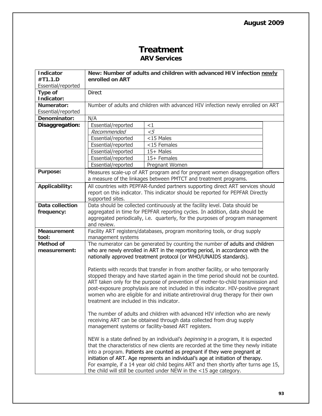### **Treatment ARV Services**

| <b>Indicator</b>       | New: Number of adults and children with advanced HIV infection newly        |                                                                                                                                                    |  |
|------------------------|-----------------------------------------------------------------------------|----------------------------------------------------------------------------------------------------------------------------------------------------|--|
| #T1.1.D                | enrolled on ART                                                             |                                                                                                                                                    |  |
| Essential/reported     | <b>Direct</b>                                                               |                                                                                                                                                    |  |
| Type of<br>Indicator:  |                                                                             |                                                                                                                                                    |  |
| Numerator:             |                                                                             | Number of adults and children with advanced HIV infection newly enrolled on ART                                                                    |  |
| Essential/reported     |                                                                             |                                                                                                                                                    |  |
| Denominator:           | N/A                                                                         |                                                                                                                                                    |  |
| Disaggregation:        | Essential/reported                                                          | <1                                                                                                                                                 |  |
|                        | Recommended                                                                 | $<$ 5                                                                                                                                              |  |
|                        | Essential/reported                                                          | <15 Males                                                                                                                                          |  |
|                        | Essential/reported                                                          | <15 Females                                                                                                                                        |  |
|                        | Essential/reported                                                          | 15+ Males                                                                                                                                          |  |
|                        | Essential/reported                                                          | 15+ Females                                                                                                                                        |  |
|                        | Essential/reported                                                          | Pregnant Women                                                                                                                                     |  |
| <b>Purpose:</b>        |                                                                             | Measures scale-up of ART program and for pregnant women disaggregation offers<br>a measure of the linkages between PMTCT and treatment programs.   |  |
| Applicability:         |                                                                             | All countries with PEPFAR-funded partners supporting direct ART services should                                                                    |  |
|                        |                                                                             | report on this indicator. This indicator should be reported for PEPFAR Directly                                                                    |  |
|                        | supported sites.                                                            |                                                                                                                                                    |  |
| <b>Data collection</b> | Data should be collected continuously at the facility level. Data should be |                                                                                                                                                    |  |
| frequency:             | aggregated in time for PEPFAR reporting cycles. In addition, data should be |                                                                                                                                                    |  |
|                        |                                                                             | aggregated periodically, i.e. quarterly, for the purposes of program management                                                                    |  |
|                        | and review.                                                                 |                                                                                                                                                    |  |
| <b>Measurement</b>     |                                                                             | Facility ART registers/databases, program monitoring tools, or drug supply                                                                         |  |
| tool:                  | management systems                                                          |                                                                                                                                                    |  |
| <b>Method of</b>       |                                                                             | The numerator can be generated by counting the number of adults and children                                                                       |  |
| measurement:           |                                                                             | who are newly enrolled in ART in the reporting period, in accordance with the<br>nationally approved treatment protocol (or WHO/UNAIDS standards). |  |
|                        |                                                                             | Patients with records that transfer in from another facility, or who temporarily                                                                   |  |
|                        |                                                                             | stopped therapy and have started again in the time period should not be counted.                                                                   |  |
|                        |                                                                             | ART taken only for the purpose of prevention of mother-to-child transmission and                                                                   |  |
|                        |                                                                             | post-exposure prophylaxis are not included in this indicator. HIV-positive pregnant                                                                |  |
|                        |                                                                             | women who are eligible for and initiate antiretroviral drug therapy for their own                                                                  |  |
|                        | treatment are included in this indicator.                                   |                                                                                                                                                    |  |
|                        |                                                                             | The number of adults and children with advanced HIV infection who are newly                                                                        |  |
|                        |                                                                             | receiving ART can be obtained through data collected from drug supply                                                                              |  |
|                        |                                                                             | management systems or facility-based ART registers.                                                                                                |  |
|                        |                                                                             | NEW is a state defined by an individual's beginning in a program, it is expected                                                                   |  |
|                        |                                                                             | that the characteristics of new clients are recorded at the time they newly initiate                                                               |  |
|                        |                                                                             | into a program. Patients are counted as pregnant if they were pregnant at                                                                          |  |
|                        |                                                                             | initiation of ART. Age represents an individual's age at initiation of therapy.                                                                    |  |
|                        |                                                                             | For example, if a 14 year old child begins ART and then shortly after turns age 15,                                                                |  |
|                        |                                                                             | the child will still be counted under NEW in the <15 age category.                                                                                 |  |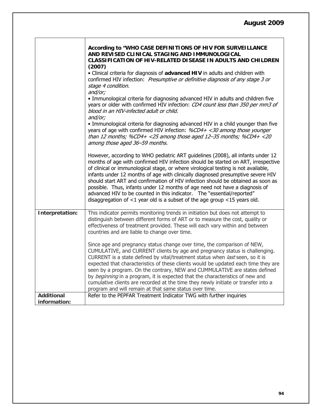|                                   | According to "WHO CASE DEFINITIONS OF HIV FOR SURVEILLANCE<br>AND REVISED CLINICAL STAGING AND IMMUNOLOGICAL<br><b>CLASSIFICATION OF HIV-RELATED DISEASE IN ADULTS AND CHILDREN</b><br>(2007)<br>• Clinical criteria for diagnosis of advanced HIV in adults and children with<br>confirmed HIV infection: Presumptive or definitive diagnosis of any stage 3 or<br>stage 4 condition.<br>and/or;<br>• Immunological criteria for diagnosing advanced HIV in adults and children five<br>years or older with confirmed HIV infection: CD4 count less than 350 per mm3 of<br>blood in an HIV-infected adult or child.<br>and/or;<br>• Immunological criteria for diagnosing advanced HIV in a child younger than five<br>years of age with confirmed HIV infection: %CD4+ <30 among those younger<br>than 12 months; %CD4+ <25 among those aged 12-35 months; %CD4+ <20<br>among those aged 36-59 months.<br>However, according to WHO pediatric ART guidelines (2008), all infants under 12<br>months of age with confirmed HIV infection should be started on ART, irrespective<br>of clinical or immunological stage, or where virological testing is not available,<br>infants under 12 months of age with clinically diagnosed presumptive severe HIV<br>should start ART and confirmation of HIV infection should be obtained as soon as<br>possible. Thus, infants under 12 months of age need not have a diagnosis of<br>advanced HIV to be counted in this indicator. The "essential/reported"<br>disaggregation of $\lt 1$ year old is a subset of the age group $\lt 15$ years old. |
|-----------------------------------|-----------------------------------------------------------------------------------------------------------------------------------------------------------------------------------------------------------------------------------------------------------------------------------------------------------------------------------------------------------------------------------------------------------------------------------------------------------------------------------------------------------------------------------------------------------------------------------------------------------------------------------------------------------------------------------------------------------------------------------------------------------------------------------------------------------------------------------------------------------------------------------------------------------------------------------------------------------------------------------------------------------------------------------------------------------------------------------------------------------------------------------------------------------------------------------------------------------------------------------------------------------------------------------------------------------------------------------------------------------------------------------------------------------------------------------------------------------------------------------------------------------------------------------------------------------------------------------------------|
| Interpretation:                   | This indicator permits monitoring trends in initiation but does not attempt to<br>distinguish between different forms of ART or to measure the cost, quality or<br>effectiveness of treatment provided. These will each vary within and between<br>countries and are liable to change over time.<br>Since age and pregnancy status change over time, the comparison of NEW,<br>CUMULATIVE, and CURRENT clients by age and pregnancy status is challenging.<br>CURRENT is a state defined by vital/treatment status when last seen, so it is<br>expected that characteristics of these clients would be updated each time they are<br>seen by a program. On the contrary, NEW and CUMMULATIVE are states defined<br>by beginning in a program, it is expected that the characteristics of new and<br>cumulative clients are recorded at the time they newly initiate or transfer into a<br>program and will remain at that same status over time.                                                                                                                                                                                                                                                                                                                                                                                                                                                                                                                                                                                                                                              |
| <b>Additional</b><br>information: | Refer to the PEPFAR Treatment Indicator TWG with further inquiries                                                                                                                                                                                                                                                                                                                                                                                                                                                                                                                                                                                                                                                                                                                                                                                                                                                                                                                                                                                                                                                                                                                                                                                                                                                                                                                                                                                                                                                                                                                            |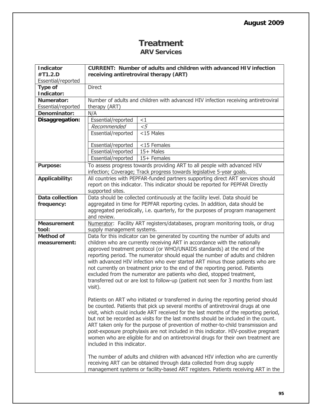### **Treatment ARV Services**

| <b>Indicator</b>       | <b>CURRENT: Number of adults and children with advanced HIV infection</b>                                                                             |  |
|------------------------|-------------------------------------------------------------------------------------------------------------------------------------------------------|--|
| #T1.2.D                | receiving antiretroviral therapy (ART)                                                                                                                |  |
| Essential/reported     |                                                                                                                                                       |  |
| Type of                | <b>Direct</b>                                                                                                                                         |  |
| Indicator:             |                                                                                                                                                       |  |
| Numerator:             | Number of adults and children with advanced HIV infection receiving antiretroviral                                                                    |  |
| Essential/reported     | therapy (ART)                                                                                                                                         |  |
| Denominator:           | N/A                                                                                                                                                   |  |
| Disaggregation:        | Essential/reported<br><1                                                                                                                              |  |
|                        | $<$ 5<br>Recommended                                                                                                                                  |  |
|                        | Essential/reported<br>$<$ 15 Males                                                                                                                    |  |
|                        |                                                                                                                                                       |  |
|                        | <15 Females<br>Essential/reported                                                                                                                     |  |
|                        | 15+ Males<br>Essential/reported                                                                                                                       |  |
|                        | Essential/reported<br>15+ Females                                                                                                                     |  |
| <b>Purpose:</b>        | To assess progress towards providing ART to all people with advanced HIV                                                                              |  |
|                        | infection; Coverage; Track progress towards legislative 5-year goals.                                                                                 |  |
| Applicability:         | All countries with PEPFAR-funded partners supporting direct ART services should                                                                       |  |
|                        | report on this indicator. This indicator should be reported for PEPFAR Directly                                                                       |  |
|                        | supported sites.                                                                                                                                      |  |
| <b>Data collection</b> | Data should be collected continuously at the facility level. Data should be                                                                           |  |
| frequency:             | aggregated in time for PEPFAR reporting cycles. In addition, data should be                                                                           |  |
|                        | aggregated periodically, i.e. quarterly, for the purposes of program management                                                                       |  |
|                        | and review.                                                                                                                                           |  |
| <b>Measurement</b>     | Numerator: Facility ART registers/databases, program monitoring tools, or drug                                                                        |  |
| tool:                  | supply management systems.                                                                                                                            |  |
| <b>Method of</b>       | Data for this indicator can be generated by counting the number of adults and                                                                         |  |
| measurement:           | children who are currently receiving ART in accordance with the nationally<br>approved treatment protocol (or WHO/UNAIDS standards) at the end of the |  |
|                        | reporting period. The numerator should equal the number of adults and children                                                                        |  |
|                        | with advanced HIV infection who ever started ART minus those patients who are                                                                         |  |
|                        | not currently on treatment prior to the end of the reporting period. Patients                                                                         |  |
|                        | excluded from the numerator are patients who died, stopped treatment,                                                                                 |  |
|                        | transferred out or are lost to follow-up (patient not seen for 3 months from last                                                                     |  |
|                        | visit).                                                                                                                                               |  |
|                        |                                                                                                                                                       |  |
|                        | Patients on ART who initiated or transferred in during the reporting period should                                                                    |  |
|                        | be counted. Patients that pick up several months of antiretroviral drugs at one                                                                       |  |
|                        | visit, which could include ART received for the last months of the reporting period,                                                                  |  |
|                        | but not be recorded as visits for the last months should be included in the count.                                                                    |  |
|                        | ART taken only for the purpose of prevention of mother-to-child transmission and                                                                      |  |
|                        | post-exposure prophylaxis are not included in this indicator. HIV-positive pregnant                                                                   |  |
|                        | women who are eligible for and on antiretroviral drugs for their own treatment are                                                                    |  |
|                        | included in this indicator.                                                                                                                           |  |
|                        |                                                                                                                                                       |  |
|                        | The number of adults and children with advanced HIV infection who are currently                                                                       |  |
|                        | receiving ART can be obtained through data collected from drug supply                                                                                 |  |
|                        | management systems or facility-based ART registers. Patients receiving ART in the                                                                     |  |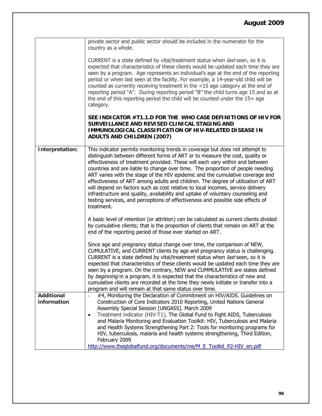|                   | private sector and public sector should be included in the numerator for the<br>country as a whole.                                                                                                                                                                                                                                                                                                                                                                                                                                                                                                                                                                                                                                                                         |
|-------------------|-----------------------------------------------------------------------------------------------------------------------------------------------------------------------------------------------------------------------------------------------------------------------------------------------------------------------------------------------------------------------------------------------------------------------------------------------------------------------------------------------------------------------------------------------------------------------------------------------------------------------------------------------------------------------------------------------------------------------------------------------------------------------------|
|                   | CURRENT is a state defined by vital/treatment status when last seen, so it is<br>expected that characteristics of these clients would be updated each time they are<br>seen by a program. Age represents an individual's age at the end of the reporting<br>period or when last seen at the facility. For example, a 14-year-old child will be<br>counted as currently receiving treatment in the <15 age category at the end of<br>reporting period "A". During reporting period "B" the child turns age 15 and so at<br>the end of this reporting period the child will be counted under the 15+ age<br>category.                                                                                                                                                         |
|                   | SEE INDICATOR #T1.1.D FOR THE WHO CASE DEFINITIONS OF HIV FOR<br>SURVEILLANCE AND REVISED CLINICAL STAGING AND<br>IMMUNOLOGICAL CLASSIFICATION OF HIV-RELATED DISEASE IN<br><b>ADULTS AND CHILDREN (2007)</b>                                                                                                                                                                                                                                                                                                                                                                                                                                                                                                                                                               |
| Interpretation:   | This indicator permits monitoring trends in coverage but does not attempt to<br>distinguish between different forms of ART or to measure the cost, quality or<br>effectiveness of treatment provided. These will each vary within and between<br>countries and are liable to change over time. The proportion of people needing<br>ART varies with the stage of the HIV epidemic and the cumulative coverage and<br>effectiveness of ART among adults and children. The degree of utilization of ART<br>will depend on factors such as cost relative to local incomes, service delivery<br>infrastructure and quality, availability and uptake of voluntary counseling and<br>testing services, and perceptions of effectiveness and possible side effects of<br>treatment. |
|                   | A basic level of retention (or attrition) can be calculated as current clients divided<br>by cumulative clients; that is the proportion of clients that remain on ART at the<br>end of the reporting period of those ever started on ART.                                                                                                                                                                                                                                                                                                                                                                                                                                                                                                                                   |
|                   | Since age and pregnancy status change over time, the comparison of NEW,<br>CUMULATIVE, and CURRENT clients by age and pregnancy status is challenging.<br>CURRENT is a state defined by vital/treatment status when last seen, so it is<br>expected that characteristics of these clients would be updated each time they are<br>seen by a program. On the contrary, NEW and CUMMULATIVE are states defined<br>by <i>beginning</i> in a program, it is expected that the characteristics of new and<br>cumulative clients are recorded at the time they newly initiate or transfer into a<br>program and will remain at that same status over time.                                                                                                                         |
| <b>Additional</b> | #4, Monitoring the Declaration of Commitment on HIV/AIDS. Guidelines on                                                                                                                                                                                                                                                                                                                                                                                                                                                                                                                                                                                                                                                                                                     |
| information       | Construction of Core Indicators 2010 Reporting, United Nations General<br>Assembly Special Session [UNGASS]. March 2009                                                                                                                                                                                                                                                                                                                                                                                                                                                                                                                                                                                                                                                     |
|                   | Treatment indicator (HIV-T1), The Global Fund to Fight AIDS, Tuberculosis<br>٠<br>and Malaria Monitoring and Evaluation Toolkit: HIV, Tuberculosis and Malaria<br>and Health Systems Strengthening Part 2: Tools for monitoring programs for<br>HIV, tuberculosis, malaria and health systems strengthening, Third Edition,<br>February 2009<br>http://www.theglobalfund.org/documents/me/M E Toolkit P2-HIV en.pdf                                                                                                                                                                                                                                                                                                                                                         |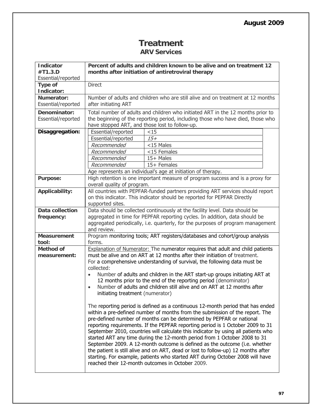#### **Treatment ARV Services**

| <b>Indicator</b><br>#T1.3.D        |                                                | Percent of adults and children known to be alive and on treatment 12<br>months after initiation of antiretroviral therapy                                          |  |
|------------------------------------|------------------------------------------------|--------------------------------------------------------------------------------------------------------------------------------------------------------------------|--|
| Essential/reported                 |                                                |                                                                                                                                                                    |  |
| <b>Type of</b>                     | <b>Direct</b>                                  |                                                                                                                                                                    |  |
| Indicator:                         |                                                |                                                                                                                                                                    |  |
| Numerator:<br>Essential/reported   | after initiating ART                           | Number of adults and children who are still alive and on treatment at 12 months                                                                                    |  |
| Denominator:<br>Essential/reported | have stopped ART, and those lost to follow-up. | Total number of adults and children who initiated ART in the 12 months prior to<br>the beginning of the reporting period, including those who have died, those who |  |
| Disaggregation:                    | Essential/reported                             | $<$ 15                                                                                                                                                             |  |
|                                    | Essential/reported                             | $15+$                                                                                                                                                              |  |
|                                    | Recommended                                    | <15 Males                                                                                                                                                          |  |
|                                    | Recommended                                    | <15 Females                                                                                                                                                        |  |
|                                    | Recommended                                    | 15+ Males                                                                                                                                                          |  |
|                                    | Recommended                                    | 15+ Females                                                                                                                                                        |  |
|                                    |                                                | Age represents an individual's age at initiation of therapy.                                                                                                       |  |
| <b>Purpose:</b>                    | overall quality of program.                    | High retention is one important measure of program success and is a proxy for                                                                                      |  |
| Applicability:                     |                                                | All countries with PEPFAR-funded partners providing ART services should report                                                                                     |  |
|                                    |                                                | on this indicator. This indicator should be reported for PEPFAR Directly                                                                                           |  |
|                                    | supported sites.                               |                                                                                                                                                                    |  |
| <b>Data collection</b>             |                                                | Data should be collected continuously at the facility level. Data should be                                                                                        |  |
| frequency:                         |                                                | aggregated in time for PEPFAR reporting cycles. In addition, data should be                                                                                        |  |
|                                    |                                                | aggregated periodically, i.e. quarterly, for the purposes of program management                                                                                    |  |
|                                    | and review.                                    |                                                                                                                                                                    |  |
| <b>Measurement</b><br>tool:        | forms.                                         | Program monitoring tools; ART registers/databases and cohort/group analysis                                                                                        |  |
| <b>Method of</b>                   |                                                | Explanation of Numerator: The numerator requires that adult and child patients                                                                                     |  |
| measurement:                       |                                                | must be alive and on ART at 12 months after their initiation of treatment.                                                                                         |  |
|                                    |                                                | For a comprehensive understanding of survival, the following data must be                                                                                          |  |
|                                    | collected:                                     |                                                                                                                                                                    |  |
|                                    |                                                | Number of adults and children in the ART start-up groups initiating ART at                                                                                         |  |
|                                    |                                                | 12 months prior to the end of the reporting period (denominator)                                                                                                   |  |
|                                    | $\bullet$                                      | Number of adults and children still alive and on ART at 12 months after                                                                                            |  |
|                                    | initiating treatment (numerator)               |                                                                                                                                                                    |  |
|                                    |                                                | The reporting period is defined as a continuous 12-month period that has ended                                                                                     |  |
|                                    |                                                | within a pre-defined number of months from the submission of the report. The                                                                                       |  |
|                                    |                                                | pre-defined number of months can be determined by PEPFAR or national                                                                                               |  |
|                                    |                                                | reporting requirements. If the PEPFAR reporting period is 1 October 2009 to 31                                                                                     |  |
|                                    |                                                | September 2010, countries will calculate this indicator by using all patients who                                                                                  |  |
|                                    |                                                | started ART any time during the 12-month period from 1 October 2008 to 31                                                                                          |  |
|                                    |                                                | September 2009. A 12-month outcome is defined as the outcome (i.e. whether<br>the patient is still alive and on ART, dead or lost to follow-up) 12 months after    |  |
|                                    |                                                | starting. For example, patients who started ART during October 2008 will have                                                                                      |  |
|                                    |                                                | reached their 12-month outcomes in October 2009.                                                                                                                   |  |
|                                    |                                                |                                                                                                                                                                    |  |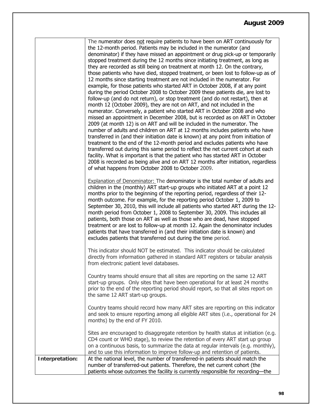|                 | The numerator does not require patients to have been on ART continuously for<br>the 12-month period. Patients may be included in the numerator (and<br>denominator) if they have missed an appointment or drug pick-up or temporarily<br>stopped treatment during the 12 months since initiating treatment, as long as<br>they are recorded as still being on treatment at month 12. On the contrary,<br>those patients who have died, stopped treatment, or been lost to follow-up as of<br>12 months since starting treatment are not included in the numerator. For<br>example, for those patients who started ART in October 2008, if at any point<br>during the period October 2008 to October 2009 these patients die, are lost to<br>follow-up (and do not return), or stop treatment (and do not restart), then at<br>month 12 (October 2009), they are not on ART, and not included in the<br>numerator. Conversely, a patient who started ART in October 2008 and who<br>missed an appointment in December 2008, but is recorded as on ART in October<br>2009 (at month 12) is on ART and will be included in the numerator. The<br>number of adults and children on ART at 12 months includes patients who have<br>transferred in (and their initiation date is known) at any point from initiation of<br>treatment to the end of the 12-month period and excludes patients who have<br>transferred out during this same period to reflect the net current cohort at each<br>facility. What is important is that the patient who has started ART in October<br>2008 is recorded as being alive and on ART 12 months after initiation, regardless<br>of what happens from October 2008 to October 2009. |
|-----------------|-------------------------------------------------------------------------------------------------------------------------------------------------------------------------------------------------------------------------------------------------------------------------------------------------------------------------------------------------------------------------------------------------------------------------------------------------------------------------------------------------------------------------------------------------------------------------------------------------------------------------------------------------------------------------------------------------------------------------------------------------------------------------------------------------------------------------------------------------------------------------------------------------------------------------------------------------------------------------------------------------------------------------------------------------------------------------------------------------------------------------------------------------------------------------------------------------------------------------------------------------------------------------------------------------------------------------------------------------------------------------------------------------------------------------------------------------------------------------------------------------------------------------------------------------------------------------------------------------------------------------------------------------------------------------------------------------------------------|
|                 | Explanation of Denominator: The denominator is the total number of adults and<br>children in the (monthly) ART start-up groups who initiated ART at a point 12<br>months prior to the beginning of the reporting period, regardless of their 12-<br>month outcome. For example, for the reporting period October 1, 2009 to<br>September 30, 2010, this will include all patients who started ART during the 12-<br>month period from October 1, 2008 to September 30, 2009. This includes all<br>patients, both those on ART as well as those who are dead, have stopped<br>treatment or are lost to follow-up at month 12. Again the denominator includes<br>patients that have transferred in (and their initiation date is known) and<br>excludes patients that transferred out during the time period.                                                                                                                                                                                                                                                                                                                                                                                                                                                                                                                                                                                                                                                                                                                                                                                                                                                                                                       |
|                 | This indicator should NOT be estimated. This indicator should be calculated<br>directly from information gathered in standard ART registers or tabular analysis<br>from electronic patient level databases.<br>Country teams should ensure that all sites are reporting on the same 12 ART                                                                                                                                                                                                                                                                                                                                                                                                                                                                                                                                                                                                                                                                                                                                                                                                                                                                                                                                                                                                                                                                                                                                                                                                                                                                                                                                                                                                                        |
|                 | start-up groups. Only sites that have been operational for at least 24 months<br>prior to the end of the reporting period should report, so that all sites report on<br>the same 12 ART start-up groups.                                                                                                                                                                                                                                                                                                                                                                                                                                                                                                                                                                                                                                                                                                                                                                                                                                                                                                                                                                                                                                                                                                                                                                                                                                                                                                                                                                                                                                                                                                          |
|                 | Country teams should record how many ART sites are reporting on this indicator<br>and seek to ensure reporting among all eligible ART sites (i.e., operational for 24<br>months) by the end of FY 2010.                                                                                                                                                                                                                                                                                                                                                                                                                                                                                                                                                                                                                                                                                                                                                                                                                                                                                                                                                                                                                                                                                                                                                                                                                                                                                                                                                                                                                                                                                                           |
|                 | Sites are encouraged to disaggregate retention by health status at initiation (e.g.<br>CD4 count or WHO stage), to review the retention of every ART start up group<br>on a continuous basis, to summarize the data at regular intervals (e.g. monthly),<br>and to use this information to improve follow-up and retention of patients.                                                                                                                                                                                                                                                                                                                                                                                                                                                                                                                                                                                                                                                                                                                                                                                                                                                                                                                                                                                                                                                                                                                                                                                                                                                                                                                                                                           |
| Interpretation: | At the national level, the number of transferred-in patients should match the<br>number of transferred-out patients. Therefore, the net current cohort (the<br>patients whose outcomes the facility is currently responsible for recording-the                                                                                                                                                                                                                                                                                                                                                                                                                                                                                                                                                                                                                                                                                                                                                                                                                                                                                                                                                                                                                                                                                                                                                                                                                                                                                                                                                                                                                                                                    |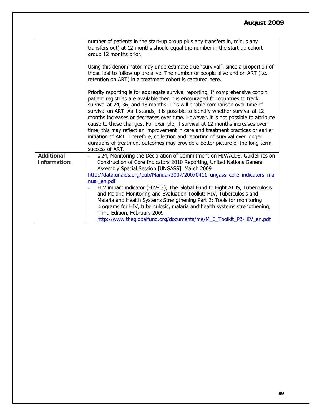|                   | number of patients in the start-up group plus any transfers in, minus any<br>transfers out) at 12 months should equal the number in the start-up cohort<br>group 12 months prior.<br>Using this denominator may underestimate true "survival", since a proportion of<br>those lost to follow-up are alive. The number of people alive and on ART (i.e.<br>retention on ART) in a treatment cohort is captured here.                                                                                                                                                                                                                                                                                                                                                                |
|-------------------|------------------------------------------------------------------------------------------------------------------------------------------------------------------------------------------------------------------------------------------------------------------------------------------------------------------------------------------------------------------------------------------------------------------------------------------------------------------------------------------------------------------------------------------------------------------------------------------------------------------------------------------------------------------------------------------------------------------------------------------------------------------------------------|
|                   | Priority reporting is for aggregate survival reporting. If comprehensive cohort<br>patient registries are available then it is encouraged for countries to track<br>survival at 24, 36, and 48 months. This will enable comparison over time of<br>survival on ART. As it stands, it is possible to identify whether survival at 12<br>months increases or decreases over time. However, it is not possible to attribute<br>cause to these changes. For example, if survival at 12 months increases over<br>time, this may reflect an improvement in care and treatment practices or earlier<br>initiation of ART. Therefore, collection and reporting of survival over longer<br>durations of treatment outcomes may provide a better picture of the long-term<br>success of ART. |
| <b>Additional</b> | #24, Monitoring the Declaration of Commitment on HIV/AIDS. Guidelines on                                                                                                                                                                                                                                                                                                                                                                                                                                                                                                                                                                                                                                                                                                           |
| Information:      | Construction of Core Indicators 2010 Reporting, United Nations General                                                                                                                                                                                                                                                                                                                                                                                                                                                                                                                                                                                                                                                                                                             |
|                   | Assembly Special Session [UNGASS]. March 2009                                                                                                                                                                                                                                                                                                                                                                                                                                                                                                                                                                                                                                                                                                                                      |
|                   | http://data.unaids.org/pub/Manual/2007/20070411 ungass core indicators ma                                                                                                                                                                                                                                                                                                                                                                                                                                                                                                                                                                                                                                                                                                          |
|                   | nual en.pdf                                                                                                                                                                                                                                                                                                                                                                                                                                                                                                                                                                                                                                                                                                                                                                        |
|                   | HIV impact indicator (HIV-I3), The Global Fund to Fight AIDS, Tuberculosis                                                                                                                                                                                                                                                                                                                                                                                                                                                                                                                                                                                                                                                                                                         |
|                   | and Malaria Monitoring and Evaluation Toolkit: HIV, Tuberculosis and<br>Malaria and Health Systems Strengthening Part 2: Tools for monitoring                                                                                                                                                                                                                                                                                                                                                                                                                                                                                                                                                                                                                                      |
|                   | programs for HIV, tuberculosis, malaria and health systems strengthening,                                                                                                                                                                                                                                                                                                                                                                                                                                                                                                                                                                                                                                                                                                          |
|                   | Third Edition, February 2009                                                                                                                                                                                                                                                                                                                                                                                                                                                                                                                                                                                                                                                                                                                                                       |
|                   | http://www.theglobalfund.org/documents/me/M E Toolkit P2-HIV en.pdf                                                                                                                                                                                                                                                                                                                                                                                                                                                                                                                                                                                                                                                                                                                |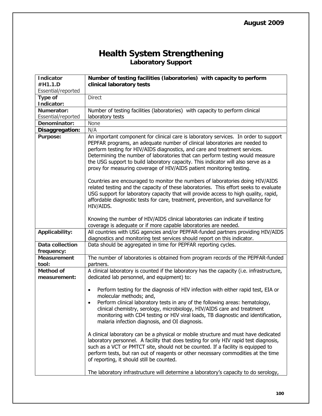### **Health System Strengthening Laboratory Support**

| <b>Indicator</b>                     | Number of testing facilities (laboratories) with capacity to perform                                                                                                                                                                                                                                                                                                                                                                                                                                                                                                                                                                                                                                                                                                                                                                                                                                                                   |
|--------------------------------------|----------------------------------------------------------------------------------------------------------------------------------------------------------------------------------------------------------------------------------------------------------------------------------------------------------------------------------------------------------------------------------------------------------------------------------------------------------------------------------------------------------------------------------------------------------------------------------------------------------------------------------------------------------------------------------------------------------------------------------------------------------------------------------------------------------------------------------------------------------------------------------------------------------------------------------------|
| #H1.1.D                              | clinical laboratory tests                                                                                                                                                                                                                                                                                                                                                                                                                                                                                                                                                                                                                                                                                                                                                                                                                                                                                                              |
| Essential/reported                   |                                                                                                                                                                                                                                                                                                                                                                                                                                                                                                                                                                                                                                                                                                                                                                                                                                                                                                                                        |
| Type of                              | <b>Direct</b>                                                                                                                                                                                                                                                                                                                                                                                                                                                                                                                                                                                                                                                                                                                                                                                                                                                                                                                          |
| Indicator:                           |                                                                                                                                                                                                                                                                                                                                                                                                                                                                                                                                                                                                                                                                                                                                                                                                                                                                                                                                        |
| Numerator:                           | Number of testing facilities (laboratories) with capacity to perform clinical                                                                                                                                                                                                                                                                                                                                                                                                                                                                                                                                                                                                                                                                                                                                                                                                                                                          |
| Essential/reported                   | laboratory tests                                                                                                                                                                                                                                                                                                                                                                                                                                                                                                                                                                                                                                                                                                                                                                                                                                                                                                                       |
| Denominator:                         | None                                                                                                                                                                                                                                                                                                                                                                                                                                                                                                                                                                                                                                                                                                                                                                                                                                                                                                                                   |
| Disaggregation:                      | N/A                                                                                                                                                                                                                                                                                                                                                                                                                                                                                                                                                                                                                                                                                                                                                                                                                                                                                                                                    |
| Purpose:                             | An important component for clinical care is laboratory services. In order to support<br>PEPFAR programs, an adequate number of clinical laboratories are needed to<br>perform testing for HIV/AIDS diagnostics, and care and treatment services.<br>Determining the number of laboratories that can perform testing would measure<br>the USG support to build laboratory capacity. This indicator will also serve as a<br>proxy for measuring coverage of HIV/AIDS patient monitoring testing.<br>Countries are encouraged to monitor the numbers of laboratories doing HIV/AIDS<br>related testing and the capacity of these laboratories. This effort seeks to evaluate<br>USG support for laboratory capacity that will provide access to high quality, rapid,<br>affordable diagnostic tests for care, treatment, prevention, and surveillance for<br>HIV/AIDS.                                                                    |
|                                      | Knowing the number of HIV/AIDS clinical laboratories can indicate if testing<br>coverage is adequate or if more capable laboratories are needed.                                                                                                                                                                                                                                                                                                                                                                                                                                                                                                                                                                                                                                                                                                                                                                                       |
| Applicability:                       | All countries with USG agencies and/or PEPFAR-funded partners providing HIV/AIDS<br>diagnostics and monitoring test services should report on this indicator.                                                                                                                                                                                                                                                                                                                                                                                                                                                                                                                                                                                                                                                                                                                                                                          |
| <b>Data collection</b><br>frequency: | Data should be aggregated in time for PEPFAR reporting cycles.                                                                                                                                                                                                                                                                                                                                                                                                                                                                                                                                                                                                                                                                                                                                                                                                                                                                         |
| <b>Measurement</b><br>tool:          | The number of laboratories is obtained from program records of the PEPFAR-funded<br>partners.                                                                                                                                                                                                                                                                                                                                                                                                                                                                                                                                                                                                                                                                                                                                                                                                                                          |
| <b>Method of</b><br>measurement:     | A clinical laboratory is counted if the laboratory has the capacity (i.e. infrastructure,<br>dedicated lab personnel, and equipment) to:                                                                                                                                                                                                                                                                                                                                                                                                                                                                                                                                                                                                                                                                                                                                                                                               |
|                                      | Perform testing for the diagnosis of HIV infection with either rapid test, EIA or<br>$\bullet$<br>molecular methods; and,<br>Perform clinical laboratory tests in any of the following areas: hematology,<br>$\bullet$<br>clinical chemistry, serology, microbiology, HIV/AIDS care and treatment<br>monitoring with CD4 testing or HIV viral loads, TB diagnostic and identification,<br>malaria infection diagnosis, and OI diagnosis.<br>A clinical laboratory can be a physical or mobile structure and must have dedicated<br>laboratory personnel. A facility that does testing for only HIV rapid test diagnosis,<br>such as a VCT or PMTCT site, should not be counted. If a facility is equipped to<br>perform tests, but ran out of reagents or other necessary commodities at the time<br>of reporting, it should still be counted.<br>The laboratory infrastructure will determine a laboratory's capacity to do serology, |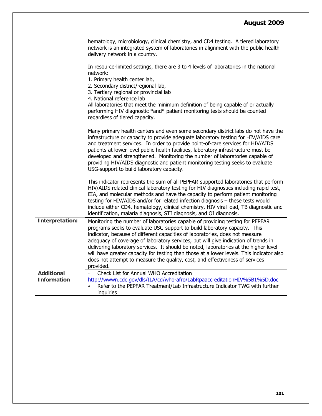|                                         | hematology, microbiology, clinical chemistry, and CD4 testing. A tiered laboratory<br>network is an integrated system of laboratories in alignment with the public health<br>delivery network in a country.                                                                                                                                                                                                                                                                                                                                                                                                       |
|-----------------------------------------|-------------------------------------------------------------------------------------------------------------------------------------------------------------------------------------------------------------------------------------------------------------------------------------------------------------------------------------------------------------------------------------------------------------------------------------------------------------------------------------------------------------------------------------------------------------------------------------------------------------------|
|                                         | In resource-limited settings, there are 3 to 4 levels of laboratories in the national<br>network:<br>1. Primary health center lab,<br>2. Secondary district/regional lab,<br>3. Tertiary regional or provincial lab<br>4. National reference lab<br>All laboratories that meet the minimum definition of being capable of or actually<br>performing HIV diagnostic *and* patient monitoring tests should be counted<br>regardless of tiered capacity.                                                                                                                                                             |
|                                         | Many primary health centers and even some secondary district labs do not have the<br>infrastructure or capacity to provide adequate laboratory testing for HIV/AIDS care<br>and treatment services. In order to provide point-of-care services for HIV/AIDS<br>patients at lower level public health facilities, laboratory infrastructure must be<br>developed and strengthened. Monitoring the number of laboratories capable of<br>providing HIV/AIDS diagnostic and patient monitoring testing seeks to evaluate<br>USG-support to build laboratory capacity.                                                 |
|                                         | This indicator represents the sum of all PEPFAR-supported laboratories that perform<br>HIV/AIDS related clinical laboratory testing for HIV diagnostics including rapid test,<br>EIA, and molecular methods and have the capacity to perform patient monitoring<br>testing for HIV/AIDS and/or for related infection diagnosis - these tests would<br>include either CD4, hematology, clinical chemistry, HIV viral load, TB diagnostic and<br>identification, malaria diagnosis, STI diagnosis, and OI diagnosis.                                                                                                |
| Interpretation:                         | Monitoring the number of laboratories capable of providing testing for PEPFAR<br>programs seeks to evaluate USG-support to build laboratory capacity. This<br>indicator, because of different capacities of laboratories, does not measure<br>adequacy of coverage of laboratory services, but will give indication of trends in<br>delivering laboratory services. It should be noted, laboratories at the higher level<br>will have greater capacity for testing than those at a lower levels. This indicator also<br>does not attempt to measure the quality, cost, and effectiveness of services<br>provided. |
| <b>Additional</b><br><b>Information</b> | Check List for Annual WHO Accreditation<br>http://wwwn.cdc.gov/dls/ILA/cd/who-afro/LabRpaaccreditationHIV%5B1%5D.doc<br>Refer to the PEPFAR Treatment/Lab Infrastructure Indicator TWG with further<br>inquiries                                                                                                                                                                                                                                                                                                                                                                                                  |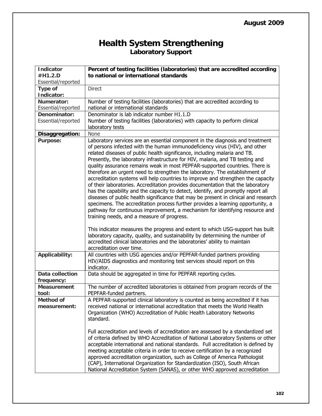### **Health System Strengthening Laboratory Support**

| <b>Indicator</b><br>#H1.2.D          | Percent of testing facilities (laboratories) that are accredited according<br>to national or international standards                                                                                                                                                                                                                                                                                                                                                                                                                                                                                                                                                                                                                                                                                                                                                                                                                                                                                                                                                                                                                                                                                                                                                                                                                    |
|--------------------------------------|-----------------------------------------------------------------------------------------------------------------------------------------------------------------------------------------------------------------------------------------------------------------------------------------------------------------------------------------------------------------------------------------------------------------------------------------------------------------------------------------------------------------------------------------------------------------------------------------------------------------------------------------------------------------------------------------------------------------------------------------------------------------------------------------------------------------------------------------------------------------------------------------------------------------------------------------------------------------------------------------------------------------------------------------------------------------------------------------------------------------------------------------------------------------------------------------------------------------------------------------------------------------------------------------------------------------------------------------|
| Essential/reported                   |                                                                                                                                                                                                                                                                                                                                                                                                                                                                                                                                                                                                                                                                                                                                                                                                                                                                                                                                                                                                                                                                                                                                                                                                                                                                                                                                         |
| Type of<br>Indicator:                | <b>Direct</b>                                                                                                                                                                                                                                                                                                                                                                                                                                                                                                                                                                                                                                                                                                                                                                                                                                                                                                                                                                                                                                                                                                                                                                                                                                                                                                                           |
| Numerator:<br>Essential/reported     | Number of testing facilities (laboratories) that are accredited according to<br>national or international standards                                                                                                                                                                                                                                                                                                                                                                                                                                                                                                                                                                                                                                                                                                                                                                                                                                                                                                                                                                                                                                                                                                                                                                                                                     |
| Denominator:                         | Denominator is lab indicator number H1.1.D                                                                                                                                                                                                                                                                                                                                                                                                                                                                                                                                                                                                                                                                                                                                                                                                                                                                                                                                                                                                                                                                                                                                                                                                                                                                                              |
| Essential/reported                   | Number of testing facilities (laboratories) with capacity to perform clinical<br>laboratory tests                                                                                                                                                                                                                                                                                                                                                                                                                                                                                                                                                                                                                                                                                                                                                                                                                                                                                                                                                                                                                                                                                                                                                                                                                                       |
| Disaggregation:                      | None                                                                                                                                                                                                                                                                                                                                                                                                                                                                                                                                                                                                                                                                                                                                                                                                                                                                                                                                                                                                                                                                                                                                                                                                                                                                                                                                    |
| Purpose:                             | Laboratory services are an essential component in the diagnosis and treatment<br>of persons infected with the human immunodeficiency virus (HIV), and other<br>related diseases of public health significance, including malaria and TB.<br>Presently, the laboratory infrastructure for HIV, malaria, and TB testing and<br>quality assurance remains weak in most PEPFAR-supported countries. There is<br>therefore an urgent need to strengthen the laboratory. The establishment of<br>accreditation systems will help countries to improve and strengthen the capacity<br>of their laboratories. Accreditation provides documentation that the laboratory<br>has the capability and the capacity to detect, identify, and promptly report all<br>diseases of public health significance that may be present in clinical and research<br>specimens. The accreditation process further provides a learning opportunity, a<br>pathway for continuous improvement, a mechanism for identifying resource and<br>training needs, and a measure of progress.<br>This indicator measures the progress and extent to which USG-support has built<br>laboratory capacity, quality, and sustainability by determining the number of<br>accredited clinical laboratories and the laboratories' ability to maintain<br>accreditation over time. |
| Applicability:                       | All countries with USG agencies and/or PEPFAR-funded partners providing<br>HIV/AIDS diagnostics and monitoring test services should report on this<br>indicator.                                                                                                                                                                                                                                                                                                                                                                                                                                                                                                                                                                                                                                                                                                                                                                                                                                                                                                                                                                                                                                                                                                                                                                        |
| <b>Data collection</b><br>frequency: | Data should be aggregated in time for PEPFAR reporting cycles.                                                                                                                                                                                                                                                                                                                                                                                                                                                                                                                                                                                                                                                                                                                                                                                                                                                                                                                                                                                                                                                                                                                                                                                                                                                                          |
| <b>Measurement</b><br>tool:          | The number of accredited laboratories is obtained from program records of the<br>PEPFAR-funded partners.                                                                                                                                                                                                                                                                                                                                                                                                                                                                                                                                                                                                                                                                                                                                                                                                                                                                                                                                                                                                                                                                                                                                                                                                                                |
| <b>Method of</b>                     | A PEPFAR-supported clinical laboratory is counted as being accredited if it has                                                                                                                                                                                                                                                                                                                                                                                                                                                                                                                                                                                                                                                                                                                                                                                                                                                                                                                                                                                                                                                                                                                                                                                                                                                         |
| measurement:                         | received national or international accreditation that meets the World Health<br>Organization (WHO) Accreditation of Public Health Laboratory Networks<br>standard.                                                                                                                                                                                                                                                                                                                                                                                                                                                                                                                                                                                                                                                                                                                                                                                                                                                                                                                                                                                                                                                                                                                                                                      |
|                                      | Full accreditation and levels of accreditation are assessed by a standardized set<br>of criteria defined by WHO Accreditation of National Laboratory Systems or other<br>acceptable international and national standards. Full accreditation is defined by<br>meeting acceptable criteria in order to receive certification by a recognized<br>approved accreditation organization, such as College of America Pathologist<br>(CAP), International Organization for Standardization (ISO), South African<br>National Accreditation System (SANAS), or other WHO approved accreditation                                                                                                                                                                                                                                                                                                                                                                                                                                                                                                                                                                                                                                                                                                                                                  |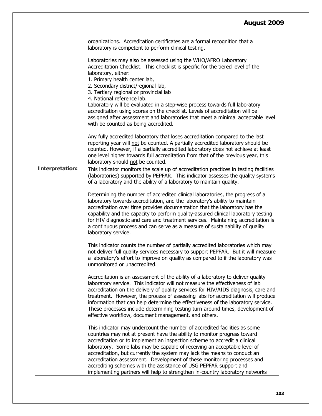|                 | organizations. Accreditation certificates are a formal recognition that a<br>laboratory is competent to perform clinical testing.                                                                                                                                                                                                                                                                                                                                                                                                                                                                                          |
|-----------------|----------------------------------------------------------------------------------------------------------------------------------------------------------------------------------------------------------------------------------------------------------------------------------------------------------------------------------------------------------------------------------------------------------------------------------------------------------------------------------------------------------------------------------------------------------------------------------------------------------------------------|
|                 | Laboratories may also be assessed using the WHO/AFRO Laboratory<br>Accreditation Checklist. This checklist is specific for the tiered level of the<br>laboratory, either:<br>1. Primary health center lab,<br>2. Secondary district/regional lab,<br>3. Tertiary regional or provincial lab                                                                                                                                                                                                                                                                                                                                |
|                 | 4. National reference lab.<br>Laboratory will be evaluated in a step-wise process towards full laboratory<br>accreditation using scores on the checklist. Levels of accreditation will be<br>assigned after assessment and laboratories that meet a minimal acceptable level<br>with be counted as being accredited.                                                                                                                                                                                                                                                                                                       |
|                 | Any fully accredited laboratory that loses accreditation compared to the last<br>reporting year will not be counted. A partially accredited laboratory should be<br>counted. However, if a partially accredited laboratory does not achieve at least<br>one level higher towards full accreditation from that of the previous year, this<br>laboratory should not be counted.                                                                                                                                                                                                                                              |
| Interpretation: | This indicator monitors the scale up of accreditation practices in testing facilities<br>(laboratories) supported by PEPFAR. This indicator assesses the quality systems<br>of a laboratory and the ability of a laboratory to maintain quality.                                                                                                                                                                                                                                                                                                                                                                           |
|                 | Determining the number of accredited clinical laboratories, the progress of a<br>laboratory towards accreditation, and the laboratory's ability to maintain<br>accreditation over time provides documentation that the laboratory has the<br>capability and the capacity to perform quality-assured clinical laboratory testing<br>for HIV diagnostic and care and treatment services. Maintaining accreditation is<br>a continuous process and can serve as a measure of sustainability of quality<br>laboratory service.                                                                                                 |
|                 | This indicator counts the number of partially accredited laboratories which may<br>not deliver full quality services necessary to support PEPFAR. But it will measure<br>a laboratory's effort to improve on quality as compared to if the laboratory was<br>unmonitored or unaccredited.                                                                                                                                                                                                                                                                                                                                  |
|                 | Accreditation is an assessment of the ability of a laboratory to deliver quality<br>laboratory service. This indicator will not measure the effectiveness of lab<br>accreditation on the delivery of quality services for HIV/AIDS diagnosis, care and<br>treatment. However, the process of assessing labs for accreditation will produce<br>information that can help determine the effectiveness of the laboratory service.<br>These processes include determining testing turn-around times, development of<br>effective workflow, document management, and others.                                                    |
|                 | This indicator may undercount the number of accredited facilities as some<br>countries may not at present have the ability to monitor progress toward<br>accreditation or to implement an inspection scheme to accredit a clinical<br>laboratory. Some labs may be capable of receiving an acceptable level of<br>accreditation, but currently the system may lack the means to conduct an<br>accreditation assessment. Development of these monitoring processes and<br>accrediting schemes with the assistance of USG PEPFAR support and<br>implementing partners will help to strengthen in-country laboratory networks |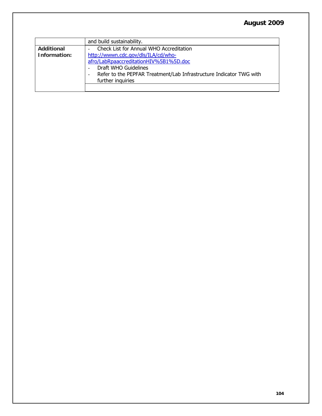|              | and build sustainability.                                           |
|--------------|---------------------------------------------------------------------|
| Additional   | Check List for Annual WHO Accreditation                             |
| Information: | http://wwwn.cdc.gov/dls/ILA/cd/who-                                 |
|              | afro/LabRpaaccreditationHIV%5B1%5D.doc                              |
|              | Draft WHO Guidelines                                                |
|              | Refer to the PEPFAR Treatment/Lab Infrastructure Indicator TWG with |
|              | further inquiries                                                   |
|              |                                                                     |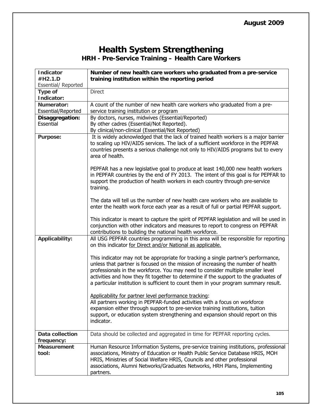#### **Health System Strengthening HRH - Pre-Service Training – Health Care Workers**

| <b>Indicator</b>                     | Number of new health care workers who graduated from a pre-service                                                                                                                                                                                                                                                                                                                                                                        |
|--------------------------------------|-------------------------------------------------------------------------------------------------------------------------------------------------------------------------------------------------------------------------------------------------------------------------------------------------------------------------------------------------------------------------------------------------------------------------------------------|
| #H2.1.D                              | training institution within the reporting period                                                                                                                                                                                                                                                                                                                                                                                          |
| Essential/ Reported                  | <b>Direct</b>                                                                                                                                                                                                                                                                                                                                                                                                                             |
| Type of<br>Indicator:                |                                                                                                                                                                                                                                                                                                                                                                                                                                           |
| Numerator:                           | A count of the number of new health care workers who graduated from a pre-                                                                                                                                                                                                                                                                                                                                                                |
| Essential/Reported                   | service training institution or program                                                                                                                                                                                                                                                                                                                                                                                                   |
| Disaggregation:                      | By doctors, nurses, midwives (Essential/Reported)                                                                                                                                                                                                                                                                                                                                                                                         |
| Essential                            | By other cadres (Essential/Not Reported).                                                                                                                                                                                                                                                                                                                                                                                                 |
|                                      | By clinical/non-clinical (Essential/Not Reported)                                                                                                                                                                                                                                                                                                                                                                                         |
| <b>Purpose:</b>                      | It is widely acknowledged that the lack of trained health workers is a major barrier<br>to scaling up HIV/AIDS services. The lack of a sufficient workforce in the PEPFAR<br>countries presents a serious challenge not only to HIV/AIDS programs but to every<br>area of health.                                                                                                                                                         |
|                                      | PEPFAR has a new legislative goal to produce at least 140,000 new health workers<br>in PEPFAR countries by the end of FY 2013. The intent of this goal is for PEPFAR to<br>support the production of health workers in each country through pre-service<br>training.                                                                                                                                                                      |
|                                      | The data will tell us the number of new health care workers who are available to<br>enter the health work force each year as a result of full or partial PEPFAR support.                                                                                                                                                                                                                                                                  |
|                                      | This indicator is meant to capture the spirit of PEPFAR legislation and will be used in<br>conjunction with other indicators and measures to report to congress on PEPFAR<br>contributions to building the national health workforce.                                                                                                                                                                                                     |
| Applicability:                       | All USG PEPFAR countries programming in this area will be responsible for reporting<br>on this indicator for Direct and/or National as applicable.                                                                                                                                                                                                                                                                                        |
|                                      | This indicator may not be appropriate for tracking a single partner's performance,<br>unless that partner is focused on the mission of increasing the number of health<br>professionals in the workforce. You may need to consider multiple smaller level<br>activities and how they fit together to determine if the support to the graduates of<br>a particular institution is sufficient to count them in your program summary result. |
|                                      | Applicability for partner level performance tracking:<br>All partners working in PEPFAR-funded activities with a focus on workforce<br>expansion either through support to pre-service training institutions, tuition<br>support, or education system strengthening and expansion should report on this<br>indicator.                                                                                                                     |
| <b>Data collection</b><br>frequency: | Data should be collected and aggregated in time for PEPFAR reporting cycles.                                                                                                                                                                                                                                                                                                                                                              |
| <b>Measurement</b><br>tool:          | Human Resource Information Systems, pre-service training institutions, professional<br>associations, Ministry of Education or Health Public Service Database HRIS, MOH<br>HRIS, Ministries of Social Welfare HRIS, Councils and other professional<br>associations, Alumni Networks/Graduates Networks, HRH Plans, Implementing<br>partners.                                                                                              |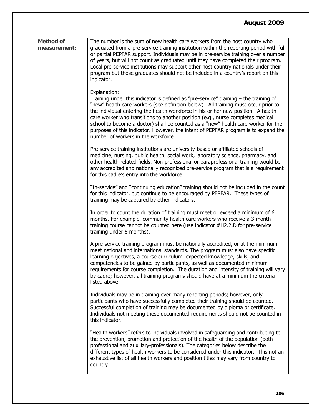| <b>Method of</b> | The number is the sum of new health care workers from the host country who                                                                                                                                                                                                                                                                                                                                                                                                                                                                     |
|------------------|------------------------------------------------------------------------------------------------------------------------------------------------------------------------------------------------------------------------------------------------------------------------------------------------------------------------------------------------------------------------------------------------------------------------------------------------------------------------------------------------------------------------------------------------|
| measurement:     | graduated from a pre-service training institution within the reporting period with full<br>or partial PEPFAR support. Individuals may be in pre-service training over a number<br>of years, but will not count as graduated until they have completed their program.                                                                                                                                                                                                                                                                           |
|                  | Local pre-service institutions may support other host country nationals under their<br>program but those graduates should not be included in a country's report on this<br>indicator.                                                                                                                                                                                                                                                                                                                                                          |
|                  | Explanation:<br>Training under this indicator is defined as "pre-service" training $-$ the training of<br>"new" health care workers (see definition below). All training must occur prior to<br>the individual entering the health workforce in his or her new position. A health<br>care worker who transitions to another position (e.g., nurse completes medical<br>school to become a doctor) shall be counted as a "new" health care worker for the<br>purposes of this indicator. However, the intent of PEPFAR program is to expand the |
|                  | number of workers in the workforce.<br>Pre-service training institutions are university-based or affiliated schools of<br>medicine, nursing, public health, social work, laboratory science, pharmacy, and<br>other health-related fields. Non-professional or paraprofessional training would be<br>any accredited and nationally recognized pre-service program that is a requirement<br>for this cadre's entry into the workforce.                                                                                                          |
|                  | "In-service" and "continuing education" training should not be included in the count<br>for this indicator, but continue to be encouraged by PEPFAR. These types of<br>training may be captured by other indicators.                                                                                                                                                                                                                                                                                                                           |
|                  | In order to count the duration of training must meet or exceed a minimum of 6<br>months. For example, community health care workers who receive a 3-month<br>training course cannot be counted here (use indicator #H2.2.D for pre-service<br>training under 6 months).                                                                                                                                                                                                                                                                        |
|                  | A pre-service training program must be nationally accredited, or at the minimum<br>meet national and international standards. The program must also have specific<br>learning objectives, a course curriculum, expected knowledge, skills, and<br>competencies to be gained by participants, as well as documented minimum<br>requirements for course completion. The duration and intensity of training will vary<br>by cadre; however, all training programs should have at a minimum the criteria<br>listed above.                          |
|                  | Individuals may be in training over many reporting periods; however, only<br>participants who have successfully completed their training should be counted.<br>Successful completion of training may be documented by diploma or certificate.<br>Individuals not meeting these documented requirements should not be counted in<br>this indicator.                                                                                                                                                                                             |
|                  | "Health workers" refers to individuals involved in safeguarding and contributing to<br>the prevention, promotion and protection of the health of the population (both<br>professional and auxiliary-professionals). The categories below describe the<br>different types of health workers to be considered under this indicator. This not an<br>exhaustive list of all health workers and position titles may vary from country to<br>country.                                                                                                |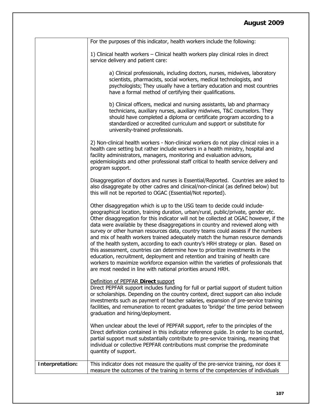|                 | For the purposes of this indicator, health workers include the following:                                                                                                                                                                                                                                                                                                                                                                                                                                                                                                                                                                                                                                                                                                                                                                                                                                                  |
|-----------------|----------------------------------------------------------------------------------------------------------------------------------------------------------------------------------------------------------------------------------------------------------------------------------------------------------------------------------------------------------------------------------------------------------------------------------------------------------------------------------------------------------------------------------------------------------------------------------------------------------------------------------------------------------------------------------------------------------------------------------------------------------------------------------------------------------------------------------------------------------------------------------------------------------------------------|
|                 |                                                                                                                                                                                                                                                                                                                                                                                                                                                                                                                                                                                                                                                                                                                                                                                                                                                                                                                            |
|                 | 1) Clinical health workers - Clinical health workers play clinical roles in direct<br>service delivery and patient care:                                                                                                                                                                                                                                                                                                                                                                                                                                                                                                                                                                                                                                                                                                                                                                                                   |
|                 | a) Clinical professionals, including doctors, nurses, midwives, laboratory<br>scientists, pharmacists, social workers, medical technologists, and<br>psychologists; They usually have a tertiary education and most countries<br>have a formal method of certifying their qualifications.                                                                                                                                                                                                                                                                                                                                                                                                                                                                                                                                                                                                                                  |
|                 | b) Clinical officers, medical and nursing assistants, lab and pharmacy<br>technicians, auxiliary nurses, auxiliary midwives, T&C counselors. They<br>should have completed a diploma or certificate program according to a<br>standardized or accredited curriculum and support or substitute for<br>university-trained professionals.                                                                                                                                                                                                                                                                                                                                                                                                                                                                                                                                                                                     |
|                 | 2) Non-clinical health workers - Non-clinical workers do not play clinical roles in a<br>health care setting but rather include workers in a health ministry, hospital and<br>facility administrators, managers, monitoring and evaluation advisors,<br>epidemiologists and other professional staff critical to health service delivery and<br>program support.                                                                                                                                                                                                                                                                                                                                                                                                                                                                                                                                                           |
|                 | Disaggregation of doctors and nurses is Essential/Reported. Countries are asked to<br>also disaggregate by other cadres and clinical/non-clinical (as defined below) but<br>this will not be reported to OGAC (Essential/Not reported).                                                                                                                                                                                                                                                                                                                                                                                                                                                                                                                                                                                                                                                                                    |
|                 | Other disaggregation which is up to the USG team to decide could include-<br>geographical location, training duration, urban/rural, public/private, gender etc.<br>Other disaggregation for this indicator will not be collected at OGAC however, if the<br>data were available by these disaggregations in country and reviewed along with<br>survey or other human resources data, country teams could assess if the numbers<br>and mix of health workers trained adequately match the human resource demands<br>of the health system, according to each country's HRH strategy or plan. Based on<br>this assessment, countries can determine how to prioritize investments in the<br>education, recruitment, deployment and retention and training of health care<br>workers to maximize workforce expansion within the varieties of professionals that<br>are most needed in line with national priorities around HRH. |
|                 | Definition of PEPFAR Direct support<br>Direct PEPFAR support includes funding for full or partial support of student tuition<br>or scholarships. Depending on the country context, direct support can also include<br>investments such as payment of teacher salaries, expansion of pre-service training<br>facilities, and remuneration to recent graduates to 'bridge' the time period between<br>graduation and hiring/deployment.                                                                                                                                                                                                                                                                                                                                                                                                                                                                                      |
|                 | When unclear about the level of PEPFAR support, refer to the principles of the<br>Direct definition contained in this indicator reference guide. In order to be counted,<br>partial support must substantially contribute to pre-service training, meaning that<br>individual or collective PEPFAR contributions must comprise the predominate<br>quantity of support.                                                                                                                                                                                                                                                                                                                                                                                                                                                                                                                                                     |
| Interpretation: | This indicator does not measure the quality of the pre-service training, nor does it<br>measure the outcomes of the training in terms of the competencies of individuals                                                                                                                                                                                                                                                                                                                                                                                                                                                                                                                                                                                                                                                                                                                                                   |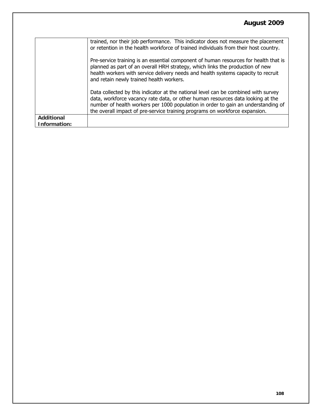|                   | trained, nor their job performance. This indicator does not measure the placement<br>or retention in the health workforce of trained individuals from their host country.                                                                                                                                                                 |
|-------------------|-------------------------------------------------------------------------------------------------------------------------------------------------------------------------------------------------------------------------------------------------------------------------------------------------------------------------------------------|
|                   | Pre-service training is an essential component of human resources for health that is<br>planned as part of an overall HRH strategy, which links the production of new<br>health workers with service delivery needs and health systems capacity to recruit<br>and retain newly trained health workers.                                    |
|                   | Data collected by this indicator at the national level can be combined with survey<br>data, workforce vacancy rate data, or other human resources data looking at the<br>number of health workers per 1000 population in order to gain an understanding of<br>the overall impact of pre-service training programs on workforce expansion. |
| <b>Additional</b> |                                                                                                                                                                                                                                                                                                                                           |
| Information:      |                                                                                                                                                                                                                                                                                                                                           |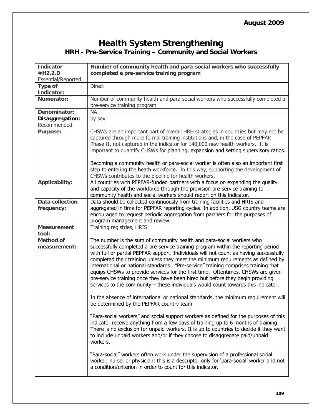#### **Health System Strengthening HRH - Pre-Service Training – Community and Social Workers**

| Indicator<br>#H2.2.D                 | Number of community health and para-social workers who successfully<br>completed a pre-service training program                                                                                                                                                                                                                                                                                                                                                                                                                                                                                                                                                                            |  |
|--------------------------------------|--------------------------------------------------------------------------------------------------------------------------------------------------------------------------------------------------------------------------------------------------------------------------------------------------------------------------------------------------------------------------------------------------------------------------------------------------------------------------------------------------------------------------------------------------------------------------------------------------------------------------------------------------------------------------------------------|--|
| Essential/Reported<br>Type of        | <b>Direct</b>                                                                                                                                                                                                                                                                                                                                                                                                                                                                                                                                                                                                                                                                              |  |
| Indicator:                           |                                                                                                                                                                                                                                                                                                                                                                                                                                                                                                                                                                                                                                                                                            |  |
| Numerator:                           | Number of community health and para-social workers who successfully completed a<br>pre-service training program                                                                                                                                                                                                                                                                                                                                                                                                                                                                                                                                                                            |  |
| Denominator:                         | <b>NA</b>                                                                                                                                                                                                                                                                                                                                                                                                                                                                                                                                                                                                                                                                                  |  |
| Disaggregation:<br>Recommended       | by sex                                                                                                                                                                                                                                                                                                                                                                                                                                                                                                                                                                                                                                                                                     |  |
| <b>Purpose:</b>                      | CHSWs are an important part of overall HRH strategies in countries but may not be<br>captured through more formal training institutions and, in the case of PEPFAR<br>Phase II, not captured in the indicator for 140,000 new health workers. It is<br>important to quantify CHSWs for planning, expansion and setting supervisory ratios.<br>Becoming a community health or para-social worker is often also an important first<br>step to entering the heath workforce. In this way, supporting the development of<br>CHSWs contributes to the pipeline for health workers.                                                                                                              |  |
| Applicability:                       | All countries with PEPFAR-funded partners with a focus on expanding the quality<br>and capacity of the workforce through the provision pre-service training to<br>community health and social workers should report on this indicator.                                                                                                                                                                                                                                                                                                                                                                                                                                                     |  |
| <b>Data collection</b><br>frequency: | Data should be collected continuously from training facilities and HRIS and<br>aggregated in time for PEPFAR reporting cycles. In addition, USG country teams are<br>encouraged to request periodic aggregation from partners for the purposes of<br>program management and review.                                                                                                                                                                                                                                                                                                                                                                                                        |  |
| <b>Measurement</b><br>tool:          | Training registries, HRIS                                                                                                                                                                                                                                                                                                                                                                                                                                                                                                                                                                                                                                                                  |  |
| <b>Method of</b><br>measurement:     | The number is the sum of community health and para-social workers who<br>successfully completed a pre-service training program within the reporting period<br>with full or partial PEPFAR support. Individuals will not count as having successfully<br>completed their training unless they meet the minimum requirements as defined by<br>international or national standards. "Pre-service" training comprises training that<br>equips CHSWs to provide services for the first time. Oftentimes, CHSWs are given<br>pre-service training once they have been hired but before they begin providing<br>services to the community - these individuals would count towards this indicator. |  |
|                                      | In the absence of international or national standards, the minimum requirement will<br>be determined by the PEPFAR country team.                                                                                                                                                                                                                                                                                                                                                                                                                                                                                                                                                           |  |
|                                      | "Para-social workers" and social support workers as defined for the purposes of this<br>indicator receive anything from a few days of training up to 6 months of training.<br>There is no exclusion for unpaid workers. It is up to countries to decide if they want<br>to include unpaid workers and/or if they choose to disaggregate paid/unpaid<br>workers.                                                                                                                                                                                                                                                                                                                            |  |
|                                      | "Para-social" workers often work under the supervision of a professional social<br>worker, nurse, or physician; this is a descriptor only for 'para-social' worker and not<br>a condition/criterion in order to count for this indicator.                                                                                                                                                                                                                                                                                                                                                                                                                                                  |  |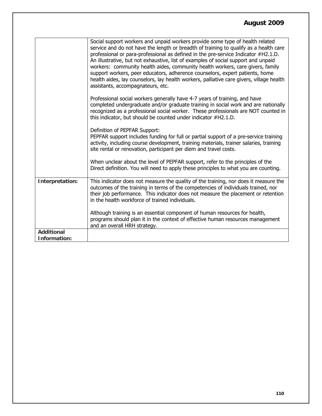|                   | Social support workers and unpaid workers provide some type of health related<br>service and do not have the length or breadth of training to qualify as a health care<br>professional or para-professional as defined in the pre-service Indicator #H2.1.D.<br>An illustrative, but not exhaustive, list of examples of social support and unpaid<br>workers: community health aides, community health workers, care givers, family<br>support workers, peer educators, adherence counselors, expert patients, home<br>health aides, lay counselors, lay health workers, palliative care givers, village health<br>assistants, accompagnateurs, etc. |
|-------------------|-------------------------------------------------------------------------------------------------------------------------------------------------------------------------------------------------------------------------------------------------------------------------------------------------------------------------------------------------------------------------------------------------------------------------------------------------------------------------------------------------------------------------------------------------------------------------------------------------------------------------------------------------------|
|                   | Professional social workers generally have 4-7 years of training, and have<br>completed undergraduate and/or graduate training in social work and are nationally<br>recognized as a professional social worker. These professionals are NOT counted in<br>this indicator, but should be counted under indicator #H2.1.D.                                                                                                                                                                                                                                                                                                                              |
|                   | Definition of PEPFAR Support:<br>PEPFAR support includes funding for full or partial support of a pre-service training<br>activity, including course development, training materials, trainer salaries, training<br>site rental or renovation, participant per diem and travel costs.                                                                                                                                                                                                                                                                                                                                                                 |
|                   | When unclear about the level of PEPFAR support, refer to the principles of the<br>Direct definition. You will need to apply these principles to what you are counting.                                                                                                                                                                                                                                                                                                                                                                                                                                                                                |
| Interpretation:   | This indicator does not measure the quality of the training, nor does it measure the<br>outcomes of the training in terms of the competencies of individuals trained, nor<br>their job performance. This indicator does not measure the placement or retention<br>in the health workforce of trained individuals.                                                                                                                                                                                                                                                                                                                                     |
|                   | Although training is an essential component of human resources for health,<br>programs should plan it in the context of effective human resources management<br>and an overall HRH strategy.                                                                                                                                                                                                                                                                                                                                                                                                                                                          |
| <b>Additional</b> |                                                                                                                                                                                                                                                                                                                                                                                                                                                                                                                                                                                                                                                       |
| Information:      |                                                                                                                                                                                                                                                                                                                                                                                                                                                                                                                                                                                                                                                       |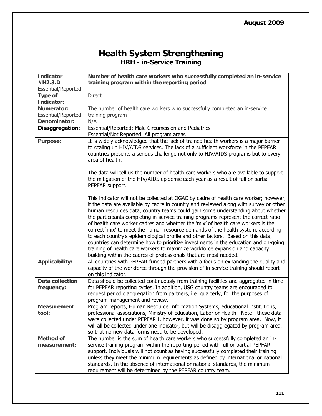#### **Health System Strengthening HRH - in-Service Training**

| <b>Indicator</b>                     | Number of health care workers who successfully completed an in-service                                                                                                                                                                                                                                                                                                                                                                                                                                                                                                                                                                                                                                                                                                                                                                                            |  |  |
|--------------------------------------|-------------------------------------------------------------------------------------------------------------------------------------------------------------------------------------------------------------------------------------------------------------------------------------------------------------------------------------------------------------------------------------------------------------------------------------------------------------------------------------------------------------------------------------------------------------------------------------------------------------------------------------------------------------------------------------------------------------------------------------------------------------------------------------------------------------------------------------------------------------------|--|--|
| #H2.3.D                              | training program within the reporting period                                                                                                                                                                                                                                                                                                                                                                                                                                                                                                                                                                                                                                                                                                                                                                                                                      |  |  |
| Essential/Reported                   |                                                                                                                                                                                                                                                                                                                                                                                                                                                                                                                                                                                                                                                                                                                                                                                                                                                                   |  |  |
| <b>Type of</b>                       | <b>Direct</b>                                                                                                                                                                                                                                                                                                                                                                                                                                                                                                                                                                                                                                                                                                                                                                                                                                                     |  |  |
| Indicator:                           |                                                                                                                                                                                                                                                                                                                                                                                                                                                                                                                                                                                                                                                                                                                                                                                                                                                                   |  |  |
| Numerator:                           | The number of health care workers who successfully completed an in-service                                                                                                                                                                                                                                                                                                                                                                                                                                                                                                                                                                                                                                                                                                                                                                                        |  |  |
| Essential/Reported                   | training program                                                                                                                                                                                                                                                                                                                                                                                                                                                                                                                                                                                                                                                                                                                                                                                                                                                  |  |  |
| Denominator:                         | N/A                                                                                                                                                                                                                                                                                                                                                                                                                                                                                                                                                                                                                                                                                                                                                                                                                                                               |  |  |
| Disaggregation:                      | Essential/Reported: Male Circumcision and Pediatrics<br>Essential/Not Reported: All program areas                                                                                                                                                                                                                                                                                                                                                                                                                                                                                                                                                                                                                                                                                                                                                                 |  |  |
| Purpose:                             | It is widely acknowledged that the lack of trained health workers is a major barrier<br>to scaling up HIV/AIDS services. The lack of a sufficient workforce in the PEPFAR<br>countries presents a serious challenge not only to HIV/AIDS programs but to every<br>area of health.<br>The data will tell us the number of health care workers who are available to support                                                                                                                                                                                                                                                                                                                                                                                                                                                                                         |  |  |
|                                      | the mitigation of the HIV/AIDS epidemic each year as a result of full or partial<br>PEPFAR support.                                                                                                                                                                                                                                                                                                                                                                                                                                                                                                                                                                                                                                                                                                                                                               |  |  |
|                                      | This indicator will not be collected at OGAC by cadre of health care worker; however,<br>if the data are available by cadre in country and reviewed along with survey or other<br>human resources data, country teams could gain some understanding about whether<br>the participants completing in-service training programs represent the correct ratio<br>of health care worker cadres and whether the 'mix' of health care workers is the<br>correct 'mix' to meet the human resource demands of the health system, according<br>to each country's epidemiological profile and other factors. Based on this data,<br>countries can determine how to prioritize investments in the education and on-going<br>training of health care workers to maximize workforce expansion and capacity<br>building within the cadres of professionals that are most needed. |  |  |
| Applicability:                       | All countries with PEPFAR-funded partners with a focus on expanding the quality and<br>capacity of the workforce through the provision of in-service training should report<br>on this indicator.                                                                                                                                                                                                                                                                                                                                                                                                                                                                                                                                                                                                                                                                 |  |  |
| <b>Data collection</b><br>frequency: | Data should be collected continuously from training facilities and aggregated in time<br>for PEPFAR reporting cycles. In addition, USG country teams are encouraged to<br>request periodic aggregation from partners, i.e. quarterly, for the purposes of<br>program management and review.                                                                                                                                                                                                                                                                                                                                                                                                                                                                                                                                                                       |  |  |
| <b>Measurement</b><br>tool:          | Program reports, Human Resource Information Systems, educational institutions,<br>professional associations, Ministry of Education, Labor or Health. Note: these data<br>were collected under PEPFAR I, however, it was done so by program area. Now, it<br>will all be collected under one indicator, but will be disaggregated by program area,<br>so that no new data forms need to be developed.                                                                                                                                                                                                                                                                                                                                                                                                                                                              |  |  |
| <b>Method of</b><br>measurement:     | The number is the sum of health care workers who successfully completed an in-<br>service training program within the reporting period with full or partial PEPFAR<br>support. Individuals will not count as having successfully completed their training<br>unless they meet the minimum requirements as defined by international or national<br>standards. In the absence of international or national standards, the minimum<br>requirement will be determined by the PEPFAR country team.                                                                                                                                                                                                                                                                                                                                                                     |  |  |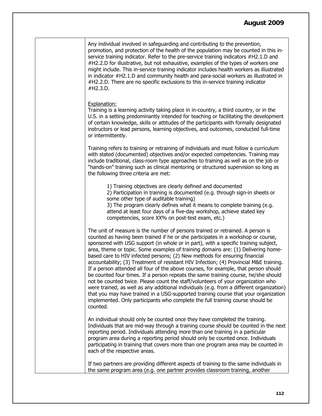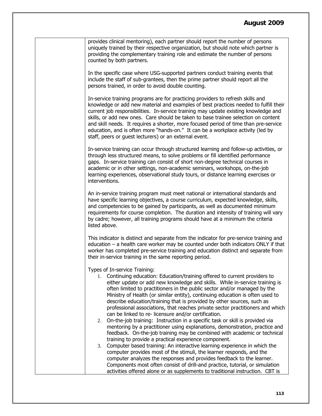| provides clinical mentoring), each partner should report the number of persons      |
|-------------------------------------------------------------------------------------|
| uniquely trained by their respective organization, but should note which partner is |
| providing the complementary training role and estimate the number of persons        |
| counted by both partners.                                                           |

In the specific case where USG-supported partners conduct training events that include the staff of sub-grantees, then the prime partner should report all the persons trained, in order to avoid double counting.

In-service training programs are for practicing providers to refresh skills and knowledge or add new material and examples of best practices needed to fulfill their current job responsibilities. In-service training may update existing knowledge and skills, or add new ones. Care should be taken to base trainee selection on content and skill needs. It requires a shorter, more focused period of time than pre-service education, and is often more "hands-on." It can be a workplace activity (led by staff, peers or guest lecturers) or an external event.

In-service training can occur through structured learning and follow-up activities, or through less structured means, to solve problems or fill identified performance gaps. In-service training can consist of short non-degree technical courses in academic or in other settings, non-academic seminars, workshops, on-the-job learning experiences, observational study tours, or distance learning exercises or interventions.

An in-service training program must meet national or international standards and have specific learning objectives, a course curriculum, expected knowledge, skills, and competencies to be gained by participants, as well as documented minimum requirements for course completion. The duration and intensity of training will vary by cadre; however, all training programs should have at a minimum the criteria listed above.

This indicator is distinct and separate from the indicator for pre-service training and education – a health care worker may be counted under both indicators ONLY if that worker has completed pre-service training and education distinct and separate from their in-service training in the same reporting period.

Types of In-service Training:

- 1. Continuing education: Education/training offered to current providers to either update or add new knowledge and skills. While in-service training is often limited to practitioners in the public sector and/or managed by the Ministry of Health (or similar entity), continuing education is often used to describe education/training that is provided by other sources, such as professional associations, that reaches private sector practitioners and which can be linked to re- licensure and/or certification.
- 2. On-the-job training: Instruction in a specific task or skill is provided via mentoring by a practitioner using explanations, demonstration, practice and feedback. On-the-job training may be combined with academic or technical training to provide a practical experience component.
- 3. Computer based training: An interactive learning experience in which the computer provides most of the stimuli, the learner responds, and the computer analyzes the responses and provides feedback to the learner. Components most often consist of drill-and practice, tutorial, or simulation activities offered alone or as supplements to traditional instruction. CBT is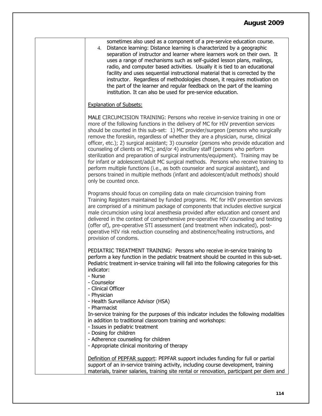| sometimes also used as a component of a pre-service education course.<br>Distance learning: Distance learning is characterized by a geographic<br>4.<br>separation of instructor and learner where learners work on their own. It<br>uses a range of mechanisms such as self-guided lesson plans, mailings,<br>radio, and computer based activities. Usually it is tied to an educational<br>facility and uses sequential instructional material that is corrected by the<br>instructor. Regardless of methodologies chosen, it requires motivation on<br>the part of the learner and regular feedback on the part of the learning<br>institution. It can also be used for pre-service education.                                                                                                                                                                                                  |
|----------------------------------------------------------------------------------------------------------------------------------------------------------------------------------------------------------------------------------------------------------------------------------------------------------------------------------------------------------------------------------------------------------------------------------------------------------------------------------------------------------------------------------------------------------------------------------------------------------------------------------------------------------------------------------------------------------------------------------------------------------------------------------------------------------------------------------------------------------------------------------------------------|
| <b>Explanation of Subsets:</b>                                                                                                                                                                                                                                                                                                                                                                                                                                                                                                                                                                                                                                                                                                                                                                                                                                                                     |
| MALE CIRCUMCISION TRAINING: Persons who receive in-service training in one or<br>more of the following functions in the delivery of MC for HIV prevention services<br>should be counted in this sub-set: 1) MC provider/surgeon (persons who surgically<br>remove the foreskin, regardless of whether they are a physician, nurse, clinical<br>officer, etc.); 2) surgical assistant; 3) counselor (persons who provide education and<br>counseling of clients on MC); and/or 4) ancillary staff (persons who perform<br>sterilization and preparation of surgical instruments/equipment). Training may be<br>for infant or adolescent/adult MC surgical methods. Persons who receive training to<br>perform multiple functions (i.e., as both counselor and surgical assistant), and<br>persons trained in multiple methods (infant and adolescent/adult methods) should<br>only be counted once. |
| Programs should focus on compiling data on male circumcision training from<br>Training Registers maintained by funded programs. MC for HIV prevention services<br>are comprised of a minimum package of components that includes elective surgical<br>male circumcision using local anesthesia provided after education and consent and<br>delivered in the context of comprehensive pre-operative HIV counseling and testing<br>(offer of), pre-operative STI assessment (and treatment when indicated), post-<br>operative HIV risk reduction counseling and abstinence/healing instructions, and<br>provision of condoms.                                                                                                                                                                                                                                                                       |
| PEDIATRIC TREATMENT TRAINING: Persons who receive in-service training to<br>perform a key function in the pediatric treatment should be counted in this sub-set.<br>Pediatric treatment in-service training will fall into the following categories for this<br>indicator:<br>- Nurse<br>- Counselor                                                                                                                                                                                                                                                                                                                                                                                                                                                                                                                                                                                               |
| - Clinical Officer<br>- Physician<br>- Health Surveillance Advisor (HSA)<br>- Pharmacist                                                                                                                                                                                                                                                                                                                                                                                                                                                                                                                                                                                                                                                                                                                                                                                                           |
| In-service training for the purposes of this indicator includes the following modalities<br>in addition to traditional classroom training and workshops:<br>- Issues in pediatric treatment<br>- Dosing for children<br>- Adherence counseling for children<br>- Appropriate clinical monitoring of therapy                                                                                                                                                                                                                                                                                                                                                                                                                                                                                                                                                                                        |
| Definition of PEPFAR support: PEPFAR support includes funding for full or partial<br>support of an in-service training activity, including course development, training<br>materials, trainer salaries, training site rental or renovation, participant per diem and                                                                                                                                                                                                                                                                                                                                                                                                                                                                                                                                                                                                                               |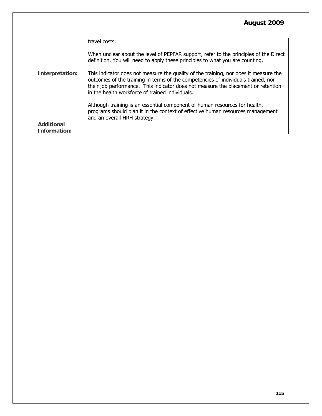|                   | travel costs.                                                                                                                                                                                                                                                                                                     |
|-------------------|-------------------------------------------------------------------------------------------------------------------------------------------------------------------------------------------------------------------------------------------------------------------------------------------------------------------|
|                   | When unclear about the level of PEPFAR support, refer to the principles of the Direct<br>definition. You will need to apply these principles to what you are counting.                                                                                                                                            |
| Interpretation:   | This indicator does not measure the quality of the training, nor does it measure the<br>outcomes of the training in terms of the competencies of individuals trained, nor<br>their job performance. This indicator does not measure the placement or retention<br>in the health workforce of trained individuals. |
|                   | Although training is an essential component of human resources for health,<br>programs should plan it in the context of effective human resources management<br>and an overall HRH strategy.                                                                                                                      |
| <b>Additional</b> |                                                                                                                                                                                                                                                                                                                   |
| Information:      |                                                                                                                                                                                                                                                                                                                   |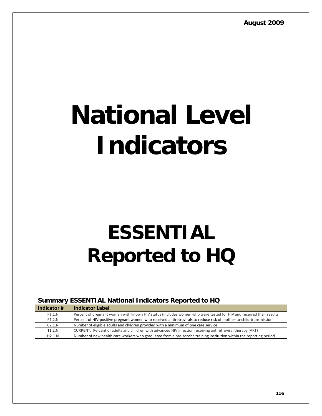# **National Level Indicators**

# **ESSENTIAL Reported to HQ**

#### **Summary ESSENTIAL National Indicators Reported to HQ**

| Indicator # | <b>Indicator Label</b>                                                                                              |  |
|-------------|---------------------------------------------------------------------------------------------------------------------|--|
| P1.1N       | Percent of pregnant women with known HIV status (includes women who were tested for HIV and received their results  |  |
| P1.2.N      | Percent of HIV-positive pregnant women who received antiretrovirals to reduce risk of mother-to-child-transmission  |  |
| C2.1. N     | Number of eligible adults and children provided with a minimum of one care service                                  |  |
| T1.2.N      | CURRENT: Percent of adults and children with advanced HIV infection receiving antiretroviral therapy (ART)          |  |
| H2.1. N     | Number of new health care workers who graduated from a pre-service training institution within the reporting period |  |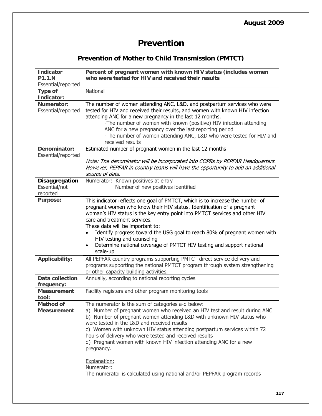# **Prevention**

## **Prevention of Mother to Child Transmission (PMTCT)**

| <b>Indicator</b><br><b>P1.1.N</b>    | Percent of pregnant women with known HIV status (includes women                                                                                                                                                                                                                                                                                                                                                                                                                                                                                                                             |  |  |
|--------------------------------------|---------------------------------------------------------------------------------------------------------------------------------------------------------------------------------------------------------------------------------------------------------------------------------------------------------------------------------------------------------------------------------------------------------------------------------------------------------------------------------------------------------------------------------------------------------------------------------------------|--|--|
| Essential/reported                   | who were tested for HIV and received their results                                                                                                                                                                                                                                                                                                                                                                                                                                                                                                                                          |  |  |
| Type of                              | National                                                                                                                                                                                                                                                                                                                                                                                                                                                                                                                                                                                    |  |  |
| Indicator:                           |                                                                                                                                                                                                                                                                                                                                                                                                                                                                                                                                                                                             |  |  |
| Numerator:<br>Essential/reported     | The number of women attending ANC, L&D, and postpartum services who were<br>tested for HIV and received their results, and women with known HIV infection<br>attending ANC for a new pregnancy in the last 12 months.<br>-The number of women with known (positive) HIV infection attending<br>ANC for a new pregnancy over the last reporting period<br>-The number of women attending ANC, L&D who were tested for HIV and<br>received results                                                                                                                                            |  |  |
| Denominator:<br>Essential/reported   | Estimated number of pregnant women in the last 12 months                                                                                                                                                                                                                                                                                                                                                                                                                                                                                                                                    |  |  |
|                                      | Note: The denominator will be incorporated into COPRs by PEPFAR Headquarters.<br>However, PEPFAR in country teams will have the opportunity to add an additional<br>source of data.                                                                                                                                                                                                                                                                                                                                                                                                         |  |  |
| Disaggregation                       | Numerator: Known positives at entry                                                                                                                                                                                                                                                                                                                                                                                                                                                                                                                                                         |  |  |
| Essential/not                        | Number of new positives identified                                                                                                                                                                                                                                                                                                                                                                                                                                                                                                                                                          |  |  |
| reported                             |                                                                                                                                                                                                                                                                                                                                                                                                                                                                                                                                                                                             |  |  |
| Purpose:                             | This indicator reflects one goal of PMTCT, which is to increase the number of<br>pregnant women who know their HIV status. Identification of a pregnant<br>woman's HIV status is the key entry point into PMTCT services and other HIV<br>care and treatment services.<br>These data will be important to:<br>Identify progress toward the USG goal to reach 80% of pregnant women with<br>$\bullet$<br>HIV testing and counseling<br>Determine national coverage of PMTCT HIV testing and support national<br>$\bullet$<br>scale-up                                                        |  |  |
| Applicability:                       | All PEPFAR country programs supporting PMTCT direct service delivery and<br>programs supporting the national PMTCT program through system strengthening<br>or other capacity building activities.                                                                                                                                                                                                                                                                                                                                                                                           |  |  |
| <b>Data collection</b><br>frequency: | Annually, according to national reporting cycles                                                                                                                                                                                                                                                                                                                                                                                                                                                                                                                                            |  |  |
| <b>Measurement</b><br>tool:          | Facility registers and other program monitoring tools                                                                                                                                                                                                                                                                                                                                                                                                                                                                                                                                       |  |  |
| Method of<br><b>Measurement</b>      | The numerator is the sum of categories a-d below:<br>a) Number of pregnant women who received an HIV test and result during ANC<br>b) Number of pregnant women attending L&D with unknown HIV status who<br>were tested in the L&D and received results<br>c) Women with unknown HIV status attending postpartum services within 72<br>hours of delivery who were tested and received results<br>d) Pregnant women with known HIV infection attending ANC for a new<br>pregnancy.<br>Explanation:<br>Numerator:<br>The numerator is calculated using national and/or PEPFAR program records |  |  |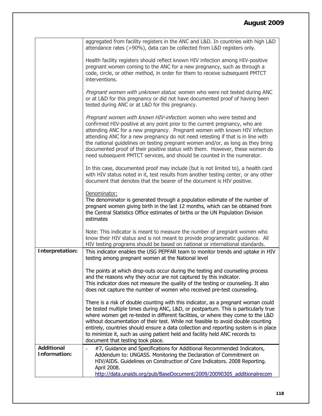|                                   | aggregated from facility registers in the ANC and L&D. In countries with high L&D<br>attendance rates (>90%), data can be collected from L&D registers only.                                                                                                                                                                                                                                                                                                                                                                                                     |  |  |  |
|-----------------------------------|------------------------------------------------------------------------------------------------------------------------------------------------------------------------------------------------------------------------------------------------------------------------------------------------------------------------------------------------------------------------------------------------------------------------------------------------------------------------------------------------------------------------------------------------------------------|--|--|--|
|                                   | Health facility registers should reflect known HIV infection among HIV-positive<br>pregnant women coming to the ANC for a new pregnancy, such as through a<br>code, circle, or other method, in order for them to receive subsequent PMTCT<br>interventions.                                                                                                                                                                                                                                                                                                     |  |  |  |
|                                   | Pregnant women with unknown status: women who were not tested during ANC<br>or at L&D for this pregnancy or did not have documented proof of having been<br>tested during ANC or at L&D for this pregnancy.                                                                                                                                                                                                                                                                                                                                                      |  |  |  |
|                                   | Pregnant women with known HIV-infection: women who were tested and<br>confirmed HIV-positive at any point prior to the current pregnancy, who are<br>attending ANC for a new pregnancy. Pregnant women with known HIV infection<br>attending ANC for a new pregnancy do not need retesting if that is in line with<br>the national guidelines on testing pregnant women and/or, as long as they bring<br>documented proof of their positive status with them. However, these women do<br>need subsequent PMTCT services, and should be counted in the numerator. |  |  |  |
|                                   | In this case, documented proof may include (but is not limited to), a health card<br>with HIV status noted in it, test results from another testing center, or any other<br>document that denotes that the bearer of the document is HIV positive.                                                                                                                                                                                                                                                                                                               |  |  |  |
|                                   | Denominator:<br>The denominator is generated through a population estimate of the number of<br>pregnant women giving birth in the last 12 months, which can be obtained from<br>the Central Statistics Office estimates of births or the UN Population Division<br>estimates                                                                                                                                                                                                                                                                                     |  |  |  |
|                                   | Note: This indicator is meant to measure the number of pregnant women who<br>know their HIV status and is not meant to provide programmatic guidance. All<br>HIV testing programs should be based on national or international standards.                                                                                                                                                                                                                                                                                                                        |  |  |  |
| Interpretation:                   | This indicator enables the USG PEPFAR team to monitor trends and uptake in HIV<br>testing among pregnant women at the National level                                                                                                                                                                                                                                                                                                                                                                                                                             |  |  |  |
|                                   | The points at which drop-outs occur during the testing and counseling process<br>and the reasons why they occur are not captured by this indicator.<br>This indicator does not measure the quality of the testing or counseling. It also<br>does not capture the number of women who received pre-test counseling.                                                                                                                                                                                                                                               |  |  |  |
|                                   | There is a risk of double counting with this indicator, as a pregnant woman could<br>be tested multiple times during ANC, L&D, or postpartum. This is particularly true<br>where women get re-tested in different facilities, or where they come to the L&D<br>without documentation of their test. While not feasible to avoid double counting<br>entirely, countries should ensure a data collection and reporting system is in place<br>to minimize it, such as using patient held and facility held ANC records to<br>document that testing took place.      |  |  |  |
| <b>Additional</b><br>Information: | #7, Guidance and Specifications for Additional Recommended Indicators,<br>Addendum to: UNGASS. Monitoring the Declaration of Commitment on<br>HIV/AIDS. Guidelines on Construction of Core Indicators. 2008 Reporting.<br>April 2008.<br>http://data.unaids.org/pub/BaseDocument/2009/20090305_additionalrecom                                                                                                                                                                                                                                                   |  |  |  |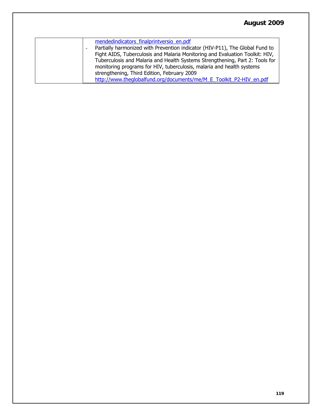| mendedindicators finalprintversio en.pdf                                     |
|------------------------------------------------------------------------------|
| Partially harmonized with Prevention indicator (HIV-P11), The Global Fund to |
| Fight AIDS, Tuberculosis and Malaria Monitoring and Evaluation Toolkit: HIV, |
| Tuberculosis and Malaria and Health Systems Strengthening, Part 2: Tools for |
| monitoring programs for HIV, tuberculosis, malaria and health systems        |
| strengthening, Third Edition, February 2009                                  |
| http://www.theglobalfund.org/documents/me/M E Toolkit P2-HIV en.pdf          |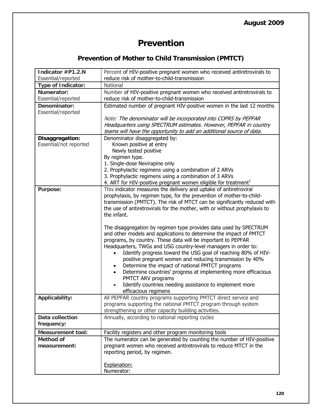# **Prevention**

## **Prevention of Mother to Child Transmission (PMTCT)**

| Indicator #P1.2.N                  | Percent of HIV-positive pregnant women who received antiretrovirals to                                                                                                                                                                                                                                                                                                                                                                                                                                                                                                                                                                                                                                                                         |  |  |
|------------------------------------|------------------------------------------------------------------------------------------------------------------------------------------------------------------------------------------------------------------------------------------------------------------------------------------------------------------------------------------------------------------------------------------------------------------------------------------------------------------------------------------------------------------------------------------------------------------------------------------------------------------------------------------------------------------------------------------------------------------------------------------------|--|--|
| Essential/reported                 | reduce risk of mother-to-child-transmission                                                                                                                                                                                                                                                                                                                                                                                                                                                                                                                                                                                                                                                                                                    |  |  |
| <b>Type of Indicator:</b>          | National                                                                                                                                                                                                                                                                                                                                                                                                                                                                                                                                                                                                                                                                                                                                       |  |  |
| Numerator:                         | Number of HIV-positive pregnant women who received antiretrovirals to                                                                                                                                                                                                                                                                                                                                                                                                                                                                                                                                                                                                                                                                          |  |  |
| Essential/reported                 | reduce risk of mother-to-child-transmission                                                                                                                                                                                                                                                                                                                                                                                                                                                                                                                                                                                                                                                                                                    |  |  |
| Denominator:<br>Essential/reported | Estimated number of pregnant HIV-positive women in the last 12 months                                                                                                                                                                                                                                                                                                                                                                                                                                                                                                                                                                                                                                                                          |  |  |
|                                    | Note: The denominator will be incorporated into COPRS by PEPFAR                                                                                                                                                                                                                                                                                                                                                                                                                                                                                                                                                                                                                                                                                |  |  |
|                                    | Headquarters using SPECTRUM estimates. However, PEPFAR in country                                                                                                                                                                                                                                                                                                                                                                                                                                                                                                                                                                                                                                                                              |  |  |
|                                    | teams will have the opportunity to add an additional source of data.                                                                                                                                                                                                                                                                                                                                                                                                                                                                                                                                                                                                                                                                           |  |  |
| Disaggregation:                    | Denominator disaggregated by:                                                                                                                                                                                                                                                                                                                                                                                                                                                                                                                                                                                                                                                                                                                  |  |  |
| Essential/not reported             | Known positive at entry                                                                                                                                                                                                                                                                                                                                                                                                                                                                                                                                                                                                                                                                                                                        |  |  |
|                                    | Newly tested positive                                                                                                                                                                                                                                                                                                                                                                                                                                                                                                                                                                                                                                                                                                                          |  |  |
|                                    | By regimen type.                                                                                                                                                                                                                                                                                                                                                                                                                                                                                                                                                                                                                                                                                                                               |  |  |
|                                    | 1. Single-dose Nevirapine only<br>2. Prophylactic regimens using a combination of 2 ARVs                                                                                                                                                                                                                                                                                                                                                                                                                                                                                                                                                                                                                                                       |  |  |
|                                    | 3. Prophylactic regimens using a combination of 3 ARVs                                                                                                                                                                                                                                                                                                                                                                                                                                                                                                                                                                                                                                                                                         |  |  |
|                                    | 4. ART for HIV-positive pregnant women eligible for treatment <sup>1</sup>                                                                                                                                                                                                                                                                                                                                                                                                                                                                                                                                                                                                                                                                     |  |  |
| Purpose:                           | This indicator measures the delivery and uptake of antiretroviral                                                                                                                                                                                                                                                                                                                                                                                                                                                                                                                                                                                                                                                                              |  |  |
|                                    | prophylaxis, by regimen type, for the prevention of mother-to-child-                                                                                                                                                                                                                                                                                                                                                                                                                                                                                                                                                                                                                                                                           |  |  |
|                                    | transmission (PMTCT). The risk of MTCT can be significantly reduced with                                                                                                                                                                                                                                                                                                                                                                                                                                                                                                                                                                                                                                                                       |  |  |
|                                    | the use of antiretrovirals for the mother, with or without prophylaxis to                                                                                                                                                                                                                                                                                                                                                                                                                                                                                                                                                                                                                                                                      |  |  |
|                                    | the infant.                                                                                                                                                                                                                                                                                                                                                                                                                                                                                                                                                                                                                                                                                                                                    |  |  |
| Applicability:                     | The disaggregation by regimen type provides data used by SPECTRUM<br>and other models and applications to determine the impact of PMTCT<br>programs, by country. These data will be important to PEPFAR<br>Headquarters, TWGs and USG country-level managers in order to:<br>Identify progress toward the USG goal of reaching 80% of HIV-<br>positive pregnant women and reducing transmission by 40%<br>Determine the impact of national PMTCT programs<br>$\bullet$<br>Determine countries' progress at implementing more efficacious<br>$\bullet$<br>PMTCT ARV programs<br>Identify countries needing assistance to implement more<br>$\bullet$<br>efficacious regimens<br>All PEPFAR country programs supporting PMTCT direct service and |  |  |
|                                    | programs supporting the national PMTCT program through system                                                                                                                                                                                                                                                                                                                                                                                                                                                                                                                                                                                                                                                                                  |  |  |
|                                    | strengthening or other capacity building activities.                                                                                                                                                                                                                                                                                                                                                                                                                                                                                                                                                                                                                                                                                           |  |  |
| Data collection                    | Annually, according to national reporting cycles                                                                                                                                                                                                                                                                                                                                                                                                                                                                                                                                                                                                                                                                                               |  |  |
| frequency:                         |                                                                                                                                                                                                                                                                                                                                                                                                                                                                                                                                                                                                                                                                                                                                                |  |  |
| <b>Measurement tool:</b>           | Facility registers and other program monitoring tools                                                                                                                                                                                                                                                                                                                                                                                                                                                                                                                                                                                                                                                                                          |  |  |
| <b>Method of</b>                   | The numerator can be generated by counting the number of HIV-positive                                                                                                                                                                                                                                                                                                                                                                                                                                                                                                                                                                                                                                                                          |  |  |
| measurement:                       | pregnant women who received antiretrovirals to reduce MTCT in the                                                                                                                                                                                                                                                                                                                                                                                                                                                                                                                                                                                                                                                                              |  |  |
|                                    | reporting period, by regimen.                                                                                                                                                                                                                                                                                                                                                                                                                                                                                                                                                                                                                                                                                                                  |  |  |
|                                    |                                                                                                                                                                                                                                                                                                                                                                                                                                                                                                                                                                                                                                                                                                                                                |  |  |
|                                    | Explanation:                                                                                                                                                                                                                                                                                                                                                                                                                                                                                                                                                                                                                                                                                                                                   |  |  |
|                                    | Numerator:                                                                                                                                                                                                                                                                                                                                                                                                                                                                                                                                                                                                                                                                                                                                     |  |  |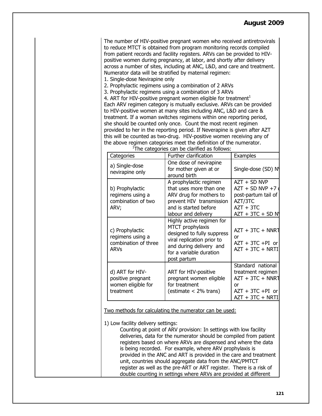The number of HIV-positive pregnant women who received antiretrovirals to reduce MTCT is obtained from program monitoring records compiled from patient records and facility registers. ARVs can be provided to HIVpositive women during pregnancy, at labor, and shortly after delivery across a number of sites, including at ANC, L&D, and care and treatment. Numerator data will be stratified by maternal regimen:

1. Single-dose Nevirapine only

2. Prophylactic regimens using a combination of 2 ARVs

3. Prophylactic regimens using a combination of 3 ARVs

4. ART for HIV-positive pregnant women eligible for treatment<sup>1</sup> Each ARV regimen category is mutually exclusive. ARVs can be provided to HIV-positive women at many sites including ANC, L&D and care & treatment. If a woman switches regimens within one reporting period, she should be counted only once. Count the most recent regimen provided to her in the reporting period. If Neverapine is given after AZT this will be counted as two-drug. HIV-positive women receiving any of the above regimen categories meet the definition of the numerator.

| The categories can be clarified as follows.                                |                                                                                                                                                                                |                                                                                                               |  |  |
|----------------------------------------------------------------------------|--------------------------------------------------------------------------------------------------------------------------------------------------------------------------------|---------------------------------------------------------------------------------------------------------------|--|--|
| Categories                                                                 | Further clarification                                                                                                                                                          | Examples                                                                                                      |  |  |
| a) Single-dose<br>nevirapine only                                          | One dose of nevirapine<br>for mother given at or<br>around birth                                                                                                               | Single-dose (SD) N                                                                                            |  |  |
| b) Prophylactic<br>regimens using a<br>combination of two<br>ARV;          | A prophylactic regimen<br>that uses more than one<br>ARV drug for mothers to<br>prevent HIV transmission<br>and is started before<br>labour and delivery                       | $AZT + SD NVP$<br>$AZT + SD NVP +7$<br>post-partum tail of<br>AZT/3TC<br>$AZT + 3TC$<br>$AZT + 3TC + SD N$    |  |  |
| c) Prophylactic<br>regimens using a<br>combination of three<br><b>ARVs</b> | Highly active regimen for<br>MTCT prophylaxis<br>designed to fully suppress<br>viral replication prior to<br>and during delivery and<br>for a variable duration<br>post partum | $AZT + 3TC + NNRT$<br>or<br>$AZT + 3TC + PI$ or<br>$AZT + 3TC + NRTI$                                         |  |  |
| d) ART for HIV-<br>positive pregnant<br>women eligible for<br>treatment    | ART for HIV-positive<br>pregnant women eligible<br>for treatment<br>$(estimate < 2\% trans)$                                                                                   | Standard national<br>treatment regimen<br>AZT + 3TC + NNRT<br>or<br>$AZT + 3TC + PI$ or<br>$AZT + 3TC + NRTI$ |  |  |

 $1$ The categories can be clarified as follows:

Two methods for calculating the numerator can be used:

1) Low facility delivery settings:

Counting at point of ARV provision: In settings with low facility deliveries, data for the numerator should be compiled from patient registers based on where ARVs are dispensed and where the data is being recorded. For example, where ARV prophylaxis is provided in the ANC and ART is provided in the care and treatment unit, countries should aggregate data from the ANC/PMTCT register as well as the pre-ART or ART register. There is a risk of double counting in settings where ARVs are provided at different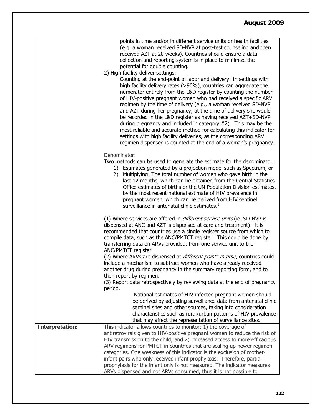|                 | points in time and/or in different service units or health facilities<br>(e.g. a woman received SD-NVP at post-test counseling and then<br>received AZT at 28 weeks). Countries should ensure a data<br>collection and reporting system is in place to minimize the<br>potential for double counting.<br>2) High facility deliver settings:<br>Counting at the end-point of labor and delivery: In settings with<br>high facility delivery rates (>90%), countries can aggregate the<br>numerator entirely from the L&D register by counting the number<br>of HIV-positive pregnant women who had received a specific ARV<br>regimen by the time of delivery (e.g., a woman received SD-NVP<br>and AZT during her pregnancy; at the time of delivery she would<br>be recorded in the L&D register as having received AZT+SD-NVP<br>during pregnancy and included in category $#2$ ). This may be the<br>most reliable and accurate method for calculating this indicator for<br>settings with high facility deliveries, as the corresponding ARV<br>regimen dispensed is counted at the end of a woman's pregnancy. |
|-----------------|---------------------------------------------------------------------------------------------------------------------------------------------------------------------------------------------------------------------------------------------------------------------------------------------------------------------------------------------------------------------------------------------------------------------------------------------------------------------------------------------------------------------------------------------------------------------------------------------------------------------------------------------------------------------------------------------------------------------------------------------------------------------------------------------------------------------------------------------------------------------------------------------------------------------------------------------------------------------------------------------------------------------------------------------------------------------------------------------------------------------|
|                 | Denominator:<br>Two methods can be used to generate the estimate for the denominator:<br>1) Estimates generated by a projection model such as Spectrum, or<br>2) Multiplying: The total number of women who gave birth in the<br>last 12 months, which can be obtained from the Central Statistics<br>Office estimates of births or the UN Population Division estimates,<br>by the most recent national estimate of HIV prevalence in<br>pregnant women, which can be derived from HIV sentinel<br>surveillance in antenatal clinic estimates. <sup>1</sup>                                                                                                                                                                                                                                                                                                                                                                                                                                                                                                                                                        |
|                 | (1) Where services are offered in <i>different service units</i> (ie. SD-NVP is<br>dispensed at ANC and AZT is dispensed at care and treatment) - it is<br>recommended that countries use a single register source from which to<br>compile data, such as the ANC/PMTCT register. This could be done by<br>transferring data on ARVs provided, from one service unit to the<br>ANC/PMTCT register.<br>(2) Where ARVs are dispensed at <i>different points in time</i> , countries could<br>include a mechanism to subtract women who have already received<br>another drug during pregnancy in the summary reporting form, and to<br>then report by regimen.<br>(3) Report data retrospectively by reviewing data at the end of pregnancy                                                                                                                                                                                                                                                                                                                                                                           |
|                 | period.<br>National estimates of HIV-infected pregnant women should<br>be derived by adjusting surveillance data from antenatal clinic<br>sentinel sites and other sources, taking into consideration<br>characteristics such as rural/urban patterns of HIV prevalence<br>that may affect the representation of surveillance sites.                                                                                                                                                                                                                                                                                                                                                                                                                                                                                                                                                                                                                                                                                                                                                                                |
| Interpretation: | This indicator allows countries to monitor: 1) the coverage of<br>antiretrovirals given to HIV-positive pregnant women to reduce the risk of<br>HIV transmission to the child; and 2) increased access to more efficacious<br>ARV regimens for PMTCT in countries that are scaling up newer regimen<br>categories. One weakness of this indicator is the exclusion of mother-<br>infant pairs who only received infant prophylaxis. Therefore, partial<br>prophylaxis for the infant only is not measured. The indicator measures<br>ARVs dispensed and not ARVs consumed, thus it is not possible to                                                                                                                                                                                                                                                                                                                                                                                                                                                                                                               |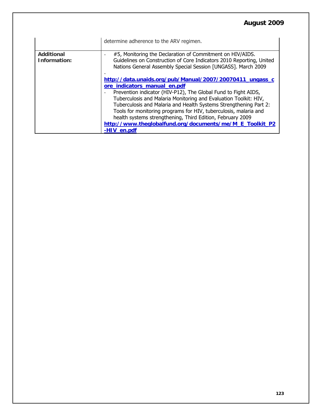|                                   | determine adherence to the ARV regimen.                                                                                                                                                                                                                                                                                                                                                                                                                                                                          |
|-----------------------------------|------------------------------------------------------------------------------------------------------------------------------------------------------------------------------------------------------------------------------------------------------------------------------------------------------------------------------------------------------------------------------------------------------------------------------------------------------------------------------------------------------------------|
| <b>Additional</b><br>Information: | #5, Monitoring the Declaration of Commitment on HIV/AIDS.<br>Guidelines on Construction of Core Indicators 2010 Reporting, United<br>Nations General Assembly Special Session [UNGASS]. March 2009                                                                                                                                                                                                                                                                                                               |
|                                   | http://data.unaids.org/pub/Manual/2007/20070411_ungass_c<br>ore_indicators_manual_en.pdf<br>Prevention indicator (HIV-P12), The Global Fund to Fight AIDS,<br>Tuberculosis and Malaria Monitoring and Evaluation Toolkit: HIV,<br>Tuberculosis and Malaria and Health Systems Strengthening Part 2:<br>Tools for monitoring programs for HIV, tuberculosis, malaria and<br>health systems strengthening, Third Edition, February 2009<br>http://www.theglobalfund.org/documents/me/M E Toolkit P2<br>-HIV en.pdf |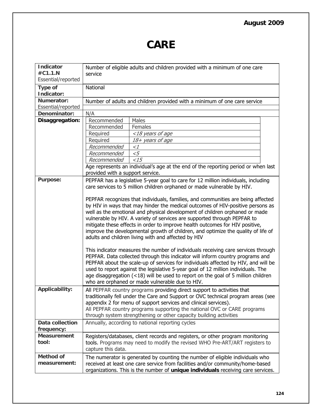**CARE** 

| <b>Indicator</b><br>#C1.1. N         | Number of eligible adults and children provided with a minimum of one care<br>service                                                                                                                                                                                                                                                                                                                                                                                                                                                                     |
|--------------------------------------|-----------------------------------------------------------------------------------------------------------------------------------------------------------------------------------------------------------------------------------------------------------------------------------------------------------------------------------------------------------------------------------------------------------------------------------------------------------------------------------------------------------------------------------------------------------|
| Essential/reported                   |                                                                                                                                                                                                                                                                                                                                                                                                                                                                                                                                                           |
| Type of<br>Indicator:                | National                                                                                                                                                                                                                                                                                                                                                                                                                                                                                                                                                  |
| Numerator:                           | Number of adults and children provided with a minimum of one care service                                                                                                                                                                                                                                                                                                                                                                                                                                                                                 |
| Essential/reported<br>Denominator:   | N/A                                                                                                                                                                                                                                                                                                                                                                                                                                                                                                                                                       |
| Disaggregation:                      | Recommended<br>Males                                                                                                                                                                                                                                                                                                                                                                                                                                                                                                                                      |
|                                      | Females<br>Recommended                                                                                                                                                                                                                                                                                                                                                                                                                                                                                                                                    |
|                                      | Required<br><18 years of age                                                                                                                                                                                                                                                                                                                                                                                                                                                                                                                              |
|                                      | Required<br>18+ years of age                                                                                                                                                                                                                                                                                                                                                                                                                                                                                                                              |
|                                      | Recommended<br>$\leq$ 1                                                                                                                                                                                                                                                                                                                                                                                                                                                                                                                                   |
|                                      | $<$ 5<br>Recommended                                                                                                                                                                                                                                                                                                                                                                                                                                                                                                                                      |
|                                      | <15<br>Recommended                                                                                                                                                                                                                                                                                                                                                                                                                                                                                                                                        |
|                                      | Age represents an individual's age at the end of the reporting period or when last<br>provided with a support service.                                                                                                                                                                                                                                                                                                                                                                                                                                    |
| <b>Purpose:</b>                      | PEPFAR has a legislative 5-year goal to care for 12 million individuals, including<br>care services to 5 million children orphaned or made vulnerable by HIV.                                                                                                                                                                                                                                                                                                                                                                                             |
|                                      | PEPFAR recognizes that individuals, families, and communities are being affected<br>by HIV in ways that may hinder the medical outcomes of HIV-positive persons as<br>well as the emotional and physical development of children orphaned or made<br>vulnerable by HIV. A variety of services are supported through PEPFAR to<br>mitigate these effects in order to improve health outcomes for HIV positive,<br>improve the developmental growth of children, and optimize the quality of life of<br>adults and children living with and affected by HIV |
|                                      | This indicator measures the number of individuals receiving care services through<br>PEPFAR. Data collected through this indicator will inform country programs and<br>PEPFAR about the scale-up of services for individuals affected by HIV, and will be<br>used to report against the legislative 5-year goal of 12 million individuals. The<br>age disaggregation (<18) will be used to report on the goal of 5 million children<br>who are orphaned or made vulnerable due to HIV.                                                                    |
| Applicability:                       | All PEPFAR country programs providing direct support to activities that<br>traditionally fell under the Care and Support or OVC technical program areas (see<br>appendix 2 for menu of support services and clinical services).<br>All PEPFAR country programs supporting the national OVC or CARE programs<br>through system strengthening or other capacity building activities                                                                                                                                                                         |
| <b>Data collection</b><br>frequency: | Annually, according to national reporting cycles                                                                                                                                                                                                                                                                                                                                                                                                                                                                                                          |
| <b>Measurement</b><br>tool:          | Registers/databases, client records and registers, or other program monitoring<br>tools. Programs may need to modify the revised WHO Pre-ART/ART registers to<br>capture this data.                                                                                                                                                                                                                                                                                                                                                                       |
| <b>Method of</b><br>measurement:     | The numerator is generated by counting the number of eligible individuals who<br>received at least one care service from facilities and/or community/home-based<br>organizations. This is the number of unique individuals receiving care services.                                                                                                                                                                                                                                                                                                       |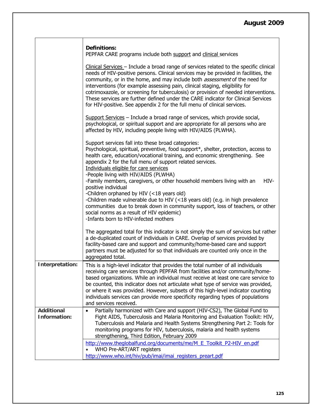$\mathbf{L}$ 

|                                   | <b>Definitions:</b><br>PEPFAR CARE programs include both support and clinical services                                                                                                                                                                                                                                                                                                                                                                                                                                                                                                                     |
|-----------------------------------|------------------------------------------------------------------------------------------------------------------------------------------------------------------------------------------------------------------------------------------------------------------------------------------------------------------------------------------------------------------------------------------------------------------------------------------------------------------------------------------------------------------------------------------------------------------------------------------------------------|
|                                   | Clinical Services - Include a broad range of services related to the specific clinical<br>needs of HIV-positive persons. Clinical services may be provided in facilities, the<br>community, or in the home, and may include both <i>assessment</i> of the need for<br>interventions (for example assessing pain, clinical staging, eligibility for<br>cotrimoxazole, or screening for tuberculosis) or provision of needed interventions.<br>These services are further defined under the CARE indicator for Clinical Services<br>for HIV-positive. See appendix 2 for the full menu of clinical services. |
|                                   | Support Services - Include a broad range of services, which provide social,<br>psychological, or spiritual support and are appropriate for all persons who are<br>affected by HIV, including people living with HIV/AIDS (PLWHA).                                                                                                                                                                                                                                                                                                                                                                          |
|                                   | Support services fall into these broad categories:<br>Psychological, spiritual, preventive, food support*, shelter, protection, access to<br>health care, education/vocational training, and economic strengthening. See<br>appendix 2 for the full menu of support related services.<br>Individuals eligible for care services<br>-People living with HIV/AIDS (PLWHA)                                                                                                                                                                                                                                    |
|                                   | -Family members, caregivers, or other household members living with an<br>HIV-<br>positive individual<br>-Children orphaned by HIV (<18 years old)<br>-Children made vulnerable due to HIV (<18 years old) (e.g. in high prevalence                                                                                                                                                                                                                                                                                                                                                                        |
|                                   | communities due to break down in community support, loss of teachers, or other<br>social norms as a result of HIV epidemic)<br>-Infants born to HIV-infected mothers                                                                                                                                                                                                                                                                                                                                                                                                                                       |
|                                   | The aggregated total for this indicator is not simply the sum of services but rather<br>a de-duplicated count of individuals in CARE. Overlap of services provided by<br>facility-based care and support and community/home-based care and support<br>partners must be adjusted for so that individuals are counted only once in the<br>aggregated total.                                                                                                                                                                                                                                                  |
| Interpretation:                   | This is a high-level indicator that provides the total number of all individuals<br>receiving care services through PEPFAR from facilities and/or community/home-<br>based organizations. While an individual must receive at least one care service to<br>be counted, this indicator does not articulate what type of service was provided,<br>or where it was provided. However, subsets of this high-level indicator counting<br>individuals services can provide more specificity regarding types of populations                                                                                       |
|                                   | and services received.                                                                                                                                                                                                                                                                                                                                                                                                                                                                                                                                                                                     |
| <b>Additional</b><br>Information: | Partially harmonized with Care and support (HIV-CS2), The Global Fund to<br>$\bullet$<br>Fight AIDS, Tuberculosis and Malaria Monitoring and Evaluation Toolkit: HIV,<br>Tuberculosis and Malaria and Health Systems Strengthening Part 2: Tools for<br>monitoring programs for HIV, tuberculosis, malaria and health systems<br>strengthening, Third Edition, February 2009                                                                                                                                                                                                                               |
|                                   | http://www.theglobalfund.org/documents/me/M E Toolkit P2-HIV en.pdf<br>WHO Pre-ART/ART registers<br>http://www.who.int/hiv/pub/imai/imai registers preart.pdf                                                                                                                                                                                                                                                                                                                                                                                                                                              |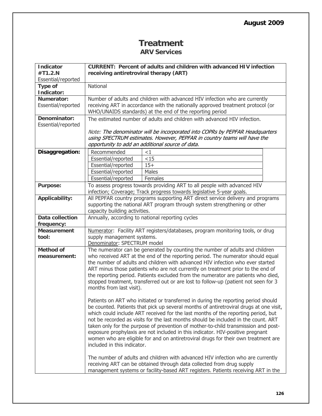#### **Treatment ARV Services**

| <b>Indicator</b><br>#T1.2.N          | CURRENT: Percent of adults and children with advanced HIV infection<br>receiving antiretroviral therapy (ART)                                                                                                                                                                                                                                                                                                                                                                                                                                                                                                                                        |
|--------------------------------------|------------------------------------------------------------------------------------------------------------------------------------------------------------------------------------------------------------------------------------------------------------------------------------------------------------------------------------------------------------------------------------------------------------------------------------------------------------------------------------------------------------------------------------------------------------------------------------------------------------------------------------------------------|
| Essential/reported<br><b>Type of</b> | National                                                                                                                                                                                                                                                                                                                                                                                                                                                                                                                                                                                                                                             |
| Indicator:                           |                                                                                                                                                                                                                                                                                                                                                                                                                                                                                                                                                                                                                                                      |
| Numerator:                           | Number of adults and children with advanced HIV infection who are currently                                                                                                                                                                                                                                                                                                                                                                                                                                                                                                                                                                          |
| Essential/reported                   | receiving ART in accordance with the nationally approved treatment protocol (or<br>WHO/UNAIDS standards) at the end of the reporting period                                                                                                                                                                                                                                                                                                                                                                                                                                                                                                          |
| Denominator:                         | The estimated number of adults and children with advanced HIV infection.                                                                                                                                                                                                                                                                                                                                                                                                                                                                                                                                                                             |
| Essential/reported                   | Note: The denominator will be incorporated into COPRs by PEPFAR Headquarters<br>using SPECTRUM estimates. However, PEPFAR in country teams will have the<br>opportunity to add an additional source of data.                                                                                                                                                                                                                                                                                                                                                                                                                                         |
| Disaggregation:                      | Recommended<br><1                                                                                                                                                                                                                                                                                                                                                                                                                                                                                                                                                                                                                                    |
|                                      | <15<br>Essential/reported                                                                                                                                                                                                                                                                                                                                                                                                                                                                                                                                                                                                                            |
|                                      | $15+$<br>Essential/reported                                                                                                                                                                                                                                                                                                                                                                                                                                                                                                                                                                                                                          |
|                                      | Males<br>Essential/reported<br>Females                                                                                                                                                                                                                                                                                                                                                                                                                                                                                                                                                                                                               |
|                                      | Essential/reported<br>To assess progress towards providing ART to all people with advanced HIV                                                                                                                                                                                                                                                                                                                                                                                                                                                                                                                                                       |
| <b>Purpose:</b>                      | infection; Coverage; Track progress towards legislative 5-year goals.                                                                                                                                                                                                                                                                                                                                                                                                                                                                                                                                                                                |
| Applicability:                       | All PEPFAR country programs supporting ART direct service delivery and programs                                                                                                                                                                                                                                                                                                                                                                                                                                                                                                                                                                      |
|                                      | supporting the national ART program through system strengthening or other                                                                                                                                                                                                                                                                                                                                                                                                                                                                                                                                                                            |
| <b>Data collection</b>               | capacity building activities.<br>Annually, according to national reporting cycles                                                                                                                                                                                                                                                                                                                                                                                                                                                                                                                                                                    |
| frequency:                           |                                                                                                                                                                                                                                                                                                                                                                                                                                                                                                                                                                                                                                                      |
| <b>Measurement</b>                   | Numerator: Facility ART registers/databases, program monitoring tools, or drug                                                                                                                                                                                                                                                                                                                                                                                                                                                                                                                                                                       |
| tool:                                | supply management systems.                                                                                                                                                                                                                                                                                                                                                                                                                                                                                                                                                                                                                           |
|                                      | Denominator: SPECTRUM model                                                                                                                                                                                                                                                                                                                                                                                                                                                                                                                                                                                                                          |
| <b>Method of</b>                     | The numerator can be generated by counting the number of adults and children                                                                                                                                                                                                                                                                                                                                                                                                                                                                                                                                                                         |
| measurement:                         | who received ART at the end of the reporting period. The numerator should equal                                                                                                                                                                                                                                                                                                                                                                                                                                                                                                                                                                      |
|                                      | the number of adults and children with advanced HIV infection who ever started                                                                                                                                                                                                                                                                                                                                                                                                                                                                                                                                                                       |
|                                      | ART minus those patients who are not currently on treatment prior to the end of                                                                                                                                                                                                                                                                                                                                                                                                                                                                                                                                                                      |
|                                      | the reporting period. Patients excluded from the numerator are patients who died,                                                                                                                                                                                                                                                                                                                                                                                                                                                                                                                                                                    |
|                                      | stopped treatment, transferred out or are lost to follow-up (patient not seen for 3<br>months from last visit).                                                                                                                                                                                                                                                                                                                                                                                                                                                                                                                                      |
|                                      |                                                                                                                                                                                                                                                                                                                                                                                                                                                                                                                                                                                                                                                      |
|                                      | Patients on ART who initiated or transferred in during the reporting period should<br>be counted. Patients that pick up several months of antiretroviral drugs at one visit,<br>which could include ART received for the last months of the reporting period, but<br>not be recorded as visits for the last months should be included in the count. ART<br>taken only for the purpose of prevention of mother-to-child transmission and post-<br>exposure prophylaxis are not included in this indicator. HIV-positive pregnant<br>women who are eligible for and on antiretroviral drugs for their own treatment are<br>included in this indicator. |
|                                      | The number of adults and children with advanced HIV infection who are currently<br>receiving ART can be obtained through data collected from drug supply<br>management systems or facility-based ART registers. Patients receiving ART in the                                                                                                                                                                                                                                                                                                                                                                                                        |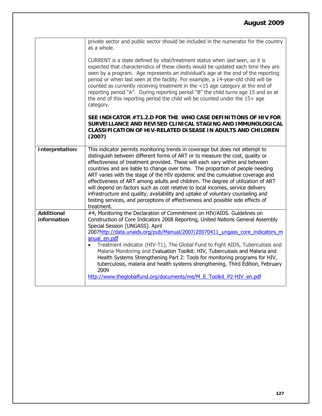|                                  | private sector and public sector should be included in the numerator for the country<br>as a whole.                                                                                                                                                                                                                                                                                                                                                                                                                                                                                                                                                                                                                                                                         |
|----------------------------------|-----------------------------------------------------------------------------------------------------------------------------------------------------------------------------------------------------------------------------------------------------------------------------------------------------------------------------------------------------------------------------------------------------------------------------------------------------------------------------------------------------------------------------------------------------------------------------------------------------------------------------------------------------------------------------------------------------------------------------------------------------------------------------|
|                                  | CURRENT is a state defined by vital/treatment status when last seen, so it is<br>expected that characteristics of these clients would be updated each time they are<br>seen by a program. Age represents an individual's age at the end of the reporting<br>period or when last seen at the facility. For example, a 14-year-old child will be<br>counted as currently receiving treatment in the <15 age category at the end of<br>reporting period "A". During reporting period "B" the child turns age 15 and so at<br>the end of this reporting period the child will be counted under the 15+ age<br>category.                                                                                                                                                         |
|                                  | SEE INDICATOR #T1.2.D FOR THE WHO CASE DEFINITIONS OF HIV FOR<br>SURVEILLANCE AND REVISED CLINICAL STAGING AND IMMUNOLOGICAL<br><b>CLASSIFICATION OF HIV-RELATED DISEASE IN ADULTS AND CHILDREN</b><br>(2007)                                                                                                                                                                                                                                                                                                                                                                                                                                                                                                                                                               |
| Interpretation:                  | This indicator permits monitoring trends in coverage but does not attempt to<br>distinguish between different forms of ART or to measure the cost, quality or<br>effectiveness of treatment provided. These will each vary within and between<br>countries and are liable to change over time. The proportion of people needing<br>ART varies with the stage of the HIV epidemic and the cumulative coverage and<br>effectiveness of ART among adults and children. The degree of utilization of ART<br>will depend on factors such as cost relative to local incomes, service delivery<br>infrastructure and quality, availability and uptake of voluntary counseling and<br>testing services, and perceptions of effectiveness and possible side effects of<br>treatment. |
| <b>Additional</b><br>information | #4, Monitoring the Declaration of Commitment on HIV/AIDS. Guidelines on<br>Construction of Core Indicators 2008 Reporting, United Nations General Assembly<br>Special Session [UNGASS]. April<br>2007http://data.unaids.org/pub/Manual/2007/20070411 ungass core indicators m<br>anual_en.pdf<br>Treatment indicator (HIV-T1), The Global Fund to Fight AIDS, Tuberculosis and<br>$\bullet$<br>Malaria Monitoring and Evaluation Toolkit: HIV, Tuberculosis and Malaria and<br>Health Systems Strengthening Part 2: Tools for monitoring programs for HIV,<br>tuberculosis, malaria and health systems strengthening, Third Edition, February<br>2009<br>http://www.theglobalfund.org/documents/me/M E Toolkit P2-HIV en.pdf                                                |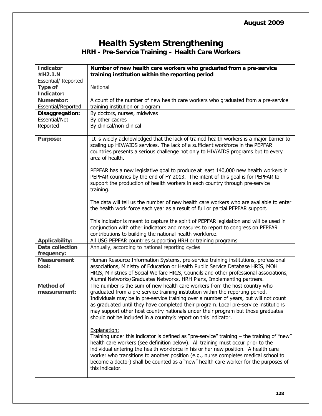#### **Health System Strengthening HRH - Pre-Service Training – Health Care Workers**

| <b>Indicator</b><br>#H2.1.N | Number of new health care workers who graduated from a pre-service<br>training institution within the reporting period                                                                                                                                                                                                                                                                                                                                                                |
|-----------------------------|---------------------------------------------------------------------------------------------------------------------------------------------------------------------------------------------------------------------------------------------------------------------------------------------------------------------------------------------------------------------------------------------------------------------------------------------------------------------------------------|
| Essential/ Reported         |                                                                                                                                                                                                                                                                                                                                                                                                                                                                                       |
| Type of<br>Indicator:       | National                                                                                                                                                                                                                                                                                                                                                                                                                                                                              |
| Numerator:                  | A count of the number of new health care workers who graduated from a pre-service                                                                                                                                                                                                                                                                                                                                                                                                     |
| Essential/Reported          | training institution or program                                                                                                                                                                                                                                                                                                                                                                                                                                                       |
| Disaggregation:             | By doctors, nurses, midwives                                                                                                                                                                                                                                                                                                                                                                                                                                                          |
| Essential/Not               | By other cadres                                                                                                                                                                                                                                                                                                                                                                                                                                                                       |
| Reported                    | By clinical/non-clinical                                                                                                                                                                                                                                                                                                                                                                                                                                                              |
|                             |                                                                                                                                                                                                                                                                                                                                                                                                                                                                                       |
| Purpose:                    | It is widely acknowledged that the lack of trained health workers is a major barrier to<br>scaling up HIV/AIDS services. The lack of a sufficient workforce in the PEPFAR<br>countries presents a serious challenge not only to HIV/AIDS programs but to every<br>area of health.                                                                                                                                                                                                     |
|                             | PEPFAR has a new legislative goal to produce at least 140,000 new health workers in<br>PEPFAR countries by the end of FY 2013. The intent of this goal is for PEPFAR to<br>support the production of health workers in each country through pre-service<br>training.                                                                                                                                                                                                                  |
|                             | The data will tell us the number of new health care workers who are available to enter<br>the health work force each year as a result of full or partial PEPFAR support.                                                                                                                                                                                                                                                                                                              |
|                             | This indicator is meant to capture the spirit of PEPFAR legislation and will be used in<br>conjunction with other indicators and measures to report to congress on PEPFAR<br>contributions to building the national health workforce.                                                                                                                                                                                                                                                 |
| Applicability:              | All USG PEPFAR countries supporting HRH or training programs                                                                                                                                                                                                                                                                                                                                                                                                                          |
| Data collection             | Annually, according to national reporting cycles                                                                                                                                                                                                                                                                                                                                                                                                                                      |
| frequency:                  |                                                                                                                                                                                                                                                                                                                                                                                                                                                                                       |
| <b>Measurement</b>          | Human Resource Information Systems, pre-service training institutions, professional                                                                                                                                                                                                                                                                                                                                                                                                   |
| tool:                       | associations, Ministry of Education or Health Public Service Database HRIS, MOH                                                                                                                                                                                                                                                                                                                                                                                                       |
|                             | HRIS, Ministries of Social Welfare HRIS, Councils and other professional associations,                                                                                                                                                                                                                                                                                                                                                                                                |
| <b>Method of</b>            | Alumni Networks/Graduates Networks, HRH Plans, Implementing partners.<br>The number is the sum of new health care workers from the host country who                                                                                                                                                                                                                                                                                                                                   |
| measurement:                | graduated from a pre-service training institution within the reporting period.                                                                                                                                                                                                                                                                                                                                                                                                        |
|                             | Individuals may be in pre-service training over a number of years, but will not count                                                                                                                                                                                                                                                                                                                                                                                                 |
|                             | as graduated until they have completed their program. Local pre-service institutions                                                                                                                                                                                                                                                                                                                                                                                                  |
|                             | may support other host country nationals under their program but those graduates                                                                                                                                                                                                                                                                                                                                                                                                      |
|                             | should not be included in a country's report on this indicator.                                                                                                                                                                                                                                                                                                                                                                                                                       |
|                             |                                                                                                                                                                                                                                                                                                                                                                                                                                                                                       |
|                             | Explanation:<br>Training under this indicator is defined as "pre-service" training - the training of "new"<br>health care workers (see definition below). All training must occur prior to the<br>individual entering the health workforce in his or her new position. A health care<br>worker who transitions to another position (e.g., nurse completes medical school to<br>become a doctor) shall be counted as a "new" health care worker for the purposes of<br>this indicator. |
|                             |                                                                                                                                                                                                                                                                                                                                                                                                                                                                                       |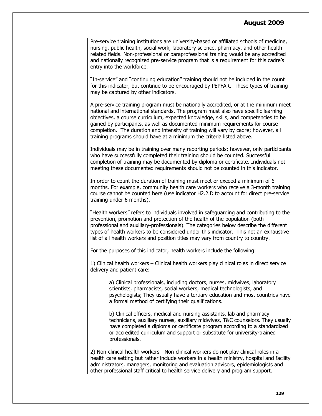| Pre-service training institutions are university-based or affiliated schools of medicine,<br>nursing, public health, social work, laboratory science, pharmacy, and other health-<br>related fields. Non-professional or paraprofessional training would be any accredited<br>and nationally recognized pre-service program that is a requirement for this cadre's<br>entry into the workforce.                                                                                                                    |
|--------------------------------------------------------------------------------------------------------------------------------------------------------------------------------------------------------------------------------------------------------------------------------------------------------------------------------------------------------------------------------------------------------------------------------------------------------------------------------------------------------------------|
| "In-service" and "continuing education" training should not be included in the count<br>for this indicator, but continue to be encouraged by PEPFAR. These types of training<br>may be captured by other indicators.                                                                                                                                                                                                                                                                                               |
| A pre-service training program must be nationally accredited, or at the minimum meet<br>national and international standards. The program must also have specific learning<br>objectives, a course curriculum, expected knowledge, skills, and competencies to be<br>gained by participants, as well as documented minimum requirements for course<br>completion. The duration and intensity of training will vary by cadre; however, all<br>training programs should have at a minimum the criteria listed above. |
| Individuals may be in training over many reporting periods; however, only participants<br>who have successfully completed their training should be counted. Successful<br>completion of training may be documented by diploma or certificate. Individuals not<br>meeting these documented requirements should not be counted in this indicator.                                                                                                                                                                    |
| In order to count the duration of training must meet or exceed a minimum of 6<br>months. For example, community health care workers who receive a 3-month training<br>course cannot be counted here (use indicator H2.2.D to account for direct pre-service<br>training under 6 months).                                                                                                                                                                                                                           |
| "Health workers" refers to individuals involved in safeguarding and contributing to the<br>prevention, promotion and protection of the health of the population (both<br>professional and auxiliary-professionals). The categories below describe the different<br>types of health workers to be considered under this indicator. This not an exhaustive<br>list of all health workers and position titles may vary from country to country.                                                                       |
| For the purposes of this indicator, health workers include the following:                                                                                                                                                                                                                                                                                                                                                                                                                                          |
| 1) Clinical health workers - Clinical health workers play clinical roles in direct service<br>delivery and patient care:                                                                                                                                                                                                                                                                                                                                                                                           |
| a) Clinical professionals, including doctors, nurses, midwives, laboratory<br>scientists, pharmacists, social workers, medical technologists, and<br>psychologists; They usually have a tertiary education and most countries have<br>a formal method of certifying their qualifications.                                                                                                                                                                                                                          |
| b) Clinical officers, medical and nursing assistants, lab and pharmacy<br>technicians, auxiliary nurses, auxiliary midwives, T&C counselors. They usually<br>have completed a diploma or certificate program according to a standardized<br>or accredited curriculum and support or substitute for university-trained<br>professionals.                                                                                                                                                                            |
| 2) Non-clinical health workers - Non-clinical workers do not play clinical roles in a<br>health care setting but rather include workers in a health ministry, hospital and facility<br>administrators, managers, monitoring and evaluation advisors, epidemiologists and<br>other professional staff critical to health service delivery and program support.                                                                                                                                                      |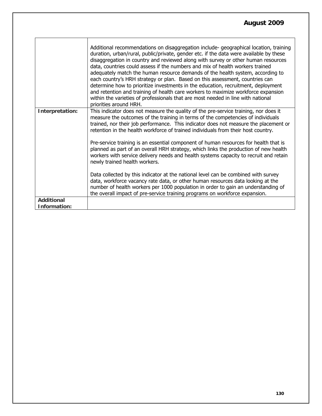| Additional recommendations on disaggregation include-geographical location, training<br>duration, urban/rural, public/private, gender etc. if the data were available by these<br>disaggregation in country and reviewed along with survey or other human resources<br>data, countries could assess if the numbers and mix of health workers trained<br>adequately match the human resource demands of the health system, according to<br>each country's HRH strategy or plan. Based on this assessment, countries can<br>determine how to prioritize investments in the education, recruitment, deployment<br>and retention and training of health care workers to maximize workforce expansion<br>within the varieties of professionals that are most needed in line with national<br>priorities around HRH. |  |
|----------------------------------------------------------------------------------------------------------------------------------------------------------------------------------------------------------------------------------------------------------------------------------------------------------------------------------------------------------------------------------------------------------------------------------------------------------------------------------------------------------------------------------------------------------------------------------------------------------------------------------------------------------------------------------------------------------------------------------------------------------------------------------------------------------------|--|
| This indicator does not measure the quality of the pre-service training, nor does it<br>Interpretation:<br>measure the outcomes of the training in terms of the competencies of individuals<br>trained, nor their job performance. This indicator does not measure the placement or<br>retention in the health workforce of trained individuals from their host country.                                                                                                                                                                                                                                                                                                                                                                                                                                       |  |
| Pre-service training is an essential component of human resources for health that is<br>planned as part of an overall HRH strategy, which links the production of new health<br>workers with service delivery needs and health systems capacity to recruit and retain<br>newly trained health workers.                                                                                                                                                                                                                                                                                                                                                                                                                                                                                                         |  |
| Data collected by this indicator at the national level can be combined with survey<br>data, workforce vacancy rate data, or other human resources data looking at the<br>number of health workers per 1000 population in order to gain an understanding of<br>the overall impact of pre-service training programs on workforce expansion.                                                                                                                                                                                                                                                                                                                                                                                                                                                                      |  |
| <b>Additional</b><br>Information:                                                                                                                                                                                                                                                                                                                                                                                                                                                                                                                                                                                                                                                                                                                                                                              |  |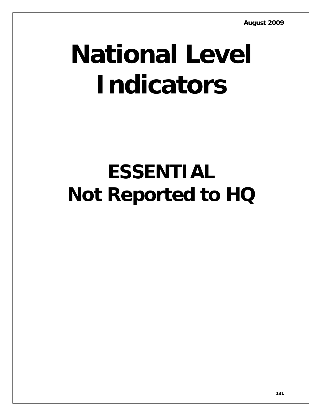# **National Level Indicators**

# **ESSENTIAL Not Reported to HQ**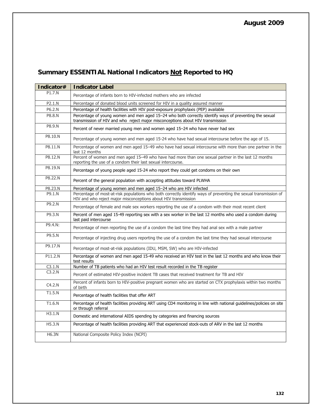# **Summary ESSENTIAL National Indicators Not Reported to HQ**

| Indicator#   | <b>Indicator Label</b>                                                                                                                                                                   |
|--------------|------------------------------------------------------------------------------------------------------------------------------------------------------------------------------------------|
| P1.7.N       | Percentage of infants born to HIV-infected mothers who are infected                                                                                                                      |
| P2.1.N       | Percentage of donated blood units screened for HIV in a quality assured manner                                                                                                           |
| P6.2.N       | Percentage of health facilities with HIV post-exposure prophylaxis (PEP) available                                                                                                       |
| P8.8.N       | Percentage of young women and men aged 15-24 who both correctly identify ways of preventing the sexual<br>transmission of HIV and who reject major misconceptions about HIV transmission |
| P8.9.N       | Percent of never married young men and women aged 15-24 who have never had sex                                                                                                           |
| P8.10.N      | Percentage of young women and men aged 15-24 who have had sexual intercourse before the age of 15.                                                                                       |
| P8.11.N      | Percentage of women and men aged 15-49 who have had sexual intercourse with more than one partner in the<br>last 12 months                                                               |
| P8.12.N      | Percent of women and men aged 15-49 who have had more than one sexual partner in the last 12 months<br>reporting the use of a condom their last sexual intercourse.                      |
| P8.19.N      | Percentage of young people aged 15-24 who report they could get condoms on their own                                                                                                     |
| P8.22.N      | Percent of the general population with accepting attitudes toward PLWHA                                                                                                                  |
| P8.23.N      | Percentage of young women and men aged 15-24 who are HIV infected                                                                                                                        |
| P9.1.N       | Percentage of most-at-risk populations who both correctly identify ways of preventing the sexual transmission of<br>HIV and who reject major misconceptions about HIV transmission       |
| P9.2.N       | Percentage of female and male sex workers reporting the use of a condom with their most recent client                                                                                    |
| P9.3.N       | Percent of men aged 15-49 reporting sex with a sex worker in the last 12 months who used a condom during<br>last paid intercourse                                                        |
| P9.4.N:      | Percentage of men reporting the use of a condom the last time they had anal sex with a male partner                                                                                      |
| P9.5.N       | Percentage of injecting drug users reporting the use of a condom the last time they had sexual intercourse                                                                               |
| P9.17.N      | Percentage of most-at-risk populations (IDU, MSM, SW) who are HIV-infected                                                                                                               |
| P11.2.N      | Percentage of women and men aged 15-49 who received an HIV test in the last 12 months and who know their<br>test results                                                                 |
| C3.1.N       | Number of TB patients who had an HIV test result recorded in the TB register                                                                                                             |
| C3.2.N       | Percent of estimated HIV-positive incident TB cases that received treatment for TB and HIV                                                                                               |
| C4.2.N       | Percent of infants born to HIV-positive pregnant women who are started on CTX prophylaxis within two months<br>of birth                                                                  |
| T1.5.N       | Percentage of health facilities that offer ART                                                                                                                                           |
| T1.6.N       | Percentage of health facilities providing ART using CD4 monitoring in line with national guidelines/policies on site<br>or through referral                                              |
| H3.1.N       | Domestic and international AIDS spending by categories and financing sources                                                                                                             |
| H5.3.N       | Percentage of health facilities providing ART that experienced stock-outs of ARV in the last 12 months                                                                                   |
| <b>H6.3N</b> | National Composite Policy Index (NCPI)                                                                                                                                                   |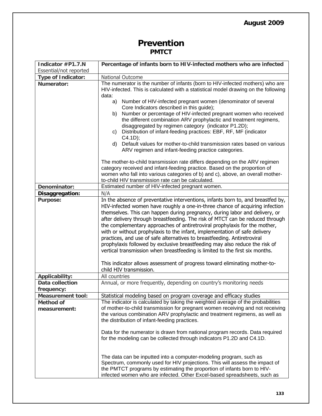## **Prevention PMTCT**

| Indicator #P1.7.N                                     | Percentage of infants born to HIV-infected mothers who are infected                                                                                                                                                                                                                                                                                                                                                                                                                                                                                                                                                                                                                                                                                                                                                                                                                       |
|-------------------------------------------------------|-------------------------------------------------------------------------------------------------------------------------------------------------------------------------------------------------------------------------------------------------------------------------------------------------------------------------------------------------------------------------------------------------------------------------------------------------------------------------------------------------------------------------------------------------------------------------------------------------------------------------------------------------------------------------------------------------------------------------------------------------------------------------------------------------------------------------------------------------------------------------------------------|
| Essential/not reported                                |                                                                                                                                                                                                                                                                                                                                                                                                                                                                                                                                                                                                                                                                                                                                                                                                                                                                                           |
| <b>Type of Indicator:</b>                             | National Outcome                                                                                                                                                                                                                                                                                                                                                                                                                                                                                                                                                                                                                                                                                                                                                                                                                                                                          |
| Numerator:                                            | The numerator is the number of infants (born to HIV-infected mothers) who are<br>HIV-infected. This is calculated with a statistical model drawing on the following<br>data:<br>Number of HIV-infected pregnant women (denominator of several<br>a)<br>Core Indicators described in this guide);<br>b) Number or percentage of HIV-infected pregnant women who received<br>the different combination ARV prophylactic and treatment regimens,<br>disaggregated by regimen category (indicator P1.2D);<br>Distribution of infant-feeding practices: EBF, RF, MF (indicator<br>C)<br>C4.1D);<br>d) Default values for mother-to-child transmission rates based on various<br>ARV regimen and infant-feeding practice categories.<br>The mother-to-child transmission rate differs depending on the ARV regimen<br>category received and infant-feeding practice. Based on the proportion of |
|                                                       | women who fall into various categories of b) and c), above, an overall mother-<br>to-child HIV transmission rate can be calculated.                                                                                                                                                                                                                                                                                                                                                                                                                                                                                                                                                                                                                                                                                                                                                       |
| Denominator:                                          | Estimated number of HIV-infected pregnant women.                                                                                                                                                                                                                                                                                                                                                                                                                                                                                                                                                                                                                                                                                                                                                                                                                                          |
| Disaggregation:                                       | N/A                                                                                                                                                                                                                                                                                                                                                                                                                                                                                                                                                                                                                                                                                                                                                                                                                                                                                       |
| Purpose:                                              | In the absence of preventative interventions, infants born to, and breastfed by,<br>HIV-infected women have roughly a one-in-three chance of acquiring infection<br>themselves. This can happen during pregnancy, during labor and delivery, or<br>after delivery through breastfeeding. The risk of MTCT can be reduced through<br>the complementary approaches of antiretroviral prophylaxis for the mother,<br>with or without prophylaxis to the infant, implementation of safe delivery<br>practices, and use of safe alternatives to breastfeeding. Antiretroviral<br>prophylaxis followed by exclusive breastfeeding may also reduce the risk of<br>vertical transmission when breastfeeding is limited to the first six months.<br>This indicator allows assessment of progress toward eliminating mother-to-<br>child HIV transmission.                                          |
| Applicability:                                        | All countries                                                                                                                                                                                                                                                                                                                                                                                                                                                                                                                                                                                                                                                                                                                                                                                                                                                                             |
| <b>Data collection</b>                                | Annual, or more frequently, depending on country's monitoring needs                                                                                                                                                                                                                                                                                                                                                                                                                                                                                                                                                                                                                                                                                                                                                                                                                       |
| frequency:                                            |                                                                                                                                                                                                                                                                                                                                                                                                                                                                                                                                                                                                                                                                                                                                                                                                                                                                                           |
| <b>Measurement tool:</b><br>Method of<br>measurement: | Statistical modeling based on program coverage and efficacy studies<br>The indicator is calculated by taking the weighted average of the probabilities<br>of mother-to-child transmission for pregnant women receiving and not receiving                                                                                                                                                                                                                                                                                                                                                                                                                                                                                                                                                                                                                                                  |
|                                                       | the various combination ARV prophylactic and treatment regimens, as well as<br>the distribution of infant-feeding practices.<br>Data for the numerator is drawn from national program records. Data required<br>for the modeling can be collected through indicators P1.2D and C4.1D.<br>The data can be inputted into a computer-modeling program, such as<br>Spectrum, commonly used for HIV projections. This will assess the impact of<br>the PMTCT programs by estimating the proportion of infants born to HIV-<br>infected women who are infected. Other Excel-based spreadsheets, such as                                                                                                                                                                                                                                                                                         |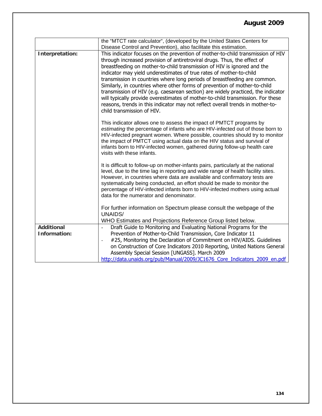|                   | the "MTCT rate calculator", (developed by the United States Centers for                                                                                                                                                                                                                                                                                                                                                                                                                                                                                                                                                                                                                                                                                         |
|-------------------|-----------------------------------------------------------------------------------------------------------------------------------------------------------------------------------------------------------------------------------------------------------------------------------------------------------------------------------------------------------------------------------------------------------------------------------------------------------------------------------------------------------------------------------------------------------------------------------------------------------------------------------------------------------------------------------------------------------------------------------------------------------------|
|                   | Disease Control and Prevention), also facilitate this estimation.                                                                                                                                                                                                                                                                                                                                                                                                                                                                                                                                                                                                                                                                                               |
| Interpretation:   | This indicator focuses on the prevention of mother-to-child transmission of HIV<br>through increased provision of antiretroviral drugs. Thus, the effect of<br>breastfeeding on mother-to-child transmission of HIV is ignored and the<br>indicator may yield underestimates of true rates of mother-to-child<br>transmission in countries where long periods of breastfeeding are common.<br>Similarly, in countries where other forms of prevention of mother-to-child<br>transmission of HIV (e.g. caesarean section) are widely practiced, the indicator<br>will typically provide overestimates of mother-to-child transmission. For these<br>reasons, trends in this indicator may not reflect overall trends in mother-to-<br>child transmission of HIV. |
|                   | This indicator allows one to assess the impact of PMTCT programs by<br>estimating the percentage of infants who are HIV-infected out of those born to<br>HIV-infected pregnant women. Where possible, countries should try to monitor<br>the impact of PMTCT using actual data on the HIV status and survival of<br>infants born to HIV-infected women, gathered during follow-up health care<br>visits with these infants.                                                                                                                                                                                                                                                                                                                                     |
|                   | It is difficult to follow-up on mother-infants pairs, particularly at the national<br>level, due to the time lag in reporting and wide range of health facility sites.<br>However, in countries where data are available and confirmatory tests are<br>systematically being conducted, an effort should be made to monitor the<br>percentage of HIV-infected infants born to HIV-infected mothers using actual<br>data for the numerator and denominator.                                                                                                                                                                                                                                                                                                       |
|                   | For further information on Spectrum please consult the webpage of the<br>UNAIDS/<br>WHO Estimates and Projections Reference Group listed below.                                                                                                                                                                                                                                                                                                                                                                                                                                                                                                                                                                                                                 |
| <b>Additional</b> | Draft Guide to Monitoring and Evaluating National Programs for the<br>$\blacksquare$                                                                                                                                                                                                                                                                                                                                                                                                                                                                                                                                                                                                                                                                            |
| Information:      | Prevention of Mother-to-Child Transmission, Core Indicator 11                                                                                                                                                                                                                                                                                                                                                                                                                                                                                                                                                                                                                                                                                                   |
|                   | #25, Monitoring the Declaration of Commitment on HIV/AIDS. Guidelines                                                                                                                                                                                                                                                                                                                                                                                                                                                                                                                                                                                                                                                                                           |
|                   | on Construction of Core Indicators 2010 Reporting, United Nations General                                                                                                                                                                                                                                                                                                                                                                                                                                                                                                                                                                                                                                                                                       |
|                   | Assembly Special Session [UNGASS]. March 2009                                                                                                                                                                                                                                                                                                                                                                                                                                                                                                                                                                                                                                                                                                                   |
|                   | http://data.unaids.org/pub/Manual/2009/JC1676 Core Indicators 2009 en.pdf                                                                                                                                                                                                                                                                                                                                                                                                                                                                                                                                                                                                                                                                                       |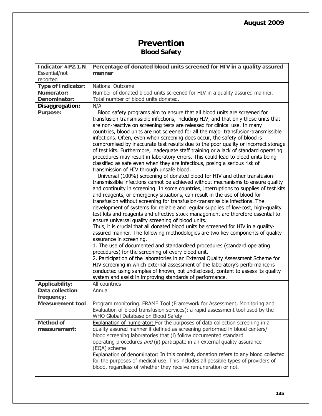#### **Prevention Blood Safety**

| Indicator #P2.1.N                    | Percentage of donated blood units screened for HIV in a quality assured                                                                                                                                                                                                                                                                                                                                                                                                                                                                                                                                                                                                                                                                                                                                                                                                                                                                                                                                                                                                                                                                                                                                                                                                                                                                                                                                                                                                                                                                                                                                                                                                                                                                                                                                                                                                                                                                                                                                                                                                                                                            |
|--------------------------------------|------------------------------------------------------------------------------------------------------------------------------------------------------------------------------------------------------------------------------------------------------------------------------------------------------------------------------------------------------------------------------------------------------------------------------------------------------------------------------------------------------------------------------------------------------------------------------------------------------------------------------------------------------------------------------------------------------------------------------------------------------------------------------------------------------------------------------------------------------------------------------------------------------------------------------------------------------------------------------------------------------------------------------------------------------------------------------------------------------------------------------------------------------------------------------------------------------------------------------------------------------------------------------------------------------------------------------------------------------------------------------------------------------------------------------------------------------------------------------------------------------------------------------------------------------------------------------------------------------------------------------------------------------------------------------------------------------------------------------------------------------------------------------------------------------------------------------------------------------------------------------------------------------------------------------------------------------------------------------------------------------------------------------------------------------------------------------------------------------------------------------------|
| Essential/not                        | manner                                                                                                                                                                                                                                                                                                                                                                                                                                                                                                                                                                                                                                                                                                                                                                                                                                                                                                                                                                                                                                                                                                                                                                                                                                                                                                                                                                                                                                                                                                                                                                                                                                                                                                                                                                                                                                                                                                                                                                                                                                                                                                                             |
| reported                             |                                                                                                                                                                                                                                                                                                                                                                                                                                                                                                                                                                                                                                                                                                                                                                                                                                                                                                                                                                                                                                                                                                                                                                                                                                                                                                                                                                                                                                                                                                                                                                                                                                                                                                                                                                                                                                                                                                                                                                                                                                                                                                                                    |
| <b>Type of Indicator:</b>            | National Outcome                                                                                                                                                                                                                                                                                                                                                                                                                                                                                                                                                                                                                                                                                                                                                                                                                                                                                                                                                                                                                                                                                                                                                                                                                                                                                                                                                                                                                                                                                                                                                                                                                                                                                                                                                                                                                                                                                                                                                                                                                                                                                                                   |
| <b>Numerator:</b>                    | Number of donated blood units screened for HIV in a quality assured manner.                                                                                                                                                                                                                                                                                                                                                                                                                                                                                                                                                                                                                                                                                                                                                                                                                                                                                                                                                                                                                                                                                                                                                                                                                                                                                                                                                                                                                                                                                                                                                                                                                                                                                                                                                                                                                                                                                                                                                                                                                                                        |
| Denominator:                         | Total number of blood units donated.                                                                                                                                                                                                                                                                                                                                                                                                                                                                                                                                                                                                                                                                                                                                                                                                                                                                                                                                                                                                                                                                                                                                                                                                                                                                                                                                                                                                                                                                                                                                                                                                                                                                                                                                                                                                                                                                                                                                                                                                                                                                                               |
| Disaggregation:                      | N/A                                                                                                                                                                                                                                                                                                                                                                                                                                                                                                                                                                                                                                                                                                                                                                                                                                                                                                                                                                                                                                                                                                                                                                                                                                                                                                                                                                                                                                                                                                                                                                                                                                                                                                                                                                                                                                                                                                                                                                                                                                                                                                                                |
| Purpose:                             | Blood safety programs aim to ensure that all blood units are screened for<br>transfusion-transmissible infections, including HIV, and that only those units that<br>are non-reactive on screening tests are released for clinical use. In many<br>countries, blood units are not screened for all the major transfusion-transmissible<br>infections. Often, even when screening does occur, the safety of blood is<br>compromised by inaccurate test results due to the poor quality or incorrect storage<br>of test kits. Furthermore, inadequate staff training or a lack of standard operating<br>procedures may result in laboratory errors. This could lead to blood units being<br>classified as safe even when they are infectious, posing a serious risk of<br>transmission of HIV through unsafe blood.<br>Universal (100%) screening of donated blood for HIV and other transfusion-<br>transmissible infections cannot be achieved without mechanisms to ensure quality<br>and continuity in screening. In some countries, interruptions to supplies of test kits<br>and reagents, or emergency situations, can result in the use of blood for<br>transfusion without screening for transfusion-transmissible infections. The<br>development of systems for reliable and regular supplies of low-cost, high-quality<br>test kits and reagents and effective stock management are therefore essential to<br>ensure universal quality screening of blood units.<br>Thus, it is crucial that all donated blood units be screened for HIV in a quality-<br>assured manner. The following methodologies are two key components of quality<br>assurance in screening.<br>1. The use of documented and standardized procedures (standard operating<br>procedures) for the screening of every blood unit.<br>2. Participation of the laboratories in an External Quality Assessment Scheme for<br>HIV screening in which external assessment of the laboratory's performance is<br>conducted using samples of known, but undisclosed, content to assess its quality<br>system and assist in improving standards of performance. |
| Applicability:                       | All countries                                                                                                                                                                                                                                                                                                                                                                                                                                                                                                                                                                                                                                                                                                                                                                                                                                                                                                                                                                                                                                                                                                                                                                                                                                                                                                                                                                                                                                                                                                                                                                                                                                                                                                                                                                                                                                                                                                                                                                                                                                                                                                                      |
| <b>Data collection</b><br>frequency: | Annual                                                                                                                                                                                                                                                                                                                                                                                                                                                                                                                                                                                                                                                                                                                                                                                                                                                                                                                                                                                                                                                                                                                                                                                                                                                                                                                                                                                                                                                                                                                                                                                                                                                                                                                                                                                                                                                                                                                                                                                                                                                                                                                             |
| <b>Measurement tool</b>              | Program monitoring. FRAME Tool (Framework for Assessment, Monitoring and<br>Evaluation of blood transfusion services): a rapid assessment tool used by the<br>WHO Global Database on Blood Safety                                                                                                                                                                                                                                                                                                                                                                                                                                                                                                                                                                                                                                                                                                                                                                                                                                                                                                                                                                                                                                                                                                                                                                                                                                                                                                                                                                                                                                                                                                                                                                                                                                                                                                                                                                                                                                                                                                                                  |
| <b>Method of</b><br>measurement:     | <b>Explanation of numerator:</b> For the purposes of data collection screening in a<br>quality assured manner if defined as screening performed in blood centers/<br>blood screening laboratories that (i) follow documented standard<br>operating procedures and (ii) participate in an external quality assurance<br>(EQA) scheme<br><b>Explanation of denominator:</b> In this context, donation refers to any blood collected<br>for the purposes of medical use. This includes all possible types of providers of<br>blood, regardless of whether they receive remuneration or not.                                                                                                                                                                                                                                                                                                                                                                                                                                                                                                                                                                                                                                                                                                                                                                                                                                                                                                                                                                                                                                                                                                                                                                                                                                                                                                                                                                                                                                                                                                                                           |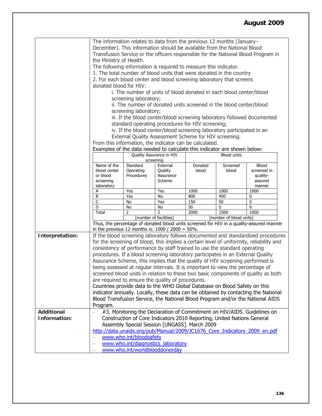|                   | The information relates to data from the previous 12 months (January-                                                                  |                                                                           |                      |         |                                 |                                                                                          |
|-------------------|----------------------------------------------------------------------------------------------------------------------------------------|---------------------------------------------------------------------------|----------------------|---------|---------------------------------|------------------------------------------------------------------------------------------|
|                   | December). This information should be available from the National Blood                                                                |                                                                           |                      |         |                                 |                                                                                          |
|                   | Transfusion Service or the officers responsible for the National Blood Program in                                                      |                                                                           |                      |         |                                 |                                                                                          |
|                   | the Ministry of Health.                                                                                                                |                                                                           |                      |         |                                 |                                                                                          |
|                   | The following information is required to measure this indicator.                                                                       |                                                                           |                      |         |                                 |                                                                                          |
|                   |                                                                                                                                        | 1. The total number of blood units that were donated in the country       |                      |         |                                 |                                                                                          |
|                   |                                                                                                                                        |                                                                           |                      |         |                                 |                                                                                          |
|                   |                                                                                                                                        | 2. For each blood center and blood screening laboratory that screens      |                      |         |                                 |                                                                                          |
|                   | donated blood for HIV:                                                                                                                 |                                                                           |                      |         |                                 |                                                                                          |
|                   |                                                                                                                                        | i. The number of units of blood donated in each blood center/blood        |                      |         |                                 |                                                                                          |
|                   |                                                                                                                                        | screening laboratory;                                                     |                      |         |                                 |                                                                                          |
|                   |                                                                                                                                        | ii. The number of donated units screened in the blood center/blood        |                      |         |                                 |                                                                                          |
|                   |                                                                                                                                        | screening laboratory;                                                     |                      |         |                                 |                                                                                          |
|                   | iii. If the blood center/blood screening laboratory followed documented                                                                |                                                                           |                      |         |                                 |                                                                                          |
|                   |                                                                                                                                        | standard operating procedures for HIV screening;                          |                      |         |                                 |                                                                                          |
|                   | iv. If the blood center/blood screening laboratory participated in an                                                                  |                                                                           |                      |         |                                 |                                                                                          |
|                   |                                                                                                                                        | External Quality Assessment Scheme for HIV screening.                     |                      |         |                                 |                                                                                          |
|                   |                                                                                                                                        | From this information, the indicator can be calculated.                   |                      |         |                                 |                                                                                          |
|                   |                                                                                                                                        | Examples of the data needed to calculate this indicator are shown below:  |                      |         |                                 |                                                                                          |
|                   |                                                                                                                                        | Quality Assurance in HIV                                                  |                      |         | <b>Blood units</b>              |                                                                                          |
|                   |                                                                                                                                        | screening                                                                 |                      |         |                                 |                                                                                          |
|                   | Name of the                                                                                                                            | Standard                                                                  | External             | Donated | Screened                        | Blood                                                                                    |
|                   | blood center<br>or blood                                                                                                               | Operating<br>Procedures                                                   | Quality<br>Assurance | blood   | blood                           | screened in                                                                              |
|                   | screening                                                                                                                              |                                                                           | Scheme               |         |                                 | quality-<br>assured                                                                      |
|                   | laboratory                                                                                                                             |                                                                           |                      |         |                                 | manner                                                                                   |
|                   | А                                                                                                                                      | Yes                                                                       | Yes                  | 1000    | 1000                            | 1000                                                                                     |
|                   | B                                                                                                                                      | Yes                                                                       | No                   | 800     | 450                             | 0                                                                                        |
|                   | C                                                                                                                                      | No                                                                        | Yes                  | 150     | 50                              | 0                                                                                        |
|                   | D                                                                                                                                      | No                                                                        | No                   | 50      | $\Omega$                        | 0                                                                                        |
|                   | Total                                                                                                                                  | 2<br>[number of facilities]                                               | 2                    | 2000    | 1500<br>[number of blood units] | 1000                                                                                     |
|                   |                                                                                                                                        |                                                                           |                      |         |                                 | Thus, the percentage of donated blood units screened for HIV in a quality-assured manner |
|                   |                                                                                                                                        | in the previous 12 months is: $1000 / 2000 = 50\%$ .                      |                      |         |                                 |                                                                                          |
| Interpretation:   |                                                                                                                                        |                                                                           |                      |         |                                 | If the blood screening laboratory follows documented and standardized procedures         |
|                   |                                                                                                                                        |                                                                           |                      |         |                                 | for the screening of blood, this implies a certain level of uniformity, reliability and  |
|                   |                                                                                                                                        | consistency of performance by staff trained to use the standard operating |                      |         |                                 |                                                                                          |
|                   |                                                                                                                                        |                                                                           |                      |         |                                 |                                                                                          |
|                   | procedures. If a blood screening laboratory participates in an External Quality                                                        |                                                                           |                      |         |                                 |                                                                                          |
|                   | Assurance Scheme, this implies that the quality of HIV screening performed is                                                          |                                                                           |                      |         |                                 |                                                                                          |
|                   | being assessed at regular intervals. It is important to view the percentage of                                                         |                                                                           |                      |         |                                 |                                                                                          |
|                   | screened blood units in relation to these two basic components of quality as both<br>are required to ensure the quality of procedures. |                                                                           |                      |         |                                 |                                                                                          |
|                   |                                                                                                                                        |                                                                           |                      |         |                                 |                                                                                          |
|                   |                                                                                                                                        | Countries provide data to the WHO Global Database on Blood Safety on this |                      |         |                                 |                                                                                          |
|                   |                                                                                                                                        |                                                                           |                      |         |                                 | indicator annually. Locally, these data can be obtained by contacting the National       |
|                   |                                                                                                                                        |                                                                           |                      |         |                                 | Blood Transfusion Service, the National Blood Program and/or the National AIDS           |
|                   | Program.                                                                                                                               |                                                                           |                      |         |                                 |                                                                                          |
| <b>Additional</b> |                                                                                                                                        |                                                                           |                      |         |                                 | #3, Monitoring the Declaration of Commitment on HIV/AIDS. Guidelines on                  |
| Information:      |                                                                                                                                        | Construction of Core Indicators 2010 Reporting, United Nations General    |                      |         |                                 |                                                                                          |
|                   | Assembly Special Session [UNGASS]. March 2009                                                                                          |                                                                           |                      |         |                                 |                                                                                          |
|                   | http://data.unaids.org/pub/Manual/2009/JC1676 Core Indicators 2009 en.pdf                                                              |                                                                           |                      |         |                                 |                                                                                          |
|                   | www.who.int/bloodsafety                                                                                                                |                                                                           |                      |         |                                 |                                                                                          |
|                   | www.who.int/diagnostics laboratory                                                                                                     |                                                                           |                      |         |                                 |                                                                                          |
|                   |                                                                                                                                        |                                                                           |                      |         |                                 |                                                                                          |
|                   |                                                                                                                                        | www.who.int/worldblooddonorday                                            |                      |         |                                 |                                                                                          |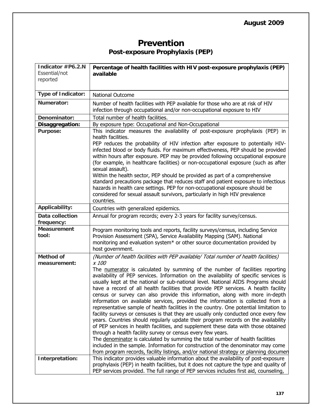# **Prevention Post-exposure Prophylaxis (PEP)**

| Indicator #P6.2.N<br>Essential/not<br>reported | Percentage of health facilities with HIV post-exposure prophylaxis (PEP)<br>available                                                                                                                                                                                                                                                                                                                                                                                                                                                                                                                                                                                                                                                                                                                                                                                                                                                                                                                                                                                                                                                                                                                                                                                                                            |
|------------------------------------------------|------------------------------------------------------------------------------------------------------------------------------------------------------------------------------------------------------------------------------------------------------------------------------------------------------------------------------------------------------------------------------------------------------------------------------------------------------------------------------------------------------------------------------------------------------------------------------------------------------------------------------------------------------------------------------------------------------------------------------------------------------------------------------------------------------------------------------------------------------------------------------------------------------------------------------------------------------------------------------------------------------------------------------------------------------------------------------------------------------------------------------------------------------------------------------------------------------------------------------------------------------------------------------------------------------------------|
| <b>Type of Indicator:</b>                      | <b>National Outcome</b>                                                                                                                                                                                                                                                                                                                                                                                                                                                                                                                                                                                                                                                                                                                                                                                                                                                                                                                                                                                                                                                                                                                                                                                                                                                                                          |
| Numerator:                                     | Number of health facilities with PEP available for those who are at risk of HIV<br>infection through occupational and/or non-occupational exposure to HIV                                                                                                                                                                                                                                                                                                                                                                                                                                                                                                                                                                                                                                                                                                                                                                                                                                                                                                                                                                                                                                                                                                                                                        |
| Denominator:                                   | Total number of health facilities.                                                                                                                                                                                                                                                                                                                                                                                                                                                                                                                                                                                                                                                                                                                                                                                                                                                                                                                                                                                                                                                                                                                                                                                                                                                                               |
| Disaggregation:                                | By exposure type: Occupational and Non-Occupational                                                                                                                                                                                                                                                                                                                                                                                                                                                                                                                                                                                                                                                                                                                                                                                                                                                                                                                                                                                                                                                                                                                                                                                                                                                              |
| Purpose:                                       | This indicator measures the availability of post-exposure prophylaxis (PEP) in<br>health facilities.<br>PEP reduces the probability of HIV infection after exposure to potentially HIV-<br>infected blood or body fluids. For maximum effectiveness, PEP should be provided<br>within hours after exposure. PEP may be provided following occupational exposure<br>(for example, in healthcare facilities) or non-occupational exposure (such as after<br>sexual assault).<br>Within the health sector, PEP should be provided as part of a comprehensive<br>standard precautions package that reduces staff and patient exposure to infectious<br>hazards in health care settings. PEP for non-occupational exposure should be<br>considered for sexual assault survivors, particularly in high HIV prevalence                                                                                                                                                                                                                                                                                                                                                                                                                                                                                                  |
| Applicability:                                 | countries.                                                                                                                                                                                                                                                                                                                                                                                                                                                                                                                                                                                                                                                                                                                                                                                                                                                                                                                                                                                                                                                                                                                                                                                                                                                                                                       |
|                                                | Countries with generalized epidemics.                                                                                                                                                                                                                                                                                                                                                                                                                                                                                                                                                                                                                                                                                                                                                                                                                                                                                                                                                                                                                                                                                                                                                                                                                                                                            |
| <b>Data collection</b><br>frequency:           | Annual for program records; every 2-3 years for facility survey/census.                                                                                                                                                                                                                                                                                                                                                                                                                                                                                                                                                                                                                                                                                                                                                                                                                                                                                                                                                                                                                                                                                                                                                                                                                                          |
| <b>Measurement</b><br>tool:                    | Program monitoring tools and reports, facility surveys/census, including Service<br>Provision Assessment (SPA), Service Availability Mapping (SAM). National<br>monitoring and evaluation system* or other source documentation provided by<br>host government.                                                                                                                                                                                                                                                                                                                                                                                                                                                                                                                                                                                                                                                                                                                                                                                                                                                                                                                                                                                                                                                  |
| <b>Method of</b><br>measurement:               | (Number of health facilities with PEP available/ Total number of health facilities)<br>x 100<br>The numerator is calculated by summing of the number of facilities reporting<br>availability of PEP services. Information on the availability of specific services is<br>usually kept at the national or sub-national level. National AIDS Programs should<br>have a record of all health facilities that provide PEP services. A health facility<br>census or survey can also provide this information, along with more in-depth<br>information on available services, provided the information is collected from a<br>representative sample of health facilities in the country. One potential limitation to<br>facility surveys or censuses is that they are usually only conducted once every few<br>years. Countries should regularly update their program records on the availability<br>of PEP services in health facilities, and supplement these data with those obtained<br>through a health facility survey or census every few years.<br>The denominator is calculated by summing the total number of health facilities<br>included in the sample. Information for construction of the denominator may come<br>from program records, facility listings, and/or national strategy or planning documen |
| Interpretation:                                | This indicator provides valuable information about the availability of post-exposure<br>prophylaxis (PEP) in health facilities, but it does not capture the type and quality of<br>PEP services provided. The full range of PEP services includes first aid, counseling,                                                                                                                                                                                                                                                                                                                                                                                                                                                                                                                                                                                                                                                                                                                                                                                                                                                                                                                                                                                                                                         |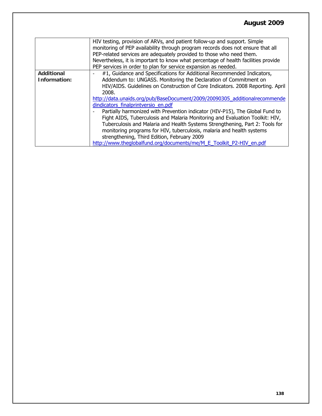|                   | HIV testing, provision of ARVs, and patient follow-up and support. Simple<br>monitoring of PEP availability through program records does not ensure that all<br>PEP-related services are adequately provided to those who need them.<br>Nevertheless, it is important to know what percentage of health facilities provide<br>PEP services in order to plan for service expansion as needed. |
|-------------------|----------------------------------------------------------------------------------------------------------------------------------------------------------------------------------------------------------------------------------------------------------------------------------------------------------------------------------------------------------------------------------------------|
| <b>Additional</b> | #1, Guidance and Specifications for Additional Recommended Indicators,                                                                                                                                                                                                                                                                                                                       |
| Information:      | Addendum to: UNGASS. Monitoring the Declaration of Commitment on                                                                                                                                                                                                                                                                                                                             |
|                   | HIV/AIDS. Guidelines on Construction of Core Indicators. 2008 Reporting. April                                                                                                                                                                                                                                                                                                               |
|                   | 2008.                                                                                                                                                                                                                                                                                                                                                                                        |
|                   | http://data.unaids.org/pub/BaseDocument/2009/20090305 additionalrecommende                                                                                                                                                                                                                                                                                                                   |
|                   | dindicators finalprintversio en.pdf                                                                                                                                                                                                                                                                                                                                                          |
|                   | Partially harmonized with Prevention indicator (HIV-P15), The Global Fund to                                                                                                                                                                                                                                                                                                                 |
|                   | Fight AIDS, Tuberculosis and Malaria Monitoring and Evaluation Toolkit: HIV,                                                                                                                                                                                                                                                                                                                 |
|                   | Tuberculosis and Malaria and Health Systems Strengthening, Part 2: Tools for                                                                                                                                                                                                                                                                                                                 |
|                   | monitoring programs for HIV, tuberculosis, malaria and health systems                                                                                                                                                                                                                                                                                                                        |
|                   | strengthening, Third Edition, February 2009                                                                                                                                                                                                                                                                                                                                                  |
|                   | http://www.theglobalfund.org/documents/me/M E Toolkit P2-HIV en.pdf                                                                                                                                                                                                                                                                                                                          |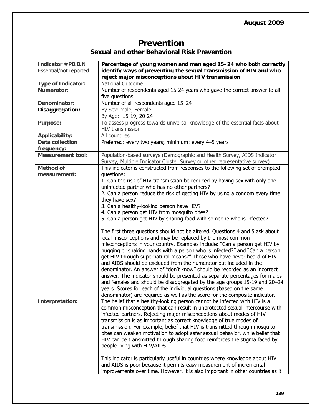# **Prevention**

#### **Sexual and other Behavioral Risk Prevention**

| Indicator #P8.8.N                    | Percentage of young women and men aged 15-24 who both correctly                                                                                                                                                                    |
|--------------------------------------|------------------------------------------------------------------------------------------------------------------------------------------------------------------------------------------------------------------------------------|
| Essential/not reported               | identify ways of preventing the sexual transmission of HIV and who<br>reject major misconceptions about HIV transmission                                                                                                           |
| <b>Type of Indicator:</b>            | National Outcome                                                                                                                                                                                                                   |
| Numerator:                           | Number of respondents aged 15-24 years who gave the correct answer to all                                                                                                                                                          |
|                                      | five questions                                                                                                                                                                                                                     |
| Denominator:                         | Number of all respondents aged 15-24                                                                                                                                                                                               |
| Disaggregation:                      | By Sex: Male, Female<br>By Age: 15-19, 20-24                                                                                                                                                                                       |
| <b>Purpose:</b>                      | To assess progress towards universal knowledge of the essential facts about<br>HIV transmission                                                                                                                                    |
| Applicability:                       | All countries                                                                                                                                                                                                                      |
| <b>Data collection</b><br>frequency: | Preferred: every two years; minimum: every 4-5 years                                                                                                                                                                               |
| <b>Measurement tool:</b>             | Population-based surveys (Demographic and Health Survey, AIDS Indicator<br>Survey, Multiple Indicator Cluster Survey or other representative survey)                                                                               |
| <b>Method of</b><br>measurement:     | This indicator is constructed from responses to the following set of prompted<br>questions:                                                                                                                                        |
|                                      | 1. Can the risk of HIV transmission be reduced by having sex with only one<br>uninfected partner who has no other partners?                                                                                                        |
|                                      | 2. Can a person reduce the risk of getting HIV by using a condom every time<br>they have sex?                                                                                                                                      |
|                                      | 3. Can a healthy-looking person have HIV?                                                                                                                                                                                          |
|                                      | 4. Can a person get HIV from mosquito bites?                                                                                                                                                                                       |
|                                      | 5. Can a person get HIV by sharing food with someone who is infected?                                                                                                                                                              |
|                                      | The first three questions should not be altered. Questions 4 and 5 ask about<br>local misconceptions and may be replaced by the most common                                                                                        |
|                                      | misconceptions in your country. Examples include: "Can a person get HIV by<br>hugging or shaking hands with a person who is infected?" and "Can a person<br>get HIV through supernatural means?" Those who have never heard of HIV |
|                                      | and AIDS should be excluded from the numerator but included in the<br>denominator. An answer of "don't know" should be recorded as an incorrect                                                                                    |
|                                      | answer. The indicator should be presented as separate percentages for males<br>and females and should be disaggregated by the age groups 15-19 and 20-24                                                                           |
|                                      | years. Scores for each of the individual questions (based on the same<br>denominator) are required as well as the score for the composite indicator.                                                                               |
| Interpretation:                      | The belief that a healthy-looking person cannot be infected with HIV is a                                                                                                                                                          |
|                                      | common misconception that can result in unprotected sexual intercourse with<br>infected partners. Rejecting major misconceptions about modes of HIV                                                                                |
|                                      | transmission is as important as correct knowledge of true modes of<br>transmission. For example, belief that HIV is transmitted through mosquito                                                                                   |
|                                      | bites can weaken motivation to adopt safer sexual behavior, while belief that<br>HIV can be transmitted through sharing food reinforces the stigma faced by                                                                        |
|                                      | people living with HIV/AIDS.                                                                                                                                                                                                       |
|                                      | This indicator is particularly useful in countries where knowledge about HIV<br>and AIDS is poor because it permits easy measurement of incremental                                                                                |
|                                      | improvements over time. However, it is also important in other countries as it                                                                                                                                                     |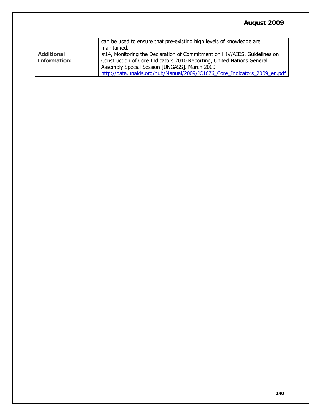|              | can be used to ensure that pre-existing high levels of knowledge are<br>maintained. |
|--------------|-------------------------------------------------------------------------------------|
| Additional   | #14, Monitoring the Declaration of Commitment on HIV/AIDS. Guidelines on            |
| Information: | Construction of Core Indicators 2010 Reporting, United Nations General              |
|              | Assembly Special Session [UNGASS]. March 2009                                       |
|              | http://data.unaids.org/pub/Manual/2009/JC1676_Core_Indicators_2009_en.pdf           |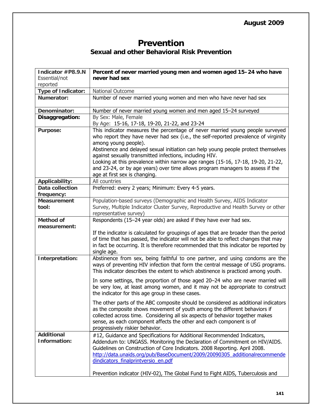## **Prevention Sexual and other Behavioral Risk Prevention**

| Indicator #P8.9.N<br>Essential/not<br>reported | Percent of never married young men and women aged 15-24 who have<br>never had sex                                                                                                                                                                                                                                                                          |
|------------------------------------------------|------------------------------------------------------------------------------------------------------------------------------------------------------------------------------------------------------------------------------------------------------------------------------------------------------------------------------------------------------------|
| <b>Type of Indicator:</b>                      | National Outcome                                                                                                                                                                                                                                                                                                                                           |
| Numerator:                                     | Number of never married young women and men who have never had sex                                                                                                                                                                                                                                                                                         |
| Denominator:                                   | Number of never married young women and men aged 15-24 surveyed                                                                                                                                                                                                                                                                                            |
| Disaggregation:                                | By Sex: Male, Female<br>By Age: 15-16, 17-18, 19-20, 21-22, and 23-24                                                                                                                                                                                                                                                                                      |
| Purpose:                                       | This indicator measures the percentage of never married young people surveyed<br>who report they have never had sex (i.e., the self-reported prevalence of virginity<br>among young people).<br>Abstinence and delayed sexual initiation can help young people protect themselves                                                                          |
|                                                | against sexually transmitted infections, including HIV.<br>Looking at this prevalence within narrow age ranges (15-16, 17-18, 19-20, 21-22,<br>and 23-24, or by age years) over time allows program managers to assess if the<br>age at first sex is changing.                                                                                             |
| Applicability:                                 | All countries                                                                                                                                                                                                                                                                                                                                              |
| <b>Data collection</b>                         | Preferred: every 2 years; Minimum: Every 4-5 years.                                                                                                                                                                                                                                                                                                        |
| frequency:                                     |                                                                                                                                                                                                                                                                                                                                                            |
| <b>Measurement</b><br>tool:                    | Population-based surveys (Demographic and Health Survey, AIDS Indicator<br>Survey, Multiple Indicator Cluster Survey, Reproductive and Health Survey or other<br>representative survey)                                                                                                                                                                    |
| Method of                                      | Respondents (15-24 year olds) are asked if they have ever had sex.                                                                                                                                                                                                                                                                                         |
| measurement:                                   | If the indicator is calculated for groupings of ages that are broader than the period<br>of time that has passed, the indicator will not be able to reflect changes that may<br>in fact be occurring. It is therefore recommended that this indicator be reported by<br>single age.                                                                        |
| Interpretation:                                | Abstinence from sex, being faithful to one partner, and using condoms are the<br>ways of preventing HIV infection that form the central message of USG programs.<br>This indicator describes the extent to which abstinence is practiced among youth.                                                                                                      |
|                                                | In some settings, the proportion of those aged 20-24 who are never married will<br>be very low, at least among women, and it may not be appropriate to construct<br>the indicator for this age group in these cases.                                                                                                                                       |
|                                                | The other parts of the ABC composite should be considered as additional indicators<br>as the composite shows movement of youth among the different behaviors if<br>collected across time. Considering all six aspects of behavior together makes<br>sense, as each component affects the other and each component is of<br>progressively riskier behavior. |
| <b>Additional</b><br>Information:              | #12, Guidance and Specifications for Additional Recommended Indicators,<br>Addendum to: UNGASS. Monitoring the Declaration of Commitment on HIV/AIDS.<br>Guidelines on Construction of Core Indicators. 2008 Reporting. April 2008.<br>http://data.unaids.org/pub/BaseDocument/2009/20090305 additionalrecommende<br>dindicators finalprintversio en.pdf   |
|                                                | Prevention indicator (HIV-02), The Global Fund to Fight AIDS, Tuberculosis and                                                                                                                                                                                                                                                                             |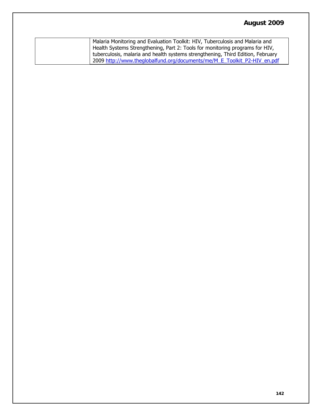|  | Malaria Monitoring and Evaluation Toolkit: HIV, Tuberculosis and Malaria and    |
|--|---------------------------------------------------------------------------------|
|  | Health Systems Strengthening, Part 2: Tools for monitoring programs for HIV,    |
|  | tuberculosis, malaria and health systems strengthening, Third Edition, February |
|  | 2009 http://www.theglobalfund.org/documents/me/M E Toolkit P2-HIV en.pdf        |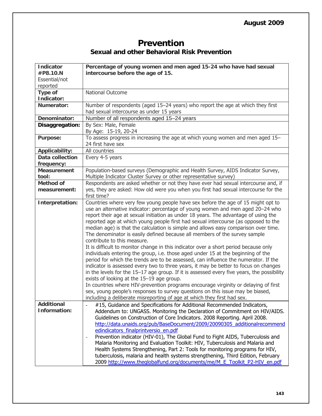# **Prevention Sexual and other Behavioral Risk Prevention**

| <b>Indicator</b>                  | Percentage of young women and men aged 15-24 who have had sexual                                                                                                                                                                                                                                                                                                                                                                                                                                                                                                                                                                                                                                                                                                                                                                                                                                                                                                                                                                                                                                                                                                                                                                                                                                                |
|-----------------------------------|-----------------------------------------------------------------------------------------------------------------------------------------------------------------------------------------------------------------------------------------------------------------------------------------------------------------------------------------------------------------------------------------------------------------------------------------------------------------------------------------------------------------------------------------------------------------------------------------------------------------------------------------------------------------------------------------------------------------------------------------------------------------------------------------------------------------------------------------------------------------------------------------------------------------------------------------------------------------------------------------------------------------------------------------------------------------------------------------------------------------------------------------------------------------------------------------------------------------------------------------------------------------------------------------------------------------|
| #P8.10.N                          | intercourse before the age of 15.                                                                                                                                                                                                                                                                                                                                                                                                                                                                                                                                                                                                                                                                                                                                                                                                                                                                                                                                                                                                                                                                                                                                                                                                                                                                               |
| Essential/not                     |                                                                                                                                                                                                                                                                                                                                                                                                                                                                                                                                                                                                                                                                                                                                                                                                                                                                                                                                                                                                                                                                                                                                                                                                                                                                                                                 |
| reported                          |                                                                                                                                                                                                                                                                                                                                                                                                                                                                                                                                                                                                                                                                                                                                                                                                                                                                                                                                                                                                                                                                                                                                                                                                                                                                                                                 |
| Type of                           | National Outcome                                                                                                                                                                                                                                                                                                                                                                                                                                                                                                                                                                                                                                                                                                                                                                                                                                                                                                                                                                                                                                                                                                                                                                                                                                                                                                |
| Indicator:                        |                                                                                                                                                                                                                                                                                                                                                                                                                                                                                                                                                                                                                                                                                                                                                                                                                                                                                                                                                                                                                                                                                                                                                                                                                                                                                                                 |
| Numerator:                        | Number of respondents (aged 15–24 years) who report the age at which they first                                                                                                                                                                                                                                                                                                                                                                                                                                                                                                                                                                                                                                                                                                                                                                                                                                                                                                                                                                                                                                                                                                                                                                                                                                 |
|                                   | had sexual intercourse as under 15 years                                                                                                                                                                                                                                                                                                                                                                                                                                                                                                                                                                                                                                                                                                                                                                                                                                                                                                                                                                                                                                                                                                                                                                                                                                                                        |
| Denominator:                      | Number of all respondents aged 15-24 years                                                                                                                                                                                                                                                                                                                                                                                                                                                                                                                                                                                                                                                                                                                                                                                                                                                                                                                                                                                                                                                                                                                                                                                                                                                                      |
| Disaggregation:                   | By Sex: Male, Female                                                                                                                                                                                                                                                                                                                                                                                                                                                                                                                                                                                                                                                                                                                                                                                                                                                                                                                                                                                                                                                                                                                                                                                                                                                                                            |
|                                   | By Age: 15-19, 20-24                                                                                                                                                                                                                                                                                                                                                                                                                                                                                                                                                                                                                                                                                                                                                                                                                                                                                                                                                                                                                                                                                                                                                                                                                                                                                            |
| <b>Purpose:</b>                   | To assess progress in increasing the age at which young women and men aged 15-                                                                                                                                                                                                                                                                                                                                                                                                                                                                                                                                                                                                                                                                                                                                                                                                                                                                                                                                                                                                                                                                                                                                                                                                                                  |
|                                   | 24 first have sex                                                                                                                                                                                                                                                                                                                                                                                                                                                                                                                                                                                                                                                                                                                                                                                                                                                                                                                                                                                                                                                                                                                                                                                                                                                                                               |
| Applicability:                    | All countries                                                                                                                                                                                                                                                                                                                                                                                                                                                                                                                                                                                                                                                                                                                                                                                                                                                                                                                                                                                                                                                                                                                                                                                                                                                                                                   |
| <b>Data collection</b>            | Every 4-5 years                                                                                                                                                                                                                                                                                                                                                                                                                                                                                                                                                                                                                                                                                                                                                                                                                                                                                                                                                                                                                                                                                                                                                                                                                                                                                                 |
| frequency:                        |                                                                                                                                                                                                                                                                                                                                                                                                                                                                                                                                                                                                                                                                                                                                                                                                                                                                                                                                                                                                                                                                                                                                                                                                                                                                                                                 |
| <b>Measurement</b>                | Population-based surveys (Demographic and Health Survey, AIDS Indicator Survey,                                                                                                                                                                                                                                                                                                                                                                                                                                                                                                                                                                                                                                                                                                                                                                                                                                                                                                                                                                                                                                                                                                                                                                                                                                 |
| tool:                             | Multiple Indicator Cluster Survey or other representative survey)                                                                                                                                                                                                                                                                                                                                                                                                                                                                                                                                                                                                                                                                                                                                                                                                                                                                                                                                                                                                                                                                                                                                                                                                                                               |
| <b>Method of</b>                  | Respondents are asked whether or not they have ever had sexual intercourse and, if                                                                                                                                                                                                                                                                                                                                                                                                                                                                                                                                                                                                                                                                                                                                                                                                                                                                                                                                                                                                                                                                                                                                                                                                                              |
| measurement:                      | yes, they are asked: How old were you when you first had sexual intercourse for the                                                                                                                                                                                                                                                                                                                                                                                                                                                                                                                                                                                                                                                                                                                                                                                                                                                                                                                                                                                                                                                                                                                                                                                                                             |
|                                   | first time?                                                                                                                                                                                                                                                                                                                                                                                                                                                                                                                                                                                                                                                                                                                                                                                                                                                                                                                                                                                                                                                                                                                                                                                                                                                                                                     |
| Interpretation:                   | Countries where very few young people have sex before the age of 15 might opt to<br>use an alternative indicator: percentage of young women and men aged 20-24 who<br>report their age at sexual initiation as under 18 years. The advantage of using the<br>reported age at which young people first had sexual intercourse (as opposed to the<br>median age) is that the calculation is simple and allows easy comparison over time.<br>The denominator is easily defined because all members of the survey sample<br>contribute to this measure.<br>It is difficult to monitor change in this indicator over a short period because only<br>individuals entering the group, i.e. those aged under 15 at the beginning of the<br>period for which the trends are to be assessed, can influence the numerator. If the<br>indicator is assessed every two to three years, it may be better to focus on changes<br>in the levels for the $15-17$ age group. If it is assessed every five years, the possibility<br>exists of looking at the 15-19 age group.<br>In countries where HIV-prevention programs encourage virginity or delaying of first<br>sex, young people's responses to survey questions on this issue may be biased,<br>including a deliberate misreporting of age at which they first had sex. |
| <b>Additional</b><br>Information: | #15, Guidance and Specifications for Additional Recommended Indicators,<br>Addendum to: UNGASS. Monitoring the Declaration of Commitment on HIV/AIDS.<br>Guidelines on Construction of Core Indicators. 2008 Reporting. April 2008.<br>http://data.unaids.org/pub/BaseDocument/2009/20090305 additionalrecommend<br>edindicators finalprintversio en.pdf<br>Prevention indicator (HIV-01), The Global Fund to Fight AIDS, Tuberculosis and<br>$\overline{\phantom{m}}$<br>Malaria Monitoring and Evaluation Toolkit: HIV, Tuberculosis and Malaria and<br>Health Systems Strengthening, Part 2: Tools for monitoring programs for HIV,<br>tuberculosis, malaria and health systems strengthening, Third Edition, February<br>2009 http://www.theglobalfund.org/documents/me/M E Toolkit P2-HIV en.pdf                                                                                                                                                                                                                                                                                                                                                                                                                                                                                                           |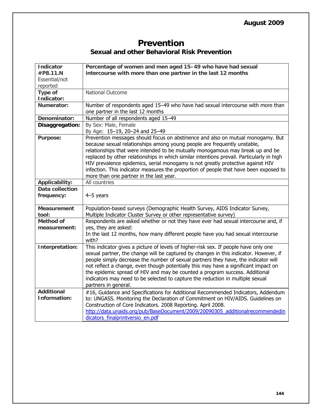## **Prevention Sexual and other Behavioral Risk Prevention**

| <b>Indicator</b>                         | Percentage of women and men aged 15-49 who have had sexual                                                                                                                                                                                                                                                                                                                                                                                                                                                                                          |
|------------------------------------------|-----------------------------------------------------------------------------------------------------------------------------------------------------------------------------------------------------------------------------------------------------------------------------------------------------------------------------------------------------------------------------------------------------------------------------------------------------------------------------------------------------------------------------------------------------|
| #P8.11.N                                 | intercourse with more than one partner in the last 12 months                                                                                                                                                                                                                                                                                                                                                                                                                                                                                        |
| Essential/not<br>reported                |                                                                                                                                                                                                                                                                                                                                                                                                                                                                                                                                                     |
| Type of                                  | National Outcome                                                                                                                                                                                                                                                                                                                                                                                                                                                                                                                                    |
| Indicator:                               |                                                                                                                                                                                                                                                                                                                                                                                                                                                                                                                                                     |
| Numerator:                               | Number of respondents aged 15-49 who have had sexual intercourse with more than<br>one partner in the last 12 months                                                                                                                                                                                                                                                                                                                                                                                                                                |
| Denominator:                             | Number of all respondents aged 15-49                                                                                                                                                                                                                                                                                                                                                                                                                                                                                                                |
| Disaggregation:                          | By Sex: Male, Female                                                                                                                                                                                                                                                                                                                                                                                                                                                                                                                                |
|                                          | By Age: 15-19, 20-24 and 25-49                                                                                                                                                                                                                                                                                                                                                                                                                                                                                                                      |
| Purpose:                                 | Prevention messages should focus on abstinence and also on mutual monogamy. But<br>because sexual relationships among young people are frequently unstable,<br>relationships that were intended to be mutually monogamous may break up and be                                                                                                                                                                                                                                                                                                       |
|                                          | replaced by other relationships in which similar intentions prevail. Particularly in high<br>HIV prevalence epidemics, serial monogamy is not greatly protective against HIV                                                                                                                                                                                                                                                                                                                                                                        |
|                                          | infection. This indicator measures the proportion of people that have been exposed to                                                                                                                                                                                                                                                                                                                                                                                                                                                               |
|                                          | more than one partner in the last year.                                                                                                                                                                                                                                                                                                                                                                                                                                                                                                             |
| Applicability:                           | All countries                                                                                                                                                                                                                                                                                                                                                                                                                                                                                                                                       |
| <b>Data collection</b>                   |                                                                                                                                                                                                                                                                                                                                                                                                                                                                                                                                                     |
| frequency:                               | 4-5 years                                                                                                                                                                                                                                                                                                                                                                                                                                                                                                                                           |
| <b>Measurement</b>                       | Population-based surveys (Demographic Health Survey, AIDS Indicator Survey,                                                                                                                                                                                                                                                                                                                                                                                                                                                                         |
| tool:                                    | Multiple Indicator Cluster Survey or other representative survey)                                                                                                                                                                                                                                                                                                                                                                                                                                                                                   |
| <b>Method of</b><br>measurement:         | Respondents are asked whether or not they have ever had sexual intercourse and, if<br>yes, they are asked:                                                                                                                                                                                                                                                                                                                                                                                                                                          |
|                                          | In the last 12 months, how many different people have you had sexual intercourse<br>with?                                                                                                                                                                                                                                                                                                                                                                                                                                                           |
| Interpretation:                          | This indicator gives a picture of levels of higher-risk sex. If people have only one<br>sexual partner, the change will be captured by changes in this indicator. However, if<br>people simply decrease the number of sexual partners they have, the indicator will<br>not reflect a change, even though potentially this may have a significant impact on<br>the epidemic spread of HIV and may be counted a program success. Additional<br>indicators may need to be selected to capture the reduction in multiple sexual<br>partners in general. |
| <b>Additional</b><br><b>Information:</b> | #16, Guidance and Specifications for Additional Recommended Indicators, Addendum<br>to: UNGASS. Monitoring the Declaration of Commitment on HIV/AIDS. Guidelines on<br>Construction of Core Indicators. 2008 Reporting. April 2008.<br>http://data.unaids.org/pub/BaseDocument/2009/20090305 additionalrecommendedin<br>dicators finalprintversio en.pdf                                                                                                                                                                                            |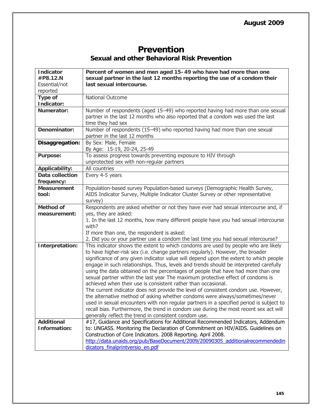# **Prevention Sexual and other Behavioral Risk Prevention**

| <b>Indicator</b>   | Percent of women and men aged 15-49 who have had more than one                                                                                                                   |
|--------------------|----------------------------------------------------------------------------------------------------------------------------------------------------------------------------------|
| #P8.12.N           | sexual partner in the last 12 months reporting the use of a condom their                                                                                                         |
| Essential/not      | last sexual intercourse.                                                                                                                                                         |
| reported           |                                                                                                                                                                                  |
| Type of            | National Outcome                                                                                                                                                                 |
| Indicator:         |                                                                                                                                                                                  |
| Numerator:         | Number of respondents (aged 15-49) who reported having had more than one sexual                                                                                                  |
|                    | partner in the last 12 months who also reported that a condom was used the last                                                                                                  |
|                    | time they had sex                                                                                                                                                                |
| Denominator:       | Number of respondents (15-49) who reported having had more than one sexual                                                                                                       |
|                    | partner in the last 12 months                                                                                                                                                    |
| Disaggregation:    | By Sex: Male, Female                                                                                                                                                             |
|                    | By Age: 15-19, 20-24, 25-49                                                                                                                                                      |
| <b>Purpose:</b>    | To assess progress towards preventing exposure to HIV through                                                                                                                    |
|                    | unprotected sex with non-regular partners                                                                                                                                        |
| Applicability:     | All countries                                                                                                                                                                    |
| Data collection    | Every 4-5 years                                                                                                                                                                  |
| frequency:         |                                                                                                                                                                                  |
| <b>Measurement</b> | Population-based survey Population-based surveys (Demographic Health Survey,                                                                                                     |
| tool:              | AIDS Indicator Survey, Multiple Indicator Cluster Survey or other representative                                                                                                 |
|                    | survey)                                                                                                                                                                          |
| <b>Method of</b>   | Respondents are asked whether or not they have ever had sexual intercourse and, if                                                                                               |
| measurement:       | yes, they are asked:                                                                                                                                                             |
|                    | 1. In the last 12 months, how many different people have you had sexual intercourse                                                                                              |
|                    | with?                                                                                                                                                                            |
|                    | If more than one, the respondent is asked:                                                                                                                                       |
|                    | 2. Did you or your partner use a condom the last time you had sexual intercourse?                                                                                                |
| Interpretation:    | This indicator shows the extent to which condoms are used by people who are likely                                                                                               |
|                    | to have higher-risk sex (i.e. change partners regularly). However, the broader                                                                                                   |
|                    | significance of any given indicator value will depend upon the extent to which people                                                                                            |
|                    | engage in such relationships. Thus, levels and trends should be interpreted carefully                                                                                            |
|                    | using the data obtained on the percentages of people that have had more than one                                                                                                 |
|                    | sexual partner within the last year The maximum protective effect of condoms is                                                                                                  |
|                    | achieved when their use is consistent rather than occasional.<br>The current indicator does not provide the level of consistent condom use. However,                             |
|                    |                                                                                                                                                                                  |
|                    | the alternative method of asking whether condoms were always/sometimes/never                                                                                                     |
|                    | used in sexual encounters with non regular partners in a specified period is subject to<br>recall bias. Furthermore, the trend in condom use during the most recent sex act will |
|                    | generally reflect the trend in consistent condom use.                                                                                                                            |
| <b>Additional</b>  | #17, Guidance and Specifications for Additional Recommended Indicators, Addendum                                                                                                 |
| Information:       | to: UNGASS. Monitoring the Declaration of Commitment on HIV/AIDS. Guidelines on                                                                                                  |
|                    | Construction of Core Indicators. 2008 Reporting. April 2008.                                                                                                                     |
|                    | http://data.unaids.org/pub/BaseDocument/2009/20090305 additionalrecommendedin                                                                                                    |
|                    | dicators finalprintversio en.pdf                                                                                                                                                 |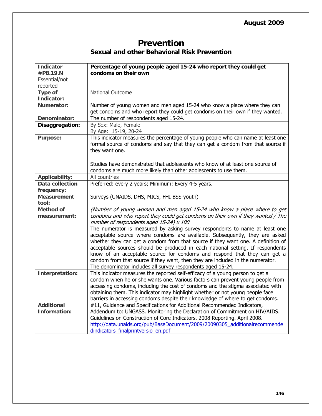# **Prevention**

**Sexual and other Behavioral Risk Prevention** 

| Indicator                 | Percentage of young people aged 15-24 who report they could get                                                                                            |
|---------------------------|------------------------------------------------------------------------------------------------------------------------------------------------------------|
| #P8.19.N<br>Essential/not | condoms on their own                                                                                                                                       |
| reported                  |                                                                                                                                                            |
| Type of                   | National Outcome                                                                                                                                           |
| Indicator:                |                                                                                                                                                            |
| Numerator:                | Number of young women and men aged 15-24 who know a place where they can                                                                                   |
|                           | get condoms and who report they could get condoms on their own if they wanted.                                                                             |
| Denominator:              | The number of respondents aged 15-24.                                                                                                                      |
| Disaggregation:           | By Sex: Male, Female                                                                                                                                       |
|                           | By Age: 15-19, 20-24                                                                                                                                       |
| Purpose:                  | This indicator measures the percentage of young people who can name at least one                                                                           |
|                           | formal source of condoms and say that they can get a condom from that source if                                                                            |
|                           | they want one.                                                                                                                                             |
|                           | Studies have demonstrated that adolescents who know of at least one source of                                                                              |
|                           | condoms are much more likely than other adolescents to use them.                                                                                           |
| Applicability:            | All countries                                                                                                                                              |
| Data collection           | Preferred: every 2 years; Minimum: Every 4-5 years.                                                                                                        |
| frequency:                |                                                                                                                                                            |
| <b>Measurement</b>        | Surveys (UNAIDS, DHS, MICS, FHI BSS-youth)                                                                                                                 |
| tool:                     |                                                                                                                                                            |
| <b>Method of</b>          | (Number of young women and men aged 15-24 who know a place where to get                                                                                    |
| measurement:              | condoms and who report they could get condoms on their own if they wanted / The<br>number of respondents aged 15-24) x 100                                 |
|                           | The numerator is measured by asking survey respondents to name at least one                                                                                |
|                           | acceptable source where condoms are available. Subsequently, they are asked                                                                                |
|                           | whether they can get a condom from that source if they want one. A definition of                                                                           |
|                           | acceptable sources should be produced in each national setting. If respondents<br>know of an acceptable source for condoms and respond that they can get a |
|                           | condom from that source if they want, then they are included in the numerator.                                                                             |
|                           | The denominator includes all survey respondents aged 15-24.                                                                                                |
| Interpretation:           | This indicator measures the reported self-efficacy of a young person to get a                                                                              |
|                           | condom when he or she wants one. Various factors can prevent young people from                                                                             |
|                           | accessing condoms, including the cost of condoms and the stigma associated with                                                                            |
|                           | obtaining them. This indicator may highlight whether or not young people face                                                                              |
|                           | barriers in accessing condoms despite their knowledge of where to get condoms.                                                                             |
| <b>Additional</b>         | #11, Guidance and Specifications for Additional Recommended Indicators,                                                                                    |
| Information:              | Addendum to: UNGASS. Monitoring the Declaration of Commitment on HIV/AIDS.<br>Guidelines on Construction of Core Indicators. 2008 Reporting. April 2008.   |
|                           | http://data.unaids.org/pub/BaseDocument/2009/20090305 additionalrecommende                                                                                 |
|                           | dindicators finalprintversio en.pdf                                                                                                                        |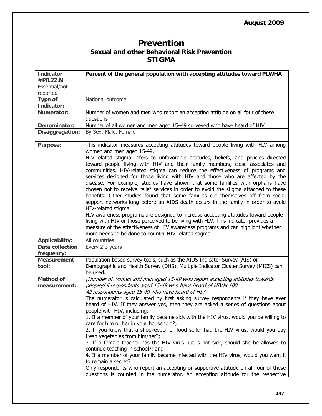#### **Prevention Sexual and other Behavioral Risk Prevention STIGMA**

| <b>Indicator</b>                 | Percent of the general population with accepting attitudes toward PLWHA                                                                                                                                                                                                                                                             |
|----------------------------------|-------------------------------------------------------------------------------------------------------------------------------------------------------------------------------------------------------------------------------------------------------------------------------------------------------------------------------------|
| #P8.22.N                         |                                                                                                                                                                                                                                                                                                                                     |
| Essential/not                    |                                                                                                                                                                                                                                                                                                                                     |
| reported                         |                                                                                                                                                                                                                                                                                                                                     |
| Type of<br>Indicator:            | National outcome                                                                                                                                                                                                                                                                                                                    |
| Numerator:                       | Number of women and men who report an accepting attitude on all four of these                                                                                                                                                                                                                                                       |
|                                  | questions                                                                                                                                                                                                                                                                                                                           |
| Denominator:                     | Number of all women and men aged 15-49 surveyed who have heard of HIV                                                                                                                                                                                                                                                               |
| Disaggregation:                  | By Sex: Male, Female                                                                                                                                                                                                                                                                                                                |
| <b>Purpose:</b>                  | This indicator measures accepting attitudes toward people living with HIV among<br>women and men aged 15-49.                                                                                                                                                                                                                        |
|                                  | HIV-related stigma refers to unfavorable attitudes, beliefs, and policies directed<br>toward people living with HIV and their family members, close associates and<br>communities. HIV-related stigma can reduce the effectiveness of programs and<br>services designed for those living with HIV and those who are affected by the |
|                                  | disease. For example, studies have shown that some families with orphans have<br>chosen not to receive relief services in order to avoid the stigma attached to these                                                                                                                                                               |
|                                  | benefits. Other studies found that some families cut themselves off from social<br>support networks long before an AIDS death occurs in the family in order to avoid<br>HIV-related stigma.                                                                                                                                         |
|                                  | HIV awareness programs are designed to increase accepting attitudes toward people<br>living with HIV or those perceived to be living with HIV. This indicator provides a                                                                                                                                                            |
|                                  | measure of the effectiveness of HIV awareness programs and can highlight whether<br>more needs to be done to counter HIV-related stigma.                                                                                                                                                                                            |
| Applicability:                   | All countries                                                                                                                                                                                                                                                                                                                       |
| <b>Data collection</b>           | Every 2-3 years                                                                                                                                                                                                                                                                                                                     |
| frequency:                       |                                                                                                                                                                                                                                                                                                                                     |
| <b>Measurement</b><br>tool:      | Population-based survey tools, such as the AIDS Indicator Survey (AIS) or<br>Demographic and Health Survey (DHS), Multiple Indicator Cluster Survey (MICS) can<br>be used.                                                                                                                                                          |
| <b>Method of</b><br>measurement: | (Number of women and men aged 15-49 who report accepting attitudes towards<br>people/All respondents aged 15-49 who have heard of HIV)x 100                                                                                                                                                                                         |
|                                  | All respondents aged 15-49 who have heard of HIV                                                                                                                                                                                                                                                                                    |
|                                  | The numerator is calculated by first asking survey respondents if they have ever<br>heard of HIV. If they answer yes, then they are asked a series of questions about                                                                                                                                                               |
|                                  | people with HIV, including:                                                                                                                                                                                                                                                                                                         |
|                                  | 1. If a member of your family became sick with the HIV virus, would you be willing to                                                                                                                                                                                                                                               |
|                                  | care for him or her in your household?;                                                                                                                                                                                                                                                                                             |
|                                  | 2. If you knew that a shopkeeper or food seller had the HIV virus, would you buy<br>fresh vegetables from him/her?;                                                                                                                                                                                                                 |
|                                  | 3. If a female teacher has the HIV virus but is not sick, should she be allowed to                                                                                                                                                                                                                                                  |
|                                  | continue teaching in school?; and                                                                                                                                                                                                                                                                                                   |
|                                  | 4. If a member of your family became infected with the HIV virus, would you want it<br>to remain a secret?                                                                                                                                                                                                                          |
|                                  | Only respondents who report an accepting or supportive attitude on all four of these<br>questions is counted in the numerator. An accepting attitude for the respective                                                                                                                                                             |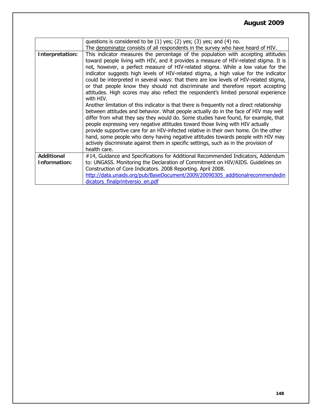|                                   | questions is considered to be $(1)$ yes; $(2)$ yes; $(3)$ yes; and $(4)$ no.<br>The denominator consists of all respondents in the survey who have heard of HIV.                                                                                                                                                                                                                                                                                                                                                                                                                                                                                                                                                                                                                                                                                                                                                                                                                                                                                                                                                                                                                                                                                                                            |
|-----------------------------------|---------------------------------------------------------------------------------------------------------------------------------------------------------------------------------------------------------------------------------------------------------------------------------------------------------------------------------------------------------------------------------------------------------------------------------------------------------------------------------------------------------------------------------------------------------------------------------------------------------------------------------------------------------------------------------------------------------------------------------------------------------------------------------------------------------------------------------------------------------------------------------------------------------------------------------------------------------------------------------------------------------------------------------------------------------------------------------------------------------------------------------------------------------------------------------------------------------------------------------------------------------------------------------------------|
| Interpretation:                   | This indicator measures the percentage of the population with accepting attitudes<br>toward people living with HIV, and it provides a measure of HIV-related stigma. It is<br>not, however, a perfect measure of HIV-related stigma. While a low value for the<br>indicator suggests high levels of HIV-related stigma, a high value for the indicator<br>could be interpreted in several ways: that there are low levels of HIV-related stigma,<br>or that people know they should not discriminate and therefore report accepting<br>attitudes. High scores may also reflect the respondent's limited personal experience<br>with HIV.<br>Another limitation of this indicator is that there is frequently not a direct relationship<br>between attitudes and behavior. What people actually do in the face of HIV may well<br>differ from what they say they would do. Some studies have found, for example, that<br>people expressing very negative attitudes toward those living with HIV actually<br>provide supportive care for an HIV-infected relative in their own home. On the other<br>hand, some people who deny having negative attitudes towards people with HIV may<br>actively discriminate against them in specific settings, such as in the provision of<br>health care. |
| <b>Additional</b><br>Information: | #14, Guidance and Specifications for Additional Recommended Indicators, Addendum<br>to: UNGASS. Monitoring the Declaration of Commitment on HIV/AIDS. Guidelines on<br>Construction of Core Indicators. 2008 Reporting. April 2008.<br>http://data.unaids.org/pub/BaseDocument/2009/20090305 additionalrecommendedin<br>dicators finalprintversio en.pdf                                                                                                                                                                                                                                                                                                                                                                                                                                                                                                                                                                                                                                                                                                                                                                                                                                                                                                                                    |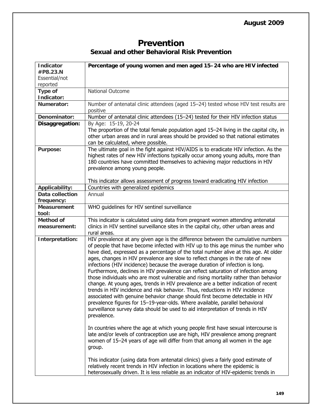# **Prevention Sexual and other Behavioral Risk Prevention**

| <b>Indicator</b>       | Percentage of young women and men aged 15-24 who are HIV infected                       |
|------------------------|-----------------------------------------------------------------------------------------|
| #P8.23.N               |                                                                                         |
| Essential/not          |                                                                                         |
| reported               |                                                                                         |
| Type of                | National Outcome                                                                        |
| Indicator:             |                                                                                         |
| <b>Numerator:</b>      | Number of antenatal clinic attendees (aged 15-24) tested whose HIV test results are     |
|                        | positive                                                                                |
| Denominator:           | Number of antenatal clinic attendees (15-24) tested for their HIV infection status      |
| Disaggregation:        | By Age: 15-19, 20-24                                                                    |
|                        | The proportion of the total female population aged 15-24 living in the capital city, in |
|                        | other urban areas and in rural areas should be provided so that national estimates      |
|                        | can be calculated, where possible.                                                      |
| <b>Purpose:</b>        | The ultimate goal in the fight against HIV/AIDS is to eradicate HIV infection. As the   |
|                        | highest rates of new HIV infections typically occur among young adults, more than       |
|                        | 180 countries have committed themselves to achieving major reductions in HIV            |
|                        | prevalence among young people.                                                          |
|                        |                                                                                         |
|                        | This indicator allows assessment of progress toward eradicating HIV infection           |
| Applicability:         | Countries with generalized epidemics                                                    |
| <b>Data collection</b> | Annual                                                                                  |
| frequency:             |                                                                                         |
| <b>Measurement</b>     | WHO guidelines for HIV sentinel surveillance                                            |
| tool:                  |                                                                                         |
| <b>Method of</b>       | This indicator is calculated using data from pregnant women attending antenatal         |
| measurement:           | clinics in HIV sentinel surveillance sites in the capital city, other urban areas and   |
|                        | rural areas.                                                                            |
| Interpretation:        | HIV prevalence at any given age is the difference between the cumulative numbers        |
|                        | of people that have become infected with HIV up to this age minus the number who        |
|                        | have died, expressed as a percentage of the total number alive at this age. At older    |
|                        | ages, changes in HIV prevalence are slow to reflect changes in the rate of new          |
|                        | infections (HIV incidence) because the average duration of infection is long.           |
|                        | Furthermore, declines in HIV prevalence can reflect saturation of infection among       |
|                        | those individuals who are most vulnerable and rising mortality rather than behavior     |
|                        | change. At young ages, trends in HIV prevalence are a better indication of recent       |
|                        | trends in HIV incidence and risk behavior. Thus, reductions in HIV incidence            |
|                        | associated with genuine behavior change should first become detectable in HIV           |
|                        | prevalence figures for 15-19-year-olds. Where available, parallel behavioral            |
|                        | surveillance survey data should be used to aid interpretation of trends in HIV          |
|                        | prevalence.                                                                             |
|                        |                                                                                         |
|                        | In countries where the age at which young people first have sexual intercourse is       |
|                        | late and/or levels of contraception use are high, HIV prevalence among pregnant         |
|                        | women of 15-24 years of age will differ from that among all women in the age            |
|                        | group.                                                                                  |
|                        |                                                                                         |
|                        | This indicator (using data from antenatal clinics) gives a fairly good estimate of      |
|                        | relatively recent trends in HIV infection in locations where the epidemic is            |
|                        | heterosexually driven. It is less reliable as an indicator of HIV-epidemic trends in    |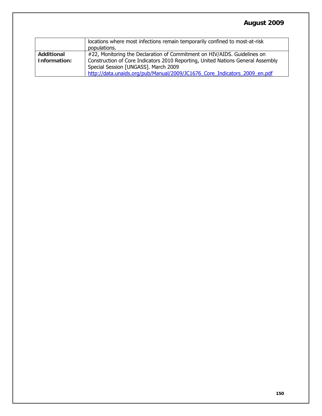|                            | locations where most infections remain temporarily confined to most-at-risk<br>populations.                                                                                                                                                                                      |
|----------------------------|----------------------------------------------------------------------------------------------------------------------------------------------------------------------------------------------------------------------------------------------------------------------------------|
| Additional<br>Information: | #22, Monitoring the Declaration of Commitment on HIV/AIDS. Guidelines on<br>Construction of Core Indicators 2010 Reporting, United Nations General Assembly<br>Special Session [UNGASS]. March 2009<br>http://data.unaids.org/pub/Manual/2009/JC1676 Core Indicators 2009 en.pdf |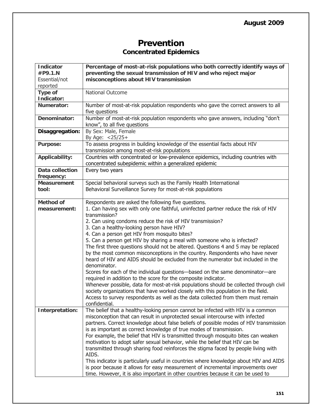# **Prevention Concentrated Epidemics**

| Indicator                        | Percentage of most-at-risk populations who both correctly identify ways of                                                                                                                                                                                                                                                                                                                                                        |
|----------------------------------|-----------------------------------------------------------------------------------------------------------------------------------------------------------------------------------------------------------------------------------------------------------------------------------------------------------------------------------------------------------------------------------------------------------------------------------|
| #P9.1.N<br>Essential/not         | preventing the sexual transmission of HIV and who reject major<br>misconceptions about HIV transmission                                                                                                                                                                                                                                                                                                                           |
| reported                         |                                                                                                                                                                                                                                                                                                                                                                                                                                   |
| Type of<br>Indicator:            | National Outcome                                                                                                                                                                                                                                                                                                                                                                                                                  |
| Numerator:                       | Number of most-at-risk population respondents who gave the correct answers to all                                                                                                                                                                                                                                                                                                                                                 |
|                                  | five questions                                                                                                                                                                                                                                                                                                                                                                                                                    |
| Denominator:                     | Number of most-at-risk population respondents who gave answers, including "don't<br>know", to all five questions                                                                                                                                                                                                                                                                                                                  |
| Disaggregation:                  | By Sex: Male, Female<br>By Age: <25/25+                                                                                                                                                                                                                                                                                                                                                                                           |
| <b>Purpose:</b>                  | To assess progress in building knowledge of the essential facts about HIV<br>transmission among most-at-risk populations                                                                                                                                                                                                                                                                                                          |
| Applicability:                   | Countries with concentrated or low-prevalence epidemics, including countries with<br>concentrated subepidemic within a generalized epidemic                                                                                                                                                                                                                                                                                       |
| <b>Data collection</b>           | Every two years                                                                                                                                                                                                                                                                                                                                                                                                                   |
| frequency:<br><b>Measurement</b> | Special behavioral surveys such as the Family Health International                                                                                                                                                                                                                                                                                                                                                                |
| tool:                            | Behavioral Surveillance Survey for most-at-risk populations                                                                                                                                                                                                                                                                                                                                                                       |
| <b>Method of</b>                 | Respondents are asked the following five questions.                                                                                                                                                                                                                                                                                                                                                                               |
| measurement:                     | 1. Can having sex with only one faithful, uninfected partner reduce the risk of HIV                                                                                                                                                                                                                                                                                                                                               |
|                                  | transmission?<br>2. Can using condoms reduce the risk of HIV transmission?                                                                                                                                                                                                                                                                                                                                                        |
|                                  | 3. Can a healthy-looking person have HIV?                                                                                                                                                                                                                                                                                                                                                                                         |
|                                  | 4. Can a person get HIV from mosquito bites?                                                                                                                                                                                                                                                                                                                                                                                      |
|                                  | 5. Can a person get HIV by sharing a meal with someone who is infected?                                                                                                                                                                                                                                                                                                                                                           |
|                                  | The first three questions should not be altered. Questions 4 and 5 may be replaced                                                                                                                                                                                                                                                                                                                                                |
|                                  | by the most common misconceptions in the country. Respondents who have never                                                                                                                                                                                                                                                                                                                                                      |
|                                  | heard of HIV and AIDS should be excluded from the numerator but included in the<br>denominator.                                                                                                                                                                                                                                                                                                                                   |
|                                  | Scores for each of the individual questions—based on the same denominator—are                                                                                                                                                                                                                                                                                                                                                     |
|                                  | required in addition to the score for the composite indicator.                                                                                                                                                                                                                                                                                                                                                                    |
|                                  | Whenever possible, data for most-at-risk populations should be collected through civil<br>society organizations that have worked closely with this population in the field.                                                                                                                                                                                                                                                       |
|                                  | Access to survey respondents as well as the data collected from them must remain                                                                                                                                                                                                                                                                                                                                                  |
|                                  | confidential.                                                                                                                                                                                                                                                                                                                                                                                                                     |
| Interpretation:                  | The belief that a healthy-looking person cannot be infected with HIV is a common                                                                                                                                                                                                                                                                                                                                                  |
|                                  | misconception that can result in unprotected sexual intercourse with infected<br>partners. Correct knowledge about false beliefs of possible modes of HIV transmission                                                                                                                                                                                                                                                            |
|                                  |                                                                                                                                                                                                                                                                                                                                                                                                                                   |
|                                  |                                                                                                                                                                                                                                                                                                                                                                                                                                   |
|                                  | motivation to adopt safer sexual behavior, while the belief that HIV can be                                                                                                                                                                                                                                                                                                                                                       |
|                                  | transmitted through sharing food reinforces the stigma faced by people living with                                                                                                                                                                                                                                                                                                                                                |
|                                  |                                                                                                                                                                                                                                                                                                                                                                                                                                   |
|                                  |                                                                                                                                                                                                                                                                                                                                                                                                                                   |
|                                  |                                                                                                                                                                                                                                                                                                                                                                                                                                   |
|                                  | is as important as correct knowledge of true modes of transmission.<br>For example, the belief that HIV is transmitted through mosquito bites can weaken<br>AIDS.<br>This indicator is particularly useful in countries where knowledge about HIV and AIDS<br>is poor because it allows for easy measurement of incremental improvements over<br>time. However, it is also important in other countries because it can be used to |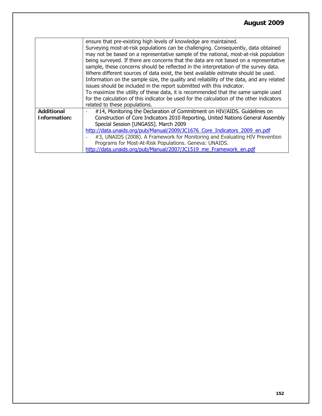|                   | ensure that pre-existing high levels of knowledge are maintained.                         |
|-------------------|-------------------------------------------------------------------------------------------|
|                   | Surveying most-at-risk populations can be challenging. Consequently, data obtained        |
|                   | may not be based on a representative sample of the national, most-at-risk population      |
|                   | being surveyed. If there are concerns that the data are not based on a representative     |
|                   | sample, these concerns should be reflected in the interpretation of the survey data.      |
|                   | Where different sources of data exist, the best available estimate should be used.        |
|                   | Information on the sample size, the quality and reliability of the data, and any related  |
|                   | issues should be included in the report submitted with this indicator.                    |
|                   | To maximize the utility of these data, it is recommended that the same sample used        |
|                   | for the calculation of this indicator be used for the calculation of the other indicators |
|                   | related to these populations.                                                             |
|                   |                                                                                           |
| <b>Additional</b> | #14, Monitoring the Declaration of Commitment on HIV/AIDS. Guidelines on                  |
| Information:      | Construction of Core Indicators 2010 Reporting, United Nations General Assembly           |
|                   | Special Session [UNGASS]. March 2009                                                      |
|                   | http://data.unaids.org/pub/Manual/2009/JC1676 Core Indicators 2009 en.pdf                 |
|                   | #3, UNAIDS (2008). A Framework for Monitoring and Evaluating HIV Prevention               |
|                   | Programs for Most-At-Risk Populations. Geneva: UNAIDS.                                    |
|                   | http://data.unaids.org/pub/Manual/2007/JC1519 me Framework en.pdf                         |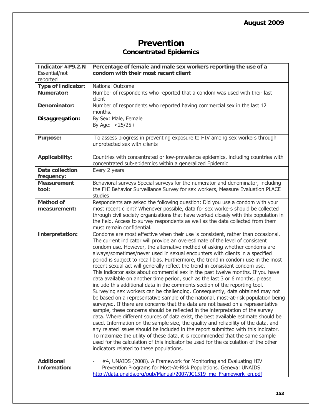# **Prevention Concentrated Epidemics**

| Indicator #P9.2.N                 | Percentage of female and male sex workers reporting the use of a                                                                                                                                                                                                                                                                                                                                                                                                                                                                                                                                                                                                                                                                                                                                                                                                                                                                                                                                                                                                                                                                                                                                                                                                                                                                                                                                                                                                                                                                                                                          |
|-----------------------------------|-------------------------------------------------------------------------------------------------------------------------------------------------------------------------------------------------------------------------------------------------------------------------------------------------------------------------------------------------------------------------------------------------------------------------------------------------------------------------------------------------------------------------------------------------------------------------------------------------------------------------------------------------------------------------------------------------------------------------------------------------------------------------------------------------------------------------------------------------------------------------------------------------------------------------------------------------------------------------------------------------------------------------------------------------------------------------------------------------------------------------------------------------------------------------------------------------------------------------------------------------------------------------------------------------------------------------------------------------------------------------------------------------------------------------------------------------------------------------------------------------------------------------------------------------------------------------------------------|
| Essential/not<br>reported         | condom with their most recent client                                                                                                                                                                                                                                                                                                                                                                                                                                                                                                                                                                                                                                                                                                                                                                                                                                                                                                                                                                                                                                                                                                                                                                                                                                                                                                                                                                                                                                                                                                                                                      |
| Type of Indicator:                | National Outcome                                                                                                                                                                                                                                                                                                                                                                                                                                                                                                                                                                                                                                                                                                                                                                                                                                                                                                                                                                                                                                                                                                                                                                                                                                                                                                                                                                                                                                                                                                                                                                          |
| Numerator:                        | Number of respondents who reported that a condom was used with their last                                                                                                                                                                                                                                                                                                                                                                                                                                                                                                                                                                                                                                                                                                                                                                                                                                                                                                                                                                                                                                                                                                                                                                                                                                                                                                                                                                                                                                                                                                                 |
|                                   | client                                                                                                                                                                                                                                                                                                                                                                                                                                                                                                                                                                                                                                                                                                                                                                                                                                                                                                                                                                                                                                                                                                                                                                                                                                                                                                                                                                                                                                                                                                                                                                                    |
| Denominator:                      | Number of respondents who reported having commercial sex in the last 12<br>months.                                                                                                                                                                                                                                                                                                                                                                                                                                                                                                                                                                                                                                                                                                                                                                                                                                                                                                                                                                                                                                                                                                                                                                                                                                                                                                                                                                                                                                                                                                        |
| Disaggregation:                   | By Sex: Male, Female<br>By Age: <25/25+                                                                                                                                                                                                                                                                                                                                                                                                                                                                                                                                                                                                                                                                                                                                                                                                                                                                                                                                                                                                                                                                                                                                                                                                                                                                                                                                                                                                                                                                                                                                                   |
| <b>Purpose:</b>                   | To assess progress in preventing exposure to HIV among sex workers through<br>unprotected sex with clients                                                                                                                                                                                                                                                                                                                                                                                                                                                                                                                                                                                                                                                                                                                                                                                                                                                                                                                                                                                                                                                                                                                                                                                                                                                                                                                                                                                                                                                                                |
| Applicability:                    | Countries with concentrated or low-prevalence epidemics, including countries with<br>concentrated sub-epidemics within a generalized Epidemic                                                                                                                                                                                                                                                                                                                                                                                                                                                                                                                                                                                                                                                                                                                                                                                                                                                                                                                                                                                                                                                                                                                                                                                                                                                                                                                                                                                                                                             |
| Data collection<br>frequency:     | Every 2 years                                                                                                                                                                                                                                                                                                                                                                                                                                                                                                                                                                                                                                                                                                                                                                                                                                                                                                                                                                                                                                                                                                                                                                                                                                                                                                                                                                                                                                                                                                                                                                             |
| <b>Measurement</b><br>tool:       | Behavioral surveys Special surveys for the numerator and denominator, including<br>the FHI Behavior Surveillance Survey for sex workers, Measure Evaluation PLACE<br>studies                                                                                                                                                                                                                                                                                                                                                                                                                                                                                                                                                                                                                                                                                                                                                                                                                                                                                                                                                                                                                                                                                                                                                                                                                                                                                                                                                                                                              |
| <b>Method of</b><br>measurement:  | Respondents are asked the following question: Did you use a condom with your<br>most recent client? Whenever possible, data for sex workers should be collected<br>through civil society organizations that have worked closely with this population in<br>the field. Access to survey respondents as well as the data collected from them<br>must remain confidential.                                                                                                                                                                                                                                                                                                                                                                                                                                                                                                                                                                                                                                                                                                                                                                                                                                                                                                                                                                                                                                                                                                                                                                                                                   |
| Interpretation:                   | Condoms are most effective when their use is consistent, rather than occasional.<br>The current indicator will provide an overestimate of the level of consistent<br>condom use. However, the alternative method of asking whether condoms are<br>always/sometimes/never used in sexual encounters with clients in a specified<br>period is subject to recall bias. Furthermore, the trend in condom use in the most<br>recent sexual act will generally reflect the trend in consistent condom use.<br>This indicator asks about commercial sex in the past twelve months. If you have<br>data available on another time period, such as the last 3 or 6 months, please<br>include this additional data in the comments section of the reporting tool.<br>Surveying sex workers can be challenging. Consequently, data obtained may not<br>be based on a representative sample of the national, most-at-risk population being<br>surveyed. If there are concerns that the data are not based on a representative<br>sample, these concerns should be reflected in the interpretation of the survey<br>data. Where different sources of data exist, the best available estimate should be<br>used. Information on the sample size, the quality and reliability of the data, and<br>any related issues should be included in the report submitted with this indicator.<br>To maximize the utility of these data, it is recommended that the same sample<br>used for the calculation of this indicator be used for the calculation of the other<br>indicators related to these populations. |
| <b>Additional</b><br>Information: | #4, UNAIDS (2008). A Framework for Monitoring and Evaluating HIV<br>Prevention Programs for Most-At-Risk Populations. Geneva: UNAIDS.<br>http://data.unaids.org/pub/Manual/2007/JC1519_me_Framework_en.pdf                                                                                                                                                                                                                                                                                                                                                                                                                                                                                                                                                                                                                                                                                                                                                                                                                                                                                                                                                                                                                                                                                                                                                                                                                                                                                                                                                                                |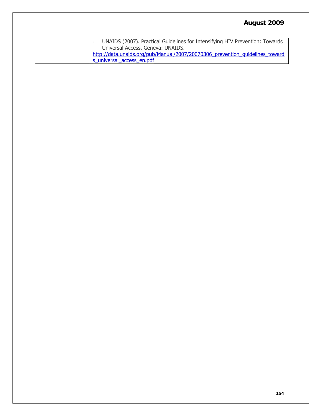| UNAIDS (2007). Practical Guidelines for Intensifying HIV Prevention: Towards |
|------------------------------------------------------------------------------|
| Universal Access. Geneva: UNAIDS.                                            |
| http://data.unaids.org/pub/Manual/2007/20070306_prevention_guidelines_toward |
| s universal access en.pdf                                                    |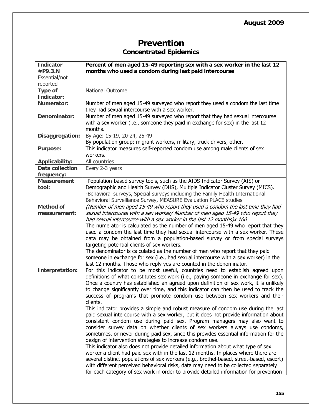# **Prevention Concentrated Epidemics**

| <b>Indicator</b>                 | Percent of men aged 15-49 reporting sex with a sex worker in the last 12                                                                                                                                                                                                                                                                                                                                                                                                                                                                                                                                                                                                                                                                                                                                                                                                                                                                                                                                                                                                                                                                                                                                                                                                                                                                                                                         |
|----------------------------------|--------------------------------------------------------------------------------------------------------------------------------------------------------------------------------------------------------------------------------------------------------------------------------------------------------------------------------------------------------------------------------------------------------------------------------------------------------------------------------------------------------------------------------------------------------------------------------------------------------------------------------------------------------------------------------------------------------------------------------------------------------------------------------------------------------------------------------------------------------------------------------------------------------------------------------------------------------------------------------------------------------------------------------------------------------------------------------------------------------------------------------------------------------------------------------------------------------------------------------------------------------------------------------------------------------------------------------------------------------------------------------------------------|
| #P9.3.N                          | months who used a condom during last paid intercourse                                                                                                                                                                                                                                                                                                                                                                                                                                                                                                                                                                                                                                                                                                                                                                                                                                                                                                                                                                                                                                                                                                                                                                                                                                                                                                                                            |
| Essential/not<br>reported        |                                                                                                                                                                                                                                                                                                                                                                                                                                                                                                                                                                                                                                                                                                                                                                                                                                                                                                                                                                                                                                                                                                                                                                                                                                                                                                                                                                                                  |
| Type of<br>Indicator:            | National Outcome                                                                                                                                                                                                                                                                                                                                                                                                                                                                                                                                                                                                                                                                                                                                                                                                                                                                                                                                                                                                                                                                                                                                                                                                                                                                                                                                                                                 |
| Numerator:                       | Number of men aged 15-49 surveyed who report they used a condom the last time<br>they had sexual intercourse with a sex worker.                                                                                                                                                                                                                                                                                                                                                                                                                                                                                                                                                                                                                                                                                                                                                                                                                                                                                                                                                                                                                                                                                                                                                                                                                                                                  |
| Denominator:                     | Number of men aged 15-49 surveyed who report that they had sexual intercourse<br>with a sex worker (i.e., someone they paid in exchange for sex) in the last 12<br>months.                                                                                                                                                                                                                                                                                                                                                                                                                                                                                                                                                                                                                                                                                                                                                                                                                                                                                                                                                                                                                                                                                                                                                                                                                       |
| Disaggregation:                  | By Age: 15-19, 20-24, 25-49<br>By population group: migrant workers, military, truck drivers, other.                                                                                                                                                                                                                                                                                                                                                                                                                                                                                                                                                                                                                                                                                                                                                                                                                                                                                                                                                                                                                                                                                                                                                                                                                                                                                             |
| <b>Purpose:</b>                  | This indicator measures self-reported condom use among male clients of sex<br>workers.                                                                                                                                                                                                                                                                                                                                                                                                                                                                                                                                                                                                                                                                                                                                                                                                                                                                                                                                                                                                                                                                                                                                                                                                                                                                                                           |
| Applicability:                   | All countries                                                                                                                                                                                                                                                                                                                                                                                                                                                                                                                                                                                                                                                                                                                                                                                                                                                                                                                                                                                                                                                                                                                                                                                                                                                                                                                                                                                    |
| Data collection<br>frequency:    | Every 2-3 years                                                                                                                                                                                                                                                                                                                                                                                                                                                                                                                                                                                                                                                                                                                                                                                                                                                                                                                                                                                                                                                                                                                                                                                                                                                                                                                                                                                  |
| <b>Measurement</b><br>tool:      | -Population-based survey tools, such as the AIDS Indicator Survey (AIS) or<br>Demographic and Health Survey (DHS), Multiple Indicator Cluster Survey (MICS).<br>-Behavioral surveys, Special surveys including the Family Health International<br>Behavioral Surveillance Survey, MEASURE Evaluation PLACE studies                                                                                                                                                                                                                                                                                                                                                                                                                                                                                                                                                                                                                                                                                                                                                                                                                                                                                                                                                                                                                                                                               |
| <b>Method of</b><br>measurement: | (Number of men aged 15-49 who report they used a condom the last time they had<br>sexual intercourse with a sex worker/Number of men aged 15-49 who report they<br>had sexual intercourse with a sex worker in the last 12 months)x 100<br>The numerator is calculated as the number of men aged 15-49 who report that they<br>used a condom the last time they had sexual intercourse with a sex worker. These<br>data may be obtained from a population-based survey or from special surveys<br>targeting potential clients of sex workers.<br>The denominator is calculated as the number of men who report that they paid<br>someone in exchange for sex (i.e., had sexual intercourse with a sex worker) in the<br>last 12 months. Those who reply yes are counted in the denominator.                                                                                                                                                                                                                                                                                                                                                                                                                                                                                                                                                                                                      |
| Interpretation:                  | For this indicator to be most useful, countries need to establish agreed upon<br>definitions of what constitutes sex work (i.e., paying someone in exchange for sex).<br>Once a country has established an agreed upon definition of sex work, it is unlikely<br>to change significantly over time, and this indicator can then be used to track the<br>success of programs that promote condom use between sex workers and their<br>clients.<br>This indicator provides a simple and robust measure of condom use during the last<br>paid sexual intercourse with a sex worker, but it does not provide information about<br>consistent condom use during paid sex. Program managers may also want to<br>consider survey data on whether clients of sex workers always use condoms,<br>sometimes, or never during paid sex, since this provides essential information for the<br>design of intervention strategies to increase condom use.<br>This indicator also does not provide detailed information about what type of sex<br>worker a client had paid sex with in the last 12 months. In places where there are<br>several distinct populations of sex workers (e.g., brothel-based, street-based, escort)<br>with different perceived behavioral risks, data may need to be collected separately<br>for each category of sex work in order to provide detailed information for prevention |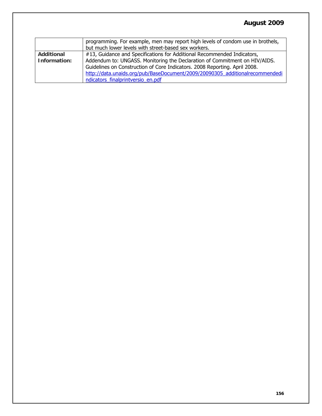|              | programming. For example, men may report high levels of condom use in brothels,<br>but much lower levels with street-based sex workers. |
|--------------|-----------------------------------------------------------------------------------------------------------------------------------------|
| Additional   | #13, Guidance and Specifications for Additional Recommended Indicators,                                                                 |
| Information: | Addendum to: UNGASS. Monitoring the Declaration of Commitment on HIV/AIDS.                                                              |
|              | Guidelines on Construction of Core Indicators. 2008 Reporting. April 2008.                                                              |
|              | http://data.unaids.org/pub/BaseDocument/2009/20090305_additionalrecommendedi                                                            |
|              | ndicators finalprintversio en.pdf                                                                                                       |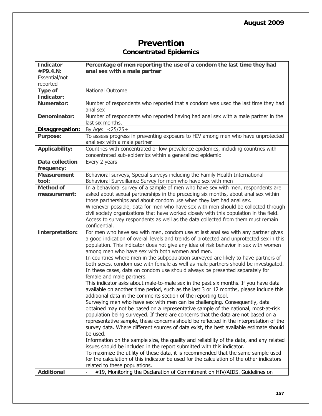# **Prevention Concentrated Epidemics**

| <b>Indicator</b>       | Percentage of men reporting the use of a condom the last time they had                                                                                                          |
|------------------------|---------------------------------------------------------------------------------------------------------------------------------------------------------------------------------|
| #P9.4.N:               | anal sex with a male partner                                                                                                                                                    |
| Essential/not          |                                                                                                                                                                                 |
| reported               |                                                                                                                                                                                 |
| Type of                | National Outcome                                                                                                                                                                |
| Indicator:             |                                                                                                                                                                                 |
| Numerator:             | Number of respondents who reported that a condom was used the last time they had<br>anal sex                                                                                    |
| Denominator:           | Number of respondents who reported having had anal sex with a male partner in the<br>last six months.                                                                           |
| Disaggregation:        | By Age: <25/25+                                                                                                                                                                 |
| Purpose:               | To assess progress in preventing exposure to HIV among men who have unprotected                                                                                                 |
|                        | anal sex with a male partner                                                                                                                                                    |
| Applicability:         | Countries with concentrated or low-prevalence epidemics, including countries with<br>concentrated sub-epidemics within a generalized epidemic                                   |
| <b>Data collection</b> | Every 2 years                                                                                                                                                                   |
| frequency:             |                                                                                                                                                                                 |
| <b>Measurement</b>     | Behavioral surveys, Special surveys including the Family Health International                                                                                                   |
| tool:                  | Behavioral Surveillance Survey for men who have sex with men                                                                                                                    |
| <b>Method of</b>       | In a behavioral survey of a sample of men who have sex with men, respondents are                                                                                                |
| measurement:           | asked about sexual partnerships in the preceding six months, about anal sex within                                                                                              |
|                        | those partnerships and about condom use when they last had anal sex.                                                                                                            |
|                        | Whenever possible, data for men who have sex with men should be collected through                                                                                               |
|                        | civil society organizations that have worked closely with this population in the field.                                                                                         |
|                        | Access to survey respondents as well as the data collected from them must remain                                                                                                |
|                        | confidential.                                                                                                                                                                   |
| Interpretation:        | For men who have sex with men, condom use at last anal sex with any partner gives                                                                                               |
|                        | a good indication of overall levels and trends of protected and unprotected sex in this<br>population. This indicator does not give any idea of risk behavior in sex with women |
|                        | among men who have sex with both women and men.                                                                                                                                 |
|                        | In countries where men in the subpopulation surveyed are likely to have partners of                                                                                             |
|                        | both sexes, condom use with female as well as male partners should be investigated.                                                                                             |
|                        | In these cases, data on condom use should always be presented separately for                                                                                                    |
|                        | female and male partners.                                                                                                                                                       |
|                        | This indicator asks about male-to-male sex in the past six months. If you have data                                                                                             |
|                        | available on another time period, such as the last 3 or 12 months, please include this                                                                                          |
|                        | additional data in the comments section of the reporting tool.                                                                                                                  |
|                        | Surveying men who have sex with men can be challenging. Consequently, data                                                                                                      |
|                        | obtained may not be based on a representative sample of the national, most-at-risk                                                                                              |
|                        | population being surveyed. If there are concerns that the data are not based on a                                                                                               |
|                        | representative sample, these concerns should be reflected in the interpretation of the                                                                                          |
|                        | survey data. Where different sources of data exist, the best available estimate should                                                                                          |
|                        | be used.                                                                                                                                                                        |
|                        | Information on the sample size, the quality and reliability of the data, and any related                                                                                        |
|                        | issues should be included in the report submitted with this indicator.                                                                                                          |
|                        | To maximize the utility of these data, it is recommended that the same sample used                                                                                              |
|                        | for the calculation of this indicator be used for the calculation of the other indicators                                                                                       |
|                        | related to these populations.                                                                                                                                                   |
| <b>Additional</b>      | #19, Monitoring the Declaration of Commitment on HIV/AIDS. Guidelines on                                                                                                        |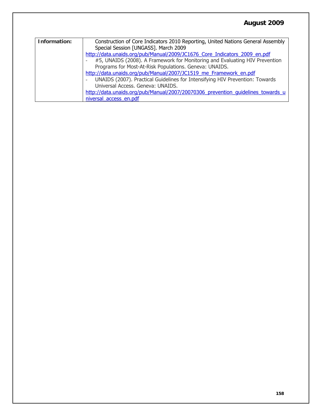| Information: | Construction of Core Indicators 2010 Reporting, United Nations General Assembly |
|--------------|---------------------------------------------------------------------------------|
|              | Special Session [UNGASS]. March 2009                                            |
|              | http://data.unaids.org/pub/Manual/2009/JC1676_Core_Indicators_2009_en.pdf       |
|              | #5, UNAIDS (2008). A Framework for Monitoring and Evaluating HIV Prevention     |
|              | Programs for Most-At-Risk Populations. Geneva: UNAIDS.                          |
|              | http://data.unaids.org/pub/Manual/2007/JC1519 me Framework en.pdf               |
|              | UNAIDS (2007). Practical Guidelines for Intensifying HIV Prevention: Towards    |
|              | Universal Access. Geneva: UNAIDS.                                               |
|              | http://data.unaids.org/pub/Manual/2007/20070306 prevention quidelines towards u |
|              | niversal access en.pdf                                                          |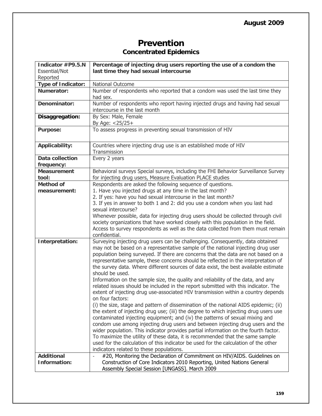# **Prevention Concentrated Epidemics**

| Indicator #P9.5.N             | Percentage of injecting drug users reporting the use of a condom the                                                                             |
|-------------------------------|--------------------------------------------------------------------------------------------------------------------------------------------------|
| Essential/Not                 | last time they had sexual intercourse                                                                                                            |
| Reported                      |                                                                                                                                                  |
| <b>Type of Indicator:</b>     | National Outcome                                                                                                                                 |
| Numerator:                    | Number of respondents who reported that a condom was used the last time they<br>had sex.                                                         |
| Denominator:                  | Number of respondents who report having injected drugs and having had sexual<br>intercourse in the last month                                    |
| Disaggregation:               | By Sex: Male, Female<br>By Age: $<$ 25/25+                                                                                                       |
| <b>Purpose:</b>               | To assess progress in preventing sexual transmission of HIV                                                                                      |
| Applicability:                | Countries where injecting drug use is an established mode of HIV<br>Transmission                                                                 |
| Data collection<br>frequency: | Every 2 years                                                                                                                                    |
| <b>Measurement</b><br>tool:   | Behavioral surveys Special surveys, including the FHI Behavior Surveillance Survey<br>for injecting drug users, Measure Evaluation PLACE studies |
| <b>Method of</b>              | Respondents are asked the following sequence of questions.                                                                                       |
| measurement:                  | 1. Have you injected drugs at any time in the last month?                                                                                        |
|                               | 2. If yes: have you had sexual intercourse in the last month?                                                                                    |
|                               | 3. If yes in answer to both 1 and 2: did you use a condom when you last had                                                                      |
|                               | sexual intercourse?                                                                                                                              |
|                               | Whenever possible, data for injecting drug users should be collected through civil                                                               |
|                               | society organizations that have worked closely with this population in the field.                                                                |
|                               | Access to survey respondents as well as the data collected from them must remain<br>confidential.                                                |
| Interpretation:               | Surveying injecting drug users can be challenging. Consequently, data obtained                                                                   |
|                               | may not be based on a representative sample of the national injecting drug user                                                                  |
|                               | population being surveyed. If there are concerns that the data are not based on a                                                                |
|                               | representative sample, these concerns should be reflected in the interpretation of                                                               |
|                               | the survey data. Where different sources of data exist, the best available estimate<br>should be used.                                           |
|                               | Information on the sample size, the quality and reliability of the data, and any                                                                 |
|                               | related issues should be included in the report submitted with this indicator. The                                                               |
|                               | extent of injecting drug use-associated HIV transmission within a country depends<br>on four factors:                                            |
|                               | (i) the size, stage and pattern of dissemination of the national AIDS epidemic; (ii)                                                             |
|                               | the extent of injecting drug use; (iii) the degree to which injecting drug users use                                                             |
|                               | contaminated injecting equipment; and (iv) the patterns of sexual mixing and                                                                     |
|                               | condom use among injecting drug users and between injecting drug users and the                                                                   |
|                               | wider population. This indicator provides partial information on the fourth factor.                                                              |
|                               | To maximize the utility of these data, it is recommended that the same sample                                                                    |
|                               | used for the calculation of this indicator be used for the calculation of the other                                                              |
|                               | indicators related to these populations.                                                                                                         |
| <b>Additional</b>             | #20, Monitoring the Declaration of Commitment on HIV/AIDS. Guidelines on                                                                         |
| Information:                  | Construction of Core Indicators 2010 Reporting, United Nations General                                                                           |
|                               | Assembly Special Session [UNGASS]. March 2009                                                                                                    |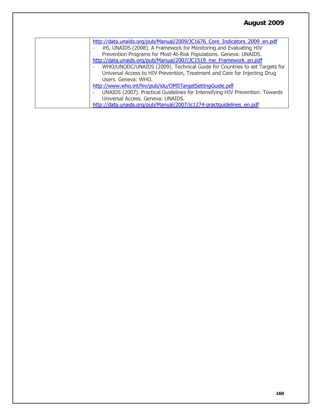| http://data.unaids.org/pub/Manual/2009/JC1676 Core Indicators 2009 en.pdf    |
|------------------------------------------------------------------------------|
| #6, UNAIDS (2008). A Framework for Monitoring and Evaluating HIV             |
| Prevention Programs for Most-At-Risk Populations. Geneva: UNAIDS.            |
| http://data.unaids.org/pub/Manual/2007/JC1519 me Framework en.pdf            |
| WHO/UNODC/UNAIDS (2009). Technical Guide for Countries to set Targets for    |
| Universal Access to HIV Prevention, Treatment and Care for Injecting Drug    |
| Users. Geneva: WHO.                                                          |
| http://www.who.int/hiv/pub/idu/OMSTargetSettingGuide.pdf                     |
| UNAIDS (2007). Practical Guidelines for Intensifying HIV Prevention: Towards |
| Universal Access. Geneva: UNAIDS.                                            |
| http://data.unaids.org/pub/Manual/2007/jc1274-practquidelines_en.pdf         |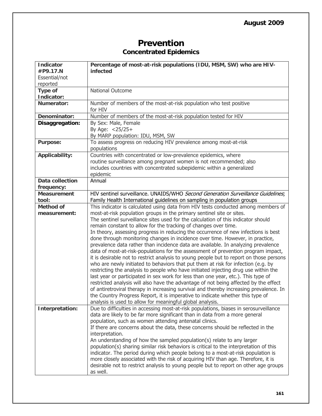# **Prevention Concentrated Epidemics**

| Indicator                        | Percentage of most-at-risk populations (IDU, MSM, SW) who are HIV-                                                                                                       |
|----------------------------------|--------------------------------------------------------------------------------------------------------------------------------------------------------------------------|
| #P9.17.N<br>Essential/not        | infected                                                                                                                                                                 |
| reported                         |                                                                                                                                                                          |
| <b>Type of</b>                   | National Outcome                                                                                                                                                         |
| Indicator:                       |                                                                                                                                                                          |
| Numerator:                       | Number of members of the most-at-risk population who test positive<br>for HIV                                                                                            |
| Denominator:                     | Number of members of the most-at-risk population tested for HIV                                                                                                          |
| Disaggregation:                  | By Sex: Male, Female                                                                                                                                                     |
|                                  | By Age: <25/25+                                                                                                                                                          |
|                                  | By MARP population: IDU, MSM, SW                                                                                                                                         |
| Purpose:                         | To assess progress on reducing HIV prevalence among most-at-risk<br>populations                                                                                          |
| Applicability:                   | Countries with concentrated or low-prevalence epidemics, where                                                                                                           |
|                                  | routine surveillance among pregnant women is not recommended; also                                                                                                       |
|                                  | includes countries with concentrated subepidemic within a generalized                                                                                                    |
|                                  | epidemic                                                                                                                                                                 |
| Data collection                  | Annual                                                                                                                                                                   |
| frequency:<br><b>Measurement</b> | HIV sentinel surveillance. UNAIDS/WHO Second Generation Surveillance Guidelines;                                                                                         |
| tool:                            | Family Health International guidelines on sampling in population groups                                                                                                  |
| <b>Method of</b>                 | This indicator is calculated using data from HIV tests conducted among members of                                                                                        |
| measurement:                     | most-at-risk population groups in the primary sentinel site or sites.                                                                                                    |
|                                  | The sentinel surveillance sites used for the calculation of this indicator should                                                                                        |
|                                  | remain constant to allow for the tracking of changes over time.                                                                                                          |
|                                  | In theory, assessing progress in reducing the occurrence of new infections is best                                                                                       |
|                                  | done through monitoring changes in incidence over time. However, in practice,                                                                                            |
|                                  | prevalence data rather than incidence data are available. In analyzing prevalence                                                                                        |
|                                  | data of most-at-risk-populations for the assessment of prevention program impact,                                                                                        |
|                                  | it is desirable not to restrict analysis to young people but to report on those persons                                                                                  |
|                                  | who are newly initiated to behaviors that put them at risk for infection (e.g. by<br>restricting the analysis to people who have initiated injecting drug use within the |
|                                  | last year or participated in sex work for less than one year, etc.). This type of                                                                                        |
|                                  | restricted analysis will also have the advantage of not being affected by the effect                                                                                     |
|                                  | of antiretroviral therapy in increasing survival and thereby increasing prevalence. In                                                                                   |
|                                  | the Country Progress Report, it is imperative to indicate whether this type of                                                                                           |
|                                  | analysis is used to allow for meaningful global analysis.                                                                                                                |
| Interpretation:                  | Due to difficulties in accessing most-at-risk populations, biases in serosurveillance                                                                                    |
|                                  | data are likely to be far more significant than in data from a more general                                                                                              |
|                                  | population, such as women attending antenatal clinics.                                                                                                                   |
|                                  | If there are concerns about the data, these concerns should be reflected in the                                                                                          |
|                                  | interpretation.<br>An understanding of how the sampled population(s) relate to any larger                                                                                |
|                                  | population(s) sharing similar risk behaviors is critical to the interpretation of this                                                                                   |
|                                  | indicator. The period during which people belong to a most-at-risk population is                                                                                         |
|                                  | more closely associated with the risk of acquiring HIV than age. Therefore, it is                                                                                        |
|                                  | desirable not to restrict analysis to young people but to report on other age groups                                                                                     |
|                                  | as well.                                                                                                                                                                 |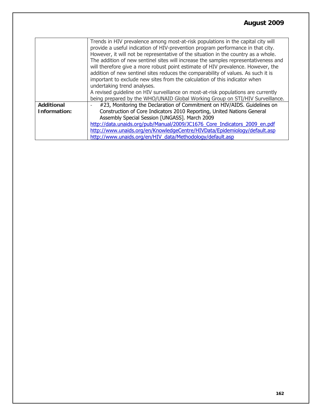|                   | Trends in HIV prevalence among most-at-risk populations in the capital city will    |
|-------------------|-------------------------------------------------------------------------------------|
|                   | provide a useful indication of HIV-prevention program performance in that city.     |
|                   | However, it will not be representative of the situation in the country as a whole.  |
|                   | The addition of new sentinel sites will increase the samples representativeness and |
|                   | will therefore give a more robust point estimate of HIV prevalence. However, the    |
|                   | addition of new sentinel sites reduces the comparability of values. As such it is   |
|                   | important to exclude new sites from the calculation of this indicator when          |
|                   | undertaking trend analyses.                                                         |
|                   | A revised quideline on HIV surveillance on most-at-risk populations are currently   |
|                   | being prepared by the WHO/UNAID Global Working Group on STI/HIV Surveillance.       |
| <b>Additional</b> | #23, Monitoring the Declaration of Commitment on HIV/AIDS. Guidelines on            |
| Information:      | Construction of Core Indicators 2010 Reporting, United Nations General              |
|                   | Assembly Special Session [UNGASS]. March 2009                                       |
|                   | http://data.unaids.org/pub/Manual/2009/JC1676 Core Indicators 2009 en.pdf           |
|                   | http://www.unaids.org/en/KnowledgeCentre/HIVData/Epidemiology/default.asp           |
|                   | http://www.unaids.org/en/HIV data/Methodology/default.asp                           |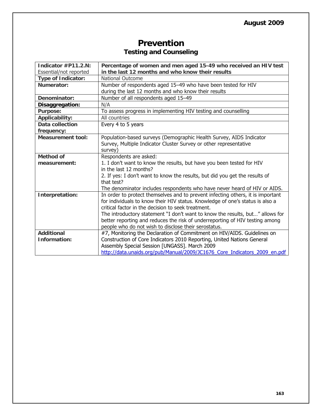# **Prevention Testing and Counseling**

| Indicator #P11.2.N:       | Percentage of women and men aged 15-49 who received an HIV test                 |
|---------------------------|---------------------------------------------------------------------------------|
| Essential/not reported    | in the last 12 months and who know their results                                |
| <b>Type of Indicator:</b> | National Outcome                                                                |
| Numerator:                | Number of respondents aged 15-49 who have been tested for HIV                   |
|                           | during the last 12 months and who know their results                            |
| Denominator:              | Number of all respondents aged 15-49                                            |
| Disaggregation:           | N/A                                                                             |
| Purpose:                  | To assess progress in implementing HIV testing and counselling                  |
| Applicability:            | All countries                                                                   |
| Data collection           | Every 4 to 5 years                                                              |
| frequency:                |                                                                                 |
| <b>Measurement tool:</b>  | Population-based surveys (Demographic Health Survey, AIDS Indicator             |
|                           | Survey, Multiple Indicator Cluster Survey or other representative               |
|                           | survey)                                                                         |
| <b>Method of</b>          | Respondents are asked:                                                          |
| measurement:              | 1. I don't want to know the results, but have you been tested for HIV           |
|                           | in the last 12 months?                                                          |
|                           | 2. If yes: I don't want to know the results, but did you get the results of     |
|                           | that test?                                                                      |
|                           | The denominator includes respondents who have never heard of HIV or AIDS.       |
| Interpretation:           | In order to protect themselves and to prevent infecting others, it is important |
|                           | for individuals to know their HIV status. Knowledge of one's status is also a   |
|                           | critical factor in the decision to seek treatment.                              |
|                           | The introductory statement "I don't want to know the results, but" allows for   |
|                           | better reporting and reduces the risk of underreporting of HIV testing among    |
|                           | people who do not wish to disclose their serostatus.                            |
| <b>Additional</b>         | #7, Monitoring the Declaration of Commitment on HIV/AIDS. Guidelines on         |
| Information:              | Construction of Core Indicators 2010 Reporting, United Nations General          |
|                           | Assembly Special Session [UNGASS]. March 2009                                   |
|                           | http://data.unaids.org/pub/Manual/2009/JC1676_Core_Indicators_2009_en.pdf       |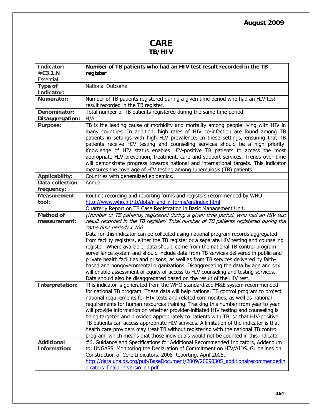# **CARE TB/HIV**

| Indicator:            | Number of TB patients who had an HIV test result recorded in the TB                                                                                                            |
|-----------------------|--------------------------------------------------------------------------------------------------------------------------------------------------------------------------------|
| #C3.1.N               | register                                                                                                                                                                       |
| Essential             |                                                                                                                                                                                |
| Type of<br>Indicator: | National Outcome                                                                                                                                                               |
| <b>Numerator:</b>     | Number of TB patients registered during a given time period who had an HIV test                                                                                                |
|                       | result recorded in the TB register.                                                                                                                                            |
| Denominator:          | Total number of TB patients registered during the same time period.                                                                                                            |
| Disaggregation:       | N/A                                                                                                                                                                            |
| Purpose:              | TB is the leading cause of morbidity and mortality among people living with HIV in                                                                                             |
|                       | many countries. In addition, high rates of HIV co-infection are found among TB                                                                                                 |
|                       | patients in settings with high HIV prevalence. In these settings, ensuring that TB<br>patients receive HIV testing and counseling services should be a high priority.          |
|                       | Knowledge of HIV status enables HIV-positive TB patients to access the most                                                                                                    |
|                       | appropriate HIV prevention, treatment, care and support services. Trends over time                                                                                             |
|                       | will demonstrate progress towards national and international targets. This indicator                                                                                           |
|                       | measures the coverage of HIV testing among tuberculosis (TB) patients.                                                                                                         |
| Applicability:        | Countries with generalized epidemics.                                                                                                                                          |
| Data collection       | Annual                                                                                                                                                                         |
| frequency:            |                                                                                                                                                                                |
| <b>Measurement</b>    | Routine recording and reporting forms and registers recommended by WHO                                                                                                         |
| tool:                 | http://www.who.int/tb/dots/r and r forms/en/index.html                                                                                                                         |
|                       | Quarterly Report on TB Case Registration in Basic Management Unit.                                                                                                             |
| <b>Method of</b>      | (Number of TB patients, registered during a given time period, who had an HIV test                                                                                             |
| measurement:          | result recorded in the TB register/ Total number of TB patients registered during the<br>same time period) x 100                                                               |
|                       | Data for this indicator can be collected using national program records aggregated                                                                                             |
|                       | from facility registers, either the TB register or a separate HIV testing and counseling                                                                                       |
|                       | register. Where available, data should come from the national TB control program                                                                                               |
|                       | surveillance system and should include data from TB services delivered in public and<br>private health facilities and prisons, as well as from TB services delivered by faith- |
|                       | based and nongovernmental organizations. Disaggregating the data by age and sex                                                                                                |
|                       | will enable assessment of equity of access to HIV counseling and testing services.                                                                                             |
|                       | Data should also be disaggregated based on the result of the HIV test.                                                                                                         |
| Interpretation:       | This indicator is generated from the WHO standardized M&E system recommended                                                                                                   |
|                       | for national TB program. These data will help national TB control program to project                                                                                           |
|                       | national requirements for HIV tests and related commodities, as well as national                                                                                               |
|                       | requirements for human resources training. Tracking this number from year to year                                                                                              |
|                       | will provide information on whether provider-initiated HIV testing and counseling is                                                                                           |
|                       | being targeted and provided appropriately to patients with TB, so that HIV-positive                                                                                            |
|                       | TB patients can access appropriate HIV services. A limitation of the indicator is that                                                                                         |
|                       | health care providers may treat TB without registering with the national TB control                                                                                            |
| <b>Additional</b>     | program, which means that those individuals would not be counted in this indicator.<br>#6, Guidance and Specifications for Additional Recommended Indicators, Addendum         |
| Information:          | to: UNGASS. Monitoring the Declaration of Commitment on HIV/AIDS. Guidelines on                                                                                                |
|                       | Construction of Core Indicators. 2008 Reporting. April 2008.                                                                                                                   |
|                       | http://data.unaids.org/pub/BaseDocument/2009/20090305 additionalrecommendedin                                                                                                  |
|                       | dicators finalprintversio en.pdf                                                                                                                                               |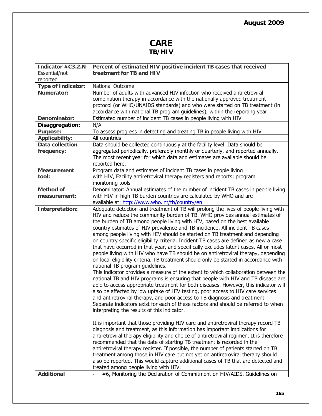# **CARE TB/HIV**

| Indicator #C3.2.N                | Percent of estimated HIV-positive incident TB cases that received                                                                                                                                                                                                                                                                                                                                                                                                                                                                                                                                                                                                                                                                                                                                                                                                                                                                                                                                                                                                                                                                                                                                                                                                                                                                                                                         |
|----------------------------------|-------------------------------------------------------------------------------------------------------------------------------------------------------------------------------------------------------------------------------------------------------------------------------------------------------------------------------------------------------------------------------------------------------------------------------------------------------------------------------------------------------------------------------------------------------------------------------------------------------------------------------------------------------------------------------------------------------------------------------------------------------------------------------------------------------------------------------------------------------------------------------------------------------------------------------------------------------------------------------------------------------------------------------------------------------------------------------------------------------------------------------------------------------------------------------------------------------------------------------------------------------------------------------------------------------------------------------------------------------------------------------------------|
| Essential/not                    | treatment for TB and HIV                                                                                                                                                                                                                                                                                                                                                                                                                                                                                                                                                                                                                                                                                                                                                                                                                                                                                                                                                                                                                                                                                                                                                                                                                                                                                                                                                                  |
| reported                         |                                                                                                                                                                                                                                                                                                                                                                                                                                                                                                                                                                                                                                                                                                                                                                                                                                                                                                                                                                                                                                                                                                                                                                                                                                                                                                                                                                                           |
| <b>Type of Indicator:</b>        | National Outcome                                                                                                                                                                                                                                                                                                                                                                                                                                                                                                                                                                                                                                                                                                                                                                                                                                                                                                                                                                                                                                                                                                                                                                                                                                                                                                                                                                          |
| Numerator:                       | Number of adults with advanced HIV infection who received antiretroviral<br>combination therapy in accordance with the nationally approved treatment<br>protocol (or WHO/UNAIDS standards) and who were started on TB treatment (in<br>accordance with national TB program guidelines), within the reporting year                                                                                                                                                                                                                                                                                                                                                                                                                                                                                                                                                                                                                                                                                                                                                                                                                                                                                                                                                                                                                                                                         |
| Denominator:                     | Estimated number of incident TB cases in people living with HIV                                                                                                                                                                                                                                                                                                                                                                                                                                                                                                                                                                                                                                                                                                                                                                                                                                                                                                                                                                                                                                                                                                                                                                                                                                                                                                                           |
| Disaggregation:                  | N/A                                                                                                                                                                                                                                                                                                                                                                                                                                                                                                                                                                                                                                                                                                                                                                                                                                                                                                                                                                                                                                                                                                                                                                                                                                                                                                                                                                                       |
| <b>Purpose:</b>                  | To assess progress in detecting and treating TB in people living with HIV                                                                                                                                                                                                                                                                                                                                                                                                                                                                                                                                                                                                                                                                                                                                                                                                                                                                                                                                                                                                                                                                                                                                                                                                                                                                                                                 |
| Applicability:                   | All countries                                                                                                                                                                                                                                                                                                                                                                                                                                                                                                                                                                                                                                                                                                                                                                                                                                                                                                                                                                                                                                                                                                                                                                                                                                                                                                                                                                             |
| <b>Data collection</b>           | Data should be collected continuously at the facility level. Data should be                                                                                                                                                                                                                                                                                                                                                                                                                                                                                                                                                                                                                                                                                                                                                                                                                                                                                                                                                                                                                                                                                                                                                                                                                                                                                                               |
| frequency:                       | aggregated periodically, preferably monthly or quarterly, and reported annually.<br>The most recent year for which data and estimates are available should be<br>reported here.                                                                                                                                                                                                                                                                                                                                                                                                                                                                                                                                                                                                                                                                                                                                                                                                                                                                                                                                                                                                                                                                                                                                                                                                           |
| <b>Measurement</b>               | Program data and estimates of incident TB cases in people living                                                                                                                                                                                                                                                                                                                                                                                                                                                                                                                                                                                                                                                                                                                                                                                                                                                                                                                                                                                                                                                                                                                                                                                                                                                                                                                          |
| tool:                            | with HIV, Facility antiretroviral therapy registers and reports; program<br>monitoring tools                                                                                                                                                                                                                                                                                                                                                                                                                                                                                                                                                                                                                                                                                                                                                                                                                                                                                                                                                                                                                                                                                                                                                                                                                                                                                              |
| <b>Method of</b><br>measurement: | Denominator: Annual estimates of the number of incident TB cases in people living<br>with HIV in high TB burden countries are calculated by WHO and are<br>available at: http://www.who.int/tb/country/en                                                                                                                                                                                                                                                                                                                                                                                                                                                                                                                                                                                                                                                                                                                                                                                                                                                                                                                                                                                                                                                                                                                                                                                 |
| Interpretation:                  | Adequate detection and treatment of TB will prolong the lives of people living with<br>HIV and reduce the community burden of TB. WHO provides annual estimates of<br>the burden of TB among people living with HIV, based on the best available<br>country estimates of HIV prevalence and TB incidence. All incident TB cases<br>among people living with HIV should be started on TB treatment and depending<br>on country specific eligibility criteria. Incident TB cases are defined as new a case<br>that have occurred in that year, and specifically excludes latent cases. All or most<br>people living with HIV who have TB should be on antiretroviral therapy, depending<br>on local eligibility criteria. TB treatment should only be started in accordance with<br>national TB program guidelines.<br>This indicator provides a measure of the extent to which collaboration between the<br>national TB and HIV programs is ensuring that people with HIV and TB disease are<br>able to access appropriate treatment for both diseases. However, this indicator will<br>also be affected by low uptake of HIV testing, poor access to HIV care services<br>and antiretroviral therapy, and poor access to TB diagnosis and treatment.<br>Separate indicators exist for each of these factors and should be referred to when<br>interpreting the results of this indicator. |
| <b>Additional</b>                | It is important that those providing HIV care and antiretroviral therapy record TB<br>diagnosis and treatment, as this information has important implications for<br>antiretroviral therapy eligibility and choice of antiretroviral regimen. It is therefore<br>recommended that the date of starting TB treatment is recorded in the<br>antiretroviral therapy register. If possible, the number of patients started on TB<br>treatment among those in HIV care but not yet on antiretroviral therapy should<br>also be reported. This would capture additional cases of TB that are detected and<br>treated among people living with HIV.<br>#6, Monitoring the Declaration of Commitment on HIV/AIDS. Guidelines on                                                                                                                                                                                                                                                                                                                                                                                                                                                                                                                                                                                                                                                                   |
|                                  |                                                                                                                                                                                                                                                                                                                                                                                                                                                                                                                                                                                                                                                                                                                                                                                                                                                                                                                                                                                                                                                                                                                                                                                                                                                                                                                                                                                           |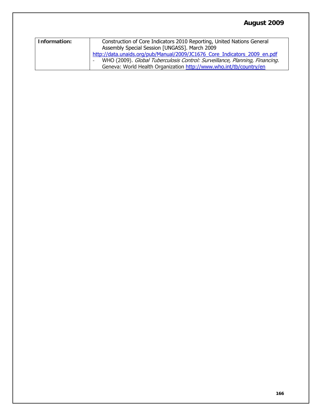| Information: | Construction of Core Indicators 2010 Reporting, United Nations General      |
|--------------|-----------------------------------------------------------------------------|
|              | Assembly Special Session [UNGASS]. March 2009                               |
|              | http://data.unaids.org/pub/Manual/2009/JC1676_Core_Indicators_2009_en.pdf   |
|              | WHO (2009). Global Tuberculosis Control: Surveillance, Planning, Financing. |
|              | Geneva: World Health Organization http://www.who.int/tb/country/en          |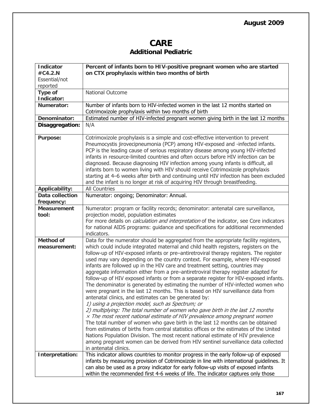# **CARE Additional Pediatric**

| <b>Indicator</b>       | Percent of infants born to HIV-positive pregnant women who are started                                                                                                                                                                                                                                                                                                                                                                                                                                                                                                                                                                                                                                                                                                                                                                                                                                  |
|------------------------|---------------------------------------------------------------------------------------------------------------------------------------------------------------------------------------------------------------------------------------------------------------------------------------------------------------------------------------------------------------------------------------------------------------------------------------------------------------------------------------------------------------------------------------------------------------------------------------------------------------------------------------------------------------------------------------------------------------------------------------------------------------------------------------------------------------------------------------------------------------------------------------------------------|
| #C4.2.N                | on CTX prophylaxis within two months of birth                                                                                                                                                                                                                                                                                                                                                                                                                                                                                                                                                                                                                                                                                                                                                                                                                                                           |
| Essential/not          |                                                                                                                                                                                                                                                                                                                                                                                                                                                                                                                                                                                                                                                                                                                                                                                                                                                                                                         |
| reported               |                                                                                                                                                                                                                                                                                                                                                                                                                                                                                                                                                                                                                                                                                                                                                                                                                                                                                                         |
| Type of<br>Indicator:  | National Outcome                                                                                                                                                                                                                                                                                                                                                                                                                                                                                                                                                                                                                                                                                                                                                                                                                                                                                        |
| Numerator:             | Number of infants born to HIV-infected women in the last 12 months started on                                                                                                                                                                                                                                                                                                                                                                                                                                                                                                                                                                                                                                                                                                                                                                                                                           |
|                        | Cotrimoxizole prophylaxis within two months of birth                                                                                                                                                                                                                                                                                                                                                                                                                                                                                                                                                                                                                                                                                                                                                                                                                                                    |
| Denominator:           | Estimated number of HIV-infected pregnant women giving birth in the last 12 months                                                                                                                                                                                                                                                                                                                                                                                                                                                                                                                                                                                                                                                                                                                                                                                                                      |
| Disaggregation:        | N/A                                                                                                                                                                                                                                                                                                                                                                                                                                                                                                                                                                                                                                                                                                                                                                                                                                                                                                     |
| <b>Purpose:</b>        | Cotrimoxizole prophylaxis is a simple and cost-effective intervention to prevent<br>Pneumocystis jirovecipneumonia (PCP) among HIV-exposed and -infected infants.<br>PCP is the leading cause of serious respiratory disease among young HIV-infected<br>infants in resource-limited countries and often occurs before HIV infection can be<br>diagnosed. Because diagnosing HIV infection among young infants is difficult, all<br>infants born to women living with HIV should receive Cotrimoxizole prophylaxis<br>starting at 4–6 weeks after birth and continuing until HIV infection has been excluded<br>and the infant is no longer at risk of acquiring HIV through breastfeeding.                                                                                                                                                                                                             |
| Applicability:         | All Countries                                                                                                                                                                                                                                                                                                                                                                                                                                                                                                                                                                                                                                                                                                                                                                                                                                                                                           |
| <b>Data collection</b> | Numerator: ongoing; Denominator: Annual.                                                                                                                                                                                                                                                                                                                                                                                                                                                                                                                                                                                                                                                                                                                                                                                                                                                                |
| frequency:             |                                                                                                                                                                                                                                                                                                                                                                                                                                                                                                                                                                                                                                                                                                                                                                                                                                                                                                         |
| <b>Measurement</b>     | Numerator: program or facility records; denominator: antenatal care surveillance,                                                                                                                                                                                                                                                                                                                                                                                                                                                                                                                                                                                                                                                                                                                                                                                                                       |
| tool:                  | projection model, population estimates<br>For more details on <i>calculation and interpretation</i> of the indicator, see Core indicators<br>for national AIDS programs: guidance and specifications for additional recommended<br>indicators.                                                                                                                                                                                                                                                                                                                                                                                                                                                                                                                                                                                                                                                          |
| <b>Method of</b>       | Data for the numerator should be aggregated from the appropriate facility registers,                                                                                                                                                                                                                                                                                                                                                                                                                                                                                                                                                                                                                                                                                                                                                                                                                    |
| measurement:           | which could include integrated maternal and child health registers, registers on the<br>follow-up of HIV-exposed infants or pre-antiretroviral therapy registers. The register<br>used may vary depending on the country context. For example, where HIV-exposed<br>infants are followed up in the HIV care and treatment setting, countries may<br>aggregate information either from a pre-antiretroviral therapy register adapted for<br>follow-up of HIV exposed infants or from a separate register for HIV-exposed infants.<br>The denominator is generated by estimating the number of HIV-infected women who<br>were pregnant in the last 12 months. This is based on HIV surveillance data from<br>antenatal clinics, and estimates can be generated by:<br>1) using a projection model, such as Spectrum; or<br>2) multiplying: The total number of women who gave birth in the last 12 months |
|                        | $\times$ The most recent national estimate of HIV prevalence among pregnant women<br>The total number of women who gave birth in the last 12 months can be obtained<br>from estimates of births from central statistics offices or the estimates of the United<br>Nations Population Division. The most recent national estimate of HIV prevalence<br>among pregnant women can be derived from HIV sentinel surveillance data collected<br>in antenatal clinics.                                                                                                                                                                                                                                                                                                                                                                                                                                        |
| Interpretation:        | This indicator allows countries to monitor progress in the early follow-up of exposed<br>infants by measuring provision of Cotrimoxizole in line with international guidelines. It<br>can also be used as a proxy indicator for early follow-up visits of exposed infants<br>within the recommended first 4-6 weeks of life. The indicator captures only those                                                                                                                                                                                                                                                                                                                                                                                                                                                                                                                                          |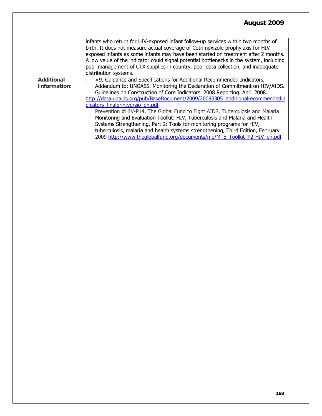|                   | infants who return for HIV-exposed infant follow-up services within two months of<br>birth. It does not measure actual coverage of Cotrimoxizole prophylaxis for HIV-<br>exposed infants as some infants may have been started on treatment after 2 months.<br>A low value of the indicator could signal potential bottlenecks in the system, including<br>poor management of CTX supplies in country, poor data collection, and inadequate<br>distribution systems. |
|-------------------|----------------------------------------------------------------------------------------------------------------------------------------------------------------------------------------------------------------------------------------------------------------------------------------------------------------------------------------------------------------------------------------------------------------------------------------------------------------------|
| <b>Additional</b> | #9, Guidance and Specifications for Additional Recommended Indicators,                                                                                                                                                                                                                                                                                                                                                                                               |
| Information:      | Addendum to: UNGASS. Monitoring the Declaration of Commitment on HIV/AIDS.                                                                                                                                                                                                                                                                                                                                                                                           |
|                   | Guidelines on Construction of Core Indicators. 2008 Reporting. April 2008.                                                                                                                                                                                                                                                                                                                                                                                           |
|                   | http://data.unaids.org/pub/BaseDocument/2009/20090305 additionalrecommendedin                                                                                                                                                                                                                                                                                                                                                                                        |
|                   | dicators finalprintversio en.pdf                                                                                                                                                                                                                                                                                                                                                                                                                                     |
|                   | Prevention #HIV-P14, The Global Fund to Fight AIDS, Tuberculosis and Malaria                                                                                                                                                                                                                                                                                                                                                                                         |
|                   | Monitoring and Evaluation Toolkit: HIV, Tuberculosis and Malaria and Health                                                                                                                                                                                                                                                                                                                                                                                          |
|                   | Systems Strengthening, Part 2: Tools for monitoring programs for HIV,                                                                                                                                                                                                                                                                                                                                                                                                |
|                   | tuberculosis, malaria and health systems strengthening, Third Edition, February                                                                                                                                                                                                                                                                                                                                                                                      |
|                   | 2009 http://www.theglobalfund.org/documents/me/M E Toolkit P2-HIV en.pdf                                                                                                                                                                                                                                                                                                                                                                                             |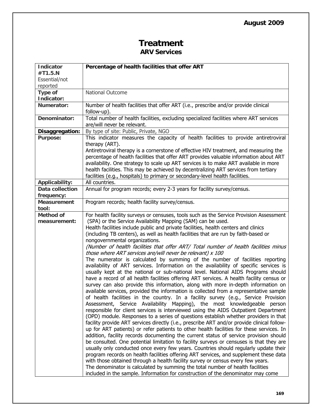### **Treatment ARV Services**

| Indicator                        | Percentage of health facilities that offer ART                                                                                                                              |
|----------------------------------|-----------------------------------------------------------------------------------------------------------------------------------------------------------------------------|
| #T1.5.N                          |                                                                                                                                                                             |
| Essential/not                    |                                                                                                                                                                             |
| reported                         |                                                                                                                                                                             |
| Type of                          | National Outcome                                                                                                                                                            |
| Indicator:                       |                                                                                                                                                                             |
| <b>Numerator:</b>                | Number of health facilities that offer ART (i.e., prescribe and/or provide clinical<br>follow-up).                                                                          |
| Denominator:                     | Total number of health facilities, excluding specialized facilities where ART services<br>are/will never be relevant.                                                       |
| Disaggregation:                  | By type of site: Public, Private, NGO                                                                                                                                       |
| Purpose:                         | This indicator measures the capacity of health facilities to provide antiretroviral                                                                                         |
|                                  | therapy (ART).                                                                                                                                                              |
|                                  | Antiretroviral therapy is a cornerstone of effective HIV treatment, and measuring the                                                                                       |
|                                  | percentage of health facilities that offer ART provides valuable information about ART                                                                                      |
|                                  | availability. One strategy to scale up ART services is to make ART available in more                                                                                        |
|                                  | health facilities. This may be achieved by decentralizing ART services from tertiary                                                                                        |
|                                  | facilities (e.g., hospitals) to primary or secondary-level health facilities.                                                                                               |
| Applicability:                   | All countries.                                                                                                                                                              |
| <b>Data collection</b>           | Annual for program records; every 2-3 years for facility survey/census.                                                                                                     |
| frequency:<br><b>Measurement</b> |                                                                                                                                                                             |
| tool:                            | Program records; health facility survey/census.                                                                                                                             |
| <b>Method of</b>                 | For health facility surveys or censuses, tools such as the Service Provision Assessment                                                                                     |
| measurement:                     | (SPA) or the Service Availability Mapping (SAM) can be used.                                                                                                                |
|                                  | Health facilities include public and private facilities, health centers and clinics                                                                                         |
|                                  | (including TB centers), as well as health facilities that are run by faith-based or                                                                                         |
|                                  | nongovernmental organizations.                                                                                                                                              |
|                                  | (Number of health facilities that offer ART/ Total number of health facilities minus                                                                                        |
|                                  | those where ART services are/will never be relevant) x 100                                                                                                                  |
|                                  | The numerator is calculated by summing of the number of facilities reporting                                                                                                |
|                                  | availability of ART services. Information on the availability of specific services is                                                                                       |
|                                  | usually kept at the national or sub-national level. National AIDS Programs should                                                                                           |
|                                  | have a record of all health facilities offering ART services. A health facility census or                                                                                   |
|                                  | survey can also provide this information, along with more in-depth information on                                                                                           |
|                                  | available services, provided the information is collected from a representative sample                                                                                      |
|                                  | of health facilities in the country. In a facility survey (e.g., Service Provision                                                                                          |
|                                  | Assessment, Service Availability Mapping), the most knowledgeable person                                                                                                    |
|                                  | responsible for client services is interviewed using the AIDS Outpatient Department<br>(OPD) module. Responses to a series of questions establish whether providers in that |
|                                  | facility provide ART services directly (i.e., prescribe ART and/or provide clinical follow-                                                                                 |
|                                  | up for ART patients) or refer patients to other health facilities for these services. In                                                                                    |
|                                  | addition, facility records documenting the current status of service provision should                                                                                       |
|                                  | be consulted. One potential limitation to facility surveys or censuses is that they are                                                                                     |
|                                  | usually only conducted once every few years. Countries should regularly update their                                                                                        |
|                                  | program records on health facilities offering ART services, and supplement these data                                                                                       |
|                                  | with those obtained through a health facility survey or census every few years.                                                                                             |
|                                  | The denominator is calculated by summing the total number of health facilities                                                                                              |
|                                  | included in the sample. Information for construction of the denominator may come                                                                                            |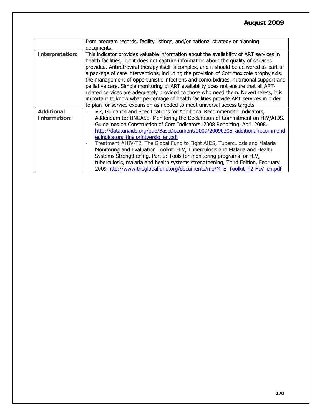|                                   | from program records, facility listings, and/or national strategy or planning<br>documents.                                                                                                                                                                                                                                                                                                                                                                                                                                                                                                                                                                                                                                                                                                                                                                                                                                                                                                                                                                                                                                                                                                                                                |
|-----------------------------------|--------------------------------------------------------------------------------------------------------------------------------------------------------------------------------------------------------------------------------------------------------------------------------------------------------------------------------------------------------------------------------------------------------------------------------------------------------------------------------------------------------------------------------------------------------------------------------------------------------------------------------------------------------------------------------------------------------------------------------------------------------------------------------------------------------------------------------------------------------------------------------------------------------------------------------------------------------------------------------------------------------------------------------------------------------------------------------------------------------------------------------------------------------------------------------------------------------------------------------------------|
| Interpretation:                   | This indicator provides valuable information about the availability of ART services in<br>health facilities, but it does not capture information about the quality of services<br>provided. Antiretroviral therapy itself is complex, and it should be delivered as part of<br>a package of care interventions, including the provision of Cotrimoxizole prophylaxis,<br>the management of opportunistic infections and comorbidities, nutritional support and<br>palliative care. Simple monitoring of ART availability does not ensure that all ART-<br>related services are adequately provided to those who need them. Nevertheless, it is<br>important to know what percentage of health facilities provide ART services in order<br>to plan for service expansion as needed to meet universal access targets.                                                                                                                                                                                                                                                                                                                                                                                                                        |
| <b>Additional</b><br>Information: | #2, Guidance and Specifications for Additional Recommended Indicators,<br>Addendum to: UNGASS. Monitoring the Declaration of Commitment on HIV/AIDS.<br>Guidelines on Construction of Core Indicators. 2008 Reporting. April 2008.<br>http://data.unaids.org/pub/BaseDocument/2009/20090305 additionalrecommend<br>edindicators finalprintversio en.pdf<br>Treatment #HIV-T2, The Global Fund to Fight AIDS, Tuberculosis and Malaria<br>$\frac{1}{2} \left( \frac{1}{2} \right) \left( \frac{1}{2} \right) \left( \frac{1}{2} \right) \left( \frac{1}{2} \right) \left( \frac{1}{2} \right) \left( \frac{1}{2} \right) \left( \frac{1}{2} \right) \left( \frac{1}{2} \right) \left( \frac{1}{2} \right) \left( \frac{1}{2} \right) \left( \frac{1}{2} \right) \left( \frac{1}{2} \right) \left( \frac{1}{2} \right) \left( \frac{1}{2} \right) \left( \frac{1}{2} \right) \left( \frac{1}{2} \right) \left( \frac$<br>Monitoring and Evaluation Toolkit: HIV, Tuberculosis and Malaria and Health<br>Systems Strengthening, Part 2: Tools for monitoring programs for HIV,<br>tuberculosis, malaria and health systems strengthening, Third Edition, February<br>2009 http://www.theglobalfund.org/documents/me/M_E_Toolkit_P2-HIV_en.pdf |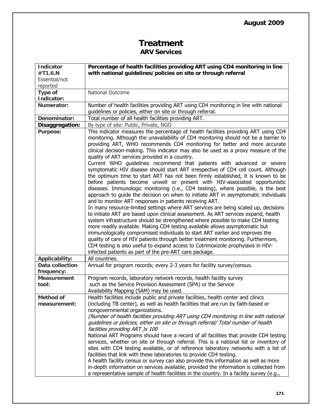# **Treatment ARV Services**

| Indicator          | Percentage of health facilities providing ART using CD4 monitoring in line                                                                                                                                                                                                                                                                                                                                                                                                                                                                                                                                                                                                                                                                                                                                                                                                                                                                                                                                                                                                                                                                                                                                                                                                                                                                                                                                                                                                                                                                                                         |
|--------------------|------------------------------------------------------------------------------------------------------------------------------------------------------------------------------------------------------------------------------------------------------------------------------------------------------------------------------------------------------------------------------------------------------------------------------------------------------------------------------------------------------------------------------------------------------------------------------------------------------------------------------------------------------------------------------------------------------------------------------------------------------------------------------------------------------------------------------------------------------------------------------------------------------------------------------------------------------------------------------------------------------------------------------------------------------------------------------------------------------------------------------------------------------------------------------------------------------------------------------------------------------------------------------------------------------------------------------------------------------------------------------------------------------------------------------------------------------------------------------------------------------------------------------------------------------------------------------------|
| #T1.6.N            | with national guidelines/policies on site or through referral                                                                                                                                                                                                                                                                                                                                                                                                                                                                                                                                                                                                                                                                                                                                                                                                                                                                                                                                                                                                                                                                                                                                                                                                                                                                                                                                                                                                                                                                                                                      |
| Essential/not      |                                                                                                                                                                                                                                                                                                                                                                                                                                                                                                                                                                                                                                                                                                                                                                                                                                                                                                                                                                                                                                                                                                                                                                                                                                                                                                                                                                                                                                                                                                                                                                                    |
| reported           |                                                                                                                                                                                                                                                                                                                                                                                                                                                                                                                                                                                                                                                                                                                                                                                                                                                                                                                                                                                                                                                                                                                                                                                                                                                                                                                                                                                                                                                                                                                                                                                    |
| Type of            | National Outcome                                                                                                                                                                                                                                                                                                                                                                                                                                                                                                                                                                                                                                                                                                                                                                                                                                                                                                                                                                                                                                                                                                                                                                                                                                                                                                                                                                                                                                                                                                                                                                   |
| Indicator:         |                                                                                                                                                                                                                                                                                                                                                                                                                                                                                                                                                                                                                                                                                                                                                                                                                                                                                                                                                                                                                                                                                                                                                                                                                                                                                                                                                                                                                                                                                                                                                                                    |
| Numerator:         | Number of health facilities providing ART using CD4 monitoring in line with national<br>guidelines or policies, either on site or through referral.                                                                                                                                                                                                                                                                                                                                                                                                                                                                                                                                                                                                                                                                                                                                                                                                                                                                                                                                                                                                                                                                                                                                                                                                                                                                                                                                                                                                                                |
| Denominator:       | Total number of all health facilities providing ART.                                                                                                                                                                                                                                                                                                                                                                                                                                                                                                                                                                                                                                                                                                                                                                                                                                                                                                                                                                                                                                                                                                                                                                                                                                                                                                                                                                                                                                                                                                                               |
| Disaggregation:    | By type of site: Public, Private, NGO                                                                                                                                                                                                                                                                                                                                                                                                                                                                                                                                                                                                                                                                                                                                                                                                                                                                                                                                                                                                                                                                                                                                                                                                                                                                                                                                                                                                                                                                                                                                              |
| Purpose:           | This indicator measures the percentage of health facilities providing ART using CD4<br>monitoring. Although the unavailability of CD4 monitoring should not be a barrier to<br>providing ART, WHO recommends CD4 monitoring for better and more accurate<br>clinical decision-making. This indicator may also be used as a proxy measure of the<br>quality of ART services provided in a country.<br>Current WHO guidelines recommend that patients with advanced or severe<br>symptomatic HIV disease should start ART irrespective of CD4 cell count. Although<br>the optimum time to start ART has not been firmly established, it is known to be<br>before patients become unwell or present with HIV-associated opportunistic<br>diseases. Immunologic monitoring (i.e., CD4 testing), where possible, is the best<br>approach to guide the decision on when to initiate ART in asymptomatic individuals<br>and to monitor ART responses in patients receiving ART.<br>In many resource-limited settings where ART services are being scaled up, decisions<br>to initiate ART are based upon clinical assessment. As ART services expand, health<br>system infrastructure should be strengthened where possible to make CD4 testing<br>more readily available. Making CD4 testing available allows asymptomatic but<br>immunologically compromised individuals to start ART earlier and improves the<br>quality of care of HIV patients through better treatment monitoring. Furthermore,<br>CD4 testing is also useful to expand access to Cotrimoxizole prophylaxis in HIV- |
|                    | infected patients as part of the pre-ART care package.                                                                                                                                                                                                                                                                                                                                                                                                                                                                                                                                                                                                                                                                                                                                                                                                                                                                                                                                                                                                                                                                                                                                                                                                                                                                                                                                                                                                                                                                                                                             |
| Applicability:     | All countries.                                                                                                                                                                                                                                                                                                                                                                                                                                                                                                                                                                                                                                                                                                                                                                                                                                                                                                                                                                                                                                                                                                                                                                                                                                                                                                                                                                                                                                                                                                                                                                     |
| Data collection    | Annual for program records; every 2-3 years for facility survey/census.                                                                                                                                                                                                                                                                                                                                                                                                                                                                                                                                                                                                                                                                                                                                                                                                                                                                                                                                                                                                                                                                                                                                                                                                                                                                                                                                                                                                                                                                                                            |
| frequency:         |                                                                                                                                                                                                                                                                                                                                                                                                                                                                                                                                                                                                                                                                                                                                                                                                                                                                                                                                                                                                                                                                                                                                                                                                                                                                                                                                                                                                                                                                                                                                                                                    |
| <b>Measurement</b> | Program records, laboratory network records, health facility survey                                                                                                                                                                                                                                                                                                                                                                                                                                                                                                                                                                                                                                                                                                                                                                                                                                                                                                                                                                                                                                                                                                                                                                                                                                                                                                                                                                                                                                                                                                                |
| tool:              | such as the Service Provision Assessment (SPA) or the Service                                                                                                                                                                                                                                                                                                                                                                                                                                                                                                                                                                                                                                                                                                                                                                                                                                                                                                                                                                                                                                                                                                                                                                                                                                                                                                                                                                                                                                                                                                                      |
|                    | Availability Mapping (SAM) may be used.                                                                                                                                                                                                                                                                                                                                                                                                                                                                                                                                                                                                                                                                                                                                                                                                                                                                                                                                                                                                                                                                                                                                                                                                                                                                                                                                                                                                                                                                                                                                            |
| Method of          | Health facilities include public and private facilities, health center and clinics                                                                                                                                                                                                                                                                                                                                                                                                                                                                                                                                                                                                                                                                                                                                                                                                                                                                                                                                                                                                                                                                                                                                                                                                                                                                                                                                                                                                                                                                                                 |
| measurement:       | (including TB center), as well as health facilities that are run by faith-based or                                                                                                                                                                                                                                                                                                                                                                                                                                                                                                                                                                                                                                                                                                                                                                                                                                                                                                                                                                                                                                                                                                                                                                                                                                                                                                                                                                                                                                                                                                 |
|                    | nongovernmental organizations.                                                                                                                                                                                                                                                                                                                                                                                                                                                                                                                                                                                                                                                                                                                                                                                                                                                                                                                                                                                                                                                                                                                                                                                                                                                                                                                                                                                                                                                                                                                                                     |
|                    | (Number of health facilities providing ART using CD4 monitoring in line with national                                                                                                                                                                                                                                                                                                                                                                                                                                                                                                                                                                                                                                                                                                                                                                                                                                                                                                                                                                                                                                                                                                                                                                                                                                                                                                                                                                                                                                                                                              |
|                    | guidelines or policies, either on site or through referral/ Total number of health                                                                                                                                                                                                                                                                                                                                                                                                                                                                                                                                                                                                                                                                                                                                                                                                                                                                                                                                                                                                                                                                                                                                                                                                                                                                                                                                                                                                                                                                                                 |
|                    | facilities providing ART )x 100                                                                                                                                                                                                                                                                                                                                                                                                                                                                                                                                                                                                                                                                                                                                                                                                                                                                                                                                                                                                                                                                                                                                                                                                                                                                                                                                                                                                                                                                                                                                                    |
|                    | National ART Programs should have a record of all facilities that provide CD4 testing                                                                                                                                                                                                                                                                                                                                                                                                                                                                                                                                                                                                                                                                                                                                                                                                                                                                                                                                                                                                                                                                                                                                                                                                                                                                                                                                                                                                                                                                                              |
|                    | services, whether on site or through referral. This is a national list or inventory of                                                                                                                                                                                                                                                                                                                                                                                                                                                                                                                                                                                                                                                                                                                                                                                                                                                                                                                                                                                                                                                                                                                                                                                                                                                                                                                                                                                                                                                                                             |
|                    | sites with CD4 testing available, or of reference laboratory networks with a list of                                                                                                                                                                                                                                                                                                                                                                                                                                                                                                                                                                                                                                                                                                                                                                                                                                                                                                                                                                                                                                                                                                                                                                                                                                                                                                                                                                                                                                                                                               |
|                    | facilities that link with these laboratories to provide CD4 testing.                                                                                                                                                                                                                                                                                                                                                                                                                                                                                                                                                                                                                                                                                                                                                                                                                                                                                                                                                                                                                                                                                                                                                                                                                                                                                                                                                                                                                                                                                                               |
|                    | A health facility census or survey can also provide this information as well as more                                                                                                                                                                                                                                                                                                                                                                                                                                                                                                                                                                                                                                                                                                                                                                                                                                                                                                                                                                                                                                                                                                                                                                                                                                                                                                                                                                                                                                                                                               |
|                    | in-depth information on services available, provided the information is collected from                                                                                                                                                                                                                                                                                                                                                                                                                                                                                                                                                                                                                                                                                                                                                                                                                                                                                                                                                                                                                                                                                                                                                                                                                                                                                                                                                                                                                                                                                             |
|                    | a representative sample of health facilities in the country. In a facility survey (e.g.,                                                                                                                                                                                                                                                                                                                                                                                                                                                                                                                                                                                                                                                                                                                                                                                                                                                                                                                                                                                                                                                                                                                                                                                                                                                                                                                                                                                                                                                                                           |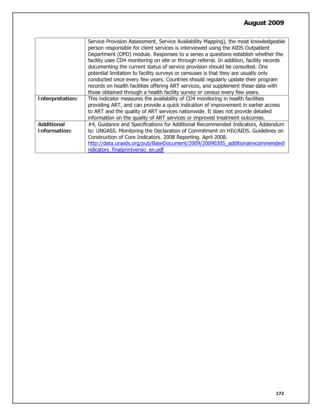|                   | Service Provision Assessment, Service Availability Mapping), the most knowledgeable     |
|-------------------|-----------------------------------------------------------------------------------------|
|                   | person responsible for client services is interviewed using the AIDS Outpatient         |
|                   | Department (OPD) module. Responses to a series a questions establish whether the        |
|                   | facility uses CD4 monitoring on site or through referral. In addition, facility records |
|                   | documenting the current status of service provision should be consulted. One            |
|                   | potential limitation to facility surveys or censuses is that they are usually only      |
|                   | conducted once every few years. Countries should regularly update their program         |
|                   | records on health facilities offering ART services, and supplement these data with      |
|                   | those obtained through a health facility survey or census every few years.              |
| Interpretation:   | This indicator measures the availability of CD4 monitoring in health facilities         |
|                   | providing ART, and can provide a quick indication of improvement in earlier access      |
|                   | to ART and the quality of ART services nationwide. It does not provide detailed         |
|                   | information on the quality of ART services or improved treatment outcomes.              |
| <b>Additional</b> | #4, Guidance and Specifications for Additional Recommended Indicators, Addendum         |
| Information:      | to: UNGASS. Monitoring the Declaration of Commitment on HIV/AIDS. Guidelines on         |
|                   | Construction of Core Indicators. 2008 Reporting. April 2008.                            |
|                   | http://data.unaids.org/pub/BaseDocument/2009/20090305 additionalrecommendedi            |
|                   | ndicators finalprintversio en.pdf                                                       |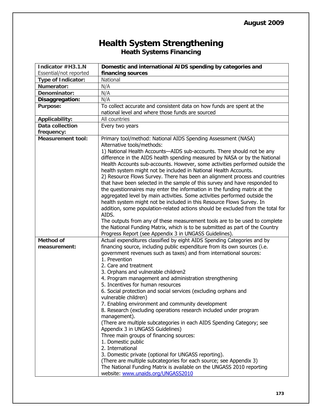#### **Health System Strengthening Heath Systems Financing**

| Indicator #H3.1.N         | Domestic and international AIDS spending by categories and                                                                                                                                                                             |
|---------------------------|----------------------------------------------------------------------------------------------------------------------------------------------------------------------------------------------------------------------------------------|
| Essential/not reported    | financing sources                                                                                                                                                                                                                      |
| <b>Type of Indicator:</b> | National                                                                                                                                                                                                                               |
| Numerator:                | N/A                                                                                                                                                                                                                                    |
| Denominator:              | N/A                                                                                                                                                                                                                                    |
| Disaggregation:           | N/A                                                                                                                                                                                                                                    |
| Purpose:                  | To collect accurate and consistent data on how funds are spent at the<br>national level and where those funds are sourced                                                                                                              |
| Applicability:            | All countries                                                                                                                                                                                                                          |
| Data collection           | Every two years                                                                                                                                                                                                                        |
| frequency:                |                                                                                                                                                                                                                                        |
| <b>Measurement tool:</b>  | Primary tool/method: National AIDS Spending Assessment (NASA)<br>Alternative tools/methods:<br>1) National Health Accounts-AIDS sub-accounts. There should not be any                                                                  |
|                           | difference in the AIDS health spending measured by NASA or by the National<br>Health Accounts sub-accounts. However, some activities performed outside the<br>health system might not be included in National Health Accounts.         |
|                           | 2) Resource Flows Survey. There has been an alignment process and countries<br>that have been selected in the sample of this survey and have responded to<br>the questionnaires may enter the information in the funding matrix at the |
|                           | aggregated level by main activities. Some activities performed outside the<br>health system might not be included in this Resource Flows Survey. In                                                                                    |
|                           | addition, some population-related actions should be excluded from the total for<br>AIDS.                                                                                                                                               |
|                           | The outputs from any of these measurement tools are to be used to complete<br>the National Funding Matrix, which is to be submitted as part of the Country<br>Progress Report (see Appendix 3 in UNGASS Guidelines).                   |
| <b>Method of</b>          | Actual expenditures classified by eight AIDS Spending Categories and by                                                                                                                                                                |
| measurement:              | financing source, including public expenditure from its own sources (i.e.<br>government revenues such as taxes) and from international sources:<br>1. Prevention                                                                       |
|                           |                                                                                                                                                                                                                                        |
|                           | 2. Care and treatment                                                                                                                                                                                                                  |
|                           | 3. Orphans and vulnerable children2                                                                                                                                                                                                    |
|                           | 4. Program management and administration strengthening<br>5. Incentives for human resources                                                                                                                                            |
|                           | 6. Social protection and social services (excluding orphans and<br>vulnerable children)                                                                                                                                                |
|                           | 7. Enabling environment and community development                                                                                                                                                                                      |
|                           | 8. Research (excluding operations research included under program                                                                                                                                                                      |
|                           | management).                                                                                                                                                                                                                           |
|                           | (There are multiple subcategories in each AIDS Spending Category; see                                                                                                                                                                  |
|                           | Appendix 3 in UNGASS Guidelines)<br>Three main groups of financing sources:                                                                                                                                                            |
|                           | 1. Domestic public                                                                                                                                                                                                                     |
|                           | 2. International                                                                                                                                                                                                                       |
|                           | 3. Domestic private (optional for UNGASS reporting).                                                                                                                                                                                   |
|                           | (There are multiple subcategories for each source; see Appendix 3)                                                                                                                                                                     |
|                           | The National Funding Matrix is available on the UNGASS 2010 reporting                                                                                                                                                                  |
|                           | website: www.unaids.org/UNGASS2010                                                                                                                                                                                                     |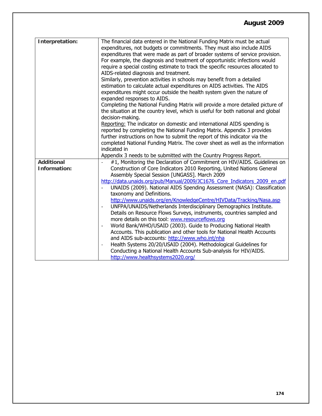| Interpretation:   | The financial data entered in the National Funding Matrix must be actual            |
|-------------------|-------------------------------------------------------------------------------------|
|                   | expenditures, not budgets or commitments. They must also include AIDS               |
|                   | expenditures that were made as part of broader systems of service provision.        |
|                   | For example, the diagnosis and treatment of opportunistic infections would          |
|                   | require a special costing estimate to track the specific resources allocated to     |
|                   | AIDS-related diagnosis and treatment.                                               |
|                   |                                                                                     |
|                   | Similarly, prevention activities in schools may benefit from a detailed             |
|                   | estimation to calculate actual expenditures on AIDS activities. The AIDS            |
|                   | expenditures might occur outside the health system given the nature of              |
|                   | expanded responses to AIDS.                                                         |
|                   | Completing the National Funding Matrix will provide a more detailed picture of      |
|                   | the situation at the country level, which is useful for both national and global    |
|                   | decision-making.                                                                    |
|                   | Reporting: The indicator on domestic and international AIDS spending is             |
|                   | reported by completing the National Funding Matrix. Appendix 3 provides             |
|                   | further instructions on how to submit the report of this indicator via the          |
|                   | completed National Funding Matrix. The cover sheet as well as the information       |
|                   | indicated in                                                                        |
|                   | Appendix 3 needs to be submitted with the Country Progress Report.                  |
| <b>Additional</b> | #1, Monitoring the Declaration of Commitment on HIV/AIDS. Guidelines on             |
| Information:      | Construction of Core Indicators 2010 Reporting, United Nations General              |
|                   | Assembly Special Session [UNGASS]. March 2009                                       |
|                   | http://data.unaids.org/pub/Manual/2009/JC1676_Core_Indicators_2009_en.pdf           |
|                   |                                                                                     |
|                   | UNAIDS (2009). National AIDS Spending Assessment (NASA): Classification             |
|                   | taxonomy and Definitions.                                                           |
|                   | http://www.unaids.org/en/KnowledgeCentre/HIVData/Tracking/Nasa.asp                  |
|                   | UNFPA/UNAIDS/Netherlands Interdisciplinary Demographics Institute.<br>$\frac{1}{2}$ |
|                   | Details on Resource Flows Surveys, instruments, countries sampled and               |
|                   | more details on this tool: www.resourceflows.org                                    |
|                   | World Bank/WHO/USAID (2003). Guide to Producing National Health<br>÷,               |
|                   | Accounts. This publication and other tools for National Health Accounts             |
|                   | and AIDS sub-accounts: http://www.who.int/nha                                       |
|                   | Health Systems 20/20/USAID (2004). Methodological Guidelines for                    |
|                   | Conducting a National Health Accounts Sub-analysis for HIV/AIDS.                    |
|                   | http://www.healthsystems2020.org/                                                   |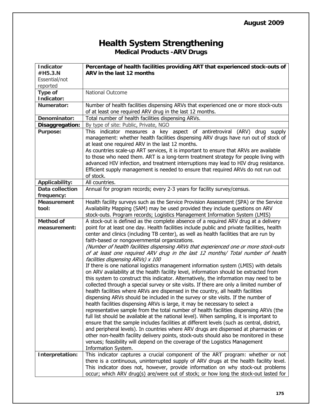#### **Health System Strengthening Medical Products -ARV Drugs**

| <b>Indicator</b>                 | Percentage of health facilities providing ART that experienced stock-outs of                                                                                                                                                                                                                                                                                                                                                                                                                                                                                                                                                                                                                                                                                                                                                                                                                                                                                                                                                                                                                                                                                                                                                                                                                                                                                                                                                                                                                                                                                                                                                                                                                                                                            |
|----------------------------------|---------------------------------------------------------------------------------------------------------------------------------------------------------------------------------------------------------------------------------------------------------------------------------------------------------------------------------------------------------------------------------------------------------------------------------------------------------------------------------------------------------------------------------------------------------------------------------------------------------------------------------------------------------------------------------------------------------------------------------------------------------------------------------------------------------------------------------------------------------------------------------------------------------------------------------------------------------------------------------------------------------------------------------------------------------------------------------------------------------------------------------------------------------------------------------------------------------------------------------------------------------------------------------------------------------------------------------------------------------------------------------------------------------------------------------------------------------------------------------------------------------------------------------------------------------------------------------------------------------------------------------------------------------------------------------------------------------------------------------------------------------|
| #H5.3.N                          | ARV in the last 12 months                                                                                                                                                                                                                                                                                                                                                                                                                                                                                                                                                                                                                                                                                                                                                                                                                                                                                                                                                                                                                                                                                                                                                                                                                                                                                                                                                                                                                                                                                                                                                                                                                                                                                                                               |
| Essential/not                    |                                                                                                                                                                                                                                                                                                                                                                                                                                                                                                                                                                                                                                                                                                                                                                                                                                                                                                                                                                                                                                                                                                                                                                                                                                                                                                                                                                                                                                                                                                                                                                                                                                                                                                                                                         |
| reported                         |                                                                                                                                                                                                                                                                                                                                                                                                                                                                                                                                                                                                                                                                                                                                                                                                                                                                                                                                                                                                                                                                                                                                                                                                                                                                                                                                                                                                                                                                                                                                                                                                                                                                                                                                                         |
| Type of                          | National Outcome                                                                                                                                                                                                                                                                                                                                                                                                                                                                                                                                                                                                                                                                                                                                                                                                                                                                                                                                                                                                                                                                                                                                                                                                                                                                                                                                                                                                                                                                                                                                                                                                                                                                                                                                        |
| Indicator:                       |                                                                                                                                                                                                                                                                                                                                                                                                                                                                                                                                                                                                                                                                                                                                                                                                                                                                                                                                                                                                                                                                                                                                                                                                                                                                                                                                                                                                                                                                                                                                                                                                                                                                                                                                                         |
| Numerator:                       | Number of health facilities dispensing ARVs that experienced one or more stock-outs<br>of at least one required ARV drug in the last 12 months.                                                                                                                                                                                                                                                                                                                                                                                                                                                                                                                                                                                                                                                                                                                                                                                                                                                                                                                                                                                                                                                                                                                                                                                                                                                                                                                                                                                                                                                                                                                                                                                                         |
| Denominator:                     | Total number of health facilities dispensing ARVs.                                                                                                                                                                                                                                                                                                                                                                                                                                                                                                                                                                                                                                                                                                                                                                                                                                                                                                                                                                                                                                                                                                                                                                                                                                                                                                                                                                                                                                                                                                                                                                                                                                                                                                      |
| Disaggregation:                  | By type of site: Public, Private, NGO                                                                                                                                                                                                                                                                                                                                                                                                                                                                                                                                                                                                                                                                                                                                                                                                                                                                                                                                                                                                                                                                                                                                                                                                                                                                                                                                                                                                                                                                                                                                                                                                                                                                                                                   |
| <b>Purpose:</b>                  | This indicator measures a key aspect of antiretroviral (ARV)<br>drug<br>supply<br>management: whether health facilities dispensing ARV drugs have run out of stock of<br>at least one required ARV in the last 12 months.<br>As countries scale-up ART services, it is important to ensure that ARVs are available<br>to those who need them. ART is a long-term treatment strategy for people living with<br>advanced HIV infection, and treatment interruptions may lead to HIV drug resistance.<br>Efficient supply management is needed to ensure that required ARVs do not run out<br>of stock.                                                                                                                                                                                                                                                                                                                                                                                                                                                                                                                                                                                                                                                                                                                                                                                                                                                                                                                                                                                                                                                                                                                                                    |
| Applicability:                   | All countries.                                                                                                                                                                                                                                                                                                                                                                                                                                                                                                                                                                                                                                                                                                                                                                                                                                                                                                                                                                                                                                                                                                                                                                                                                                                                                                                                                                                                                                                                                                                                                                                                                                                                                                                                          |
| Data collection                  | Annual for program records; every 2-3 years for facility survey/census.                                                                                                                                                                                                                                                                                                                                                                                                                                                                                                                                                                                                                                                                                                                                                                                                                                                                                                                                                                                                                                                                                                                                                                                                                                                                                                                                                                                                                                                                                                                                                                                                                                                                                 |
| frequency:                       |                                                                                                                                                                                                                                                                                                                                                                                                                                                                                                                                                                                                                                                                                                                                                                                                                                                                                                                                                                                                                                                                                                                                                                                                                                                                                                                                                                                                                                                                                                                                                                                                                                                                                                                                                         |
| <b>Measurement</b>               | Health facility surveys such as the Service Provision Assessment (SPA) or the Service                                                                                                                                                                                                                                                                                                                                                                                                                                                                                                                                                                                                                                                                                                                                                                                                                                                                                                                                                                                                                                                                                                                                                                                                                                                                                                                                                                                                                                                                                                                                                                                                                                                                   |
| tool:                            | Availability Mapping (SAM) may be used provided they include questions on ARV<br>stock-outs. Program records; Logistics Management Information System (LMIS)                                                                                                                                                                                                                                                                                                                                                                                                                                                                                                                                                                                                                                                                                                                                                                                                                                                                                                                                                                                                                                                                                                                                                                                                                                                                                                                                                                                                                                                                                                                                                                                            |
| <b>Method of</b><br>measurement: | A stock-out is defined as the complete absence of a required ARV drug at a delivery<br>point for at least one day. Health facilities include public and private facilities, health<br>center and clinics (including TB center), as well as health facilities that are run by<br>faith-based or nongovernmental organizations.<br>(Number of health facilities dispensing ARVs that experienced one or more stock-outs<br>of at least one required ARV drug in the last 12 months/ Total number of health<br>facilities dispensing ARVs) x 100<br>If there is one national logistics management information system (LMIS) with details<br>on ARV availability at the health facility level, information should be extracted from<br>this system to construct this indicator. Alternatively, the information may need to be<br>collected through a special survey or site visits. If there are only a limited number of<br>health facilities where ARVs are dispensed in the country, all health facilities<br>dispensing ARVs should be included in the survey or site visits. If the number of<br>health facilities dispensing ARVs is large, it may be necessary to select a<br>representative sample from the total number of health facilities dispensing ARVs (the<br>full list should be available at the national level). When sampling, it is important to<br>ensure that the sample includes facilities at different levels (such as central, district,<br>and peripheral levels). In countries where ARV drugs are dispensed at pharmacies or<br>other non-health facility delivery points, stock-outs should also be monitored in these<br>venues; feasibility will depend on the coverage of the Logistics Management<br>Information System. |
| Interpretation:                  | This indicator captures a crucial component of the ART program: whether or not<br>there is a continuous, uninterrupted supply of ARV drugs at the health facility level.<br>This indicator does not, however, provide information on why stock-out problems<br>occur; which ARV drug(s) are/were out of stock; or how long the stock-out lasted for                                                                                                                                                                                                                                                                                                                                                                                                                                                                                                                                                                                                                                                                                                                                                                                                                                                                                                                                                                                                                                                                                                                                                                                                                                                                                                                                                                                                     |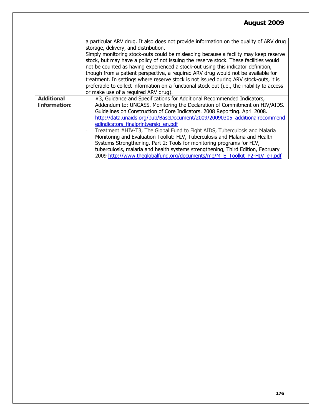|                   | a particular ARV drug. It also does not provide information on the quality of ARV drug     |  |  |  |  |  |  |  |  |
|-------------------|--------------------------------------------------------------------------------------------|--|--|--|--|--|--|--|--|
|                   | storage, delivery, and distribution.                                                       |  |  |  |  |  |  |  |  |
|                   | Simply monitoring stock-outs could be misleading because a facility may keep reserve       |  |  |  |  |  |  |  |  |
|                   | stock, but may have a policy of not issuing the reserve stock. These facilities would      |  |  |  |  |  |  |  |  |
|                   | not be counted as having experienced a stock-out using this indicator definition,          |  |  |  |  |  |  |  |  |
|                   | though from a patient perspective, a required ARV drug would not be available for          |  |  |  |  |  |  |  |  |
|                   |                                                                                            |  |  |  |  |  |  |  |  |
|                   | treatment. In settings where reserve stock is not issued during ARV stock-outs, it is      |  |  |  |  |  |  |  |  |
|                   | preferable to collect information on a functional stock-out (i.e., the inability to access |  |  |  |  |  |  |  |  |
|                   | or make use of a required ARV drug).                                                       |  |  |  |  |  |  |  |  |
| <b>Additional</b> | #3, Guidance and Specifications for Additional Recommended Indicators,                     |  |  |  |  |  |  |  |  |
| Information:      | Addendum to: UNGASS. Monitoring the Declaration of Commitment on HIV/AIDS.                 |  |  |  |  |  |  |  |  |
|                   | Guidelines on Construction of Core Indicators. 2008 Reporting. April 2008.                 |  |  |  |  |  |  |  |  |
|                   | http://data.unaids.org/pub/BaseDocument/2009/20090305 additionalrecommend                  |  |  |  |  |  |  |  |  |
|                   | edindicators finalprintversio en.pdf                                                       |  |  |  |  |  |  |  |  |
|                   | Treatment #HIV-T3, The Global Fund to Fight AIDS, Tuberculosis and Malaria                 |  |  |  |  |  |  |  |  |
|                   |                                                                                            |  |  |  |  |  |  |  |  |
|                   | Monitoring and Evaluation Toolkit: HIV, Tuberculosis and Malaria and Health                |  |  |  |  |  |  |  |  |
|                   | Systems Strengthening, Part 2: Tools for monitoring programs for HIV,                      |  |  |  |  |  |  |  |  |
|                   | tuberculosis, malaria and health systems strengthening, Third Edition, February            |  |  |  |  |  |  |  |  |
|                   | 2009 http://www.theglobalfund.org/documents/me/M E Toolkit P2-HIV en.pdf                   |  |  |  |  |  |  |  |  |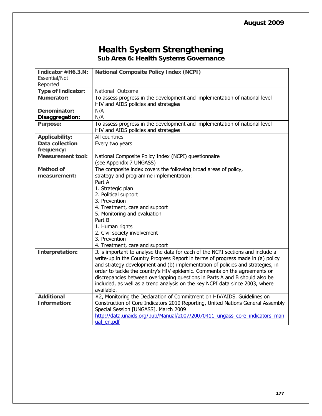#### **Health System Strengthening Sub Area 6: Health Systems Governance**

| Indicator #H6.3.N:        | <b>National Composite Policy Index (NCPI)</b>                                   |  |  |  |  |  |  |  |  |
|---------------------------|---------------------------------------------------------------------------------|--|--|--|--|--|--|--|--|
| Essential/Not             |                                                                                 |  |  |  |  |  |  |  |  |
| Reported                  |                                                                                 |  |  |  |  |  |  |  |  |
| <b>Type of Indicator:</b> | National Outcome                                                                |  |  |  |  |  |  |  |  |
| Numerator:                | To assess progress in the development and implementation of national level      |  |  |  |  |  |  |  |  |
|                           | HIV and AIDS policies and strategies                                            |  |  |  |  |  |  |  |  |
| Denominator:              | N/A                                                                             |  |  |  |  |  |  |  |  |
| Disaggregation:           | N/A                                                                             |  |  |  |  |  |  |  |  |
| Purpose:                  | To assess progress in the development and implementation of national level      |  |  |  |  |  |  |  |  |
|                           | HIV and AIDS policies and strategies                                            |  |  |  |  |  |  |  |  |
| Applicability:            | All countries                                                                   |  |  |  |  |  |  |  |  |
| Data collection           | Every two years                                                                 |  |  |  |  |  |  |  |  |
| frequency:                |                                                                                 |  |  |  |  |  |  |  |  |
| <b>Measurement tool:</b>  | National Composite Policy Index (NCPI) questionnaire                            |  |  |  |  |  |  |  |  |
|                           | (see Appendix 7 UNGASS)                                                         |  |  |  |  |  |  |  |  |
| <b>Method of</b>          | The composite index covers the following broad areas of policy,                 |  |  |  |  |  |  |  |  |
| measurement:              | strategy and programme implementation:                                          |  |  |  |  |  |  |  |  |
|                           | Part A                                                                          |  |  |  |  |  |  |  |  |
|                           | 1. Strategic plan                                                               |  |  |  |  |  |  |  |  |
|                           | 2. Political support                                                            |  |  |  |  |  |  |  |  |
|                           | 3. Prevention                                                                   |  |  |  |  |  |  |  |  |
|                           | 4. Treatment, care and support                                                  |  |  |  |  |  |  |  |  |
|                           | 5. Monitoring and evaluation                                                    |  |  |  |  |  |  |  |  |
|                           | Part B                                                                          |  |  |  |  |  |  |  |  |
|                           | 1. Human rights                                                                 |  |  |  |  |  |  |  |  |
|                           | 2. Civil society involvement                                                    |  |  |  |  |  |  |  |  |
|                           | 3. Prevention                                                                   |  |  |  |  |  |  |  |  |
|                           | 4. Treatment, care and support                                                  |  |  |  |  |  |  |  |  |
| Interpretation:           | It is important to analyse the data for each of the NCPI sections and include a |  |  |  |  |  |  |  |  |
|                           | write-up in the Country Progress Report in terms of progress made in (a) policy |  |  |  |  |  |  |  |  |
|                           | and strategy development and (b) implementation of policies and strategies, in  |  |  |  |  |  |  |  |  |
|                           | order to tackle the country's HIV epidemic. Comments on the agreements or       |  |  |  |  |  |  |  |  |
|                           | discrepancies between overlapping questions in Parts A and B should also be     |  |  |  |  |  |  |  |  |
|                           | included, as well as a trend analysis on the key NCPI data since 2003, where    |  |  |  |  |  |  |  |  |
|                           | available.                                                                      |  |  |  |  |  |  |  |  |
| <b>Additional</b>         | #2, Monitoring the Declaration of Commitment on HIV/AIDS. Guidelines on         |  |  |  |  |  |  |  |  |
| Information:              | Construction of Core Indicators 2010 Reporting, United Nations General Assembly |  |  |  |  |  |  |  |  |
|                           | Special Session [UNGASS]. March 2009                                            |  |  |  |  |  |  |  |  |
|                           | http://data.unaids.org/pub/Manual/2007/20070411 ungass core indicators man      |  |  |  |  |  |  |  |  |
|                           | ual_en.pdf                                                                      |  |  |  |  |  |  |  |  |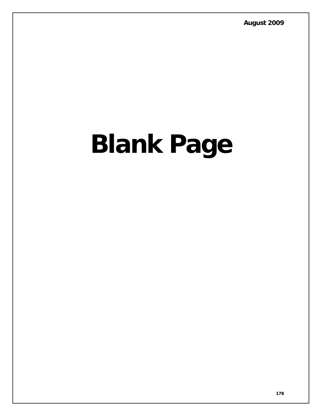# **Blank Page**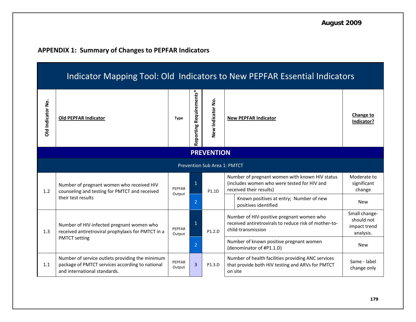#### **APPENDIX 1: Summary of Changes to PEPFAR Indicators**

| Indicator Mapping Tool: Old Indicators to New PEPFAR Essential Indicators |                                                                                                                                    |                  |                                |                              |                                                                                                                          |                                                                     |            |
|---------------------------------------------------------------------------|------------------------------------------------------------------------------------------------------------------------------------|------------------|--------------------------------|------------------------------|--------------------------------------------------------------------------------------------------------------------------|---------------------------------------------------------------------|------------|
| <b>Old Indicator No.</b>                                                  | <b>Old PEPFAR Indicator</b>                                                                                                        | <b>Type</b>      | Reporting Requirements*        | New Indicator No.            | <b>New PEPFAR Indicator</b>                                                                                              | Change to<br>Indicator?                                             |            |
|                                                                           | <b>PREVENTION</b>                                                                                                                  |                  |                                |                              |                                                                                                                          |                                                                     |            |
|                                                                           |                                                                                                                                    |                  |                                | Prevention Sub Area 1: PMTCT |                                                                                                                          |                                                                     |            |
| 1.2                                                                       | Number of pregnant women who received HIV<br>counseling and testing for PMTCT and received<br>their test results                   | PEPFAR<br>Output | $\mathbf{1}$                   | P1.1D                        | Number of pregnant women with known HIV status<br>(includes women who were tested for HIV and<br>received their results) | Moderate to<br>significant<br>change                                |            |
|                                                                           |                                                                                                                                    |                  | $\overline{2}$                 |                              | Known positives at entry; Number of new<br>positives identified                                                          | <b>New</b>                                                          |            |
| 1.3                                                                       | Number of HIV-infected pregnant women who<br>received antiretroviral prophylaxis for PMTCT in a<br><b>PMTCT setting</b>            | PEPFAR<br>Output | $\mathbf{1}$<br>$\overline{2}$ | P1.2.D                       | Number of HIV-positive pregnant women who<br>received antiretrovirals to reduce risk of mother-to-<br>child-transmission | Small change-<br>should not<br>impact trend<br>analysis.            |            |
|                                                                           |                                                                                                                                    |                  |                                |                              |                                                                                                                          | Number of known positive pregnant women<br>(denominator of #P1.1.D) | <b>New</b> |
| 1.1                                                                       | Number of service outlets providing the minimum<br>package of PMTCT services according to national<br>and international standards. | PEPFAR<br>Output | 3                              | P1.3.D                       | Number of health facilities providing ANC services<br>that provide both HIV testing and ARVs for PMTCT<br>on site        | Same - label<br>change only                                         |            |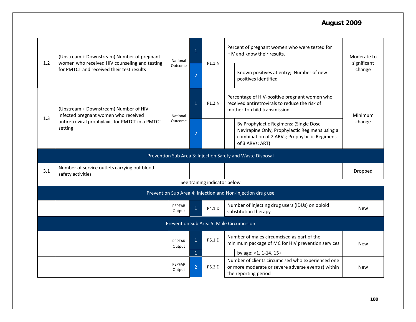| 1.2                                      | (Upstream + Downstream) Number of pregnant<br>women who received HIV counseling and testing<br>for PMTCT and received their test results | National<br>Outcome | $\mathbf{1}$   | P1.1.N | Percent of pregnant women who were tested for<br>HIV and know their results.<br>Moderate to<br>significant                                    |                                                                                                                                                                       |
|------------------------------------------|------------------------------------------------------------------------------------------------------------------------------------------|---------------------|----------------|--------|-----------------------------------------------------------------------------------------------------------------------------------------------|-----------------------------------------------------------------------------------------------------------------------------------------------------------------------|
|                                          |                                                                                                                                          |                     | $\overline{2}$ |        | change<br>Known positives at entry; Number of new<br>positives identified                                                                     |                                                                                                                                                                       |
|                                          | (Upstream + Downstream) Number of HIV-<br>infected pregnant women who received                                                           |                     | $\mathbf{1}$   | P1.2.N | Percentage of HIV-positive pregnant women who<br>received antiretrovirals to reduce the risk of<br>mother-to-child transmission<br>Minimum    |                                                                                                                                                                       |
| 1.3                                      | antiretroviral prophylaxis for PMTCT in a PMTCT<br>setting                                                                               | Outcome             |                | 2      |                                                                                                                                               | change<br>By Prophylactic Regimens: (Single Dose<br>Nevirapine Only, Prophylactic Regimens using a<br>combination of 2 ARVs; Prophylactic Regimens<br>of 3 ARVs; ART) |
|                                          |                                                                                                                                          |                     |                |        | Prevention Sub Area 3: Injection Safety and Waste Disposal                                                                                    |                                                                                                                                                                       |
| 3.1                                      | Number of service outlets carrying out blood<br>safety activities                                                                        |                     |                |        | Dropped                                                                                                                                       |                                                                                                                                                                       |
| See training indicator below             |                                                                                                                                          |                     |                |        |                                                                                                                                               |                                                                                                                                                                       |
|                                          |                                                                                                                                          |                     |                |        | Prevention Sub Area 4: Injection and Non-injection drug use                                                                                   |                                                                                                                                                                       |
|                                          |                                                                                                                                          | PEPFAR<br>Output    | $\overline{1}$ | P4.1.D | Number of injecting drug users (IDUs) on opioid<br><b>New</b><br>substitution therapy                                                         |                                                                                                                                                                       |
| Prevention Sub Area 5: Male Circumcision |                                                                                                                                          |                     |                |        |                                                                                                                                               |                                                                                                                                                                       |
|                                          |                                                                                                                                          | PEPFAR<br>Output    | $\mathbf{1}$   | P5.1.D | Number of males circumcised as part of the<br>minimum package of MC for HIV prevention services<br><b>New</b>                                 |                                                                                                                                                                       |
|                                          |                                                                                                                                          |                     | $\mathbf{1}$   |        | by age: <1, 1-14, 15+                                                                                                                         |                                                                                                                                                                       |
|                                          |                                                                                                                                          | PEPFAR<br>Output    | $\overline{2}$ | P5.2.D | Number of clients circumcised who experienced one<br>or more moderate or severe adverse event(s) within<br><b>New</b><br>the reporting period |                                                                                                                                                                       |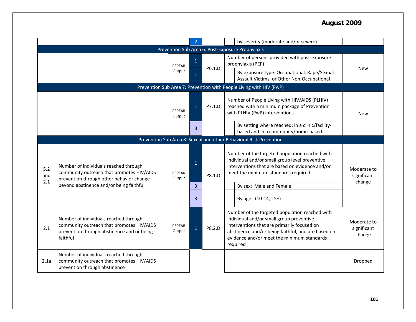|                   |                                                                                                                                              |                         |                |        | by severity (moderate and/or severe)                                                                                                                                                                                                                                                              |
|-------------------|----------------------------------------------------------------------------------------------------------------------------------------------|-------------------------|----------------|--------|---------------------------------------------------------------------------------------------------------------------------------------------------------------------------------------------------------------------------------------------------------------------------------------------------|
|                   |                                                                                                                                              |                         |                |        | Prevention Sub Area 6: Post-Exposure Prophylaxis                                                                                                                                                                                                                                                  |
|                   |                                                                                                                                              | PEPFAR                  | $\mathbf 1$    | P6.1.D | Number of persons provided with post-exposure<br>prophylaxis (PEP)                                                                                                                                                                                                                                |
|                   |                                                                                                                                              | Output                  | $\mathbf{1}$   |        | <b>New</b><br>By exposure type: Occupational, Rape/Sexual<br>Assault Victims, or Other Non-Occupational                                                                                                                                                                                           |
|                   |                                                                                                                                              |                         |                |        | Prevention Sub Area 7: Prevention with People Living with HIV (PwP)                                                                                                                                                                                                                               |
|                   |                                                                                                                                              | PEPFAR<br>Output        | $\mathbf{1}$   | P7.1.D | Number of People Living with HIV/AIDS (PLHIV)<br>reached with a minimum package of Prevention<br>with PLHIV (PwP) interventions<br><b>New</b>                                                                                                                                                     |
|                   |                                                                                                                                              |                         | $\overline{3}$ |        | By setting where reached: in a clinic/facility-<br>based and in a community/home-based                                                                                                                                                                                                            |
|                   |                                                                                                                                              |                         |                |        | Prevention Sub Area 8: Sexual and other Behavioral Risk Prevention                                                                                                                                                                                                                                |
| 5.2<br>and<br>2.1 | Number of individuals reached through<br>community outreach that promotes HIV/AIDS<br>prevention through other behavior change               | PEPFAR<br>Output        | $\mathbf{1}$   | P8.1.D | Number of the targeted population reached with<br>individual and/or small group level preventive<br>interventions that are based on evidence and/or<br>Moderate to<br>meet the minimum standards required<br>significant<br>change                                                                |
|                   | beyond abstinence and/or being faithful                                                                                                      |                         | $\overline{3}$ |        | By sex: Male and Female                                                                                                                                                                                                                                                                           |
|                   |                                                                                                                                              |                         | $\overline{3}$ |        | By age: (10-14, 15+)                                                                                                                                                                                                                                                                              |
| 2.1               | Number of individuals reached through<br>community outreach that promotes HIV/AIDS<br>prevention through abstinence and or being<br>faithful | <b>PEPFAR</b><br>Output | $\overline{1}$ | P8.2.D | Number of the targeted population reached with<br>individual and/or small group preventive<br>Moderate to<br>interventions that are primarily focused on<br>significant<br>abstinence and/or being faithful, and are based on<br>change<br>evidence and/or meet the minimum standards<br>required |
| 2.1a              | Number of individuals reached through<br>community outreach that promotes HIV/AIDS<br>prevention through abstinence                          |                         |                |        | Dropped                                                                                                                                                                                                                                                                                           |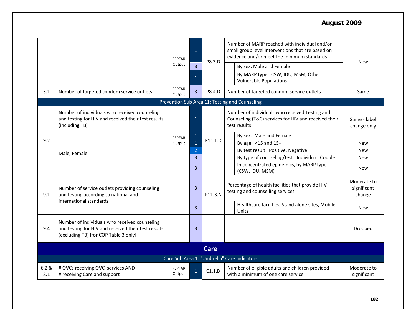| 5.1          | Number of targeted condom service outlets                                                                                                     | PEPFAR<br>Output<br>PEPFAR<br>Output | $\mathbf{1}$<br>$\overline{3}$<br>$\mathbf{1}$<br>$\overline{\mathbf{3}}$ | P8.3.D<br>P8.4.D | Number of MARP reached with individual and/or<br>small group level interventions that are based on<br>evidence and/or meet the minimum standards<br><b>New</b><br>By sex: Male and Female<br>By MARP type: CSW, IDU, MSM, Other<br><b>Vulnerable Populations</b><br>Number of targeted condom service outlets<br>Same |
|--------------|-----------------------------------------------------------------------------------------------------------------------------------------------|--------------------------------------|---------------------------------------------------------------------------|------------------|-----------------------------------------------------------------------------------------------------------------------------------------------------------------------------------------------------------------------------------------------------------------------------------------------------------------------|
|              |                                                                                                                                               |                                      |                                                                           |                  | Prevention Sub Area 11: Testing and Counseling                                                                                                                                                                                                                                                                        |
|              | Number of individuals who received counseling<br>and testing for HIV and received their test results<br>(including TB)                        |                                      | $\mathbf{1}$                                                              |                  | Number of individuals who received Testing and<br>Counseling (T&C) services for HIV and received their<br>Same - label<br>test results<br>change only                                                                                                                                                                 |
| 9.2          | Male, Female                                                                                                                                  | PEPFAR                               | $\mathbf{1}$                                                              | P11.1.D          | By sex: Male and Female                                                                                                                                                                                                                                                                                               |
|              |                                                                                                                                               | Output                               | $\overline{1}$<br>$\overline{2}$                                          |                  | By age: <15 and 15+<br><b>New</b>                                                                                                                                                                                                                                                                                     |
|              |                                                                                                                                               |                                      |                                                                           |                  | By test result: Positive, Negative<br><b>New</b>                                                                                                                                                                                                                                                                      |
|              |                                                                                                                                               |                                      | $\overline{3}$                                                            |                  | By type of counseling/test: Individual, Couple<br><b>New</b>                                                                                                                                                                                                                                                          |
|              | Number of service outlets providing counseling<br>and testing according to national and                                                       |                                      | $\overline{3}$                                                            |                  | In concentrated epidemics, by MARP type<br>New<br>(CSW, IDU, MSM)                                                                                                                                                                                                                                                     |
| 9.1          |                                                                                                                                               |                                      | $\overline{3}$                                                            | P11.3.N          | Moderate to<br>Percentage of health facilities that provide HIV<br>significant<br>testing and counselling services<br>change                                                                                                                                                                                          |
|              | international standards                                                                                                                       |                                      | 3                                                                         |                  | Healthcare facilities, Stand alone sites, Mobile<br>New<br>Units                                                                                                                                                                                                                                                      |
| 9.4          | Number of individuals who received counseling<br>and testing for HIV and received their test results<br>(excluding TB) [for COP Table 3 only] |                                      | 3                                                                         |                  | Dropped                                                                                                                                                                                                                                                                                                               |
|              |                                                                                                                                               |                                      |                                                                           | <b>Care</b>      |                                                                                                                                                                                                                                                                                                                       |
|              |                                                                                                                                               |                                      |                                                                           |                  | Care Sub Area 1: "Umbrella" Care Indicators                                                                                                                                                                                                                                                                           |
| 6.2 &<br>8.1 | # OVCs receiving OVC services AND<br># receiving Care and support                                                                             | PEPFAR<br>Output                     | $\mathbf{1}$                                                              | C1.1.D           | Number of eligible adults and children provided<br>Moderate to<br>with a minimum of one care service<br>significant                                                                                                                                                                                                   |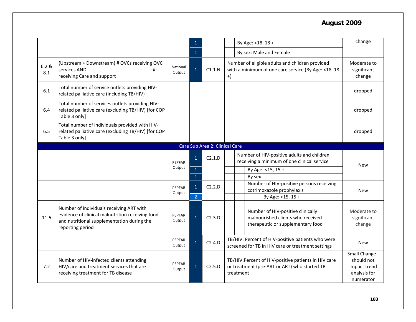|              |                                                                                                                                                                |                    | $\mathbf{1}$                   |         |      | By Age: <18, 18 +                                                                                                 | change                                                                    |  |  |
|--------------|----------------------------------------------------------------------------------------------------------------------------------------------------------------|--------------------|--------------------------------|---------|------|-------------------------------------------------------------------------------------------------------------------|---------------------------------------------------------------------------|--|--|
|              |                                                                                                                                                                |                    | $\overline{1}$                 |         |      | By sex: Male and Female                                                                                           |                                                                           |  |  |
| 6.2 &<br>8.1 | (Upstream + Downstream) # OVCs receiving OVC<br>services AND<br>#<br>receiving Care and support                                                                | National<br>Output | $\mathbf{1}$                   | C1.1. N | $+)$ | Number of eligible adults and children provided<br>with a minimum of one care service (By Age: <18, 18            | Moderate to<br>significant<br>change                                      |  |  |
| 6.1          | Total number of service outlets providing HIV-<br>related palliative care (including TB/HIV)                                                                   |                    |                                |         |      |                                                                                                                   | dropped                                                                   |  |  |
| 6.4          | Total number of services outlets providing HIV-<br>related palliative care (excluding TB/HIV) [for COP<br>Table 3 only]                                        |                    |                                |         |      |                                                                                                                   | dropped                                                                   |  |  |
| 6.5          | Total number of individuals provided with HIV-<br>related palliative care (excluding TB/HIV) [for COP<br>Table 3 only]                                         |                    |                                |         |      |                                                                                                                   | dropped                                                                   |  |  |
|              | Care Sub Area 2: Clinical Care                                                                                                                                 |                    |                                |         |      |                                                                                                                   |                                                                           |  |  |
|              |                                                                                                                                                                | PEPFAR<br>Output   | $\mathbf{1}$                   | C2.1.D  |      | Number of HIV-positive adults and children<br>receiving a minimum of one clinical service                         | <b>New</b>                                                                |  |  |
|              |                                                                                                                                                                |                    | $\mathbf{1}$<br>$\overline{1}$ |         |      | By Age: <15, 15 +<br>By sex                                                                                       |                                                                           |  |  |
|              |                                                                                                                                                                | PEPFAR<br>Output   | $\mathbf{1}$                   | C2.2.D  |      | Number of HIV-positive persons receiving<br>cotrimoxazole prophylaxis                                             | <b>New</b>                                                                |  |  |
|              |                                                                                                                                                                |                    | $\overline{2}$                 |         |      | By Age: <15, 15 +                                                                                                 |                                                                           |  |  |
| 11.6         | Number of individuals receiving ART with<br>evidence of clinical malnutrition receiving food<br>and nutritional supplementation during the<br>reporting period | PEPFAR<br>Output   | $\mathbf{1}$                   | C2.3.D  |      | Number of HIV-positive clinically<br>malnourished clients who received<br>therapeutic or supplementary food       | Moderate to<br>significant<br>change                                      |  |  |
|              |                                                                                                                                                                | PEPFAR<br>Output   | $\mathbf{1}$                   | C2.4.D  |      | TB/HIV: Percent of HIV-positive patients who were<br>screened for TB in HIV care or treatment settings            | <b>New</b>                                                                |  |  |
| 7.2          | Number of HIV-infected clients attending<br>HIV/care and treatment services that are<br>receiving treatment for TB disease                                     | PEPFAR<br>Output   | 1                              | C2.5.D  |      | TB/HIV: Percent of HIV-positive patients in HIV care<br>or treatment (pre-ART or ART) who started TB<br>treatment | Small Change -<br>should not<br>impact trend<br>analysis for<br>numerator |  |  |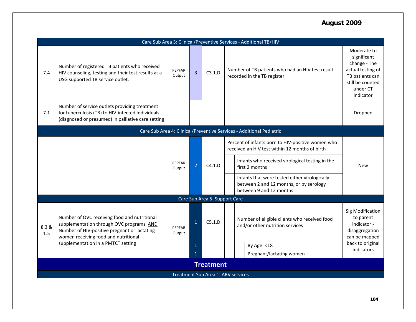|              | Care Sub Area 3: Clinical/Preventive Services - Additional TB/HIV                                                                                                                |                  |                |                               |                                                                                                                     |                                                                                                                                 |  |  |  |  |
|--------------|----------------------------------------------------------------------------------------------------------------------------------------------------------------------------------|------------------|----------------|-------------------------------|---------------------------------------------------------------------------------------------------------------------|---------------------------------------------------------------------------------------------------------------------------------|--|--|--|--|
| 7.4          | Number of registered TB patients who received<br>HIV counseling, testing and their test results at a<br>USG supported TB service outlet.                                         | PEPFAR<br>Output | $\overline{3}$ | C3.1.D                        | Number of TB patients who had an HIV test result<br>recorded in the TB register                                     | Moderate to<br>significant<br>change - The<br>actual testing of<br>TB patients can<br>still be counted<br>under CT<br>indicator |  |  |  |  |
| 7.1          | Number of service outlets providing treatment<br>for tuberculosis (TB) to HIV-infected individuals<br>(diagnosed or presumed) in palliative care setting                         |                  |                |                               |                                                                                                                     | Dropped                                                                                                                         |  |  |  |  |
|              | Care Sub Area 4: Clinical/Preventive Services - Additional Pediatric                                                                                                             |                  |                |                               |                                                                                                                     |                                                                                                                                 |  |  |  |  |
|              |                                                                                                                                                                                  |                  |                |                               | Percent of infants born to HIV-positive women who<br>received an HIV test within 12 months of birth                 |                                                                                                                                 |  |  |  |  |
|              |                                                                                                                                                                                  | PEPFAR<br>Output | $\overline{2}$ | C4.1.D                        | Infants who received virological testing in the<br>first 2 months                                                   | <b>New</b>                                                                                                                      |  |  |  |  |
|              |                                                                                                                                                                                  |                  |                |                               | Infants that were tested either virologically<br>between 2 and 12 months, or by serology<br>between 9 and 12 months |                                                                                                                                 |  |  |  |  |
|              |                                                                                                                                                                                  |                  |                | Care Sub Area 5: Support Care |                                                                                                                     |                                                                                                                                 |  |  |  |  |
| 8.3 &<br>1.5 | Number of OVC receiving food and nutritional<br>supplementation through OVC programs AND<br>Number of HIV-positive pregnant or lactating<br>women receiving food and nutritional | PEPFAR<br>Output | $\mathbf{1}$   | C5.1.D                        | Number of eligible clients who received food<br>and/or other nutrition services                                     | Sig Modification<br>to parent<br>indicator -<br>disaggregation<br>can be mapped                                                 |  |  |  |  |
|              | supplementation in a PMTCT setting                                                                                                                                               |                  | $\mathbf{1}$   |                               | By Age: $<$ 18                                                                                                      | back to original<br>indicators                                                                                                  |  |  |  |  |
|              |                                                                                                                                                                                  |                  | $\overline{1}$ |                               | Pregnant/lactating women                                                                                            |                                                                                                                                 |  |  |  |  |
|              |                                                                                                                                                                                  |                  |                | <b>Treatment</b>              |                                                                                                                     |                                                                                                                                 |  |  |  |  |
|              |                                                                                                                                                                                  |                  |                |                               | Treatment Sub Area 1: ARV services                                                                                  |                                                                                                                                 |  |  |  |  |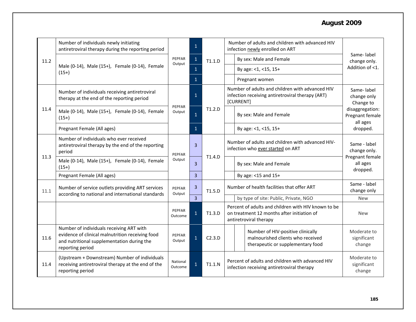|      | Number of individuals newly initiating<br>antiretroviral therapy during the reporting period                                                                   |                         | $\mathbf{1}$   |        | Number of adults and children with advanced HIV<br>infection newly enrolled on ART                                          |                                                                         |
|------|----------------------------------------------------------------------------------------------------------------------------------------------------------------|-------------------------|----------------|--------|-----------------------------------------------------------------------------------------------------------------------------|-------------------------------------------------------------------------|
| 11.2 |                                                                                                                                                                | <b>PEPFAR</b><br>Output | $\mathbf{1}$   | T1.1.D | By sex: Male and Female                                                                                                     | Same-label<br>change only.                                              |
|      | Male (0-14), Male (15+), Female (0-14), Female<br>$(15+)$                                                                                                      |                         | $\mathbf{1}$   |        | By age: <1, <15, 15+                                                                                                        | Addition of <1.                                                         |
|      |                                                                                                                                                                |                         | $\mathbf{1}$   |        | Pregnant women                                                                                                              |                                                                         |
|      | Number of individuals receiving antiretroviral<br>therapy at the end of the reporting period                                                                   |                         | $\mathbf{1}$   |        | Number of adults and children with advanced HIV<br>infection receiving antiretroviral therapy (ART)<br>[CURRENT]            | Same-label<br>change only<br>Change to                                  |
| 11.4 | Male (0-14), Male (15+), Female (0-14), Female<br>$(15+)$                                                                                                      | PEPFAR<br>Output        | $\overline{1}$ | T1.2.D | By sex: Male and Female                                                                                                     | disaggregation:<br>Pregnant female<br>all ages                          |
|      | Pregnant Female (All ages)                                                                                                                                     |                         | $\mathbf{1}$   |        | By age: <1, <15, 15+                                                                                                        | dropped.                                                                |
|      | Number of individuals who ever received<br>antiretroviral therapy by the end of the reporting<br>period                                                        | PEPFAR                  | $\overline{3}$ |        | Number of adults and children with advanced HIV-<br>infection who ever started on ART                                       | Same - label<br>change only.<br>Pregnant female<br>all ages<br>dropped. |
| 11.3 | Male (0-14), Male (15+), Female (0-14), Female<br>$(15+)$                                                                                                      | Output                  | $\overline{3}$ | T1.4.D | By sex: Male and Female                                                                                                     |                                                                         |
|      | Pregnant Female (All ages)                                                                                                                                     |                         | 3 <sup>1</sup> |        | By age: <15 and 15+                                                                                                         |                                                                         |
| 11.1 | Number of service outlets providing ART services<br>according to national and international standards                                                          | PEPFAR<br>Output        | $\overline{3}$ | T1.5.D | Number of health facilities that offer ART                                                                                  | Same - label<br>change only                                             |
|      |                                                                                                                                                                |                         | $\overline{3}$ |        | by type of site: Public, Private, NGO                                                                                       | <b>New</b>                                                              |
|      |                                                                                                                                                                | PEPFAR<br>Outcome       | $\mathbf{1}$   | T1.3.D | Percent of adults and children with HIV known to be<br>on treatment 12 months after initiation of<br>antiretroviral therapy | <b>New</b>                                                              |
| 11.6 | Number of individuals receiving ART with<br>evidence of clinical malnutrition receiving food<br>and nutritional supplementation during the<br>reporting period | PEPFAR<br>Output        | $\mathbf{1}$   | C2.3.D | Number of HIV-positive clinically<br>malnourished clients who received<br>therapeutic or supplementary food                 | Moderate to<br>significant<br>change                                    |
| 11.4 | (Upstream + Downstream) Number of individuals<br>receiving antiretroviral therapy at the end of the<br>reporting period                                        | National<br>Outcome     | $\mathbf{1}$   | T1.1N  | Percent of adults and children with advanced HIV<br>infection receiving antiretroviral therapy                              | Moderate to<br>significant<br>change                                    |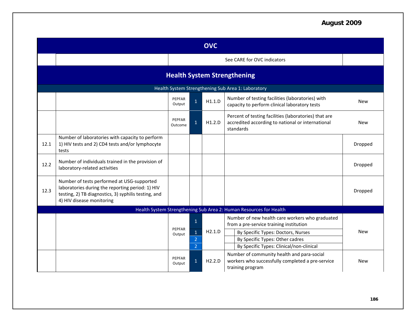|      | <b>OVC</b>                                                                                                                                                                          |                         |                                                                    |        |                                                                                                                                                                                                                 |            |  |  |  |
|------|-------------------------------------------------------------------------------------------------------------------------------------------------------------------------------------|-------------------------|--------------------------------------------------------------------|--------|-----------------------------------------------------------------------------------------------------------------------------------------------------------------------------------------------------------------|------------|--|--|--|
|      |                                                                                                                                                                                     |                         |                                                                    |        | See CARE for OVC indicators                                                                                                                                                                                     |            |  |  |  |
|      | <b>Health System Strengthening</b>                                                                                                                                                  |                         |                                                                    |        |                                                                                                                                                                                                                 |            |  |  |  |
|      |                                                                                                                                                                                     |                         |                                                                    |        | Health System Strengthening Sub Area 1: Laboratory                                                                                                                                                              |            |  |  |  |
|      |                                                                                                                                                                                     | <b>PEPFAR</b><br>Output | $\mathbf{1}$                                                       | H1.1.D | Number of testing facilities (laboratories) with<br>capacity to perform clinical laboratory tests                                                                                                               | <b>New</b> |  |  |  |
|      |                                                                                                                                                                                     | PEPFAR<br>Outcome       | $\mathbf{1}$                                                       | H1.2.D | Percent of testing facilities (laboratories) that are<br>accredited according to national or international<br>standards                                                                                         | <b>New</b> |  |  |  |
| 12.1 | Number of laboratories with capacity to perform<br>1) HIV tests and 2) CD4 tests and/or lymphocyte<br>tests                                                                         |                         |                                                                    |        |                                                                                                                                                                                                                 | Dropped    |  |  |  |
| 12.2 | Number of individuals trained in the provision of<br>laboratory-related activities                                                                                                  |                         |                                                                    |        |                                                                                                                                                                                                                 | Dropped    |  |  |  |
| 12.3 | Number of tests performed at USG-supported<br>laboratories during the reporting period: 1) HIV<br>testing, 2) TB diagnostics, 3) syphilis testing, and<br>4) HIV disease monitoring |                         |                                                                    |        |                                                                                                                                                                                                                 | Dropped    |  |  |  |
|      |                                                                                                                                                                                     |                         |                                                                    |        | Health System Strengthening Sub Area 2: Human Resources for Health                                                                                                                                              |            |  |  |  |
|      |                                                                                                                                                                                     | PEPFAR<br>Output        | $\mathbf{1}$<br>$\overline{1}$<br>$\overline{2}$<br>$\overline{2}$ | H2.1.D | Number of new health care workers who graduated<br>from a pre-service training institution<br>By Specific Types: Doctors, Nurses<br>By Specific Types: Other cadres<br>By Specific Types: Clinical/non-clinical | New        |  |  |  |
|      |                                                                                                                                                                                     | PEPFAR<br>Output        | $\mathbf{1}$                                                       | H2.2.D | Number of community health and para-social<br>workers who successfully completed a pre-service<br>training program                                                                                              | <b>New</b> |  |  |  |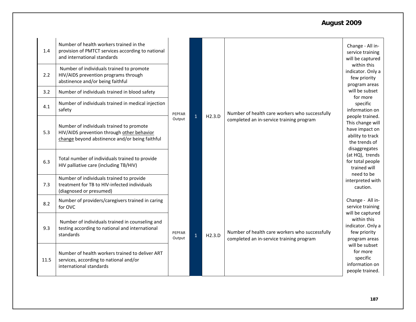| 1.4<br>2.2<br>3.2<br>4.1<br>5.3<br>6.3<br>7.3 | Number of health workers trained in the<br>provision of PMTCT services according to national<br>and international standards<br>Number of individuals trained to promote<br>HIV/AIDS prevention programs through<br>abstinence and/or being faithful<br>Number of individuals trained in blood safety<br>Number of individuals trained in medical injection<br>safety<br>Number of individuals trained to promote<br>HIV/AIDS prevention through other behavior<br>change beyond abstinence and/or being faithful<br>Total number of individuals trained to provide<br>HIV palliative care (including TB/HIV)<br>Number of individuals trained to provide<br>treatment for TB to HIV-infected individuals | PEPFAR<br>Output | $\overline{1}$ | H2.3.D | Number of health care workers who successfully<br>completed an in-service training program | Change - All in-<br>service training<br>will be captured<br>within this<br>indicator. Only a<br>few priority<br>program areas<br>will be subset<br>for more<br>specific<br>information on<br>people trained.<br>This change will<br>have impact on<br>ability to track<br>the trends of<br>disaggregates<br>(at HQ), trends<br>for total people<br>trained will<br>need to be<br>interpreted with |
|-----------------------------------------------|----------------------------------------------------------------------------------------------------------------------------------------------------------------------------------------------------------------------------------------------------------------------------------------------------------------------------------------------------------------------------------------------------------------------------------------------------------------------------------------------------------------------------------------------------------------------------------------------------------------------------------------------------------------------------------------------------------|------------------|----------------|--------|--------------------------------------------------------------------------------------------|---------------------------------------------------------------------------------------------------------------------------------------------------------------------------------------------------------------------------------------------------------------------------------------------------------------------------------------------------------------------------------------------------|
|                                               | (diagnosed or presumed)                                                                                                                                                                                                                                                                                                                                                                                                                                                                                                                                                                                                                                                                                  |                  |                |        |                                                                                            | caution.                                                                                                                                                                                                                                                                                                                                                                                          |
| 8.2                                           | Number of providers/caregivers trained in caring<br>for OVC                                                                                                                                                                                                                                                                                                                                                                                                                                                                                                                                                                                                                                              |                  |                |        |                                                                                            | Change - All in-<br>service training<br>will be captured                                                                                                                                                                                                                                                                                                                                          |
| 9.3                                           | Number of individuals trained in counseling and<br>testing according to national and international<br>standards                                                                                                                                                                                                                                                                                                                                                                                                                                                                                                                                                                                          | PEPFAR<br>Output | $\mathbf{1}$   | H2.3.D | Number of health care workers who successfully<br>completed an in-service training program | within this<br>indicator. Only a<br>few priority<br>program areas                                                                                                                                                                                                                                                                                                                                 |
| 11.5                                          | Number of health workers trained to deliver ART<br>services, according to national and/or<br>international standards                                                                                                                                                                                                                                                                                                                                                                                                                                                                                                                                                                                     |                  |                |        |                                                                                            | will be subset<br>for more<br>specific<br>information on<br>people trained.                                                                                                                                                                                                                                                                                                                       |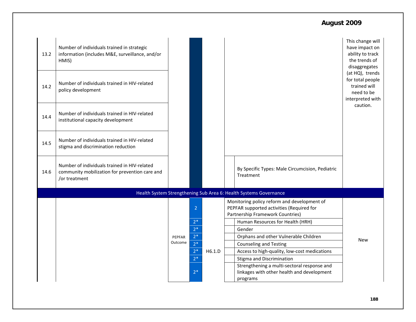|      |                                                                                                                 |         |                |        |                                                                                                                              | August 2009                                                                              |
|------|-----------------------------------------------------------------------------------------------------------------|---------|----------------|--------|------------------------------------------------------------------------------------------------------------------------------|------------------------------------------------------------------------------------------|
| 13.2 | Number of individuals trained in strategic<br>information (includes M&E, surveillance, and/or<br>HMIS)          |         |                |        |                                                                                                                              | This change will<br>have impact on<br>ability to track<br>the trends of<br>disaggregates |
| 14.2 | Number of individuals trained in HIV-related<br>policy development                                              |         |                |        |                                                                                                                              | (at HQ), trends<br>for total people<br>trained will<br>need to be<br>interpreted with    |
| 14.4 | Number of individuals trained in HIV-related<br>institutional capacity development                              |         |                |        |                                                                                                                              | caution.                                                                                 |
| 14.5 | Number of individuals trained in HIV-related<br>stigma and discrimination reduction                             |         |                |        |                                                                                                                              |                                                                                          |
| 14.6 | Number of individuals trained in HIV-related<br>community mobilization for prevention care and<br>/or treatment |         |                |        | By Specific Types: Male Circumcision, Pediatric<br>Treatment                                                                 |                                                                                          |
|      |                                                                                                                 |         |                |        | Health System Strengthening Sub Area 6: Health Systems Governance                                                            |                                                                                          |
|      |                                                                                                                 |         | $\overline{2}$ |        | Monitoring policy reform and development of<br>PEPFAR supported activities (Required for<br>Partnership Framework Countries) |                                                                                          |
|      |                                                                                                                 |         | $2*$           |        | Human Resources for Health (HRH)                                                                                             |                                                                                          |
|      |                                                                                                                 | PEPFAR  | $2*$<br>$2*$   |        | Gender<br>Orphans and other Vulnerable Children                                                                              |                                                                                          |
|      |                                                                                                                 | Outcome | $2*$           |        | <b>Counseling and Testing</b>                                                                                                | <b>New</b>                                                                               |
|      |                                                                                                                 |         | $2*$           | H6.1.D | Access to high-quality, low-cost medications                                                                                 |                                                                                          |
|      |                                                                                                                 |         | $2*$           |        | Stigma and Discrimination                                                                                                    |                                                                                          |
|      |                                                                                                                 |         |                |        | Strengthening a multi-sectoral response and                                                                                  |                                                                                          |
|      |                                                                                                                 |         | $2*$           |        | linkages with other health and development<br>programs                                                                       |                                                                                          |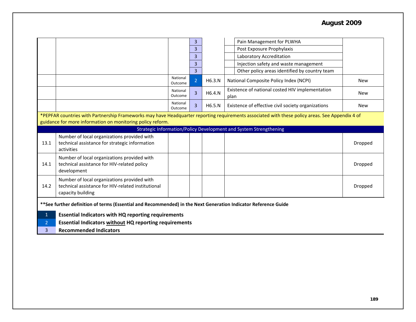|      |                                                                                                                                                 |                     | $\overline{3}$ |        | Pain Management for PLWHA                                         |            |  |  |  |
|------|-------------------------------------------------------------------------------------------------------------------------------------------------|---------------------|----------------|--------|-------------------------------------------------------------------|------------|--|--|--|
|      |                                                                                                                                                 |                     | $\overline{3}$ |        | Post Exposure Prophylaxis                                         |            |  |  |  |
|      |                                                                                                                                                 |                     | $\overline{3}$ |        | Laboratory Accreditation                                          |            |  |  |  |
|      |                                                                                                                                                 |                     | 3              |        | Injection safety and waste management                             |            |  |  |  |
|      |                                                                                                                                                 |                     | $\overline{3}$ |        | Other policy areas identified by country team                     |            |  |  |  |
|      |                                                                                                                                                 | National<br>Outcome | $\overline{2}$ | H6.3.N | National Composite Policy Index (NCPI)                            | <b>New</b> |  |  |  |
|      |                                                                                                                                                 | National<br>Outcome | $\overline{3}$ | H6.4.N | Existence of national costed HIV implementation<br>plan           | <b>New</b> |  |  |  |
|      |                                                                                                                                                 | National<br>Outcome | 3              | H6.5.N | Existence of effective civil society organizations                | <b>New</b> |  |  |  |
|      | *PEPFAR countries with Partnership Frameworks may have Headquarter reporting requirements associated with these policy areas. See Appendix 4 of |                     |                |        |                                                                   |            |  |  |  |
|      | guidance for more information on monitoring policy reform.                                                                                      |                     |                |        |                                                                   |            |  |  |  |
|      |                                                                                                                                                 |                     |                |        | Strategic Information/Policy Development and System Strengthening |            |  |  |  |
| 13.1 | Number of local organizations provided with<br>technical assistance for strategic information<br>activities                                     |                     |                |        |                                                                   | Dropped    |  |  |  |
| 14.1 | Number of local organizations provided with<br>technical assistance for HIV-related policy<br>development                                       |                     |                |        |                                                                   | Dropped    |  |  |  |
| 14.2 | Number of local organizations provided with<br>technical assistance for HIV-related institutional<br>capacity building                          |                     |                |        |                                                                   | Dropped    |  |  |  |
|      | **See further definition of terms (Essential and Recommended) in the Next Generation Indicator Reference Guide                                  |                     |                |        |                                                                   |            |  |  |  |

- 1**Essential Indicators with HQ reporting requirements**
- 2**Essential Indicators without HQ reporting requirements**
- 3**Recommended Indicators**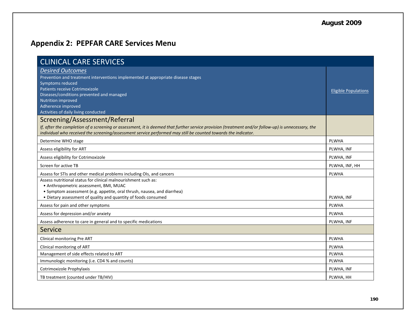# **Appendix 2: PEPFAR CARE Services Menu**

| <b>CLINICAL CARE SERVICES</b>                                                                                                                                                                                                                                                                          |                             |
|--------------------------------------------------------------------------------------------------------------------------------------------------------------------------------------------------------------------------------------------------------------------------------------------------------|-----------------------------|
| <b>Desired Outcomes</b><br>Prevention and treatment interventions implemented at appropriate disease stages<br>Symptoms reduced<br>Patients receive Cotrimoxizole<br>Diseases/conditions prevented and managed<br>Nutrition improved<br>Adherence improved<br>Activities of daily living conducted     | <b>Eligible Populations</b> |
| Screening/Assessment/Referral<br>If, after the completion of a screening or assessment, it is deemed that further service provision (treatment and/or follow-up) is unnecessary, the<br>individual who received the screening/assessment service performed may still be counted towards the indicator. |                             |
| Determine WHO stage                                                                                                                                                                                                                                                                                    | PLWHA                       |
| Assess eligibility for ART                                                                                                                                                                                                                                                                             | PLWHA, INF                  |
| Assess eligibility for Cotrimoxizole                                                                                                                                                                                                                                                                   | PLWHA, INF                  |
| Screen for active TB                                                                                                                                                                                                                                                                                   | PLWHA, INF, HH              |
| Assess for STIs and other medical problems including OIs, and cancers                                                                                                                                                                                                                                  | PLWHA                       |
| Assess nutritional status for clinical malnourishment such as:<br>• Anthropometric assessment, BMI, MUAC<br>• Symptom assessment (e.g. appetite, oral thrush, nausea, and diarrhea)<br>• Dietary assessment of quality and quantity of foods consumed                                                  | PLWHA, INF                  |
| Assess for pain and other symptoms                                                                                                                                                                                                                                                                     | PLWHA                       |
| Assess for depression and/or anxiety                                                                                                                                                                                                                                                                   | <b>PLWHA</b>                |
| Assess adherence to care in general and to specific medications                                                                                                                                                                                                                                        | PLWHA, INF                  |
| Service                                                                                                                                                                                                                                                                                                |                             |
| Clinical monitoring Pre ART                                                                                                                                                                                                                                                                            | PLWHA                       |
| Clinical monitoring of ART                                                                                                                                                                                                                                                                             | PLWHA                       |
| Management of side effects related to ART                                                                                                                                                                                                                                                              | PLWHA                       |
| Immunologic monitoring (i.e. CD4 % and counts)                                                                                                                                                                                                                                                         | <b>PLWHA</b>                |
| Cotrimoxizole Prophylaxis                                                                                                                                                                                                                                                                              | PLWHA, INF                  |
| TB treatment (counted under TB/HIV)                                                                                                                                                                                                                                                                    | PLWHA, HH                   |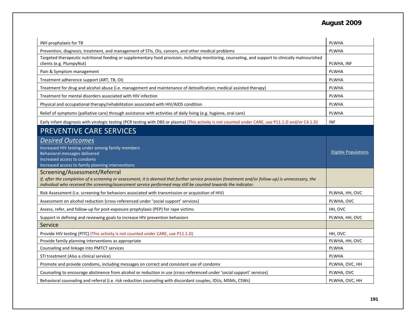| INH prophylaxis for TB                                                                                                                                                                                                                                                                                 | PLWHA                       |
|--------------------------------------------------------------------------------------------------------------------------------------------------------------------------------------------------------------------------------------------------------------------------------------------------------|-----------------------------|
| Prevention, diagnosis, treatment, and management of STIs, OIs, cancers, and other medical problems                                                                                                                                                                                                     | PLWHA                       |
| Targeted therapeutic nutritional feeding or supplementary food provision, including monitoring, counseling, and support to clinically malnourished                                                                                                                                                     |                             |
| clients (e.g. PlumpyNut)                                                                                                                                                                                                                                                                               | PLWHA, INF                  |
| Pain & Symptom management                                                                                                                                                                                                                                                                              | PLWHA                       |
| Treatment adherence support (ART, TB, OI)                                                                                                                                                                                                                                                              | <b>PLWHA</b>                |
| Treatment for drug and alcohol abuse (i.e. management and maintenance of detoxification; medical assisted therapy)                                                                                                                                                                                     | <b>PLWHA</b>                |
| Treatment for mental disorders associated with HIV infection                                                                                                                                                                                                                                           | <b>PLWHA</b>                |
| Physical and occupational therapy/rehabilitation associated with HIV/AIDS condition                                                                                                                                                                                                                    | <b>PLWHA</b>                |
| Relief of symptoms (palliative care) through assistance with activities of daily living (e.g. hygiene, oral care)                                                                                                                                                                                      | <b>PLWHA</b>                |
| Early infant diagnosis with virologic testing (PCR testing with DBS or plasma) (This activity is not counted under CARE, use P11.1.D and/or C4.1.D)                                                                                                                                                    | <b>INF</b>                  |
| PREVENTIVE CARE SERVICES                                                                                                                                                                                                                                                                               |                             |
| <b>Desired Outcomes</b><br>Increased HIV testing under among family members<br>Behavioral messages delivered<br>Increased access to condoms<br>Increased access to family planning interventions                                                                                                       | <b>Eligible Populations</b> |
| Screening/Assessment/Referral<br>If, after the completion of a screening or assessment, it is deemed that further service provision (treatment and/or follow-up) is unnecessary, the<br>individual who received the screening/assessment service performed may still be counted towards the indicator. |                             |
| Risk Assessment (i.e. screening for behaviors associated with transmission or acquisition of HIV)                                                                                                                                                                                                      | PLWHA, HH, OVC              |
| Assessment on alcohol reduction (cross-referenced under 'social support' services)                                                                                                                                                                                                                     | PLWHA, OVC                  |
| Assess, refer, and follow-up for post-exposure prophylaxis (PEP) for rape victims                                                                                                                                                                                                                      | HH, OVC                     |
| Support in defining and reviewing goals to increase HIV prevention behaviors                                                                                                                                                                                                                           | PLWHA, HH, OVC              |
| Service                                                                                                                                                                                                                                                                                                |                             |
| Provide HIV testing (PITC) (This activity is not counted under CARE, use P11.1.D)                                                                                                                                                                                                                      | HH, OVC                     |
| Provide family planning interventions as appropriate                                                                                                                                                                                                                                                   | PLWHA, HH, OVC              |
| Counseling and linkage into PMTCT services                                                                                                                                                                                                                                                             | PLWHA                       |
| STI treatment (Also a clinical service)                                                                                                                                                                                                                                                                | <b>PLWHA</b>                |
| Promote and provide condoms, including messages on correct and consistent use of condoms                                                                                                                                                                                                               | PLWHA, OVC, HH              |
| Counseling to encourage abstinence from alcohol or reduction in use (cross-referenced under 'social support' services)                                                                                                                                                                                 | PLWHA, OVC                  |
| Behavioral counseling and referral (i.e. risk reduction counseling with discordant couples, IDUs, MSMs, CSWs)                                                                                                                                                                                          | PLWHA, OVC, HH              |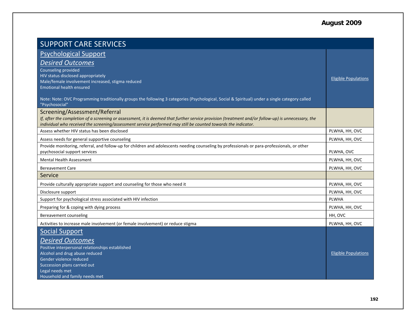| <b>SUPPORT CARE SERVICES</b>                                                                                                                                                                                                                                          |                             |
|-----------------------------------------------------------------------------------------------------------------------------------------------------------------------------------------------------------------------------------------------------------------------|-----------------------------|
| <b>Psychological Support</b>                                                                                                                                                                                                                                          |                             |
| <b>Desired Outcomes</b>                                                                                                                                                                                                                                               |                             |
| Counseling provided                                                                                                                                                                                                                                                   |                             |
| <b>HIV status disclosed appropriately</b>                                                                                                                                                                                                                             | <b>Eligible Populations</b> |
| Male/female involvement increased, stigma reduced                                                                                                                                                                                                                     |                             |
| <b>Emotional health ensured</b>                                                                                                                                                                                                                                       |                             |
| Note: Note: OVC Programming traditionally groups the following 3 categories (Psychological, Social & Spiritual) under a single category called<br>"Psychosocial"                                                                                                      |                             |
| Screening/Assessment/Referral                                                                                                                                                                                                                                         |                             |
| If, after the completion of a screening or assessment, it is deemed that further service provision (treatment and/or follow-up) is unnecessary, the<br>individual who received the screening/assessment service performed may still be counted towards the indicator. |                             |
| Assess whether HIV status has been disclosed                                                                                                                                                                                                                          | PLWHA, HH, OVC              |
| Assess needs for general supportive counseling                                                                                                                                                                                                                        | PLWHA, HH, OVC              |
| Provide monitoring, referral, and follow-up for children and adolescents needing counseling by professionals or para-professionals, or other                                                                                                                          |                             |
| psychosocial support services                                                                                                                                                                                                                                         | PLWHA, OVC                  |
| <b>Mental Health Assessment</b>                                                                                                                                                                                                                                       | PLWHA, HH, OVC              |
| <b>Bereavement Care</b>                                                                                                                                                                                                                                               | PLWHA, HH, OVC              |
| Service                                                                                                                                                                                                                                                               |                             |
| Provide culturally appropriate support and counseling for those who need it                                                                                                                                                                                           | PLWHA, HH, OVC              |
| Disclosure support                                                                                                                                                                                                                                                    | PLWHA, HH, OVC              |
| Support for psychological stress associated with HIV infection                                                                                                                                                                                                        | PLWHA                       |
| Preparing for & coping with dying process                                                                                                                                                                                                                             | PLWHA, HH, OVC              |
| Bereavement counseling                                                                                                                                                                                                                                                | HH, OVC                     |
| Activities to increase male involvement (or female involvement) or reduce stigma                                                                                                                                                                                      | PLWHA, HH, OVC              |
| <b>Social Support</b>                                                                                                                                                                                                                                                 |                             |
| <b>Desired Outcomes</b>                                                                                                                                                                                                                                               |                             |
| Positive interpersonal relationships established                                                                                                                                                                                                                      |                             |
| Alcohol and drug abuse reduced                                                                                                                                                                                                                                        | <b>Eligible Populations</b> |
| Gender violence reduced                                                                                                                                                                                                                                               |                             |
| Succession plans carried out<br>Legal needs met                                                                                                                                                                                                                       |                             |
| Household and family needs met                                                                                                                                                                                                                                        |                             |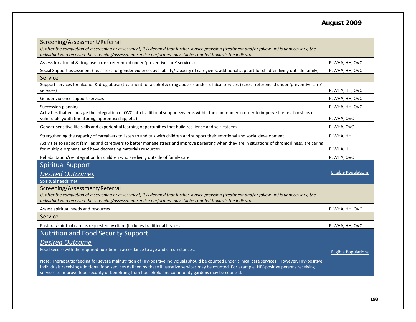| Screening/Assessment/Referral<br>If, after the completion of a screening or assessment, it is deemed that further service provision (treatment and/or follow-up) is unnecessary, the<br>individual who received the screening/assessment service performed may still be counted towards the indicator.                                                                                                           |                             |
|------------------------------------------------------------------------------------------------------------------------------------------------------------------------------------------------------------------------------------------------------------------------------------------------------------------------------------------------------------------------------------------------------------------|-----------------------------|
| Assess for alcohol & drug use (cross-referenced under 'preventive care' services)                                                                                                                                                                                                                                                                                                                                | PLWHA, HH, OVC              |
| Social Support assessment (i.e. assess for gender violence, availability/capacity of caregivers, additional support for children living outside family)                                                                                                                                                                                                                                                          | PLWHA, HH, OVC              |
| Service                                                                                                                                                                                                                                                                                                                                                                                                          |                             |
| Support services for alcohol & drug abuse (treatment for alcohol & drug abuse is under 'clinical services') (cross-referenced under 'preventive care'<br>services)                                                                                                                                                                                                                                               | PLWHA, HH, OVC              |
| Gender violence support services                                                                                                                                                                                                                                                                                                                                                                                 | PLWHA, HH, OVC              |
| Succession planning                                                                                                                                                                                                                                                                                                                                                                                              | PLWHA, HH, OVC              |
| Activities that encourage the integration of OVC into traditional support systems within the community in order to improve the relationships of<br>vulnerable youth (mentoring, apprenticeship, etc.)                                                                                                                                                                                                            | PLWHA, OVC                  |
| Gender-sensitive life skills and experiential learning opportunities that build resilience and self-esteem                                                                                                                                                                                                                                                                                                       | PLWHA, OVC                  |
| Strengthening the capacity of caregivers to listen to and talk with children and support their emotional and social development                                                                                                                                                                                                                                                                                  | PLWHA, HH                   |
| Activities to support families and caregivers to better manage stress and improve parenting when they are in situations of chronic illness, are caring<br>for multiple orphans, and have decreasing materials resources                                                                                                                                                                                          | PLWHA, HH                   |
| Rehabilitation/re-integration for children who are living outside of family care                                                                                                                                                                                                                                                                                                                                 | PLWHA, OVC                  |
| <b>Spiritual Support</b>                                                                                                                                                                                                                                                                                                                                                                                         |                             |
| <b>Desired Outcomes</b>                                                                                                                                                                                                                                                                                                                                                                                          | <b>Eligible Populations</b> |
| Spiritual needs met                                                                                                                                                                                                                                                                                                                                                                                              |                             |
| Screening/Assessment/Referral<br>If, after the completion of a screening or assessment, it is deemed that further service provision (treatment and/or follow-up) is unnecessary, the                                                                                                                                                                                                                             |                             |
| individual who received the screening/assessment service performed may still be counted towards the indicator.                                                                                                                                                                                                                                                                                                   |                             |
| Assess spiritual needs and resources                                                                                                                                                                                                                                                                                                                                                                             | PLWHA, HH, OVC              |
| Service                                                                                                                                                                                                                                                                                                                                                                                                          |                             |
| Pastoral/spiritual care as requested by client (includes traditional healers)                                                                                                                                                                                                                                                                                                                                    | PLWHA, HH, OVC              |
| <b>Nutrition and Food Security Support</b>                                                                                                                                                                                                                                                                                                                                                                       |                             |
| <b>Desired Outcome</b>                                                                                                                                                                                                                                                                                                                                                                                           |                             |
| Food secure with the required nutrition in accordance to age and circumstances.                                                                                                                                                                                                                                                                                                                                  | <b>Eligible Populations</b> |
| Note: Therapeutic feeding for severe malnutrition of HIV-positive individuals should be counted under clinical care services. However, HIV-positive<br>individuals receiving additional food services defined by these illustrative services may be counted. For example, HIV-positive persons receiving<br>services to improve food security or benefiting from household and community gardens may be counted. |                             |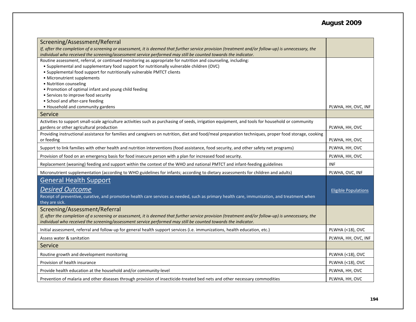| Screening/Assessment/Referral                                                                                                                                  |                             |
|----------------------------------------------------------------------------------------------------------------------------------------------------------------|-----------------------------|
| If, after the completion of a screening or assessment, it is deemed that further service provision (treatment and/or follow-up) is unnecessary, the            |                             |
| individual who received the screening/assessment service performed may still be counted towards the indicator.                                                 |                             |
| Routine assessment, referral, or continued monitoring as appropriate for nutrition and counseling, including:                                                  |                             |
| • Supplemental and supplementary food support for nutritionally vulnerable children (OVC)                                                                      |                             |
| • Supplemental food support for nutritionally vulnerable PMTCT clients                                                                                         |                             |
| • Micronutrient supplements                                                                                                                                    |                             |
| • Nutrition counseling<br>• Promotion of optimal infant and young child feeding                                                                                |                             |
| • Services to improve food security                                                                                                                            |                             |
| • School and after-care feeding                                                                                                                                |                             |
| • Household and community gardens                                                                                                                              | PLWHA, HH, OVC, INF         |
| Service                                                                                                                                                        |                             |
| Activities to support small-scale agriculture activities such as purchasing of seeds, irrigation equipment, and tools for household or community               |                             |
| gardens or other agricultural production                                                                                                                       | PLWHA, HH, OVC              |
| Providing instructional assistance for families and caregivers on nutrition, diet and food/meal preparation techniques, proper food storage, cooking           |                             |
| or feeding                                                                                                                                                     | PLWHA, HH, OVC              |
| Support to link families with other health and nutrition interventions (food assistance, food security, and other safety net programs)                         | PLWHA, HH, OVC              |
| Provision of food on an emergency basis for food insecure person with a plan for increased food security.                                                      | PLWHA, HH, OVC              |
|                                                                                                                                                                |                             |
| Replacement (weaning) feeding and support within the context of the WHO and national PMTCT and infant-feeding guidelines                                       | <b>INF</b>                  |
| Micronutrient supplementation (according to WHO guidelines for infants; according to dietary assessments for children and adults)                              | PLWHA, OVC, INF             |
| <b>General Health Support</b>                                                                                                                                  |                             |
|                                                                                                                                                                |                             |
| <b>Desired Outcome</b>                                                                                                                                         | <b>Eligible Populations</b> |
| Receipt of preventive, curative, and promotive health care services as needed, such as primary health care, immunization, and treatment when<br>they are sick. |                             |
| Screening/Assessment/Referral                                                                                                                                  |                             |
| If, after the completion of a screening or assessment, it is deemed that further service provision (treatment and/or follow-up) is unnecessary, the            |                             |
| individual who received the screening/assessment service performed may still be counted towards the indicator.                                                 |                             |
| Initial assessment, referral and follow-up for general health support services (i.e. immunizations, health education, etc.)                                    | <b>PLWHA (&lt;18), OVC</b>  |
| Assess water & sanitation                                                                                                                                      | PLWHA, HH, OVC, INF         |
| Service                                                                                                                                                        |                             |
| Routine growth and development monitoring                                                                                                                      | PLWHA (<18), OVC            |
| Provision of health insurance                                                                                                                                  | <b>PLWHA (&lt;18), OVC</b>  |
| Provide health education at the household and/or community-level                                                                                               | PLWHA, HH, OVC              |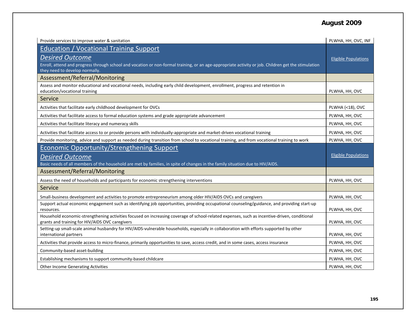| Provide services to improve water & sanitation                                                                                                                    | PLWHA, HH, OVC, INF         |
|-------------------------------------------------------------------------------------------------------------------------------------------------------------------|-----------------------------|
| Education / Vocational Training Support                                                                                                                           |                             |
| <b>Desired Outcome</b>                                                                                                                                            | <b>Eligible Populations</b> |
| Enroll, attend and progress through school and vocation or non-formal training, or an age-appropriate activity or job. Children get the stimulation               |                             |
| they need to develop normally.                                                                                                                                    |                             |
| Assessment/Referral/Monitoring                                                                                                                                    |                             |
| Assess and monitor educational and vocational needs, including early child development, enrollment, progress and retention in<br>education/vocational training    | PLWHA, HH, OVC              |
| <b>Service</b>                                                                                                                                                    |                             |
| Activities that facilitate early childhood development for OVCs                                                                                                   | <b>PLWHA (&lt;18), OVC</b>  |
| Activities that facilitate access to formal education systems and grade appropriate advancement                                                                   | PLWHA, HH, OVC              |
| Activities that facilitate literacy and numeracy skills                                                                                                           | PLWHA, HH, OVC              |
| Activities that facilitate access to or provide persons with individually-appropriate and market-driven vocational training                                       | PLWHA, HH, OVC              |
| Provide monitoring, advice and support as needed during transition from school to vocational training, and from vocational training to work                       | PLWHA, HH, OVC              |
| <b>Economic Opportunity/Strengthening Support</b>                                                                                                                 |                             |
| <b>Desired Outcome</b>                                                                                                                                            | <b>Eligible Populations</b> |
| Basic needs of all members of the household are met by families, in spite of changes in the family situation due to HIV/AIDS.                                     |                             |
| Assessment/Referral/Monitoring                                                                                                                                    |                             |
| Assess the need of households and participants for economic strengthening interventions                                                                           | PLWHA, HH, OVC              |
| Service                                                                                                                                                           |                             |
| Small-business development and activities to promote entrepreneurism among older HIV/AIDS OVCs and caregivers                                                     | PLWHA, HH, OVC              |
| Support actual economic engagement such as identifying job opportunities, providing occupational counseling/guidance, and providing start-up<br>resources.        | PLWHA, HH, OVC              |
| Household economic-strengthening activities focused on increasing coverage of school-related expenses, such as incentive-driven, conditional                      |                             |
| grants and training for HIV/AIDS OVC caregivers                                                                                                                   | PLWHA, HH, OVC              |
| Setting-up small-scale animal husbandry for HIV/AIDS-vulnerable households, especially in collaboration with efforts supported by other<br>international partners | PLWHA, HH, OVC              |
|                                                                                                                                                                   |                             |
| Activities that provide access to micro-finance, primarily opportunities to save, access credit, and in some cases, access insurance                              | PLWHA, HH, OVC              |
| Community-based asset-building                                                                                                                                    | PLWHA, HH, OVC              |
| Establishing mechanisms to support community-based childcare                                                                                                      | PLWHA, HH, OVC              |
| <b>Other Income Generating Activities</b>                                                                                                                         | PLWHA, HH, OVC              |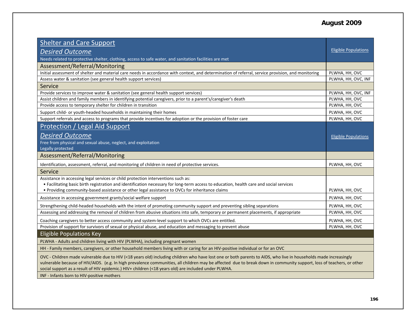| <b>Shelter and Care Support</b>                                                                                                                                                                                                                                                                                                                                                                                                                   |                             |
|---------------------------------------------------------------------------------------------------------------------------------------------------------------------------------------------------------------------------------------------------------------------------------------------------------------------------------------------------------------------------------------------------------------------------------------------------|-----------------------------|
| <b>Desired Outcome</b>                                                                                                                                                                                                                                                                                                                                                                                                                            | <b>Eligible Populations</b> |
| Needs related to protective shelter, clothing, access to safe water, and sanitation facilities are met                                                                                                                                                                                                                                                                                                                                            |                             |
| Assessment/Referral/Monitoring                                                                                                                                                                                                                                                                                                                                                                                                                    |                             |
| Initial assessment of shelter and material care needs in accordance with context, and determination of referral, service provision, and monitoring                                                                                                                                                                                                                                                                                                | PLWHA, HH, OVC              |
| Assess water & sanitation (see general health support services)                                                                                                                                                                                                                                                                                                                                                                                   | PLWHA, HH, OVC, INF         |
| Service                                                                                                                                                                                                                                                                                                                                                                                                                                           |                             |
| Provide services to improve water & sanitation (see general health support services)                                                                                                                                                                                                                                                                                                                                                              | PLWHA, HH, OVC, INF         |
| Assist children and family members in identifying potential caregivers, prior to a parent's/caregiver's death                                                                                                                                                                                                                                                                                                                                     | PLWHA, HH, OVC              |
| Provide access to temporary shelter for children in transition                                                                                                                                                                                                                                                                                                                                                                                    | PLWHA, HH, OVC              |
| Support child- or youth-headed households in maintaining their homes                                                                                                                                                                                                                                                                                                                                                                              | PLWHA, HH, OVC              |
| Support referrals and access to programs that provide incentives for adoption or the provision of foster care                                                                                                                                                                                                                                                                                                                                     | PLWHA, HH, OVC              |
| <b>Protection / Legal Aid Support</b>                                                                                                                                                                                                                                                                                                                                                                                                             |                             |
| <b>Desired Outcome</b>                                                                                                                                                                                                                                                                                                                                                                                                                            | <b>Eligible Populations</b> |
| Free from physical and sexual abuse, neglect, and exploitation                                                                                                                                                                                                                                                                                                                                                                                    |                             |
| Legally protected                                                                                                                                                                                                                                                                                                                                                                                                                                 |                             |
| Assessment/Referral/Monitoring                                                                                                                                                                                                                                                                                                                                                                                                                    |                             |
| Identification, assessment, referral, and monitoring of children in need of protective services.                                                                                                                                                                                                                                                                                                                                                  | PLWHA, HH, OVC              |
| Service                                                                                                                                                                                                                                                                                                                                                                                                                                           |                             |
| Assistance in accessing legal services or child protection interventions such as:                                                                                                                                                                                                                                                                                                                                                                 |                             |
| · Facilitating basic birth registration and identification necessary for long-term access to education, health care and social services                                                                                                                                                                                                                                                                                                           |                             |
| . Providing community-based assistance or other legal assistance to OVCs for inheritance claims                                                                                                                                                                                                                                                                                                                                                   | PLWHA, HH, OVC              |
| Assistance in accessing government grants/social welfare support                                                                                                                                                                                                                                                                                                                                                                                  | PLWHA, HH, OVC              |
| Strengthening child-headed households with the intent of promoting community support and preventing sibling separations                                                                                                                                                                                                                                                                                                                           | PLWHA, HH, OVC              |
| Assessing and addressing the removal of children from abusive situations into safe, temporary or permanent placements, if appropriate                                                                                                                                                                                                                                                                                                             | PLWHA, HH, OVC              |
| Coaching caregivers to better access community and system-level support to which OVCs are entitled.                                                                                                                                                                                                                                                                                                                                               | PLWHA, HH, OVC              |
| Provision of support for survivors of sexual or physical abuse, and education and messaging to prevent abuse                                                                                                                                                                                                                                                                                                                                      | PLWHA, HH, OVC              |
| <b>Eligible Populations Key</b>                                                                                                                                                                                                                                                                                                                                                                                                                   |                             |
| PLWHA - Adults and children living with HIV (PLWHA), including pregnant women                                                                                                                                                                                                                                                                                                                                                                     |                             |
| HH - Family members, caregivers, or other household members living with or caring for an HIV-positive individual or for an OVC                                                                                                                                                                                                                                                                                                                    |                             |
| OVC - Children made vulnerable due to HIV (<18 years old) including children who have lost one or both parents to AIDS, who live in households made increasingly<br>vulnerable because of HIV/AIDS. (e.g. In high prevalence communities, all children may be affected due to break down in community support, loss of teachers, or other<br>social support as a result of HIV epidemic.) HIV+ children (<18 years old) are included under PLWHA. |                             |

INF ‐ Infants born to HIV‐positive mothers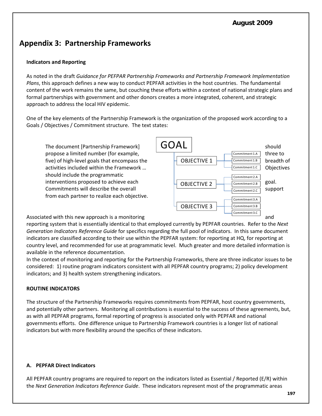## **Appendix 3: Partnership Frameworks**

#### **Indicators and Reporting**

As noted in the draft *Guidance for PEFPAR Partnership Frameworks and Partnership Framework Implementation Plans*, this approach defines a new way to conduct PEPFAR activities in the host countries. The fundamental content of the work remains the same, but couching these efforts within a context of national strategic plans and formal partnerships with government and other donors creates a more integrated, coherent, and strategic approach to address the local HIV epidemic.

One of the key elements of the Partnership Framework is the organization of the proposed work according to a Goals / Objectives / Commitment structure. The text states:

should include the programmatic from each partner to realize each objective.



Associated with this new approach is a monitoring and

reporting system that is essentially identical to that employed currently by PEPFAR countries. Refer to the *Next Generation Indicators Reference Guide* for specifics regarding the full pool of indicators. In this same document indicators are classified according to their use within the PEPFAR system: for reporting at HQ, for reporting at country level, and recommended for use at programmatic level. Much greater and more detailed information is available in the reference documentation.

In the context of monitoring and reporting for the Partnership Frameworks, there are three indicator issues to be considered: 1) routine program indicators consistent with all PEPFAR country programs; 2) policy development indicators; and 3) health system strengthening indicators.

#### **ROUTINE INDICATORS**

The structure of the Partnership Frameworks requires commitments from PEPFAR, host country governments, and potentially other partners. Monitoring all contributions is essential to the success of these agreements, but, as with all PEPFAR programs, formal reporting of progress is associated only with PEPFAR and national governments efforts. One difference unique to Partnership Framework countries is a longer list of national indicators but with more flexibility around the specifics of these indicators.

#### **A. PEPFAR Direct Indicators**

All PEPFAR country programs are required to report on the indicators listed as Essential / Reported (E/R) within the *Next Generation Indicators Reference Guide*. These indicators represent most of the programmatic areas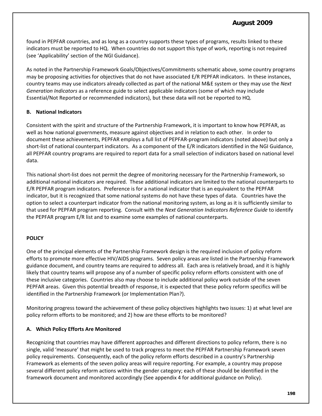found in PEPFAR countries, and as long as a country supports these types of programs, results linked to these indicators must be reported to HQ. When countries do not support this type of work, reporting is not required (see 'Applicability' section of the NGI Guidance).

As noted in the Partnership Framework Goals/Objectives/Commitments schematic above, some country programs may be proposing activities for objectives that do not have associated E/R PEPFAR indicators. In these instances, country teams may use indicators already collected as part of the national M&E system or they may use the *Next Generation Indicators* as a reference guide to select applicable indicators (some of which may include Essential/Not Reported or recommended indicators), but these data will not be reported to HQ.

#### **B. National Indicators**

Consistent with the spirit and structure of the Partnership Framework, it is important to know how PEPFAR, as well as how national governments, measure against objectives and in relation to each other. In order to document these achievements, PEPFAR employs a full list of PEPFAR‐program indicators (noted above) but only a short-list of national counterpart indicators. As a component of the E/R indicators identified in the NGI Guidance, all PEPFAR country programs are required to report data for a small selection of indicators based on national level data.

This national short‐list does not permit the degree of monitoring necessary for the Partnership Framework, so additional national indicators are required. These additional indicators are limited to the national counterparts to E/R PEPFAR program indicators. Preference is for a national indicator that is an equivalent to the PEPFAR indicator, but it is recognized that some national systems do not have these types of data. Countries have the option to select a counterpart indicator from the national monitoring system, as long as it is sufficiently similar to that used for PEPFAR program reporting. Consult with the *Next Generation Indicators Reference Guide* to identify the PEPFAR program E/R list and to examine some examples of national counterparts.

#### **POLICY**

One of the principal elements of the Partnership Framework design is the required inclusion of policy reform efforts to promote more effective HIV/AIDS programs. Seven policy areas are listed in the Partnership Framework guidance document, and country teams are required to address all. Each area is relatively broad, and it is highly likely that country teams will propose any of a number of specific policy reform efforts consistent with one of these inclusive categories. Countries also may choose to include additional policy work outside of the seven PEPFAR areas. Given this potential breadth of response, it is expected that these policy reform specifics will be identified in the Partnership Framework (or Implementation Plan?).

Monitoring progress toward the achievement of these policy objectives highlights two issues: 1) at what level are policy reform efforts to be monitored; and 2) how are these efforts to be monitored?

#### **A. Which Policy Efforts Are Monitored**

Recognizing that countries may have different approaches and different directions to policy reform, there is no single, valid 'measure' that might be used to track progress to meet the PEPFAR Partnership Framework seven policy requirements. Consequently, each of the policy reform efforts described in a country's Partnership Framework as elements of the seven policy areas will require reporting. For example, a country may propose several different policy reform actions within the gender category; each of these should be identified in the framework document and monitored accordingly (See appendix 4 for additional guidance on Policy).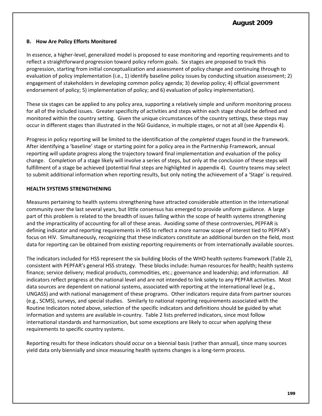#### **B. How Are Policy Efforts Monitored**

In essence, a higher‐level, generalized model is proposed to ease monitoring and reporting requirements and to reflect a straightforward progression toward policy reform goals. Six stages are proposed to track this progression, starting from initial conceptualization and assessment of policy change and continuing through to evaluation of policy implementation (i.e., 1) identify baseline policy issues by conducting situation assessment; 2) engagement of stakeholders in developing common policy agenda; 3) develop policy; 4) official government endorsement of policy; 5) implementation of policy; and 6) evaluation of policy implementation).

These six stages can be applied to any policy area, supporting a relatively simple and uniform monitoring process for all of the included issues. Greater specificity of activities and steps within each stage should be defined and monitored within the country setting. Given the unique circumstances of the country settings, these steps may occur in different stages than illustrated in the NGI Guidance, in multiple stages, or not at all (see Appendix 4).

Progress in policy reporting will be limited to the identification of the *completed* stages found in the framework. After identifying a 'baseline' stage or starting point for a policy area in the Partnership Framework, annual reporting will update progress along the trajectory toward final implementation and evaluation of the policy change. Completion of a stage likely will involve a series of steps, but only at the conclusion of these steps will fulfillment of a stage be achieved (potential final steps are highlighted in appendix 4). Country teams may select to submit additional information when reporting results, but only noting the achievement of a 'Stage' is required.

#### **HEALTH SYSTEMS STRENGTHENING**

Measures pertaining to health systems strengthening have attracted considerable attention in the international community over the last several years, but little consensus has emerged to provide uniform guidance. A large part of this problem is related to the breadth of issues falling within the scope of health systems strengthening and the impracticality of accounting for all of these areas. Avoiding some of these controversies, PEPFAR is defining indicator and reporting requirements in HSS to reflect a more narrow scope of interest tied to PEPFAR's focus on HIV. Simultaneously, recognizing that these indicators constitute an additional burden on the field, most data for reporting can be obtained from existing reporting requirements or from internationally available sources.

The indicators included for HSS represent the six building blocks of the WHO health systems framework (Table 2), consistent with PEPFAR's general HSS strategy. These blocks include: human resources for health; health systems finance; service delivery; medical products, commodities, etc.; governance and leadership; and information. All indicators reflect progress at the national level and are not intended to link solely to any PEPFAR activities. Most data sources are dependent on national systems, associated with reporting at the international level (e.g., UNGASS) and with national management of these programs. Other indicators require data from partner sources (e.g., SCMS), surveys, and special studies. Similarly to national reporting requirements associated with the Routine Indicators noted above, selection of the specific indicators and definitions should be guided by what information and systems are available in‐country. Table 2 lists preferred indicators, since most follow international standards and harmonization, but some exceptions are likely to occur when applying these requirements to specific country systems.

Reporting results for these indicators should occur on a biennial basis (rather than annual), since many sources yield data only biennially and since measuring health systems changes is a long‐term process.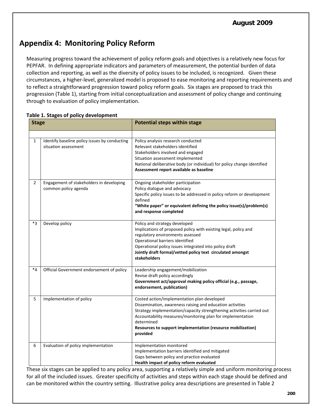## **Appendix 4: Monitoring Policy Reform**

Measuring progress toward the achievement of policy reform goals and objectives is a relatively new focus for PEPFAR. In defining appropriate indicators and parameters of measurement, the potential burden of data collection and reporting, as well as the diversity of policy issues to be included, is recognized. Given these circumstances, a higher‐level, generalized model is proposed to ease monitoring and reporting requirements and to reflect a straightforward progression toward policy reform goals. Six stages are proposed to track this progression (Table 1), starting from initial conceptualization and assessment of policy change and continuing through to evaluation of policy implementation.

#### **Table 1. Stages of policy development**

| <b>Stage</b>   |                                                                  | <b>Potential steps within stage</b>                                                                                                                                                                                                                                                                                                      |  |
|----------------|------------------------------------------------------------------|------------------------------------------------------------------------------------------------------------------------------------------------------------------------------------------------------------------------------------------------------------------------------------------------------------------------------------------|--|
| $\mathbf{1}$   | Identify baseline policy issues by conducting                    | Policy analysis research conducted                                                                                                                                                                                                                                                                                                       |  |
|                | situation assessment                                             | Relevant stakeholders identified<br>Stakeholders involved and engaged<br>Situation assessment implemented<br>National deliberative body (or individual) for policy change identified<br>Assessment report available as baseline                                                                                                          |  |
| $\overline{2}$ | Engagement of stakeholders in developing<br>common policy agenda | Ongoing stakeholder participation<br>Policy dialogue and advocacy<br>Specific policy issues to be addressed in policy reform or development<br>defined<br>"White paper" or equivalent defining the policy issue(s)/problem(s)<br>and response completed                                                                                  |  |
| $*3$           | Develop policy                                                   | Policy and strategy developed<br>Implications of proposed policy with existing legal, policy and<br>regulatory environments assessed<br>Operational barriers identified<br>Operational policy issues integrated into policy draft<br>Jointly draft formal/vetted policy text circulated amongst<br>stakeholders                          |  |
| $*_{4}$        | Official Government endorsement of policy                        | Leadership engagement/mobilization<br>Revise draft policy accordingly<br>Government act/approval making policy official (e.g., passage,<br>endorsement, publication)                                                                                                                                                                     |  |
| 5              | Implementation of policy                                         | Costed action/implementation plan developed<br>Dissemination, awareness raising and education activities<br>Strategy implementation/capacity strengthening activities carried out<br>Accountability measures/monitoring plan for implementation<br>determined<br>Resources to support implementation (resource mobilization)<br>provided |  |
| 6              | Evaluation of policy implementation                              | Implementation monitored<br>Implementation barriers identified and mitigated<br>Gaps between policy and practice evaluated<br>Health impact of policy reform evaluated                                                                                                                                                                   |  |

These six stages can be applied to any policy area, supporting a relatively simple and uniform monitoring process for all of the included issues. Greater specificity of activities and steps within each stage should be defined and can be monitored within the country setting. Illustrative policy area descriptions are presented in Table 2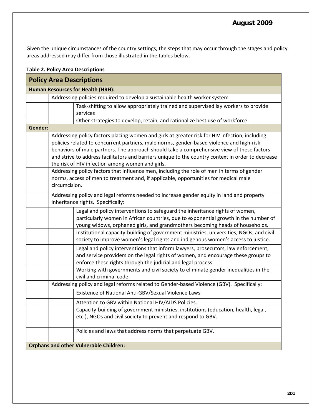Given the unique circumstances of the country settings, the steps that may occur through the stages and policy areas addressed may differ from those illustrated in the tables below.

#### **Table 2. Policy Area Descriptions**

| <b>Policy Area Descriptions</b> |               |                                                                                                    |
|---------------------------------|---------------|----------------------------------------------------------------------------------------------------|
|                                 |               | <b>Human Resources for Health (HRH):</b>                                                           |
|                                 |               | Addressing policies required to develop a sustainable health worker system                         |
|                                 |               | Task-shifting to allow appropriately trained and supervised lay workers to provide                 |
|                                 |               | services                                                                                           |
|                                 |               | Other strategies to develop, retain, and rationalize best use of workforce                         |
| <b>Gender:</b>                  |               |                                                                                                    |
|                                 |               | Addressing policy factors placing women and girls at greater risk for HIV infection, including     |
|                                 |               | policies related to concurrent partners, male norms, gender-based violence and high-risk           |
|                                 |               | behaviors of male partners. The approach should take a comprehensive view of these factors         |
|                                 |               | and strive to address facilitators and barriers unique to the country context in order to decrease |
|                                 |               | the risk of HIV infection among women and girls.                                                   |
|                                 |               | Addressing policy factors that influence men, including the role of men in terms of gender         |
|                                 |               | norms, access of men to treatment and, if applicable, opportunities for medical male               |
|                                 | circumcision. |                                                                                                    |
|                                 |               | Addressing policy and legal reforms needed to increase gender equity in land and property          |
|                                 |               | inheritance rights. Specifically:                                                                  |
|                                 |               | Legal and policy interventions to safeguard the inheritance rights of women,                       |
|                                 |               | particularly women in African countries, due to exponential growth in the number of                |
|                                 |               | young widows, orphaned girls, and grandmothers becoming heads of households.                       |
|                                 |               | Institutional capacity-building of government ministries, universities, NGOs, and civil            |
|                                 |               | society to improve women's legal rights and indigenous women's access to justice.                  |
|                                 |               | Legal and policy interventions that inform lawyers, prosecutors, law enforcement,                  |
|                                 |               | and service providers on the legal rights of women, and encourage these groups to                  |
|                                 |               | enforce these rights through the judicial and legal process.                                       |
|                                 |               | Working with governments and civil society to eliminate gender inequalities in the                 |
|                                 |               | civil and criminal code.                                                                           |
|                                 |               | Addressing policy and legal reforms related to Gender-based Violence (GBV). Specifically:          |
|                                 |               | Existence of National Anti-GBV/Sexual Violence Laws                                                |
|                                 |               | Attention to GBV within National HIV/AIDS Policies.                                                |
|                                 |               | Capacity-building of government ministries, institutions (education, health, legal,                |
|                                 |               | etc.), NGOs and civil society to prevent and respond to GBV.                                       |
|                                 |               | Policies and laws that address norms that perpetuate GBV.                                          |
|                                 |               | <b>Orphans and other Vulnerable Children:</b>                                                      |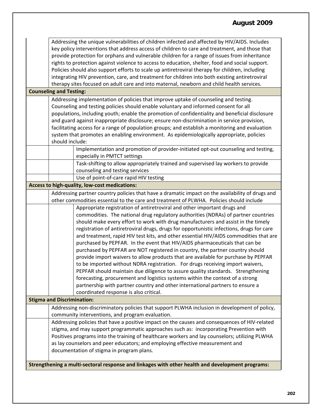|                                   | Addressing the unique vulnerabilities of children infected and affected by HIV/AIDS. Includes                              |
|-----------------------------------|----------------------------------------------------------------------------------------------------------------------------|
|                                   | key policy interventions that address access of children to care and treatment, and those that                             |
|                                   | provide protection for orphans and vulnerable children for a range of issues from inheritance                              |
|                                   | rights to protection against violence to access to education, shelter, food and social support.                            |
|                                   | Policies should also support efforts to scale up antiretroviral therapy for children, including                            |
|                                   | integrating HIV prevention, care, and treatment for children into both existing antiretroviral                             |
|                                   | therapy sites focused on adult care and into maternal, newborn and child health services.                                  |
| <b>Counseling and Testing:</b>    |                                                                                                                            |
|                                   | Addressing implementation of policies that improve uptake of counseling and testing.                                       |
|                                   | Counseling and testing policies should enable voluntary and informed consent for all                                       |
|                                   | populations, including youth; enable the promotion of confidentiality and beneficial disclosure                            |
|                                   | and guard against inappropriate disclosure; ensure non-discrimination in service provision,                                |
|                                   | facilitating access for a range of population groups; and establish a monitoring and evaluation                            |
|                                   | system that promotes an enabling environment. As epidemiologically appropriate, policies                                   |
|                                   | should include:                                                                                                            |
|                                   | Implementation and promotion of provider-initiated opt-out counseling and testing,                                         |
|                                   | especially in PMTCT settings                                                                                               |
|                                   | Task-shifting to allow appropriately trained and supervised lay workers to provide                                         |
|                                   | counseling and testing services                                                                                            |
|                                   | Use of point-of-care rapid HIV testing                                                                                     |
|                                   | Access to high-quality, low-cost medications:                                                                              |
|                                   | Addressing partner country policies that have a dramatic impact on the availability of drugs and                           |
|                                   | other commodities essential to the care and treatment of PLWHA. Policies should include                                    |
|                                   | Appropriate registration of antiretroviral and other important drugs and                                                   |
|                                   | commodities. The national drug regulatory authorities (NDRAs) of partner countries                                         |
|                                   | should make every effort to work with drug manufacturers and assist in the timely                                          |
|                                   | registration of antiretroviral drugs, drugs for opportunistic infections, drugs for care                                   |
|                                   | and treatment, rapid HIV test kits, and other essential HIV/AIDS commodities that are                                      |
|                                   | purchased by PEPFAR. In the event that HIV/AIDS pharmaceuticals that can be                                                |
|                                   | purchased by PEPFAR are NOT registered in country, the partner country should                                              |
|                                   | provide import waivers to allow products that are available for purchase by PEPFAR                                         |
|                                   | to be imported without NDRA registration. For drugs receiving import waivers,                                              |
|                                   | PEPFAR should maintain due diligence to assure quality standards. Strengthening                                            |
|                                   | forecasting, procurement and logistics systems within the context of a strong                                              |
|                                   | partnership with partner country and other international partners to ensure a                                              |
|                                   |                                                                                                                            |
| <b>Stigma and Discrimination:</b> | coordinated response is also critical.                                                                                     |
|                                   | Addressing non-discriminatory policies that support PLWHA inclusion in development of policy,                              |
|                                   | community interventions, and program evaluation.                                                                           |
|                                   | Addressing policies that have a positive impact on the causes and consequences of HIV-related                              |
|                                   |                                                                                                                            |
|                                   | stigma, and may support programmatic approaches such as: incorporating Prevention with                                     |
|                                   | Positives programs into the training of healthcare workers and lay counselors; utilizing PLWHA                             |
|                                   |                                                                                                                            |
|                                   | as lay counselors and peer educators; and employing effective measurement and<br>documentation of stigma in program plans. |
|                                   |                                                                                                                            |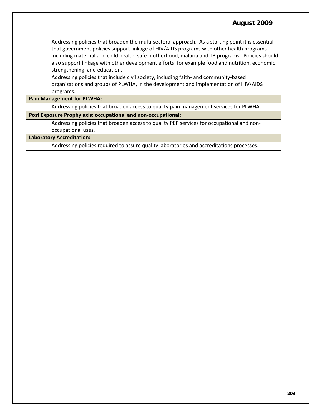| Addressing policies that broaden the multi-sectoral approach. As a starting point it is essential |
|---------------------------------------------------------------------------------------------------|
| that government policies support linkage of HIV/AIDS programs with other health programs          |
| including maternal and child health, safe motherhood, malaria and TB programs. Policies should    |
| also support linkage with other development efforts, for example food and nutrition, economic     |
| strengthening, and education.                                                                     |
| Addressing policies that include civil society, including faith- and community-based              |
| organizations and groups of PLWHA, in the development and implementation of HIV/AIDS              |
| programs.                                                                                         |
| <b>Pain Management for PLWHA:</b>                                                                 |
| Addressing policies that broaden access to quality pain management services for PLWHA.            |
| Post Exposure Prophylaxis: occupational and non-occupational:                                     |
| Addressing policies that broaden access to quality PEP services for occupational and non-         |
| occupational uses.                                                                                |
| <b>Laboratory Accreditation:</b>                                                                  |
|                                                                                                   |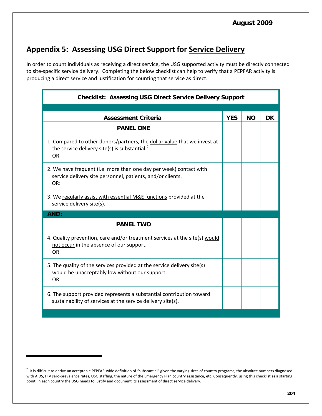## **Appendix 5: Assessing USG Direct Support for Service Delivery**

In order to count individuals as receiving a direct service, the USG supported activity must be directly connected to site‐specific service delivery. Completing the below checklist can help to verify that a PEPFAR activity is producing a direct service and justification for counting that service as direct.

| <b>Checklist: Assessing USG Direct Service Delivery Support</b>                                                                              |            |           |           |
|----------------------------------------------------------------------------------------------------------------------------------------------|------------|-----------|-----------|
| <b>Assessment Criteria</b><br><b>PANEL ONE</b>                                                                                               | <b>YES</b> | <b>NO</b> | <b>DK</b> |
| 1. Compared to other donors/partners, the dollar value that we invest at<br>the service delivery site(s) is substantial. <sup>2</sup><br>OR: |            |           |           |
| 2. We have frequent (i.e. more than one day per week) contact with<br>service delivery site personnel, patients, and/or clients.<br>OR:      |            |           |           |
| 3. We regularly assist with essential M&E functions provided at the<br>service delivery site(s).                                             |            |           |           |
| AND:                                                                                                                                         |            |           |           |
| <b>PANEL TWO</b>                                                                                                                             |            |           |           |
| 4. Quality prevention, care and/or treatment services at the site(s) would<br>not occur in the absence of our support.<br>OR:                |            |           |           |
| 5. The quality of the services provided at the service delivery site(s)<br>would be unacceptably low without our support.<br>OR:             |            |           |           |
| 6. The support provided represents a substantial contribution toward<br>sustainability of services at the service delivery site(s).          |            |           |           |

<sup>&</sup>lt;sup>2</sup> It is difficult to derive an acceptable PEPFAR-wide definition of "substantial" given the varying sizes of country programs, the absolute numbers diagnosed with AIDS, HIV sero-prevalence rates, USG staffing, the nature of the Emergency Plan country assistance, etc. Consequently, using this checklist as a starting point, in each country the USG needs to justify and document its assessment of direct service delivery.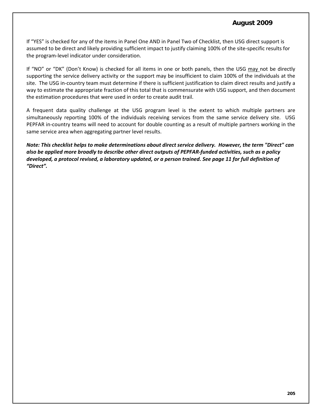If "YES" is checked for any of the items in Panel One AND in Panel Two of Checklist, then USG direct support is assumed to be direct and likely providing sufficient impact to justify claiming 100% of the site‐specific results for the program‐level indicator under consideration.

If "NO" or "DK" (Don't Know) is checked for all items in one or both panels, then the USG may not be directly supporting the service delivery activity or the support may be insufficient to claim 100% of the individuals at the site. The USG in-country team must determine if there is sufficient justification to claim direct results and justify a way to estimate the appropriate fraction of this total that is commensurate with USG support, and then document the estimation procedures that were used in order to create audit trail.

A frequent data quality challenge at the USG program level is the extent to which multiple partners are simultaneously reporting 100% of the individuals receiving services from the same service delivery site. USG PEPFAR in‐country teams will need to account for double counting as a result of multiple partners working in the same service area when aggregating partner level results.

Note: This checklist helps to make determinations about direct service delivery. However, the term "Direct" can also be applied more broadly to describe other direct outputs of PEPFAR-funded activities, such as a policy developed, a protocol revised, a laboratory updated, or a person trained. See page 11 for full definition of *"Direct".*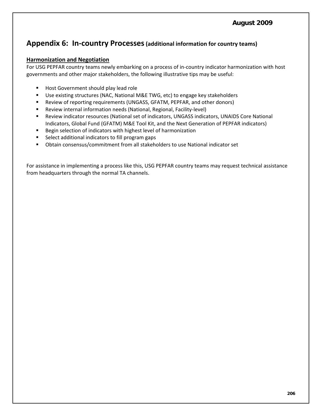### **Appendix 6: In‐country Processes(additional information for country teams)**

#### **Harmonization and Negotiation**

For USG PEPFAR country teams newly embarking on a process of in‐country indicator harmonization with host governments and other major stakeholders, the following illustrative tips may be useful:

- Host Government should play lead role
- Use existing structures (NAC, National M&E TWG, etc) to engage key stakeholders
- Review of reporting requirements (UNGASS, GFATM, PEPFAR, and other donors)
- Review internal information needs (National, Regional, Facility-level)
- Review indicator resources (National set of indicators, UNGASS indicators, UNAIDS Core National Indicators, Global Fund (GFATM) M&E Tool Kit, and the Next Generation of PEPFAR indicators)
- Begin selection of indicators with highest level of harmonization
- **Select additional indicators to fill program gaps**
- Obtain consensus/commitment from all stakeholders to use National indicator set

For assistance in implementing a process like this, USG PEPFAR country teams may request technical assistance from headquarters through the normal TA channels.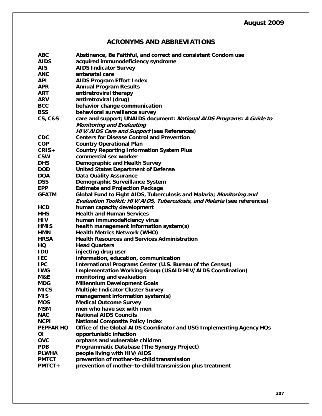### **ACRONYMS AND ABBREVIATIONS**

| <b>ABC</b>         | Abstinence, Be Faithful, and correct and consistent Condom use           |
|--------------------|--------------------------------------------------------------------------|
| <b>AIDS</b>        | acquired immunodeficiency syndrome                                       |
| <b>AIS</b>         | <b>AIDS Indicator Survey</b>                                             |
| <b>ANC</b>         | antenatal care                                                           |
| <b>API</b>         | <b>AIDS Program Effort Index</b>                                         |
| <b>APR</b>         | <b>Annual Program Results</b>                                            |
| <b>ART</b>         | antiretroviral therapy                                                   |
| <b>ARV</b>         | antiretroviral (drug)                                                    |
| <b>BCC</b>         | behavior change communication                                            |
| <b>BSS</b>         | behavioral surveillance survey                                           |
| <b>CS, C&amp;S</b> | care and support; UNAIDS document: National AIDS Programs: A Guide to    |
|                    | <b>Monitoring and Evaluating</b>                                         |
|                    | HIV/AIDS Care and Support (see References)                               |
| <b>CDC</b>         | <b>Centers for Disease Control and Prevention</b>                        |
| <b>COP</b>         | <b>Country Operational Plan</b>                                          |
| CRIS+              | <b>Country Reporting Information System Plus</b>                         |
| <b>CSW</b>         | commercial sex worker                                                    |
| <b>DHS</b>         | <b>Demographic and Health Survey</b>                                     |
| <b>DOD</b>         | <b>United States Department of Defense</b>                               |
| <b>DQA</b>         | <b>Data Quality Assurance</b>                                            |
| <b>DSS</b>         | Demographic Surveillance System                                          |
| <b>EPP</b>         | <b>Estimate and Projection Package</b>                                   |
| <b>GFATM</b>       | Global Fund to Fight AIDS, Tuberculosis and Malaria; Monitoring and      |
|                    | Evaluation Toolkit: HIV/AIDS, Tuberculosis, and Malaria (see references) |
| <b>HCD</b>         | human capacity development                                               |
| <b>HHS</b>         | <b>Health and Human Services</b>                                         |
| <b>HIV</b>         | human immunodeficiency virus                                             |
| <b>HMIS</b>        | health management information system(s)                                  |
| <b>HMN</b>         | <b>Health Metrics Network (WHO)</b>                                      |
| <b>HRSA</b>        | <b>Health Resources and Services Administration</b>                      |
| HQ                 | <b>Head Quarters</b>                                                     |
| <b>IDU</b>         | injecting drug user                                                      |
| <b>IEC</b>         | information, education, communication                                    |
| <b>IPC</b>         | International Programs Center (U.S. Bureau of the Census)                |
| <b>IWG</b>         | <b>Implementation Working Group (USAID HIV/AIDS Coordination)</b>        |
| M&E                | monitoring and evaluation                                                |
| <b>MDG</b>         | <b>Millennium Development Goals</b>                                      |
| <b>MICS</b>        | <b>Multiple Indicator Cluster Survey</b>                                 |
| <b>MIS</b>         | management information system(s)                                         |
| <b>MOS</b>         | <b>Medical Outcome Survey</b>                                            |
| <b>MSM</b>         | men who have sex with men                                                |
| <b>NAC</b>         | <b>National AIDS Councils</b>                                            |
| <b>NCPI</b>        | <b>National Composite Policy Index</b>                                   |
| <b>PEPFAR HQ</b>   | Office of the Global AIDS Coordinator and USG Implementing Agency HQs    |
| $\overline{O}$     | opportunistic infection                                                  |
| <b>OVC</b>         | orphans and vulnerable children                                          |
| <b>PDB</b>         | Programmatic Database (The Synergy Project)                              |
| <b>PLWHA</b>       | people living with HIV/AIDS                                              |
| <b>PMTCT</b>       | prevention of mother-to-child transmission                               |
| PMTCT+             | prevention of mother-to-child transmission plus treatment                |